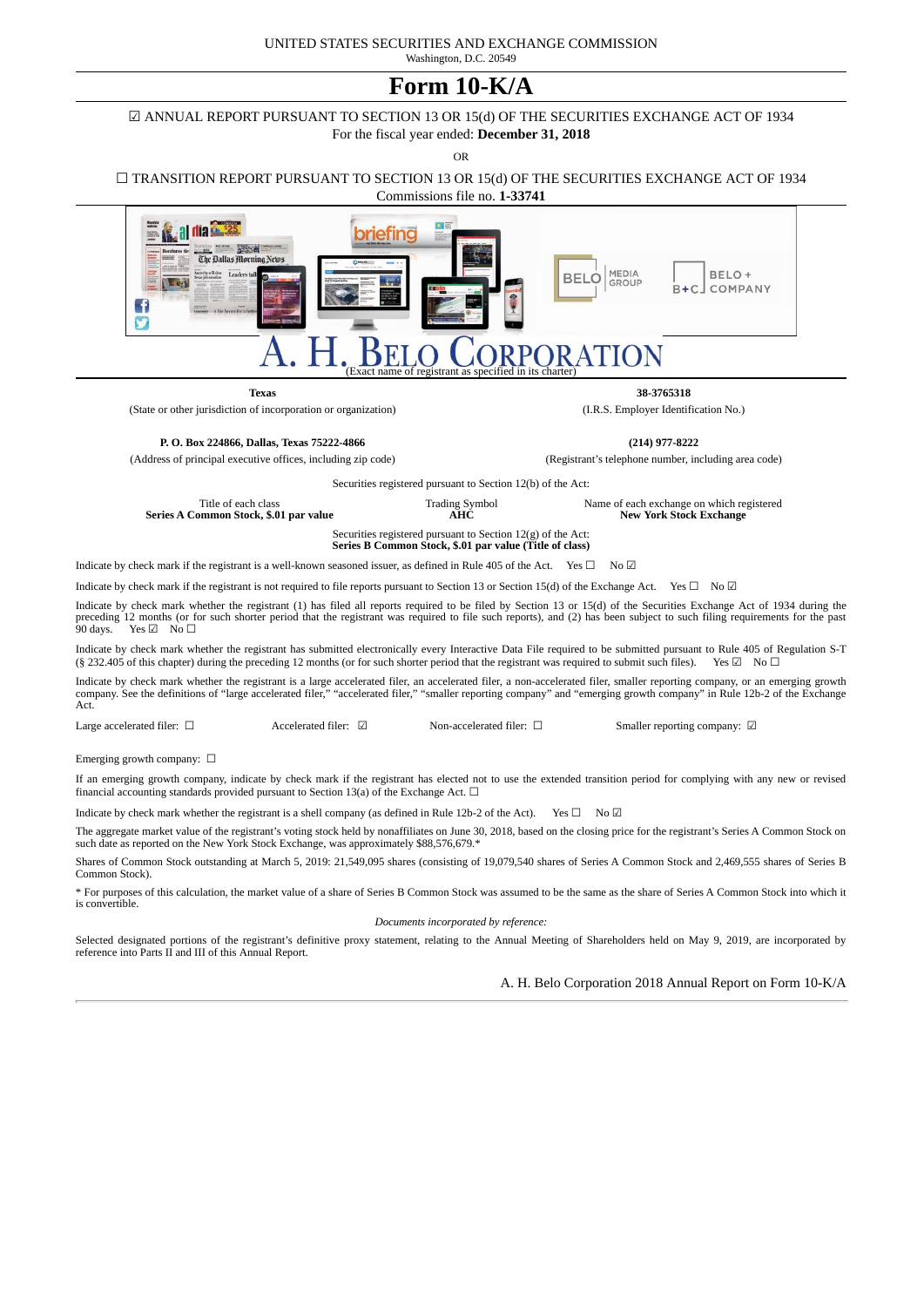# **Form 10-K/A**

☑ ANNUAL REPORT PURSUANT TO SECTION 13 OR 15(d) OF THE SECURITIES EXCHANGE ACT OF 1934 For the fiscal year ended: **December 31, 2018**

OR

☐ TRANSITION REPORT PURSUANT TO SECTION 13 OR 15(d) OF THE SECURITIES EXCHANGE ACT OF 1934 Commissions file no. **1-33741**



Securities registered pursuant to Section 12(b) of the Act:

Title of each class Trading Symbol Name of each exchange on which registered<br>  $\overline{AHC}$  New York Stock Exchange  $S$ eries **A Common Stock**, \$.01 par value

Securities registered pursuant to Section 12(g) of the Act: **Series B Common Stock, \$.01 par value (Title of class)**

Indicate by check mark if the registrant is a well-known seasoned issuer, as defined in Rule 405 of the Act. Yes  $\Box$  No  $\Box$ 

Indicate by check mark if the registrant is not required to file reports pursuant to Section 13 or Section 15(d) of the Exchange Act. Yes ☐ No ☑

Indicate by check mark whether the registrant (1) has filed all reports required to be filed by Section 13 or 15(d) of the Securities Exchange Act of 1934 during the preceding 12 months (or for such shorter period that the registrant was required to file such reports), and (2) has been subject to such filing requirements for the past 90 days. Yes  $\boxtimes$  No  $\Box$ 

Indicate by check mark whether the registrant has submitted electronically every Interactive Data File required to be submitted pursuant to Rule 405 of Regulation S-T (§ 232.405 of this chapter) during the preceding 12 mo (§ 232.405 of this chapter) during the preceding 12 months (or for such shorter period that the registrant was required to submit such files).

Indicate by check mark whether the registrant is a large accelerated filer, an accelerated filer, anon-accelerated filer, smaller reporting company, or an emerging growth<br>company. See the definitions of "large accelerated Act.

Large accelerated filer: □ Accelerated filer: □ Non-accelerated filer: □ Smaller reporting company: □

Emerging growth company:  $\Box$ 

If an emerging growth company, indicate by check mark if the registrant has elected not to use the extended transition period for complying with any new or revised financial accounting standards provided pursuant to Section 13(a) of the Exchange Act.  $\Box$ 

Indicate by check mark whether the registrant is a shell company (as defined in Rule 12b-2 of the Act). Yes □ No ☑

The aggregate market value of the registrant's voting stock held by nonaffiliates on June 30, 2018, based on the closing price for the registrant's Series A Common Stock on such date as reported on the New York Stock Exchange, was approximately \$88,576,679.\*

Shares of Common Stock outstanding at March 5, 2019: 21,549,095 shares (consisting of 19,079,540 shares of Series A Common Stock and 2,469,555 shares of Series B Common Stock).

\* For purposes of this calculation, the market value of a share of Series B Common Stock was assumed to be the same as the share of Series A Common Stock into which it is convertible.

*Documents incorporated by reference:*

Selected designated portions of the registrant's definitive proxy statement, relating to the Annual Meeting of Shareholders held on May 9, 2019, are incorporated by reference into Parts II and III of this Annual Report.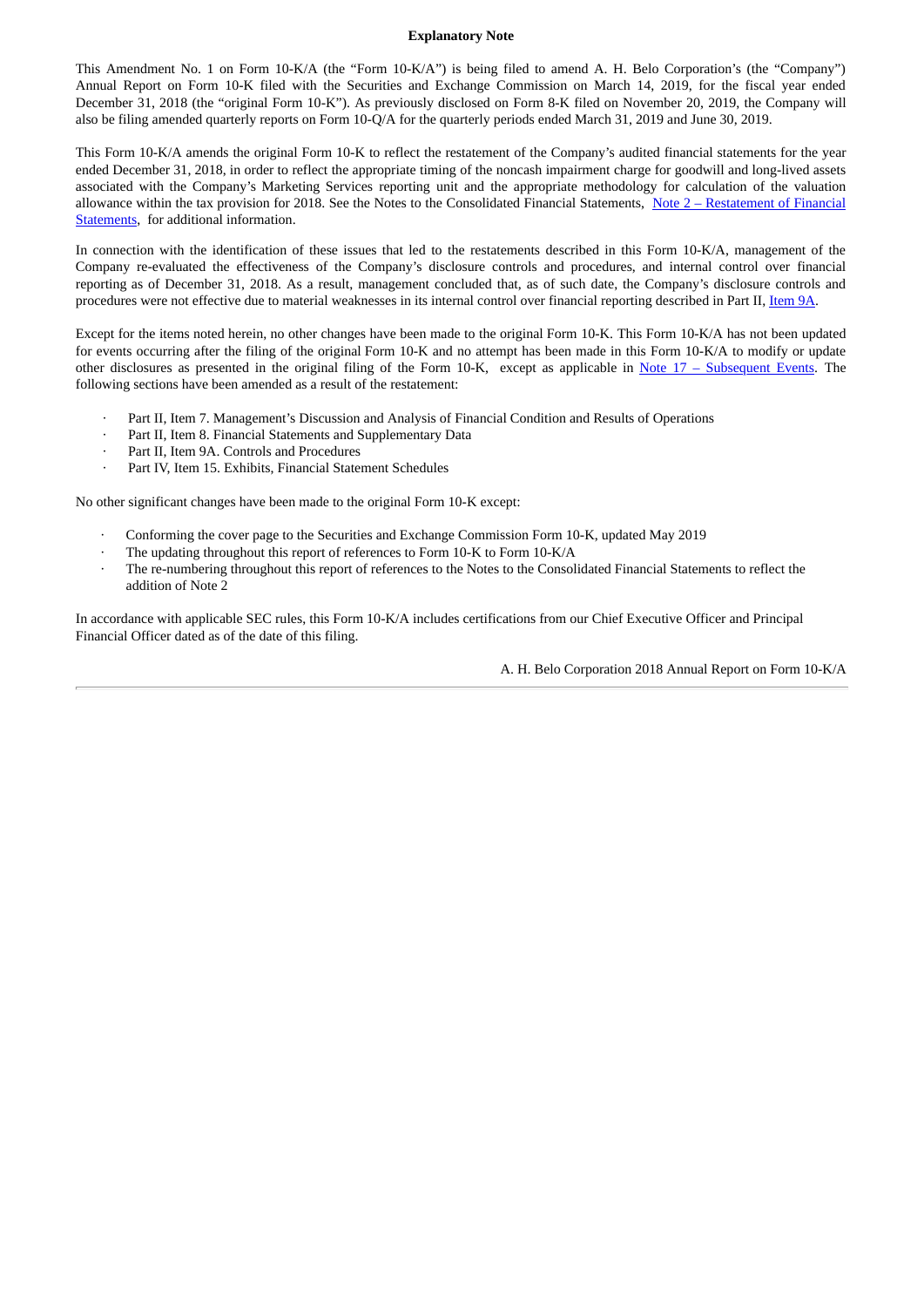## **Explanatory Note**

This Amendment No. 1 on Form 10-K/A (the "Form 10-K/A") is being filed to amend A. H. Belo Corporation's (the "Company") Annual Report on Form 10-K filed with the Securities and Exchange Commission on March 14, 2019, for the fiscal year ended December 31, 2018 (the "original Form 10-K"). As previously disclosed on Form 8-K filed on November 20, 2019, the Company will also be filing amended quarterly reports on Form 10-Q/A for the quarterly periods ended March 31, 2019 and June 30, 2019.

This Form 10-K/A amends the original Form 10-K to reflect the restatement of the Company's audited financial statements for the year ended December 31, 2018, in order to reflect the appropriate timing of the noncash impairment charge for goodwill and long-lived assets associated with the Company's Marketing Services reporting unit and the appropriate methodology for calculation of the valuation allowance within the tax provision for 2018. See the Notes to the [Consolidated](#page-49-0) Financial Statements, Note  $2 -$ Restatement of Financial Statements, for additional information.

In connection with the identification of these issues that led to the restatements described in this Form 10-K/A, management of the Company re-evaluated the effectiveness of the Company's disclosure controls and procedures, and internal control over financial reporting as of December 31, 2018. As a result, management concluded that, as of such date, the Company's disclosure controls and procedures were not effective due to material weaknesses in its internal control over financial reporting described in Part II, [Item](#page-26-0) 9A.

Except for the items noted herein, no other changes have been made to the original Form 10-K. This Form 10-K/A has not been updated for events occurring after the filing of the original Form 10-K and no attempt has been made in this Form 10-K/A to modify or update other disclosures as presented in the original filing of the Form 10-K, except as applicable in Note  $17 -$  [Subsequent](#page-64-0) Events. The following sections have been amended as a result of the restatement:

- Part II, Item 7. Management's Discussion and Analysis of Financial Condition and Results of Operations
- Part II, Item 8. Financial Statements and Supplementary Data
- Part II, Item 9A. Controls and Procedures
- Part IV, Item 15. Exhibits, Financial Statement Schedules

No other significant changes have been made to the original Form 10-K except:

- · Conforming the cover page to the Securities and Exchange Commission Form 10-K, updated May 2019
- The updating throughout this report of references to Form 10-K to Form 10-K/A
- The re-numbering throughout this report of references to the Notes to the Consolidated Financial Statements to reflect the addition of Note 2

In accordance with applicable SEC rules, this Form 10-K/A includes certifications from our Chief Executive Officer and Principal Financial Officer dated as of the date of this filing.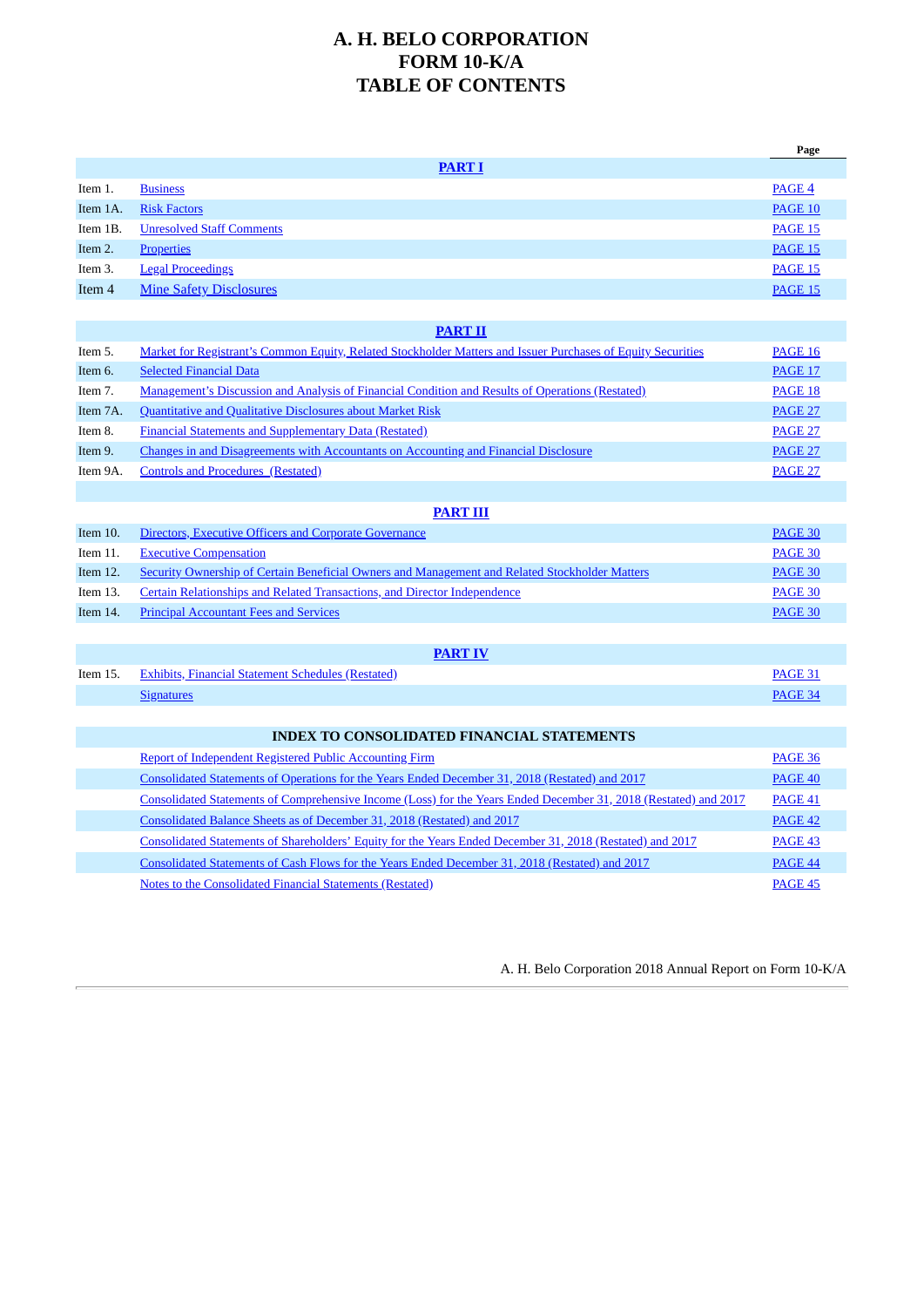# <span id="page-2-1"></span>**A. H. BELO CORPORATION FORM 10-K/A TABLE OF CONTENTS**

<span id="page-2-0"></span>

|          |                                                                                                                  | Page           |
|----------|------------------------------------------------------------------------------------------------------------------|----------------|
|          | <b>PART I</b>                                                                                                    |                |
| Item 1.  | <b>Business</b>                                                                                                  | PAGE 4         |
| Item 1A. | <b>Risk Factors</b>                                                                                              | PAGE 10        |
| Item 1B. | <b>Unresolved Staff Comments</b>                                                                                 | <b>PAGE 15</b> |
| Item 2.  | <b>Properties</b>                                                                                                | <b>PAGE 15</b> |
| Item 3.  | <b>Legal Proceedings</b>                                                                                         | <b>PAGE 15</b> |
| Item 4   | <b>Mine Safety Disclosures</b>                                                                                   | <b>PAGE 15</b> |
|          |                                                                                                                  |                |
|          | <b>PART II</b>                                                                                                   |                |
| Item 5.  | Market for Registrant's Common Equity, Related Stockholder Matters and Issuer Purchases of Equity Securities     | <b>PAGE 16</b> |
| Item 6.  | <b>Selected Financial Data</b>                                                                                   | PAGE 17        |
| Item 7.  | Management's Discussion and Analysis of Financial Condition and Results of Operations (Restated)                 | PAGE 18        |
| Item 7A. | Quantitative and Qualitative Disclosures about Market Risk                                                       | <b>PAGE 27</b> |
| Item 8.  | <b>Financial Statements and Supplementary Data (Restated)</b>                                                    | <b>PAGE 27</b> |
| Item 9.  | Changes in and Disagreements with Accountants on Accounting and Financial Disclosure                             | <b>PAGE 27</b> |
| Item 9A. | <b>Controls and Procedures (Restated)</b>                                                                        | PAGE 27        |
|          |                                                                                                                  |                |
|          | <b>PART III</b>                                                                                                  |                |
| Item 10. | <b>Directors, Executive Officers and Corporate Governance</b>                                                    | <b>PAGE 30</b> |
| Item 11. | <b>Executive Compensation</b>                                                                                    | PAGE 30        |
| Item 12. | <b>Security Ownership of Certain Beneficial Owners and Management and Related Stockholder Matters</b>            | <b>PAGE 30</b> |
| Item 13. | Certain Relationships and Related Transactions, and Director Independence                                        | PAGE 30        |
| Item 14. | <b>Principal Accountant Fees and Services</b>                                                                    | PAGE 30        |
|          |                                                                                                                  |                |
|          | <b>PART IV</b>                                                                                                   |                |
| Item 15. | <b>Exhibits, Financial Statement Schedules (Restated)</b>                                                        | PAGE 31        |
|          | <b>Signatures</b>                                                                                                | <b>PAGE 34</b> |
|          |                                                                                                                  |                |
|          | <b>INDEX TO CONSOLIDATED FINANCIAL STATEMENTS</b>                                                                |                |
|          | Report of Independent Registered Public Accounting Firm                                                          | <b>PAGE 36</b> |
|          | <u>Consolidated Statements of Operations for the Years Ended December 31, 2018 (Restated) and 2017</u>           | PAGE 40        |
|          | Consolidated Statements of Comprehensive Income (Loss) for the Years Ended December 31, 2018 (Restated) and 2017 | <b>PAGE 41</b> |
|          | Consolidated Balance Sheets as of December 31, 2018 (Restated) and 2017                                          | <b>PAGE 42</b> |
|          | Consolidated Statements of Shareholders' Equity for the Years Ended December 31, 2018 (Restated) and 2017        | <b>PAGE 43</b> |
|          | Consolidated Statements of Cash Flows for the Years Ended December 31, 2018 (Restated) and 2017                  | PAGE 44        |
|          | Notes to the Consolidated Financial Statements (Restated)                                                        | <b>PAGE 45</b> |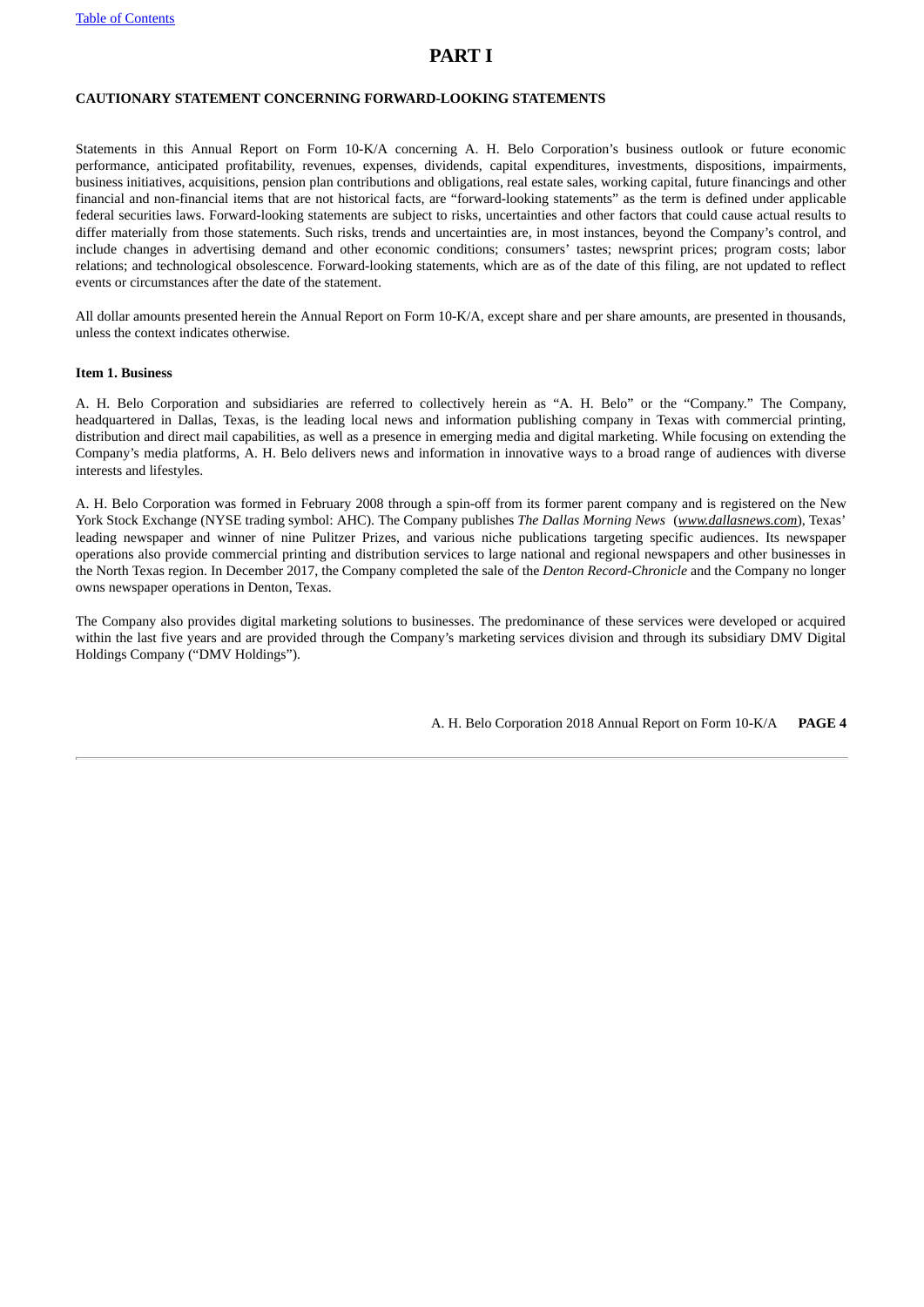# **PART I**

#### **CAUTIONARY STATEMENT CONCERNING FORWARD-LOOKING STATEMENTS**

Statements in this Annual Report on Form 10-K/A concerning A. H. Belo Corporation's business outlook or future economic performance, anticipated profitability, revenues, expenses, dividends, capital expenditures, investments, dispositions, impairments, business initiatives, acquisitions, pension plan contributions and obligations, real estate sales, working capital, future financings and other financial and non-financial items that are not historical facts, are "forward-looking statements" as the term is defined under applicable federal securities laws. Forward-looking statements are subject to risks, uncertainties and other factors that could cause actual results to differ materially from those statements. Such risks, trends and uncertainties are, in most instances, beyond the Company's control, and include changes in advertising demand and other economic conditions; consumers' tastes; newsprint prices; program costs; labor relations; and technological obsolescence. Forward-looking statements, which are as of the date of this filing, are not updated to reflect events or circumstances after the date of the statement.

All dollar amounts presented herein the Annual Report on Form 10-K/A, except share and per share amounts, are presented in thousands, unless the context indicates otherwise.

# <span id="page-3-0"></span>**Item 1. Business**

A. H. Belo Corporation and subsidiaries are referred to collectively herein as "A. H. Belo" or the "Company." The Company, headquartered in Dallas, Texas, is the leading local news and information publishing company in Texas with commercial printing, distribution and direct mail capabilities, as well as a presence in emerging media and digital marketing. While focusing on extending the Company's media platforms, A. H. Belo delivers news and information in innovative ways to a broad range of audiences with diverse interests and lifestyles.

A. H. Belo Corporation was formed in February 2008 through a spin-off from its former parent company and is registered on the New York Stock Exchange (NYSE trading symbol: AHC). The Company publishes *The Dallas Morning News* (*www.dallasnews.com*), Texas' leading newspaper and winner of nine Pulitzer Prizes, and various niche publications targeting specific audiences. Its newspaper operations also provide commercial printing and distribution services to large national and regional newspapers and other businesses in the North Texas region. In December 2017, the Company completed the sale of the *Denton Record-Chronicle* and the Company no longer owns newspaper operations in Denton, Texas.

The Company also provides digital marketing solutions to businesses. The predominance of these services were developed or acquired within the last five years and are provided through the Company's marketing services division and through its subsidiary DMV Digital Holdings Company ("DMV Holdings").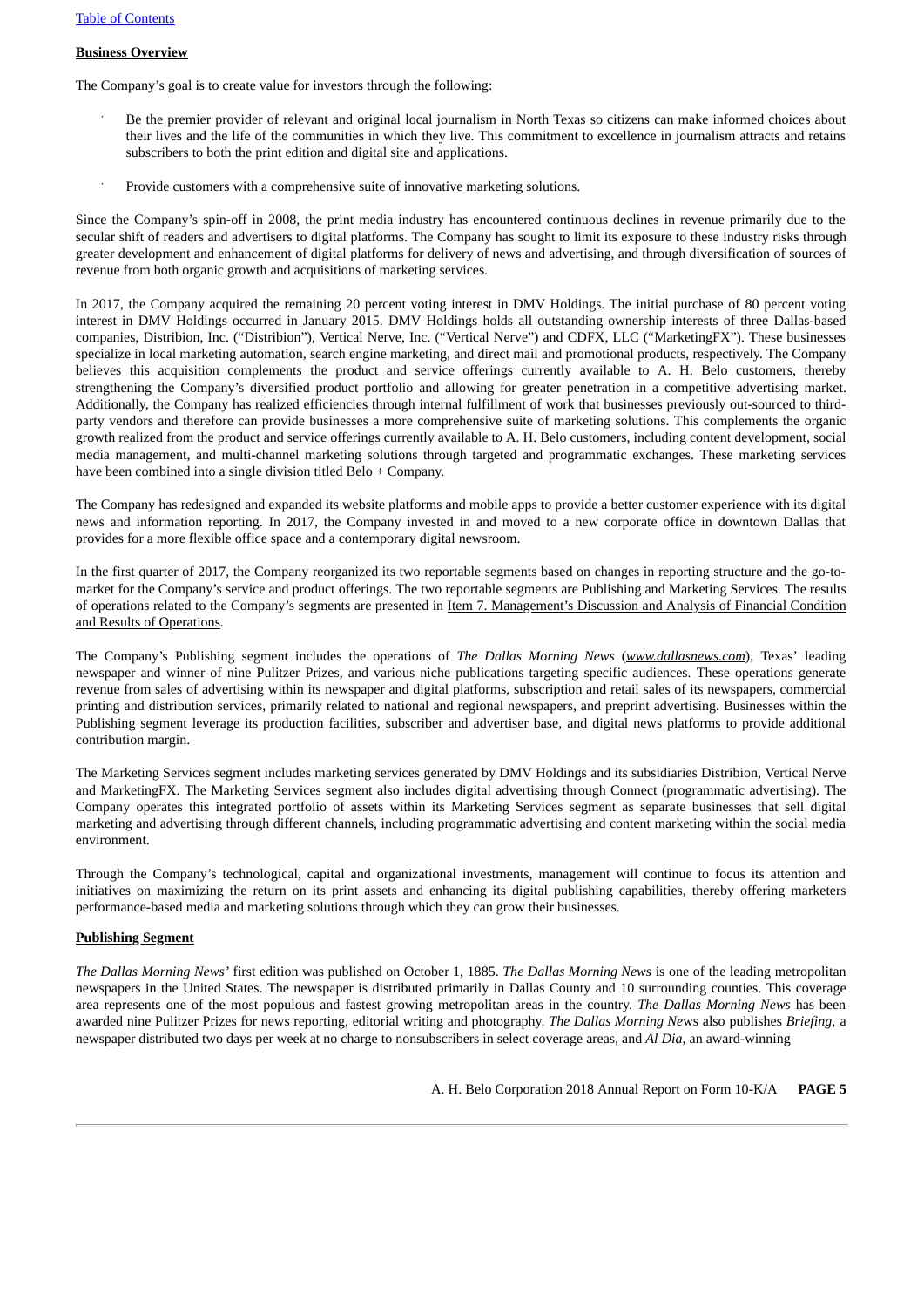## **Business Overview**

The Company's goal is to create value for investors through the following:

- Be the premier provider of relevant and original local journalism in North Texas so citizens can make informed choices about their lives and the life of the communities in which they live. This commitment to excellence in journalism attracts and retains subscribers to both the print edition and digital site and applications.
- Provide customers with a comprehensive suite of innovative marketing solutions.

Since the Company's spin-off in 2008, the print media industry has encountered continuous declines in revenue primarily due to the secular shift of readers and advertisers to digital platforms. The Company has sought to limit its exposure to these industry risks through greater development and enhancement of digital platforms for delivery of news and advertising, and through diversification of sources of revenue from both organic growth and acquisitions of marketing services.

In 2017, the Company acquired the remaining 20 percent voting interest in DMV Holdings. The initial purchase of 80 percent voting interest in DMV Holdings occurred in January 2015. DMV Holdings holds all outstanding ownership interests of three Dallas-based companies, Distribion, Inc. ("Distribion"), Vertical Nerve, Inc. ("Vertical Nerve") and CDFX, LLC ("MarketingFX"). These businesses specialize in local marketing automation, search engine marketing, and direct mail and promotional products, respectively. The Company believes this acquisition complements the product and service offerings currently available to A. H. Belo customers, thereby strengthening the Company's diversified product portfolio and allowing for greater penetration in a competitive advertising market. Additionally, the Company has realized efficiencies through internal fulfillment of work that businesses previously out-sourced to thirdparty vendors and therefore can provide businesses a more comprehensive suite of marketing solutions. This complements the organic growth realized from the product and service offerings currently available to A. H. Belo customers, including content development, social media management, and multi-channel marketing solutions through targeted and programmatic exchanges. These marketing services have been combined into a single division titled Belo + Company.

The Company has redesigned and expanded its website platforms and mobile apps to provide a better customer experience with its digital news and information reporting. In 2017, the Company invested in and moved to a new corporate office in downtown Dallas that provides for a more flexible office space and a contemporary digital newsroom.

In the first quarter of 2017, the Company reorganized its two reportable segments based on changes in reporting structure and the go-tomarket for the Company's service and product offerings. The two reportable segments are Publishing and Marketing Services. The results of operations related to the Company's segments are presented in Item 7. [Management's](#page-17-1) Discussion and Analysis of Financial Condition and Results of Operations.

The Company's Publishing segment includes the operations of *The Dallas Morning News* (*www.dallasnews.com*), Texas' leading newspaper and winner of nine Pulitzer Prizes, and various niche publications targeting specific audiences. These operations generate revenue from sales of advertising within its newspaper and digital platforms, subscription and retail sales of its newspapers, commercial printing and distribution services, primarily related to national and regional newspapers, and preprint advertising. Businesses within the Publishing segment leverage its production facilities, subscriber and advertiser base, and digital news platforms to provide additional contribution margin.

The Marketing Services segment includes marketing services generated by DMV Holdings and its subsidiaries Distribion, Vertical Nerve and MarketingFX. The Marketing Services segment also includes digital advertising through Connect (programmatic advertising). The Company operates this integrated portfolio of assets within its Marketing Services segment as separate businesses that sell digital marketing and advertising through different channels, including programmatic advertising and content marketing within the social media environment.

Through the Company's technological, capital and organizational investments, management will continue to focus its attention and initiatives on maximizing the return on its print assets and enhancing its digital publishing capabilities, thereby offering marketers performance-based media and marketing solutions through which they can grow their businesses.

# **Publishing Segment**

*The Dallas Morning News'* first edition was published on October 1, 1885. *The Dallas Morning News* is one of the leading metropolitan newspapers in the United States. The newspaper is distributed primarily in Dallas County and 10 surrounding counties. This coverage area represents one of the most populous and fastest growing metropolitan areas in the country. *The Dallas Morning News* has been awarded nine Pulitzer Prizes for news reporting, editorial writing and photography. *The Dallas Morning Ne*ws also publishes *Briefing*, a newspaper distributed two days per week at no charge to nonsubscribers in select coverage areas, and *Al Dia*, an award-winning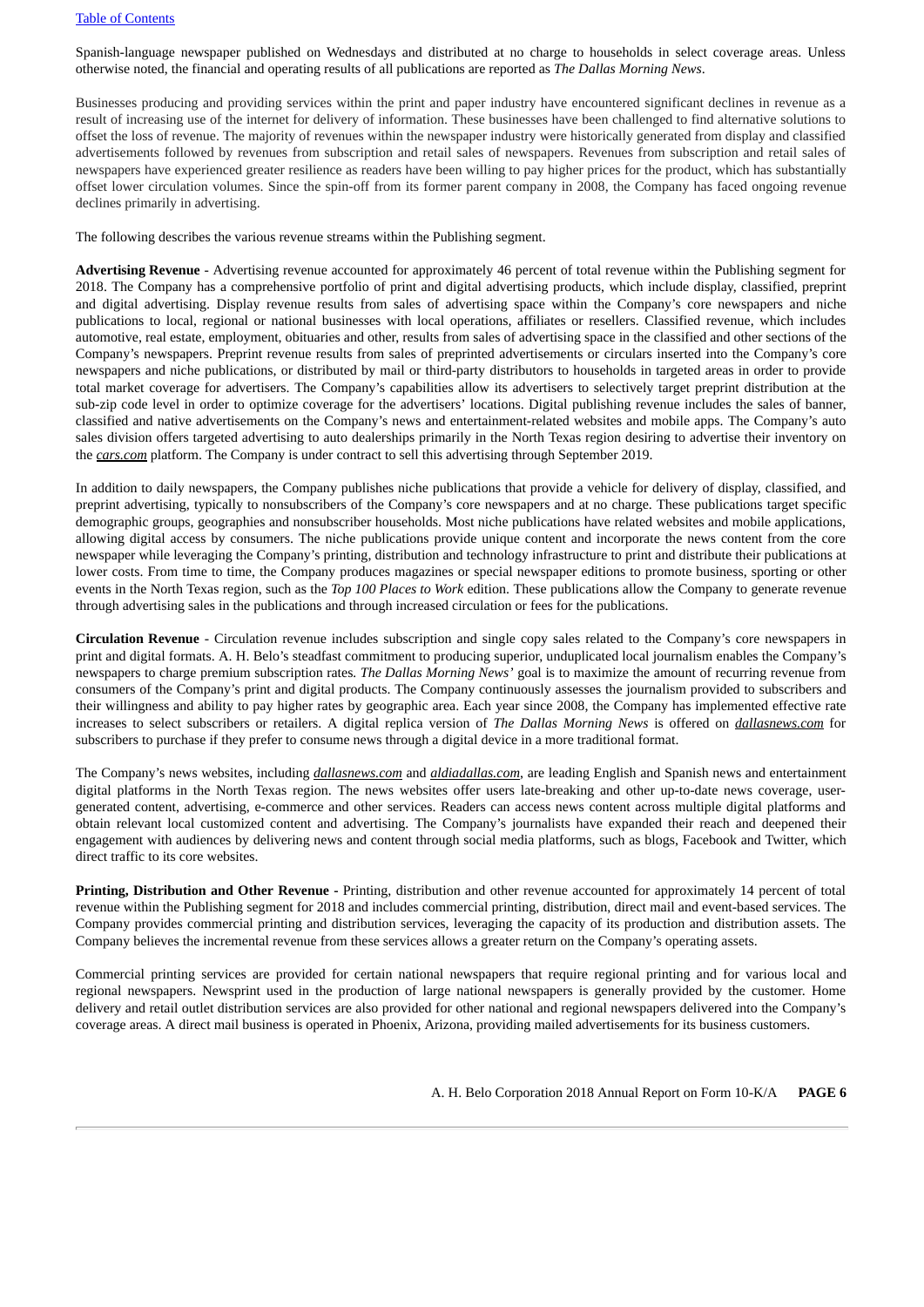Spanish-language newspaper published on Wednesdays and distributed at no charge to households in select coverage areas. Unless otherwise noted, the financial and operating results of all publications are reported as *The Dallas Morning News*.

Businesses producing and providing services within the print and paper industry have encountered significant declines in revenue as a result of increasing use of the internet for delivery of information. These businesses have been challenged to find alternative solutions to offset the loss of revenue. The majority of revenues within the newspaper industry were historically generated from display and classified advertisements followed by revenues from subscription and retail sales of newspapers. Revenues from subscription and retail sales of newspapers have experienced greater resilience as readers have been willing to pay higher prices for the product, which has substantially offset lower circulation volumes. Since the spin-off from its former parent company in 2008, the Company has faced ongoing revenue declines primarily in advertising.

The following describes the various revenue streams within the Publishing segment.

**Advertising Revenue** - Advertising revenue accounted for approximately 46 percent of total revenue within the Publishing segment for 2018. The Company has a comprehensive portfolio of print and digital advertising products, which include display, classified, preprint and digital advertising. Display revenue results from sales of advertising space within the Company's core newspapers and niche publications to local, regional or national businesses with local operations, affiliates or resellers. Classified revenue, which includes automotive, real estate, employment, obituaries and other, results from sales of advertising space in the classified and other sections of the Company's newspapers. Preprint revenue results from sales of preprinted advertisements or circulars inserted into the Company's core newspapers and niche publications, or distributed by mail or third-party distributors to households in targeted areas in order to provide total market coverage for advertisers. The Company's capabilities allow its advertisers to selectively target preprint distribution at the sub-zip code level in order to optimize coverage for the advertisers' locations. Digital publishing revenue includes the sales of banner, classified and native advertisements on the Company's news and entertainment-related websites and mobile apps. The Company's auto sales division offers targeted advertising to auto dealerships primarily in the North Texas region desiring to advertise their inventory on the *cars.com* platform. The Company is under contract to sell this advertising through September 2019.

In addition to daily newspapers, the Company publishes niche publications that provide a vehicle for delivery of display, classified, and preprint advertising, typically to nonsubscribers of the Company's core newspapers and at no charge. These publications target specific demographic groups, geographies and nonsubscriber households. Most niche publications have related websites and mobile applications, allowing digital access by consumers. The niche publications provide unique content and incorporate the news content from the core newspaper while leveraging the Company's printing, distribution and technology infrastructure to print and distribute their publications at lower costs. From time to time, the Company produces magazines or special newspaper editions to promote business, sporting or other events in the North Texas region, such as the *Top 100 Places to Work* edition. These publications allow the Company to generate revenue through advertising sales in the publications and through increased circulation or fees for the publications.

**Circulation Revenue** - Circulation revenue includes subscription and single copy sales related to the Company's core newspapers in print and digital formats. A. H. Belo's steadfast commitment to producing superior, unduplicated local journalism enables the Company's newspapers to charge premium subscription rates*. The Dallas Morning News'* goal is to maximize the amount of recurring revenue from consumers of the Company's print and digital products. The Company continuously assesses the journalism provided to subscribers and their willingness and ability to pay higher rates by geographic area. Each year since 2008, the Company has implemented effective rate increases to select subscribers or retailers. A digital replica version of *The Dallas Morning News* is offered on *dallasnews.com* for subscribers to purchase if they prefer to consume news through a digital device in a more traditional format.

The Company's news websites, including *dallasnews.com* and *aldiadallas.com*, are leading English and Spanish news and entertainment digital platforms in the North Texas region. The news websites offer users late-breaking and other up-to-date news coverage, usergenerated content, advertising, e-commerce and other services. Readers can access news content across multiple digital platforms and obtain relevant local customized content and advertising. The Company's journalists have expanded their reach and deepened their engagement with audiences by delivering news and content through social media platforms, such as blogs, Facebook and Twitter, which direct traffic to its core websites.

**Printing, Distribution and Other Revenue -** Printing, distribution and other revenue accounted for approximately 14 percent of total revenue within the Publishing segment for 2018 and includes commercial printing, distribution, direct mail and event-based services. The Company provides commercial printing and distribution services, leveraging the capacity of its production and distribution assets. The Company believes the incremental revenue from these services allows a greater return on the Company's operating assets.

Commercial printing services are provided for certain national newspapers that require regional printing and for various local and regional newspapers. Newsprint used in the production of large national newspapers is generally provided by the customer. Home delivery and retail outlet distribution services are also provided for other national and regional newspapers delivered into the Company's coverage areas. A direct mail business is operated in Phoenix, Arizona, providing mailed advertisements for its business customers.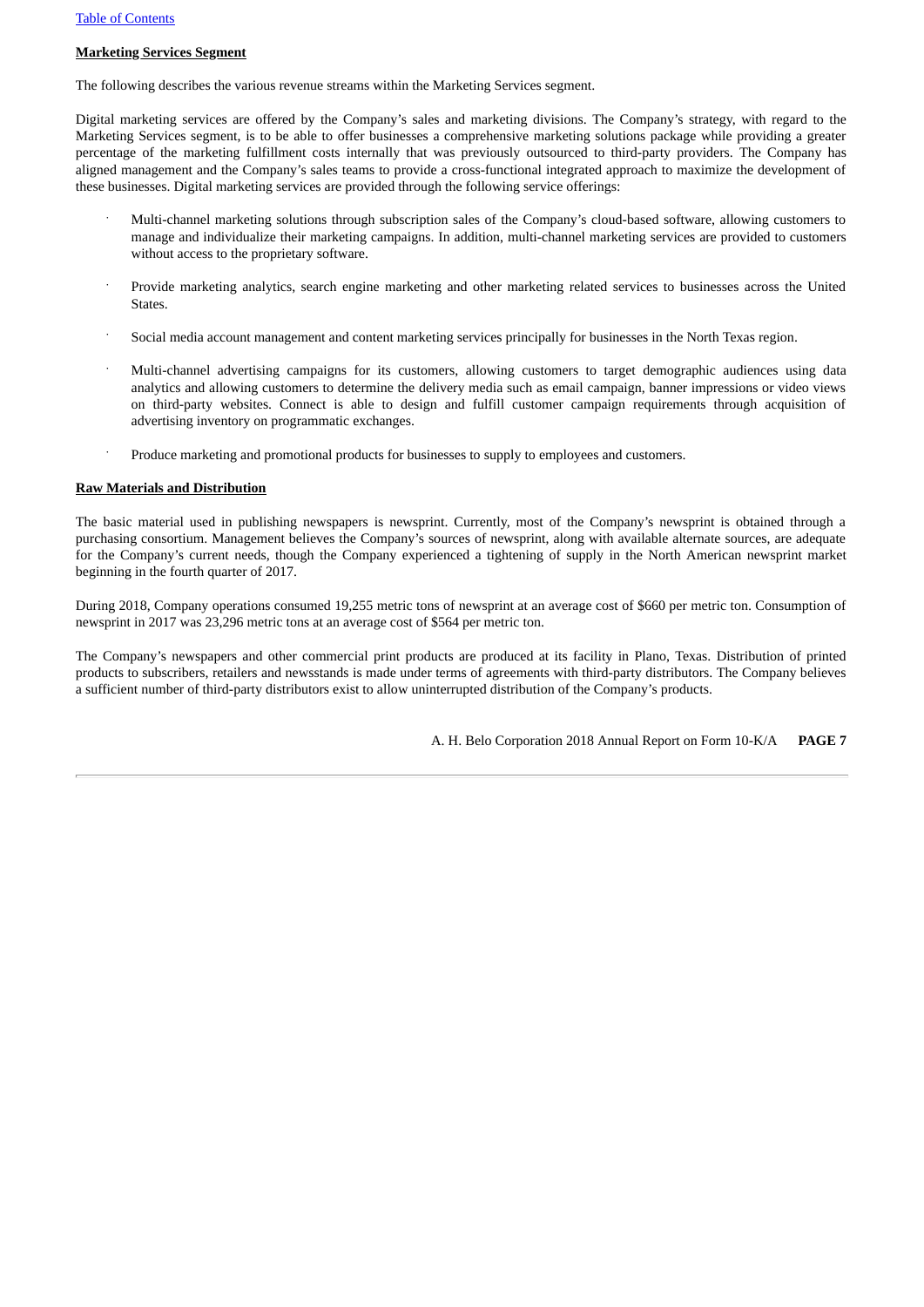#### **Marketing Services Segment**

The following describes the various revenue streams within the Marketing Services segment.

Digital marketing services are offered by the Company's sales and marketing divisions. The Company's strategy, with regard to the Marketing Services segment, is to be able to offer businesses a comprehensive marketing solutions package while providing a greater percentage of the marketing fulfillment costs internally that was previously outsourced to third-party providers. The Company has aligned management and the Company's sales teams to provide a cross-functional integrated approach to maximize the development of these businesses. Digital marketing services are provided through the following service offerings:

- · Multi-channel marketing solutions through subscription sales of the Company's cloud-based software, allowing customers to manage and individualize their marketing campaigns. In addition, multi-channel marketing services are provided to customers without access to the proprietary software.
- · Provide marketing analytics, search engine marketing and other marketing related services to businesses across the United States.
- Social media account management and content marketing services principally for businesses in the North Texas region.
- · Multi-channel advertising campaigns for its customers, allowing customers to target demographic audiences using data analytics and allowing customers to determine the delivery media such as email campaign, banner impressions or video views on third-party websites. Connect is able to design and fulfill customer campaign requirements through acquisition of advertising inventory on programmatic exchanges.
- · Produce marketing and promotional products for businesses to supply to employees and customers.

#### **Raw Materials and Distribution**

The basic material used in publishing newspapers is newsprint. Currently, most of the Company's newsprint is obtained through a purchasing consortium. Management believes the Company's sources of newsprint, along with available alternate sources, are adequate for the Company's current needs, though the Company experienced a tightening of supply in the North American newsprint market beginning in the fourth quarter of 2017.

During 2018, Company operations consumed 19,255 metric tons of newsprint at an average cost of \$660 per metric ton. Consumption of newsprint in 2017 was 23,296 metric tons at an average cost of \$564 per metric ton.

The Company's newspapers and other commercial print products are produced at its facility in Plano, Texas. Distribution of printed products to subscribers, retailers and newsstands is made under terms of agreements with third-party distributors. The Company believes a sufficient number of third-party distributors exist to allow uninterrupted distribution of the Company's products.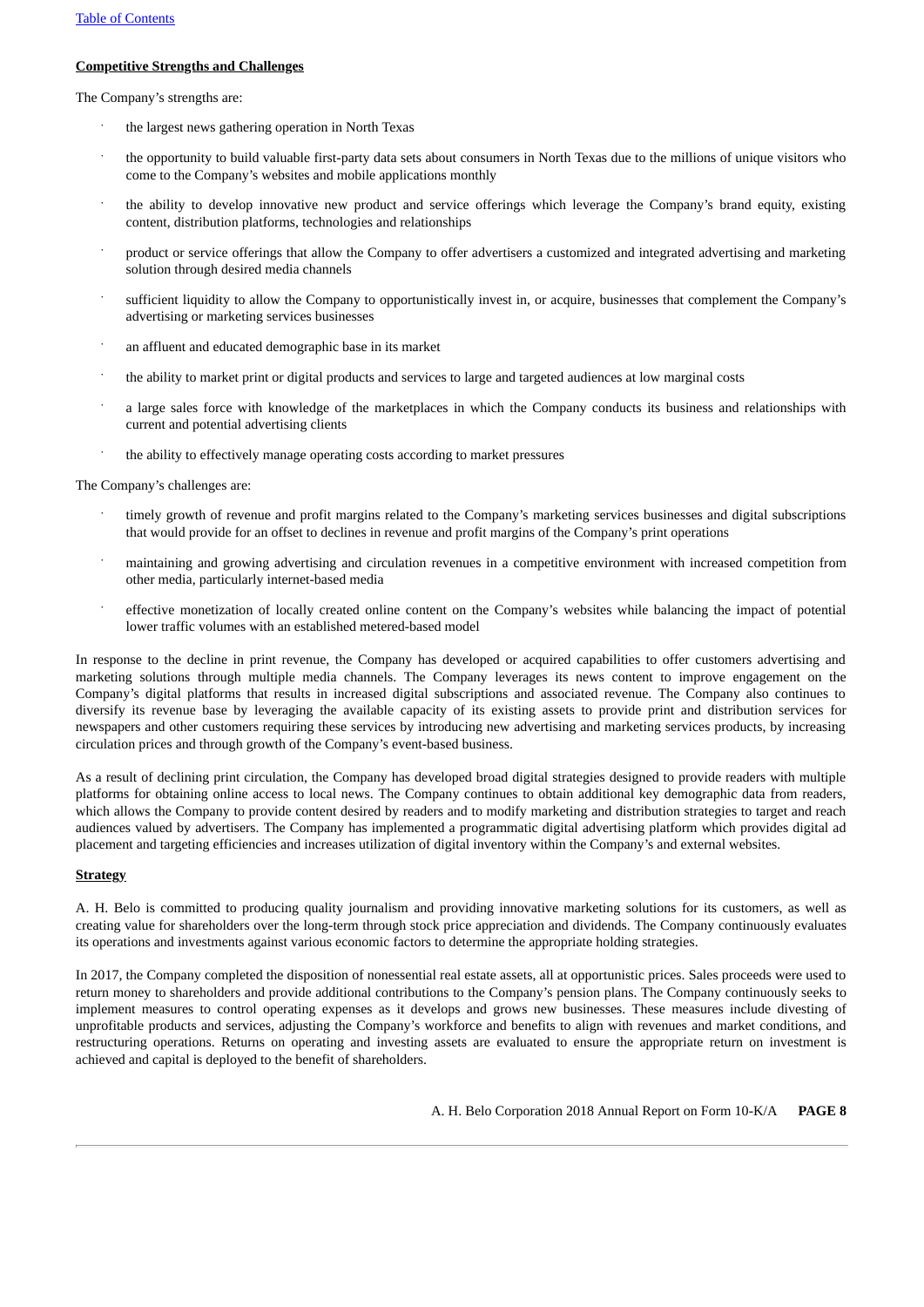# **Competitive Strengths and Challenges**

The Company's strengths are:

- the largest news gathering operation in North Texas
- the opportunity to build valuable first-party data sets about consumers in North Texas due to the millions of unique visitors who come to the Company's websites and mobile applications monthly
- · the ability to develop innovative new product and service offerings which leverage the Company's brand equity, existing content, distribution platforms, technologies and relationships
- · product or service offerings that allow the Company to offer advertisers a customized and integrated advertising and marketing solution through desired media channels
- sufficient liquidity to allow the Company to opportunistically invest in, or acquire, businesses that complement the Company's advertising or marketing services businesses
- an affluent and educated demographic base in its market
- the ability to market print or digital products and services to large and targeted audiences at low marginal costs
- a large sales force with knowledge of the marketplaces in which the Company conducts its business and relationships with current and potential advertising clients
- the ability to effectively manage operating costs according to market pressures

The Company's challenges are:

- timely growth of revenue and profit margins related to the Company's marketing services businesses and digital subscriptions that would provide for an offset to declines in revenue and profit margins of the Company's print operations
- · maintaining and growing advertising and circulation revenues in a competitive environment with increased competition from other media, particularly internet-based media
- · effective monetization of locally created online content on the Company's websites while balancing the impact of potential lower traffic volumes with an established metered-based model

In response to the decline in print revenue, the Company has developed or acquired capabilities to offer customers advertising and marketing solutions through multiple media channels. The Company leverages its news content to improve engagement on the Company's digital platforms that results in increased digital subscriptions and associated revenue. The Company also continues to diversify its revenue base by leveraging the available capacity of its existing assets to provide print and distribution services for newspapers and other customers requiring these services by introducing new advertising and marketing services products, by increasing circulation prices and through growth of the Company's event-based business.

As a result of declining print circulation, the Company has developed broad digital strategies designed to provide readers with multiple platforms for obtaining online access to local news. The Company continues to obtain additional key demographic data from readers, which allows the Company to provide content desired by readers and to modify marketing and distribution strategies to target and reach audiences valued by advertisers. The Company has implemented a programmatic digital advertising platform which provides digital ad placement and targeting efficiencies and increases utilization of digital inventory within the Company's and external websites.

# **Strategy**

A. H. Belo is committed to producing quality journalism and providing innovative marketing solutions for its customers, as well as creating value for shareholders over the long-term through stock price appreciation and dividends. The Company continuously evaluates its operations and investments against various economic factors to determine the appropriate holding strategies.

In 2017, the Company completed the disposition of nonessential real estate assets, all at opportunistic prices. Sales proceeds were used to return money to shareholders and provide additional contributions to the Company's pension plans. The Company continuously seeks to implement measures to control operating expenses as it develops and grows new businesses. These measures include divesting of unprofitable products and services, adjusting the Company's workforce and benefits to align with revenues and market conditions, and restructuring operations. Returns on operating and investing assets are evaluated to ensure the appropriate return on investment is achieved and capital is deployed to the benefit of shareholders.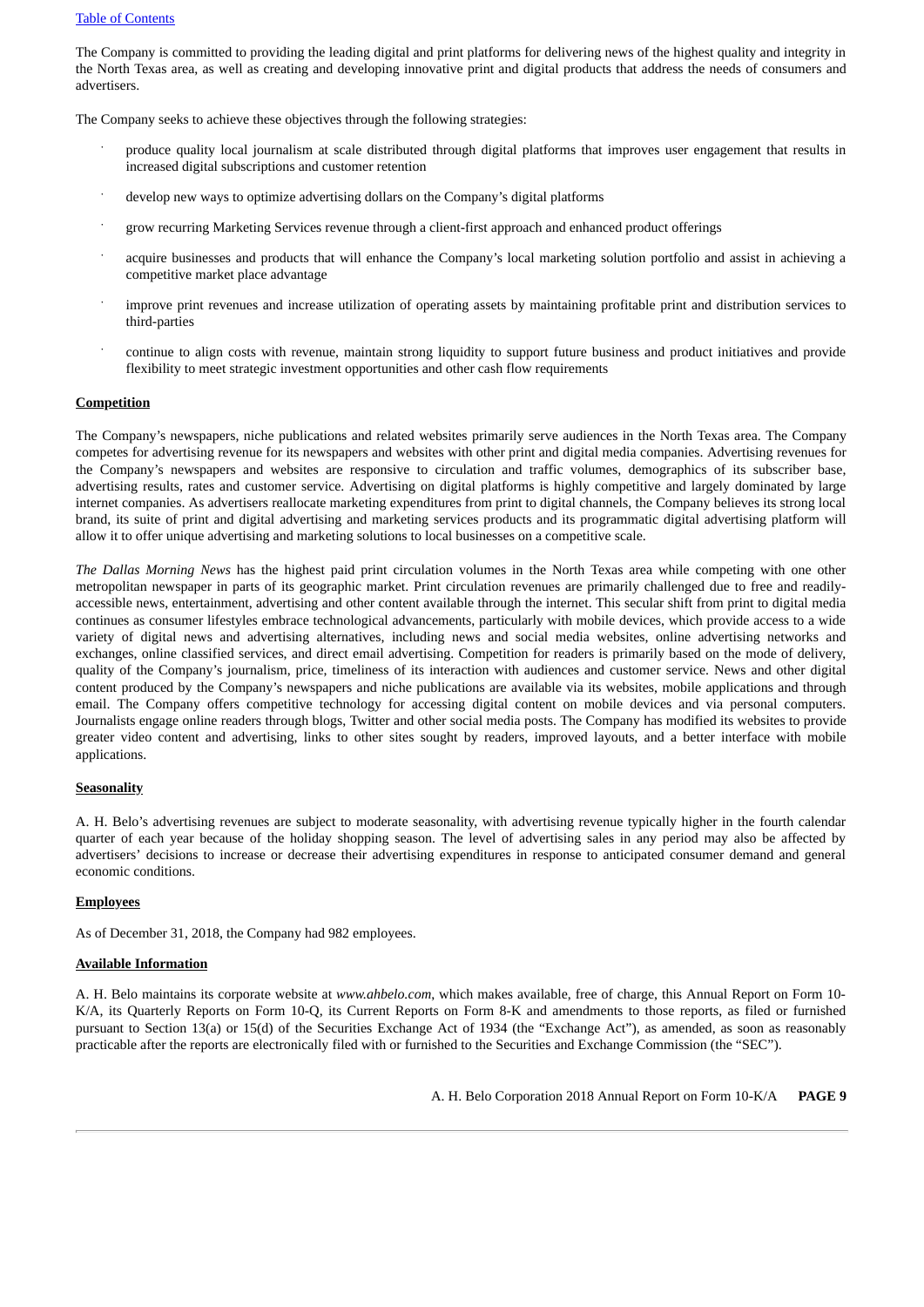The Company is committed to providing the leading digital and print platforms for delivering news of the highest quality and integrity in the North Texas area, as well as creating and developing innovative print and digital products that address the needs of consumers and advertisers.

The Company seeks to achieve these objectives through the following strategies:

- · produce quality local journalism at scale distributed through digital platforms that improves user engagement that results in increased digital subscriptions and customer retention
- develop new ways to optimize advertising dollars on the Company's digital platforms
- grow recurring Marketing Services revenue through a client-first approach and enhanced product offerings
- acquire businesses and products that will enhance the Company's local marketing solution portfolio and assist in achieving a competitive market place advantage
- · improve print revenues and increase utilization of operating assets by maintaining profitable print and distribution services to third-parties
- · continue to align costs with revenue, maintain strong liquidity to support future business and product initiatives and provide flexibility to meet strategic investment opportunities and other cash flow requirements

#### **Competition**

The Company's newspapers, niche publications and related websites primarily serve audiences in the North Texas area. The Company competes for advertising revenue for its newspapers and websites with other print and digital media companies. Advertising revenues for the Company's newspapers and websites are responsive to circulation and traffic volumes, demographics of its subscriber base, advertising results, rates and customer service. Advertising on digital platforms is highly competitive and largely dominated by large internet companies. As advertisers reallocate marketing expenditures from print to digital channels, the Company believes its strong local brand, its suite of print and digital advertising and marketing services products and its programmatic digital advertising platform will allow it to offer unique advertising and marketing solutions to local businesses on a competitive scale.

*The Dallas Morning News* has the highest paid print circulation volumes in the North Texas area while competing with one other metropolitan newspaper in parts of its geographic market. Print circulation revenues are primarily challenged due to free and readilyaccessible news, entertainment, advertising and other content available through the internet. This secular shift from print to digital media continues as consumer lifestyles embrace technological advancements, particularly with mobile devices, which provide access to a wide variety of digital news and advertising alternatives, including news and social media websites, online advertising networks and exchanges, online classified services, and direct email advertising. Competition for readers is primarily based on the mode of delivery, quality of the Company's journalism, price, timeliness of its interaction with audiences and customer service. News and other digital content produced by the Company's newspapers and niche publications are available via its websites, mobile applications and through email. The Company offers competitive technology for accessing digital content on mobile devices and via personal computers. Journalists engage online readers through blogs, Twitter and other social media posts. The Company has modified its websites to provide greater video content and advertising, links to other sites sought by readers, improved layouts, and a better interface with mobile applications.

#### **Seasonality**

A. H. Belo's advertising revenues are subject to moderate seasonality, with advertising revenue typically higher in the fourth calendar quarter of each year because of the holiday shopping season. The level of advertising sales in any period may also be affected by advertisers' decisions to increase or decrease their advertising expenditures in response to anticipated consumer demand and general economic conditions.

#### **Employees**

As of December 31, 2018, the Company had 982 employees.

#### **Available Information**

A. H. Belo maintains its corporate website at *www.ahbelo.com*, which makes available, free of charge, this Annual Report on Form 10- K/A, its Quarterly Reports on Form 10-Q, its Current Reports on Form 8-K and amendments to those reports, as filed or furnished pursuant to Section 13(a) or 15(d) of the Securities Exchange Act of 1934 (the "Exchange Act"), as amended, as soon as reasonably practicable after the reports are electronically filed with or furnished to the Securities and Exchange Commission (the "SEC").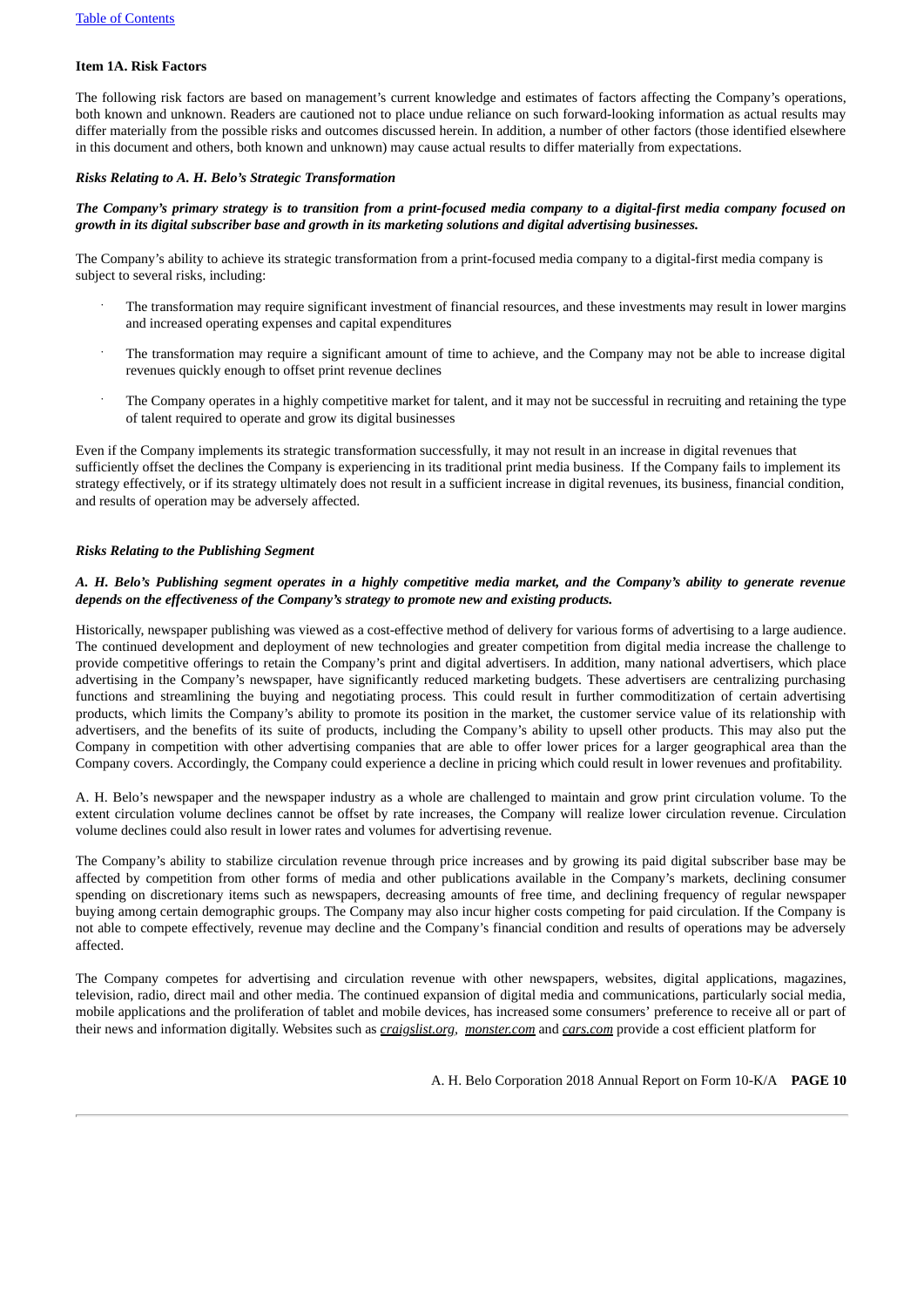# <span id="page-9-0"></span>**Item 1A. Risk Factors**

The following risk factors are based on management's current knowledge and estimates of factors affecting the Company's operations, both known and unknown. Readers are cautioned not to place undue reliance on such forward-looking information as actual results may differ materially from the possible risks and outcomes discussed herein. In addition, a number of other factors (those identified elsewhere in this document and others, both known and unknown) may cause actual results to differ materially from expectations.

#### *Risks Relating to A. H. Belo's Strategic Transformation*

## The Company's primary strategy is to transition from a print-focused media company to a digital-first media company focused on *growth in its digital subscriber base and growth in its marketing solutions and digital advertising businesses.*

The Company's ability to achieve its strategic transformation from a print-focused media company to a digital-first media company is subject to several risks, including:

- The transformation may require significant investment of financial resources, and these investments may result in lower margins and increased operating expenses and capital expenditures
- The transformation may require a significant amount of time to achieve, and the Company may not be able to increase digital revenues quickly enough to offset print revenue declines
- The Company operates in a highly competitive market for talent, and it may not be successful in recruiting and retaining the type of talent required to operate and grow its digital businesses

Even if the Company implements its strategic transformation successfully, it may not result in an increase in digital revenues that sufficiently offset the declines the Company is experiencing in its traditional print media business. If the Company fails to implement its strategy effectively, or if its strategy ultimately does not result in a sufficient increase in digital revenues, its business, financial condition, and results of operation may be adversely affected.

#### *Risks Relating to the Publishing Segment*

#### A. H. Belo's Publishing segment operates in a highly competitive media market, and the Company's ability to generate revenue *depends on the effectiveness of the Company's strategy to promote new and existing products.*

Historically, newspaper publishing was viewed as a cost-effective method of delivery for various forms of advertising to a large audience. The continued development and deployment of new technologies and greater competition from digital media increase the challenge to provide competitive offerings to retain the Company's print and digital advertisers. In addition, many national advertisers, which place advertising in the Company's newspaper, have significantly reduced marketing budgets. These advertisers are centralizing purchasing functions and streamlining the buying and negotiating process. This could result in further commoditization of certain advertising products, which limits the Company's ability to promote its position in the market, the customer service value of its relationship with advertisers, and the benefits of its suite of products, including the Company's ability to upsell other products. This may also put the Company in competition with other advertising companies that are able to offer lower prices for a larger geographical area than the Company covers. Accordingly, the Company could experience a decline in pricing which could result in lower revenues and profitability.

A. H. Belo's newspaper and the newspaper industry as a whole are challenged to maintain and grow print circulation volume. To the extent circulation volume declines cannot be offset by rate increases, the Company will realize lower circulation revenue. Circulation volume declines could also result in lower rates and volumes for advertising revenue.

The Company's ability to stabilize circulation revenue through price increases and by growing its paid digital subscriber base may be affected by competition from other forms of media and other publications available in the Company's markets, declining consumer spending on discretionary items such as newspapers, decreasing amounts of free time, and declining frequency of regular newspaper buying among certain demographic groups. The Company may also incur higher costs competing for paid circulation. If the Company is not able to compete effectively, revenue may decline and the Company's financial condition and results of operations may be adversely affected.

The Company competes for advertising and circulation revenue with other newspapers, websites, digital applications, magazines, television, radio, direct mail and other media. The continued expansion of digital media and communications, particularly social media, mobile applications and the proliferation of tablet and mobile devices, has increased some consumers' preference to receive all or part of their news and information digitally. Websites such as *craigslist.org, monster.com* and *cars.com* provide a cost efficient platform for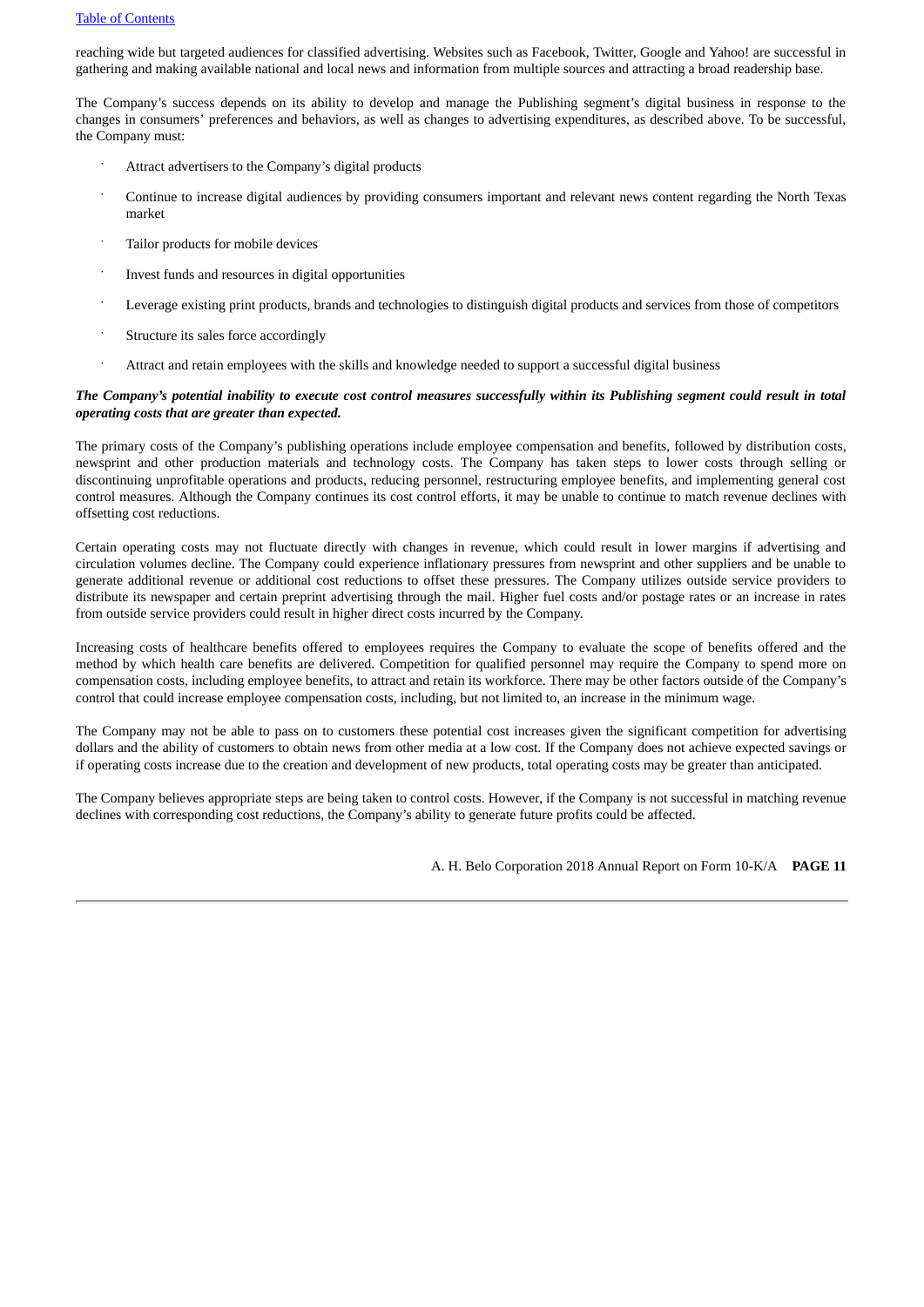reaching wide but targeted audiences for classified advertising. Websites such as Facebook, Twitter, Google and Yahoo! are successful in gathering and making available national and local news and information from multiple sources and attracting a broad readership base.

The Company's success depends on its ability to develop and manage the Publishing segment's digital business in response to the changes in consumers' preferences and behaviors, as well as changes to advertising expenditures, as described above. To be successful, the Company must:

- Attract advertisers to the Company's digital products
- Continue to increase digital audiences by providing consumers important and relevant news content regarding the North Texas market
- Tailor products for mobile devices
- Invest funds and resources in digital opportunities
- Leverage existing print products, brands and technologies to distinguish digital products and services from those of competitors
- Structure its sales force accordingly
- · Attract and retain employees with the skills and knowledge needed to support a successful digital business

## The Company's potential inability to execute cost control measures successfully within its Publishing segment could result in total *operating costs that are greater than expected.*

The primary costs of the Company's publishing operations include employee compensation and benefits, followed by distribution costs, newsprint and other production materials and technology costs. The Company has taken steps to lower costs through selling or discontinuing unprofitable operations and products, reducing personnel, restructuring employee benefits, and implementing general cost control measures. Although the Company continues its cost control efforts, it may be unable to continue to match revenue declines with offsetting cost reductions.

Certain operating costs may not fluctuate directly with changes in revenue, which could result in lower margins if advertising and circulation volumes decline. The Company could experience inflationary pressures from newsprint and other suppliers and be unable to generate additional revenue or additional cost reductions to offset these pressures. The Company utilizes outside service providers to distribute its newspaper and certain preprint advertising through the mail. Higher fuel costs and/or postage rates or an increase in rates from outside service providers could result in higher direct costs incurred by the Company.

Increasing costs of healthcare benefits offered to employees requires the Company to evaluate the scope of benefits offered and the method by which health care benefits are delivered. Competition for qualified personnel may require the Company to spend more on compensation costs, including employee benefits, to attract and retain its workforce. There may be other factors outside of the Company's control that could increase employee compensation costs, including, but not limited to, an increase in the minimum wage.

The Company may not be able to pass on to customers these potential cost increases given the significant competition for advertising dollars and the ability of customers to obtain news from other media at a low cost. If the Company does not achieve expected savings or if operating costs increase due to the creation and development of new products, total operating costs may be greater than anticipated.

The Company believes appropriate steps are being taken to control costs. However, if the Company is not successful in matching revenue declines with corresponding cost reductions, the Company's ability to generate future profits could be affected.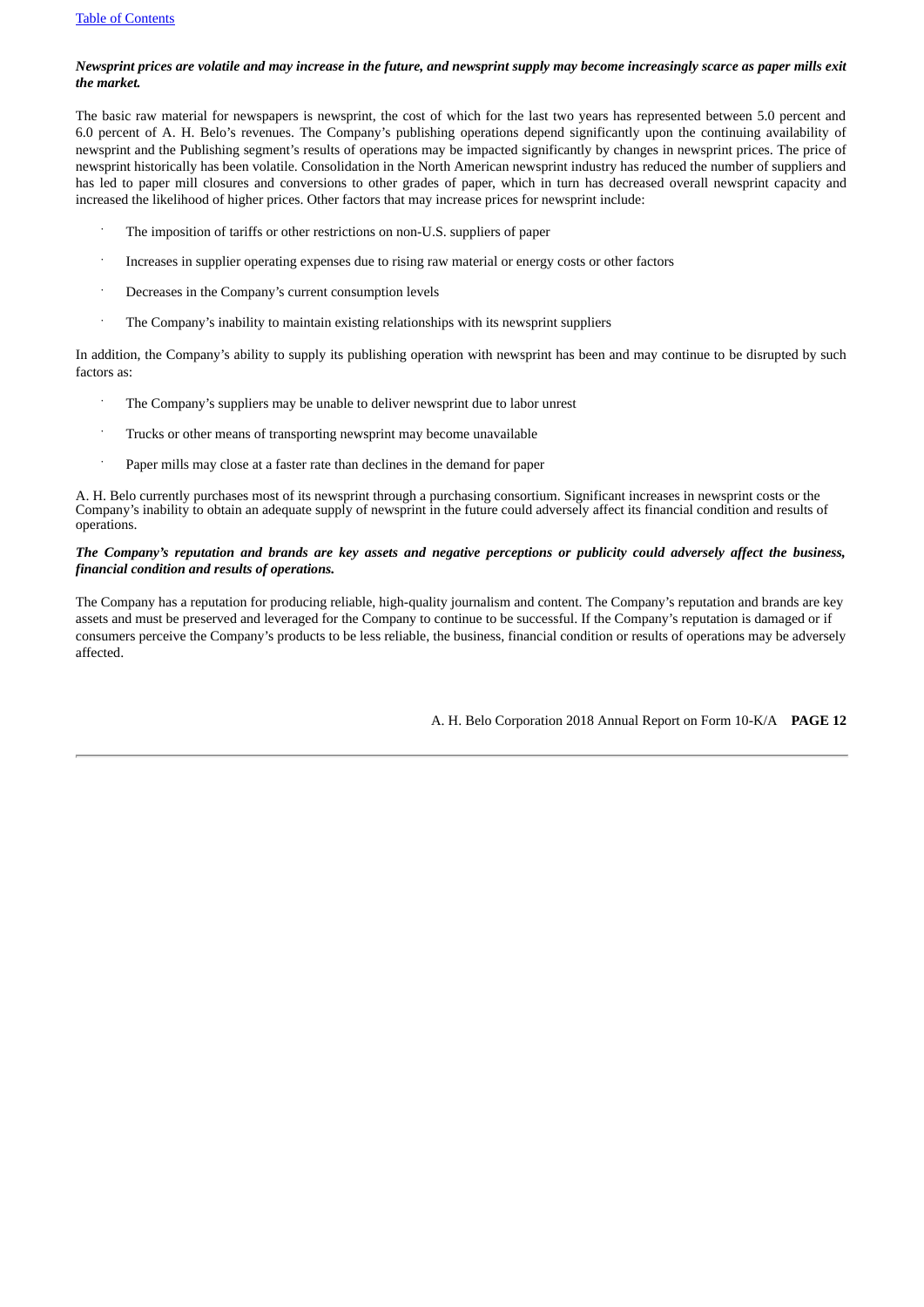## Newsprint prices are volatile and may increase in the future, and newsprint supply may become increasingly scarce as paper mills exit *the market.*

The basic raw material for newspapers is newsprint, the cost of which for the last two years has represented between 5.0 percent and 6.0 percent of A. H. Belo's revenues. The Company's publishing operations depend significantly upon the continuing availability of newsprint and the Publishing segment's results of operations may be impacted significantly by changes in newsprint prices. The price of newsprint historically has been volatile. Consolidation in the North American newsprint industry has reduced the number of suppliers and has led to paper mill closures and conversions to other grades of paper, which in turn has decreased overall newsprint capacity and increased the likelihood of higher prices. Other factors that may increase prices for newsprint include:

- The imposition of tariffs or other restrictions on non-U.S. suppliers of paper
- Increases in supplier operating expenses due to rising raw material or energy costs or other factors
- Decreases in the Company's current consumption levels
- The Company's inability to maintain existing relationships with its newsprint suppliers

In addition, the Company's ability to supply its publishing operation with newsprint has been and may continue to be disrupted by such factors as:

- The Company's suppliers may be unable to deliver newsprint due to labor unrest
- Trucks or other means of transporting newsprint may become unavailable
- Paper mills may close at a faster rate than declines in the demand for paper

A. H. Belo currently purchases most of its newsprint through a purchasing consortium. Significant increases in newsprint costs or the Company's inability to obtain an adequate supply of newsprint in the future could adversely affect its financial condition and results of operations.

# The Company's reputation and brands are key assets and negative perceptions or publicity could adversely affect the business, *financial condition and results of operations.*

The Company has a reputation for producing reliable, high-quality journalism and content. The Company's reputation and brands are key assets and must be preserved and leveraged for the Company to continue to be successful. If the Company's reputation is damaged or if consumers perceive the Company's products to be less reliable, the business, financial condition or results of operations may be adversely affected.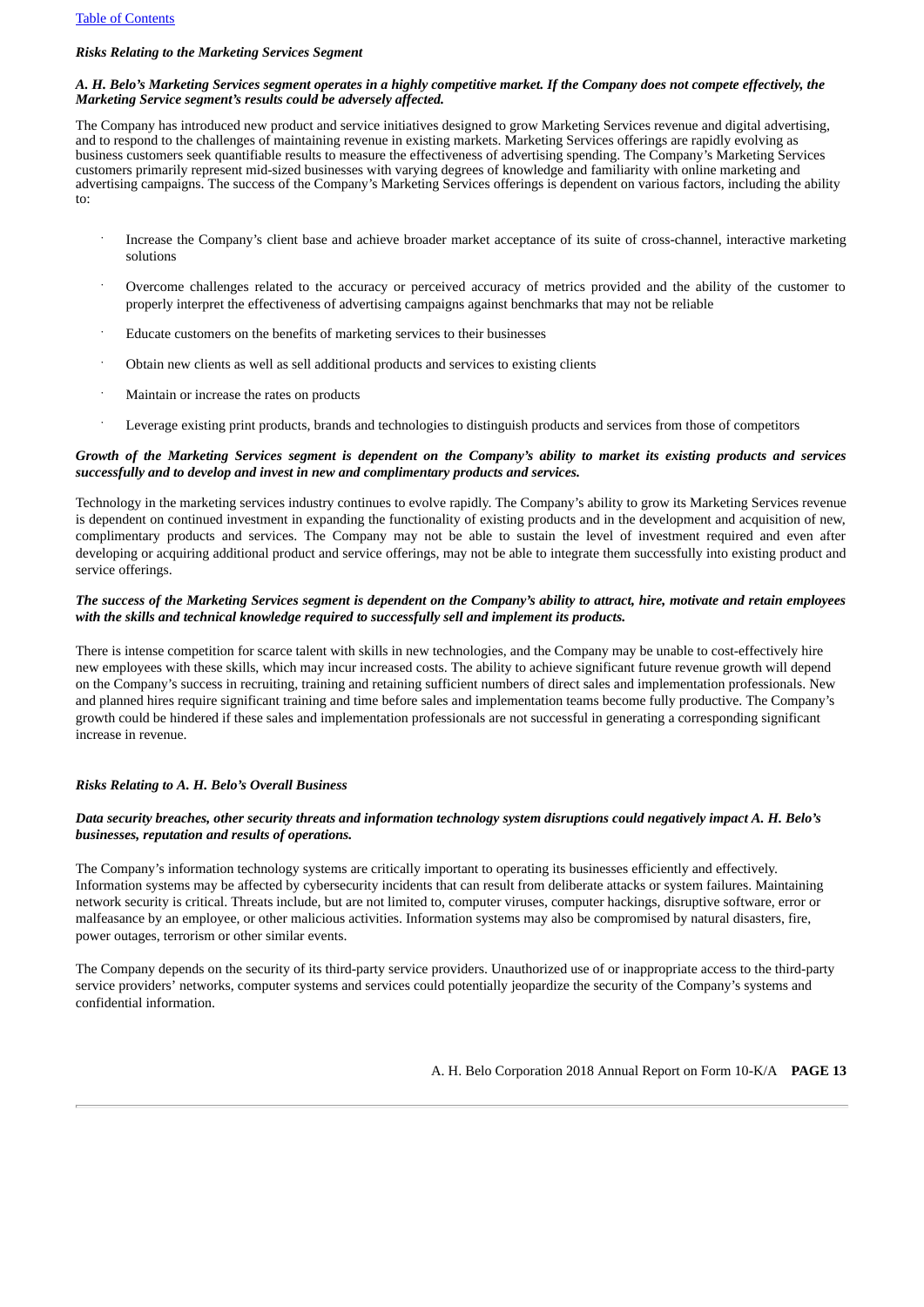# *Risks Relating to the Marketing Services Segment*

#### A. H. Belo's Marketing Services segment operates in a highly competitive market. If the Company does not compete effectively, the *Marketing Service segment's results could be adversely affected.*

The Company has introduced new product and service initiatives designed to grow Marketing Services revenue and digital advertising, and to respond to the challenges of maintaining revenue in existing markets. Marketing Services offerings are rapidly evolving as business customers seek quantifiable results to measure the effectiveness of advertising spending. The Company's Marketing Services customers primarily represent mid-sized businesses with varying degrees of knowledge and familiarity with online marketing and advertising campaigns. The success of the Company's Marketing Services offerings is dependent on various factors, including the ability to:

- Increase the Company's client base and achieve broader market acceptance of its suite of cross-channel, interactive marketing solutions
- · Overcome challenges related to the accuracy or perceived accuracy of metrics provided and the ability of the customer to properly interpret the effectiveness of advertising campaigns against benchmarks that may not be reliable
- Educate customers on the benefits of marketing services to their businesses
- Obtain new clients as well as sell additional products and services to existing clients
- Maintain or increase the rates on products
- Leverage existing print products, brands and technologies to distinguish products and services from those of competitors

## Growth of the Marketing Services segment is dependent on the Company's ability to market its existing products and services *successfully and to develop and invest in new and complimentary products and services.*

Technology in the marketing services industry continues to evolve rapidly. The Company's ability to grow its Marketing Services revenue is dependent on continued investment in expanding the functionality of existing products and in the development and acquisition of new, complimentary products and services. The Company may not be able to sustain the level of investment required and even after developing or acquiring additional product and service offerings, may not be able to integrate them successfully into existing product and service offerings.

# The success of the Marketing Services segment is dependent on the Company's ability to attract, hire, motivate and retain employees *with the skills and technical knowledge required to successfully sell and implement its products.*

There is intense competition for scarce talent with skills in new technologies, and the Company may be unable to cost-effectively hire new employees with these skills, which may incur increased costs. The ability to achieve significant future revenue growth will depend on the Company's success in recruiting, training and retaining sufficient numbers of direct sales and implementation professionals. New and planned hires require significant training and time before sales and implementation teams become fully productive. The Company's growth could be hindered if these sales and implementation professionals are not successful in generating a corresponding significant increase in revenue.

# *Risks Relating to A. H. Belo's Overall Business*

# Data security breaches, other security threats and information technology system disruptions could negatively impact A. H. Belo's *businesses, reputation and results of operations.*

The Company's information technology systems are critically important to operating its businesses efficiently and effectively. Information systems may be affected by cybersecurity incidents that can result from deliberate attacks or system failures. Maintaining network security is critical. Threats include, but are not limited to, computer viruses, computer hackings, disruptive software, error or malfeasance by an employee, or other malicious activities. Information systems may also be compromised by natural disasters, fire, power outages, terrorism or other similar events.

The Company depends on the security of its third-party service providers. Unauthorized use of or inappropriate access to the third-party service providers' networks, computer systems and services could potentially jeopardize the security of the Company's systems and confidential information.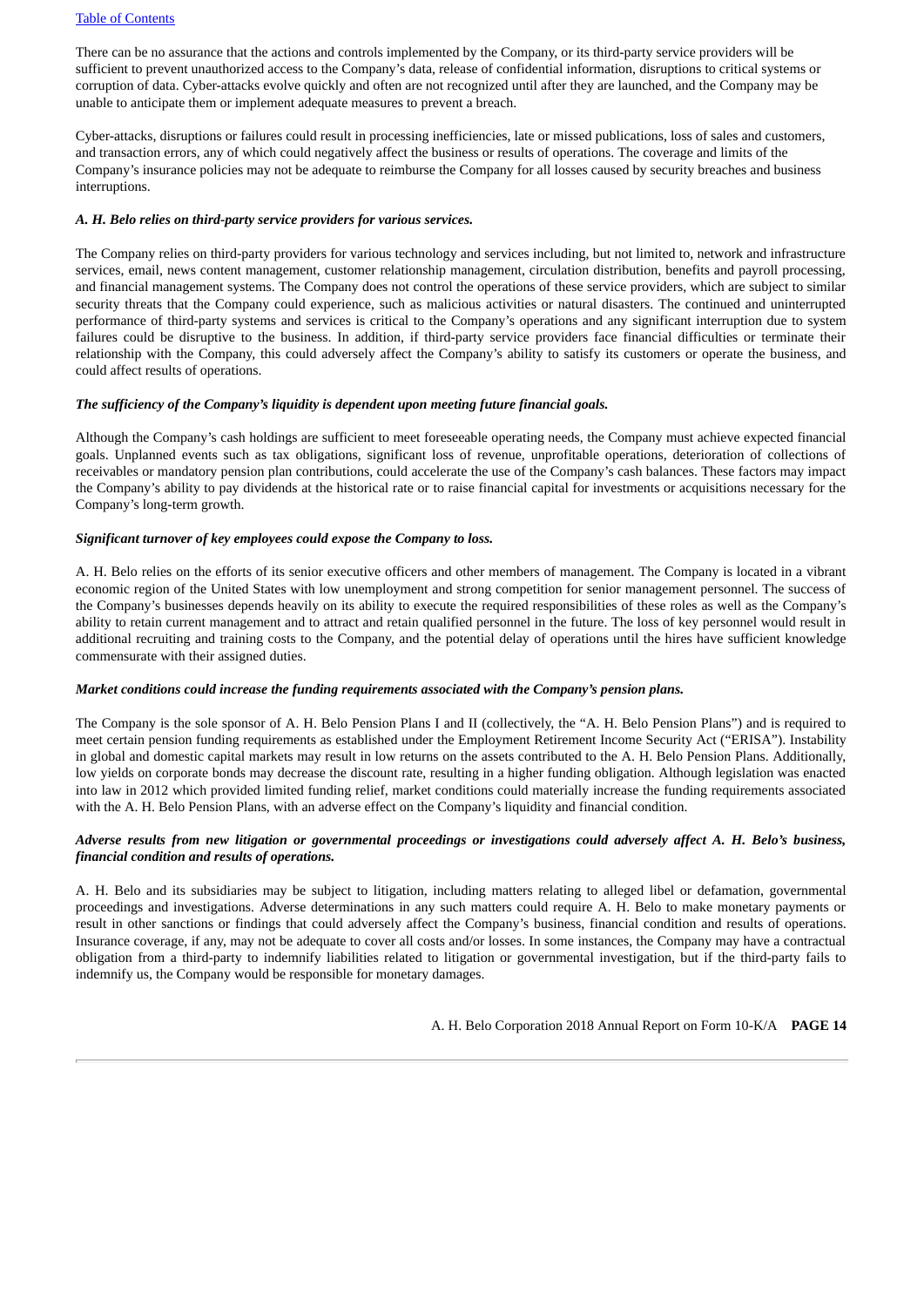There can be no assurance that the actions and controls implemented by the Company, or its third-party service providers will be sufficient to prevent unauthorized access to the Company's data, release of confidential information, disruptions to critical systems or corruption of data. Cyber-attacks evolve quickly and often are not recognized until after they are launched, and the Company may be unable to anticipate them or implement adequate measures to prevent a breach.

Cyber-attacks, disruptions or failures could result in processing inefficiencies, late or missed publications, loss of sales and customers, and transaction errors, any of which could negatively affect the business or results of operations. The coverage and limits of the Company's insurance policies may not be adequate to reimburse the Company for all losses caused by security breaches and business interruptions.

## *A. H. Belo relies on third-party service providers for various services.*

The Company relies on third-party providers for various technology and services including, but not limited to, network and infrastructure services, email, news content management, customer relationship management, circulation distribution, benefits and payroll processing, and financial management systems. The Company does not control the operations of these service providers, which are subject to similar security threats that the Company could experience, such as malicious activities or natural disasters. The continued and uninterrupted performance of third-party systems and services is critical to the Company's operations and any significant interruption due to system failures could be disruptive to the business. In addition, if third-party service providers face financial difficulties or terminate their relationship with the Company, this could adversely affect the Company's ability to satisfy its customers or operate the business, and could affect results of operations.

#### *The sufficiency of the Company's liquidity is dependent upon meeting future financial goals.*

Although the Company's cash holdings are sufficient to meet foreseeable operating needs, the Company must achieve expected financial goals. Unplanned events such as tax obligations, significant loss of revenue, unprofitable operations, deterioration of collections of receivables or mandatory pension plan contributions, could accelerate the use of the Company's cash balances. These factors may impact the Company's ability to pay dividends at the historical rate or to raise financial capital for investments or acquisitions necessary for the Company's long-term growth.

#### *Significant turnover of key employees could expose the Company to loss.*

A. H. Belo relies on the efforts of its senior executive officers and other members of management. The Company is located in a vibrant economic region of the United States with low unemployment and strong competition for senior management personnel. The success of the Company's businesses depends heavily on its ability to execute the required responsibilities of these roles as well as the Company's ability to retain current management and to attract and retain qualified personnel in the future. The loss of key personnel would result in additional recruiting and training costs to the Company, and the potential delay of operations until the hires have sufficient knowledge commensurate with their assigned duties.

#### *Market conditions could increase the funding requirements associated with the Company's pension plans.*

The Company is the sole sponsor of A. H. Belo Pension Plans I and II (collectively, the "A. H. Belo Pension Plans") and is required to meet certain pension funding requirements as established under the Employment Retirement Income Security Act ("ERISA"). Instability in global and domestic capital markets may result in low returns on the assets contributed to the A. H. Belo Pension Plans. Additionally, low yields on corporate bonds may decrease the discount rate, resulting in a higher funding obligation. Although legislation was enacted into law in 2012 which provided limited funding relief, market conditions could materially increase the funding requirements associated with the A. H. Belo Pension Plans, with an adverse effect on the Company's liquidity and financial condition.

# Adverse results from new litigation or governmental proceedings or investigations could adversely affect A. H. Belo's business, *financial condition and results of operations.*

A. H. Belo and its subsidiaries may be subject to litigation, including matters relating to alleged libel or defamation, governmental proceedings and investigations. Adverse determinations in any such matters could require A. H. Belo to make monetary payments or result in other sanctions or findings that could adversely affect the Company's business, financial condition and results of operations. Insurance coverage, if any, may not be adequate to cover all costs and/or losses. In some instances, the Company may have a contractual obligation from a third-party to indemnify liabilities related to litigation or governmental investigation, but if the third-party fails to indemnify us, the Company would be responsible for monetary damages.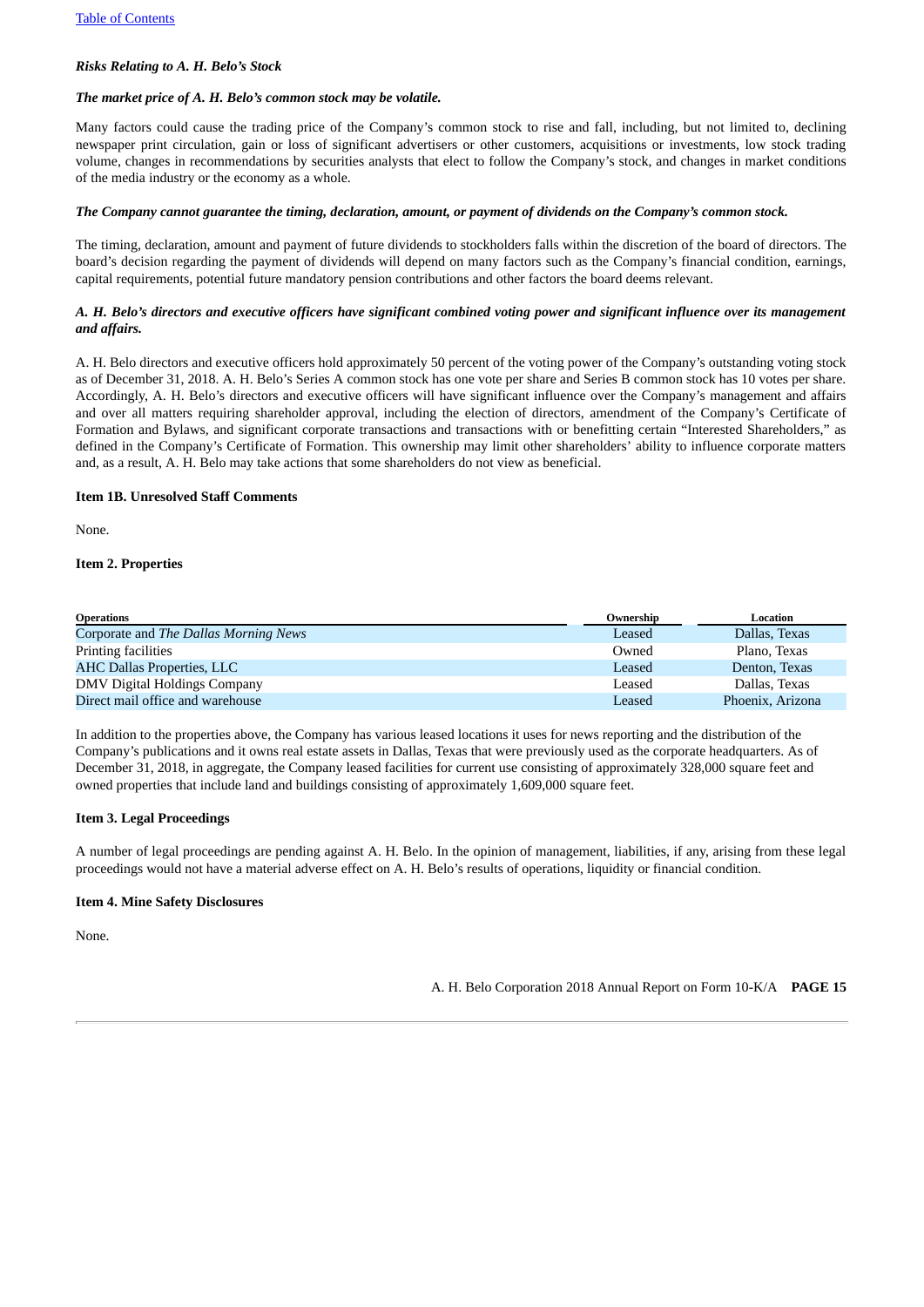# *Risks Relating to A. H. Belo's Stock*

#### *The market price of A. H. Belo's common stock may be volatile.*

Many factors could cause the trading price of the Company's common stock to rise and fall, including, but not limited to, declining newspaper print circulation, gain or loss of significant advertisers or other customers, acquisitions or investments, low stock trading volume, changes in recommendations by securities analysts that elect to follow the Company's stock, and changes in market conditions of the media industry or the economy as a whole.

## The Company cannot quarantee the timing, declaration, amount, or payment of dividends on the Company's common stock.

The timing, declaration, amount and payment of future dividends to stockholders falls within the discretion of the board of directors. The board's decision regarding the payment of dividends will depend on many factors such as the Company's financial condition, earnings, capital requirements, potential future mandatory pension contributions and other factors the board deems relevant.

# A. H. Belo's directors and executive officers have significant combined voting power and significant influence over its management *and affairs.*

A. H. Belo directors and executive officers hold approximately 50 percent of the voting power of the Company's outstanding voting stock as of December 31, 2018. A. H. Belo's Series A common stock has one vote per share and Series B common stock has 10 votes per share. Accordingly, A. H. Belo's directors and executive officers will have significant influence over the Company's management and affairs and over all matters requiring shareholder approval, including the election of directors, amendment of the Company's Certificate of Formation and Bylaws, and significant corporate transactions and transactions with or benefitting certain "Interested Shareholders," as defined in the Company's Certificate of Formation. This ownership may limit other shareholders' ability to influence corporate matters and, as a result, A. H. Belo may take actions that some shareholders do not view as beneficial.

# <span id="page-14-0"></span>**Item 1B. Unresolved Staff Comments**

None.

# <span id="page-14-1"></span>**Item 2. Properties**

| <b>Operations</b>                     | Ownership | Location         |
|---------------------------------------|-----------|------------------|
| Corporate and The Dallas Morning News | Leased    | Dallas, Texas    |
| Printing facilities                   | Owned     | Plano, Texas     |
| AHC Dallas Properties, LLC            | Leased    | Denton, Texas    |
| DMV Digital Holdings Company          | Leased    | Dallas, Texas    |
| Direct mail office and warehouse      | Leased    | Phoenix, Arizona |

In addition to the properties above, the Company has various leased locations it uses for news reporting and the distribution of the Company's publications and it owns real estate assets in Dallas, Texas that were previously used as the corporate headquarters. As of December 31, 2018, in aggregate, the Company leased facilities for current use consisting of approximately 328,000 square feet and owned properties that include land and buildings consisting of approximately 1,609,000 square feet.

# <span id="page-14-2"></span>**Item 3. Legal Proceedings**

A number of legal proceedings are pending against A. H. Belo. In the opinion of management, liabilities, if any, arising from these legal proceedings would not have a material adverse effect on A. H. Belo's results of operations, liquidity or financial condition.

# <span id="page-14-3"></span>**Item 4. Mine Safety Disclosures**

None.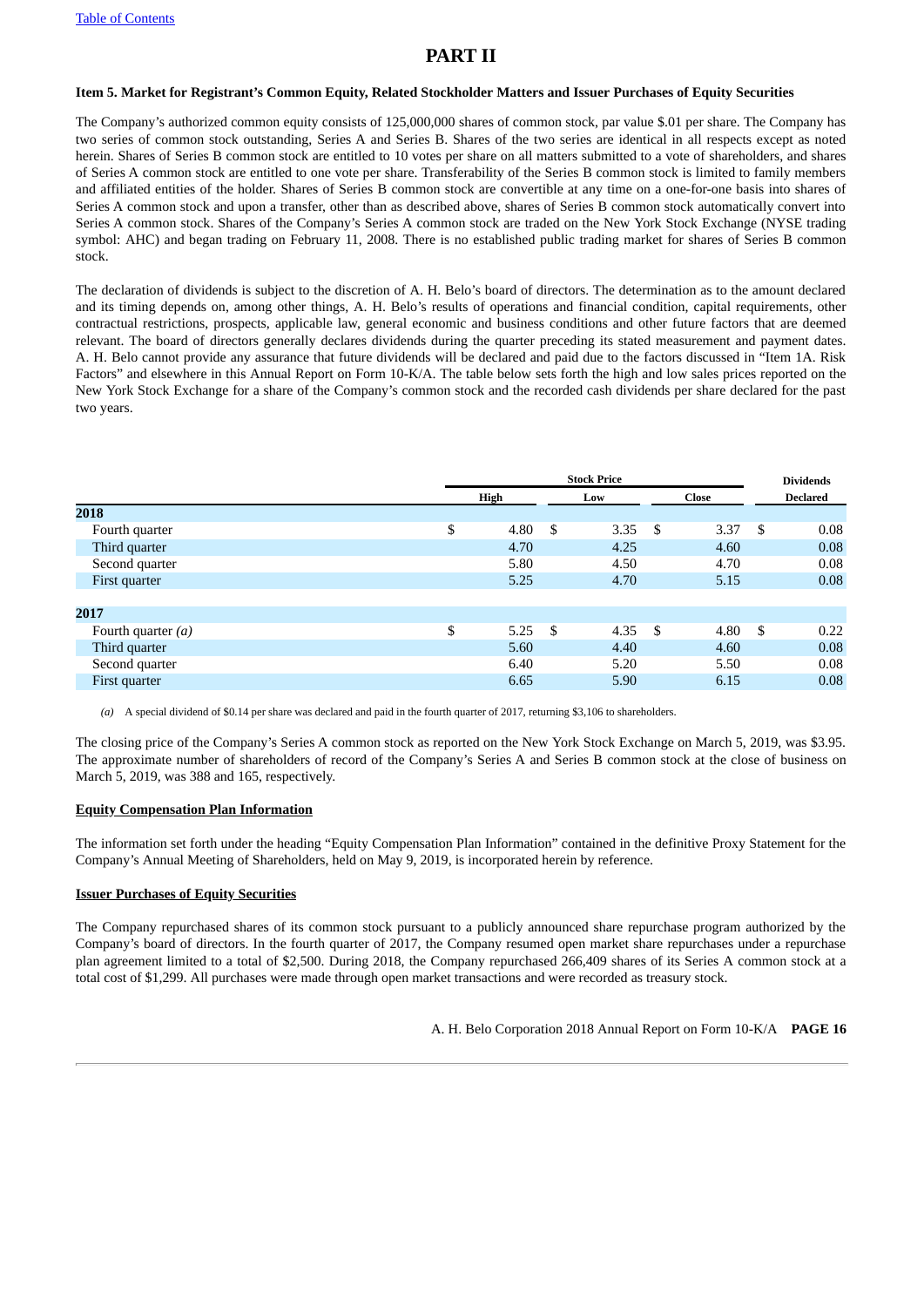# **PART II**

# <span id="page-15-1"></span><span id="page-15-0"></span>Item 5. Market for Registrant's Common Equity, Related Stockholder Matters and Issuer Purchases of Equity Securities

The Company's authorized common equity consists of 125,000,000 shares of common stock, par value \$.01 per share. The Company has two series of common stock outstanding, Series A and Series B. Shares of the two series are identical in all respects except as noted herein. Shares of Series B common stock are entitled to 10 votes per share on all matters submitted to a vote of shareholders, and shares of Series A common stock are entitled to one vote per share. Transferability of the Series B common stock is limited to family members and affiliated entities of the holder. Shares of Series B common stock are convertible at any time on a one-for-one basis into shares of Series A common stock and upon a transfer, other than as described above, shares of Series B common stock automatically convert into Series A common stock. Shares of the Company's Series A common stock are traded on the New York Stock Exchange (NYSE trading symbol: AHC) and began trading on February 11, 2008. There is no established public trading market for shares of Series B common stock.

The declaration of dividends is subject to the discretion of A. H. Belo's board of directors. The determination as to the amount declared and its timing depends on, among other things, A. H. Belo's results of operations and financial condition, capital requirements, other contractual restrictions, prospects, applicable law, general economic and business conditions and other future factors that are deemed relevant. The board of directors generally declares dividends during the quarter preceding its stated measurement and payment dates. A. H. Belo cannot provide any assurance that future dividends will be declared and paid due to the factors discussed in "Item 1A. Risk Factors" and elsewhere in this Annual Report on Form 10-K/A. The table below sets forth the high and low sales prices reported on the New York Stock Exchange for a share of the Company's common stock and the recorded cash dividends per share declared for the past two years.

|                      | <b>Stock Price</b> |      |    |      |    | <b>Dividends</b> |    |                 |
|----------------------|--------------------|------|----|------|----|------------------|----|-----------------|
|                      | High               |      |    | Low  |    | <b>Close</b>     |    | <b>Declared</b> |
| 2018                 |                    |      |    |      |    |                  |    |                 |
| Fourth quarter       | \$                 | 4.80 | \$ | 3.35 | \$ | 3.37             | \$ | 0.08            |
| Third quarter        |                    | 4.70 |    | 4.25 |    | 4.60             |    | 0.08            |
| Second quarter       |                    | 5.80 |    | 4.50 |    | 4.70             |    | 0.08            |
| First quarter        |                    | 5.25 |    | 4.70 |    | 5.15             |    | 0.08            |
|                      |                    |      |    |      |    |                  |    |                 |
| 2017                 |                    |      |    |      |    |                  |    |                 |
| Fourth quarter $(a)$ | \$                 | 5.25 | S. | 4.35 | \$ | 4.80             | \$ | 0.22            |
| Third quarter        |                    | 5.60 |    | 4.40 |    | 4.60             |    | 0.08            |
| Second quarter       |                    | 6.40 |    | 5.20 |    | 5.50             |    | 0.08            |
| First quarter        |                    | 6.65 |    | 5.90 |    | 6.15             |    | 0.08            |

*(a)* A special dividend of \$0.14 per share was declared and paid in the fourth quarter of 2017, returning \$3,106 to shareholders.

The closing price of the Company's Series A common stock as reported on the New York Stock Exchange on March 5, 2019, was \$3.95. The approximate number of shareholders of record of the Company's Series A and Series B common stock at the close of business on March 5, 2019, was 388 and 165, respectively.

# **Equity Compensation Plan Information**

The information set forth under the heading "Equity Compensation Plan Information" contained in the definitive Proxy Statement for the Company's Annual Meeting of Shareholders, held on May 9, 2019, is incorporated herein by reference.

# **Issuer Purchases of Equity Securities**

The Company repurchased shares of its common stock pursuant to a publicly announced share repurchase program authorized by the Company's board of directors. In the fourth quarter of 2017, the Company resumed open market share repurchases under a repurchase plan agreement limited to a total of \$2,500. During 2018, the Company repurchased 266,409 shares of its Series A common stock at a total cost of \$1,299. All purchases were made through open market transactions and were recorded as treasury stock.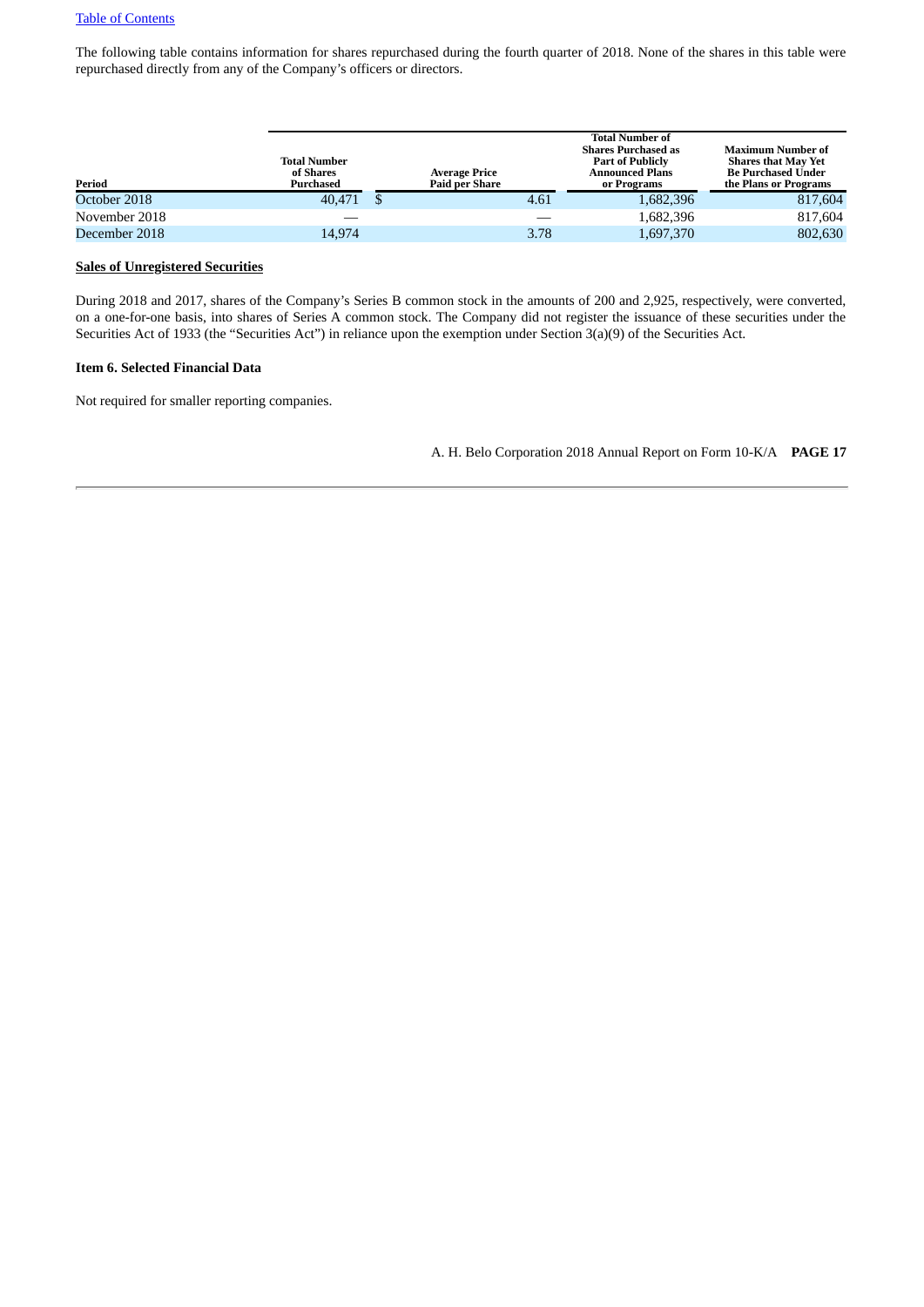The following table contains information for shares repurchased during the fourth quarter of 2018. None of the shares in this table were repurchased directly from any of the Company's officers or directors.

| Period        | <b>Total Number</b><br>of Shares<br>Purchased | <b>Average Price</b><br>Paid per Share |      | <b>Total Number of</b><br><b>Shares Purchased as</b><br><b>Part of Publicly</b><br><b>Announced Plans</b><br>or Programs | <b>Maximum Number of</b><br><b>Shares that May Yet</b><br><b>Be Purchased Under</b><br>the Plans or Programs |
|---------------|-----------------------------------------------|----------------------------------------|------|--------------------------------------------------------------------------------------------------------------------------|--------------------------------------------------------------------------------------------------------------|
| October 2018  | 40,471                                        |                                        | 4.61 | 1,682,396                                                                                                                | 817,604                                                                                                      |
| November 2018 |                                               |                                        |      | 1,682,396                                                                                                                | 817.604                                                                                                      |
| December 2018 | 14.974                                        |                                        | 3.78 | 1,697,370                                                                                                                | 802,630                                                                                                      |

# **Sales of Unregistered Securities**

During 2018 and 2017, shares of the Company's Series B common stock in the amounts of 200 and 2,925, respectively, were converted, on a one-for-one basis, into shares of Series A common stock. The Company did not register the issuance of these securities under the Securities Act of 1933 (the "Securities Act") in reliance upon the exemption under Section 3(a)(9) of the Securities Act.

# <span id="page-16-0"></span>**Item 6. Selected Financial Data**

Not required for smaller reporting companies.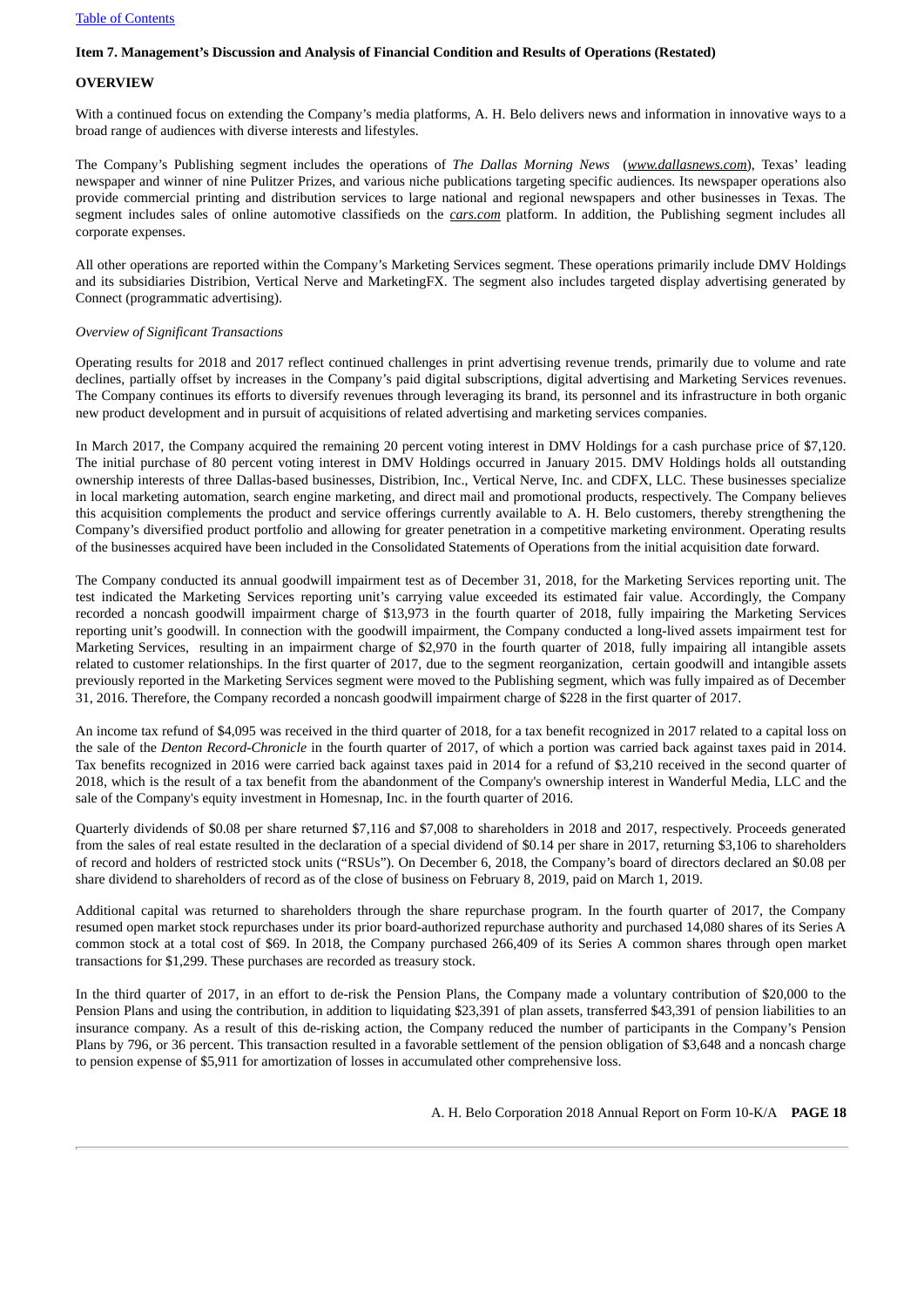## <span id="page-17-1"></span><span id="page-17-0"></span>**Item 7. Management's Discussion and Analysis of Financial Condition and Results of Operations (Restated)**

#### **OVERVIEW**

With a continued focus on extending the Company's media platforms, A. H. Belo delivers news and information in innovative ways to a broad range of audiences with diverse interests and lifestyles.

The Company's Publishing segment includes the operations of *The Dallas Morning News* (*www.dallasnews.com*), Texas' leading newspaper and winner of nine Pulitzer Prizes, and various niche publications targeting specific audiences. Its newspaper operations also provide commercial printing and distribution services to large national and regional newspapers and other businesses in Texas. The segment includes sales of online automotive classifieds on the *cars.com* platform. In addition, the Publishing segment includes all corporate expenses.

All other operations are reported within the Company's Marketing Services segment. These operations primarily include DMV Holdings and its subsidiaries Distribion, Vertical Nerve and MarketingFX. The segment also includes targeted display advertising generated by Connect (programmatic advertising).

#### *Overview of Significant Transactions*

Operating results for 2018 and 2017 reflect continued challenges in print advertising revenue trends, primarily due to volume and rate declines, partially offset by increases in the Company's paid digital subscriptions, digital advertising and Marketing Services revenues. The Company continues its efforts to diversify revenues through leveraging its brand, its personnel and its infrastructure in both organic new product development and in pursuit of acquisitions of related advertising and marketing services companies.

In March 2017, the Company acquired the remaining 20 percent voting interest in DMV Holdings for a cash purchase price of \$7,120. The initial purchase of 80 percent voting interest in DMV Holdings occurred in January 2015. DMV Holdings holds all outstanding ownership interests of three Dallas-based businesses, Distribion, Inc., Vertical Nerve, Inc. and CDFX, LLC. These businesses specialize in local marketing automation, search engine marketing, and direct mail and promotional products, respectively. The Company believes this acquisition complements the product and service offerings currently available to A. H. Belo customers, thereby strengthening the Company's diversified product portfolio and allowing for greater penetration in a competitive marketing environment. Operating results of the businesses acquired have been included in the Consolidated Statements of Operations from the initial acquisition date forward.

The Company conducted its annual goodwill impairment test as of December 31, 2018, for the Marketing Services reporting unit. The test indicated the Marketing Services reporting unit's carrying value exceeded its estimated fair value. Accordingly, the Company recorded a noncash goodwill impairment charge of \$13,973 in the fourth quarter of 2018, fully impairing the Marketing Services reporting unit's goodwill. In connection with the goodwill impairment, the Company conducted a long-lived assets impairment test for Marketing Services, resulting in an impairment charge of \$2,970 in the fourth quarter of 2018, fully impairing all intangible assets related to customer relationships. In the first quarter of 2017, due to the segment reorganization, certain goodwill and intangible assets previously reported in the Marketing Services segment were moved to the Publishing segment, which was fully impaired as of December 31, 2016. Therefore, the Company recorded a noncash goodwill impairment charge of \$228 in the first quarter of 2017.

An income tax refund of \$4,095 was received in the third quarter of 2018, for a tax benefit recognized in 2017 related to a capital loss on the sale of the *Denton Record-Chronicle* in the fourth quarter of 2017, of which a portion was carried back against taxes paid in 2014. Tax benefits recognized in 2016 were carried back against taxes paid in 2014 for a refund of \$3,210 received in the second quarter of 2018, which is the result of a tax benefit from the abandonment of the Company's ownership interest in Wanderful Media, LLC and the sale of the Company's equity investment in Homesnap, Inc. in the fourth quarter of 2016.

Quarterly dividends of \$0.08 per share returned \$7,116 and \$7,008 to shareholders in 2018 and 2017, respectively. Proceeds generated from the sales of real estate resulted in the declaration of a special dividend of \$0.14 per share in 2017, returning \$3,106 to shareholders of record and holders of restricted stock units ("RSUs"). On December 6, 2018, the Company's board of directors declared an \$0.08 per share dividend to shareholders of record as of the close of business on February 8, 2019, paid on March 1, 2019.

Additional capital was returned to shareholders through the share repurchase program. In the fourth quarter of 2017, the Company resumed open market stock repurchases under its prior board-authorized repurchase authority and purchased 14,080 shares of its Series A common stock at a total cost of \$69. In 2018, the Company purchased 266,409 of its Series A common shares through open market transactions for \$1,299. These purchases are recorded as treasury stock.

In the third quarter of 2017, in an effort to de-risk the Pension Plans, the Company made a voluntary contribution of \$20,000 to the Pension Plans and using the contribution, in addition to liquidating \$23,391 of plan assets, transferred \$43,391 of pension liabilities to an insurance company. As a result of this de-risking action, the Company reduced the number of participants in the Company's Pension Plans by 796, or 36 percent. This transaction resulted in a favorable settlement of the pension obligation of \$3,648 and a noncash charge to pension expense of \$5,911 for amortization of losses in accumulated other comprehensive loss.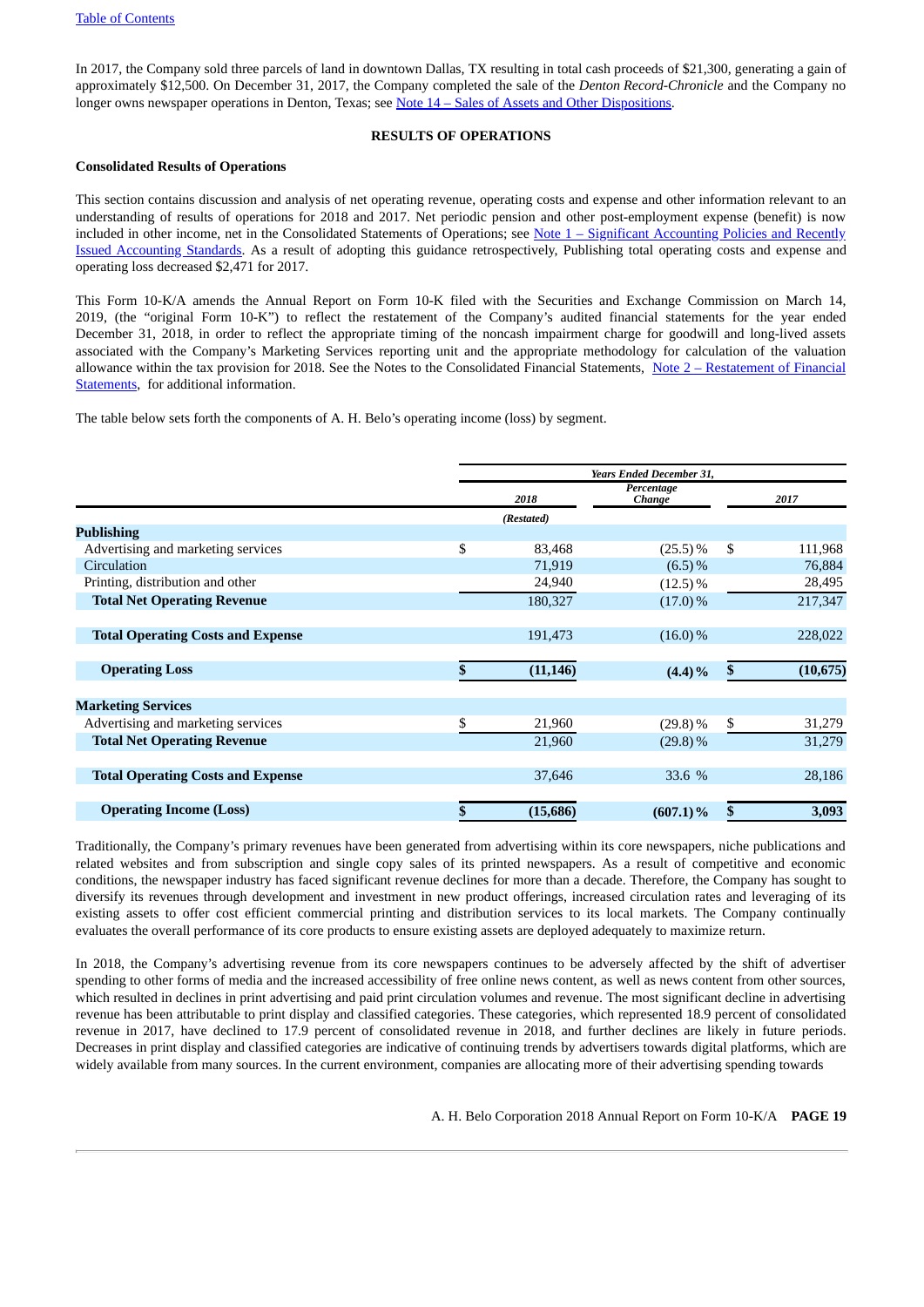In 2017, the Company sold three parcels of land in downtown Dallas, TX resulting in total cash proceeds of \$21,300, generating a gain of approximately \$12,500. On December 31, 2017, the Company completed the sale of the *Denton Record-Chronicle* and the Company no longer owns newspaper operations in Denton, Texas; see Note  $14$  – Sales of Assets and Other [Dispositions.](#page-63-0)

# **RESULTS OF OPERATIONS**

#### **Consolidated Results of Operations**

This section contains discussion and analysis of net operating revenue, operating costs and expense and other information relevant to an understanding of results of operations for 2018 and 2017. Net periodic pension and other post-employment expense (benefit) is now included in other income, net in the Consolidated Statements of Operations; see Note 1 - Significant Accounting Policies and Recently Issued Accounting Standards. As a result of adopting this guidance [retrospectively,](#page-44-1) Publishing total operating costs and expense and operating loss decreased \$2,471 for 2017.

This Form 10-K/A amends the Annual Report on Form 10-K filed with the Securities and Exchange Commission on March 14, 2019, (the "original Form 10-K") to reflect the restatement of the Company's audited financial statements for the year ended December 31, 2018, in order to reflect the appropriate timing of the noncash impairment charge for goodwill and long-lived assets associated with the Company's Marketing Services reporting unit and the appropriate methodology for calculation of the valuation allowance within the tax provision for 2018. See the Notes to the [Consolidated](#page-49-0) Financial Statements, Note  $2 -$ Restatement of Financial Statements, for additional information.

The table below sets forth the components of A. H. Belo's operating income (loss) by segment.

|                                          |              | <b>Years Ended December 31,</b> |               |
|------------------------------------------|--------------|---------------------------------|---------------|
|                                          | 2018         | Percentage<br>Change            | 2017          |
|                                          | (Restated)   |                                 |               |
| <b>Publishing</b>                        |              |                                 |               |
| Advertising and marketing services       | \$<br>83,468 | $(25.5)$ %                      | \$<br>111,968 |
| Circulation                              | 71,919       | $(6.5)$ %                       | 76,884        |
| Printing, distribution and other         | 24,940       | $(12.5)\%$                      | 28,495        |
| <b>Total Net Operating Revenue</b>       | 180,327      | $(17.0)\%$                      | 217,347       |
| <b>Total Operating Costs and Expense</b> | 191,473      | $(16.0)\%$                      | 228,022       |
| <b>Operating Loss</b>                    | (11, 146)    | (4.4)%                          | (10, 675)     |
| <b>Marketing Services</b>                |              |                                 |               |
| Advertising and marketing services       | \$<br>21,960 | $(29.8)\%$                      | \$<br>31,279  |
| <b>Total Net Operating Revenue</b>       | 21,960       | $(29.8)\%$                      | 31,279        |
| <b>Total Operating Costs and Expense</b> | 37,646       | 33.6 %                          | 28,186        |
| <b>Operating Income (Loss)</b>           | (15, 686)    | $(607.1)\%$                     | 3,093         |

Traditionally, the Company's primary revenues have been generated from advertising within its core newspapers, niche publications and related websites and from subscription and single copy sales of its printed newspapers. As a result of competitive and economic conditions, the newspaper industry has faced significant revenue declines for more than a decade. Therefore, the Company has sought to diversify its revenues through development and investment in new product offerings, increased circulation rates and leveraging of its existing assets to offer cost efficient commercial printing and distribution services to its local markets. The Company continually evaluates the overall performance of its core products to ensure existing assets are deployed adequately to maximize return.

In 2018, the Company's advertising revenue from its core newspapers continues to be adversely affected by the shift of advertiser spending to other forms of media and the increased accessibility of free online news content, as well as news content from other sources, which resulted in declines in print advertising and paid print circulation volumes and revenue. The most significant decline in advertising revenue has been attributable to print display and classified categories. These categories, which represented 18.9 percent of consolidated revenue in 2017, have declined to 17.9 percent of consolidated revenue in 2018, and further declines are likely in future periods. Decreases in print display and classified categories are indicative of continuing trends by advertisers towards digital platforms, which are widely available from many sources. In the current environment, companies are allocating more of their advertising spending towards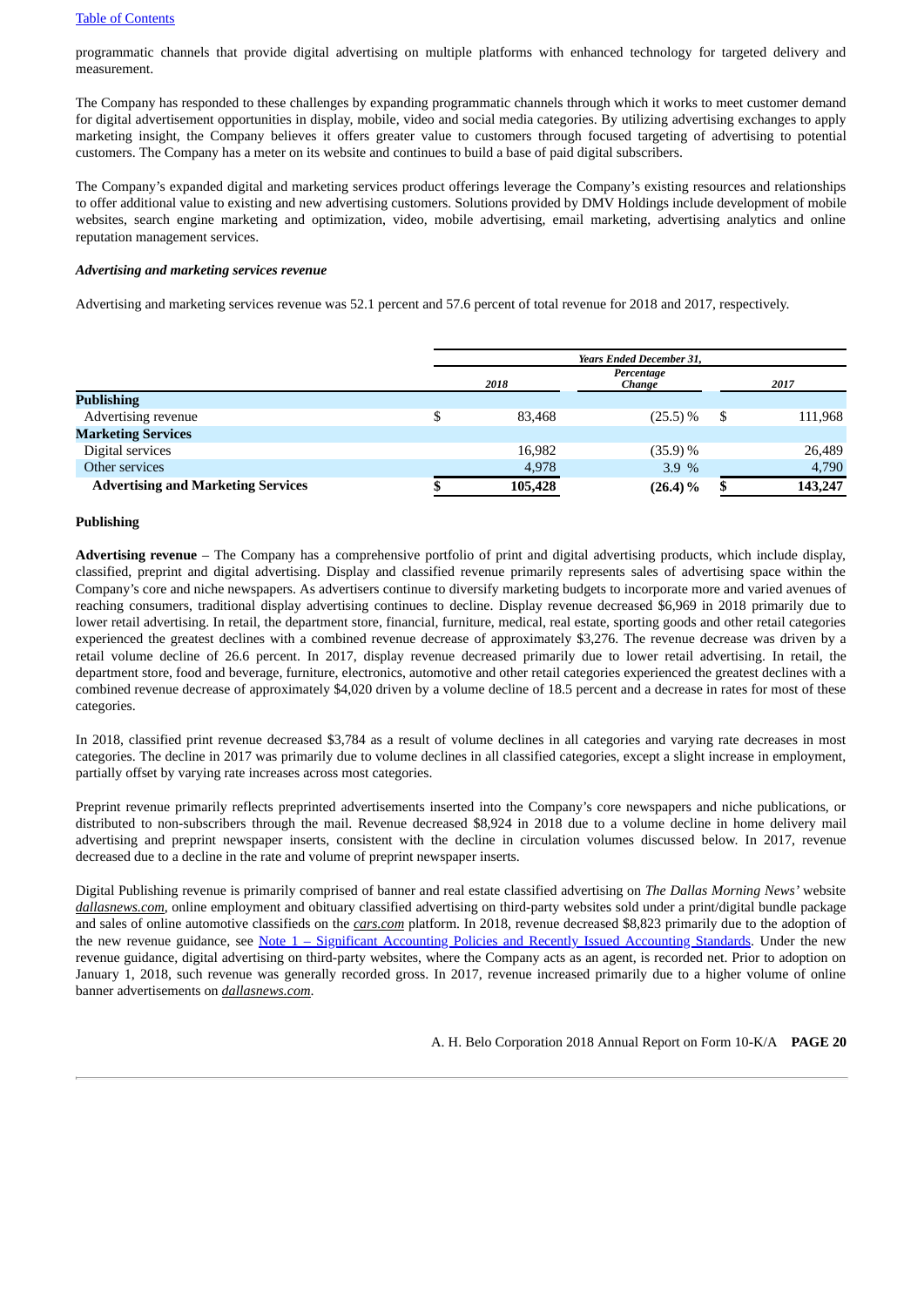programmatic channels that provide digital advertising on multiple platforms with enhanced technology for targeted delivery and measurement.

The Company has responded to these challenges by expanding programmatic channels through which it works to meet customer demand for digital advertisement opportunities in display, mobile, video and social media categories. By utilizing advertising exchanges to apply marketing insight, the Company believes it offers greater value to customers through focused targeting of advertising to potential customers. The Company has a meter on its website and continues to build a base of paid digital subscribers.

The Company's expanded digital and marketing services product offerings leverage the Company's existing resources and relationships to offer additional value to existing and new advertising customers. Solutions provided by DMV Holdings include development of mobile websites, search engine marketing and optimization, video, mobile advertising, email marketing, advertising analytics and online reputation management services.

#### *Advertising and marketing services revenue*

Advertising and marketing services revenue was 52.1 percent and 57.6 percent of total revenue for 2018 and 2017, respectively.

|                                           |         | <b>Years Ended December 31,</b> |    |         |
|-------------------------------------------|---------|---------------------------------|----|---------|
|                                           | 2018    | Percentage<br>Change            |    | 2017    |
| <b>Publishing</b>                         |         |                                 |    |         |
| Advertising revenue                       | 83,468  | $(25.5) \%$                     | -S | 111,968 |
| <b>Marketing Services</b>                 |         |                                 |    |         |
| Digital services                          | 16,982  | (35.9) %                        |    | 26,489  |
| Other services                            | 4,978   | 3.9%                            |    | 4,790   |
| <b>Advertising and Marketing Services</b> | 105,428 | (26.4) %                        |    | 143,247 |

#### **Publishing**

**Advertising revenue** – The Company has a comprehensive portfolio of print and digital advertising products, which include display, classified, preprint and digital advertising. Display and classified revenue primarily represents sales of advertising space within the Company's core and niche newspapers. As advertisers continue to diversify marketing budgets to incorporate more and varied avenues of reaching consumers, traditional display advertising continues to decline. Display revenue decreased \$6,969 in 2018 primarily due to lower retail advertising. In retail, the department store, financial, furniture, medical, real estate, sporting goods and other retail categories experienced the greatest declines with a combined revenue decrease of approximately \$3,276. The revenue decrease was driven by a retail volume decline of 26.6 percent. In 2017, display revenue decreased primarily due to lower retail advertising. In retail, the department store, food and beverage, furniture, electronics, automotive and other retail categories experienced the greatest declines with a combined revenue decrease of approximately \$4,020 driven by a volume decline of 18.5 percent and a decrease in rates for most of these categories.

In 2018, classified print revenue decreased \$3,784 as a result of volume declines in all categories and varying rate decreases in most categories. The decline in 2017 was primarily due to volume declines in all classified categories, except a slight increase in employment, partially offset by varying rate increases across most categories.

Preprint revenue primarily reflects preprinted advertisements inserted into the Company's core newspapers and niche publications, or distributed to non-subscribers through the mail. Revenue decreased \$8,924 in 2018 due to a volume decline in home delivery mail advertising and preprint newspaper inserts, consistent with the decline in circulation volumes discussed below. In 2017, revenue decreased due to a decline in the rate and volume of preprint newspaper inserts.

Digital Publishing revenue is primarily comprised of banner and real estate classified advertising on *The Dallas Morning News'* website *dallasnews.com*, online employment and obituary classified advertising on third-party websites sold under a print/digital bundle package and sales of online automotive classifieds on the *cars.com* platform. In 2018, revenue decreased \$8,823 primarily due to the adoption of the new revenue guidance, see Note 1 – Significant [Accounting](#page-44-1) Policies and Recently Issued Accounting Standards. Under the new revenue guidance, digital advertising on third-party websites, where the Company acts as an agent, is recorded net. Prior to adoption on January 1, 2018, such revenue was generally recorded gross. In 2017, revenue increased primarily due to a higher volume of online banner advertisements on *dallasnews.com*.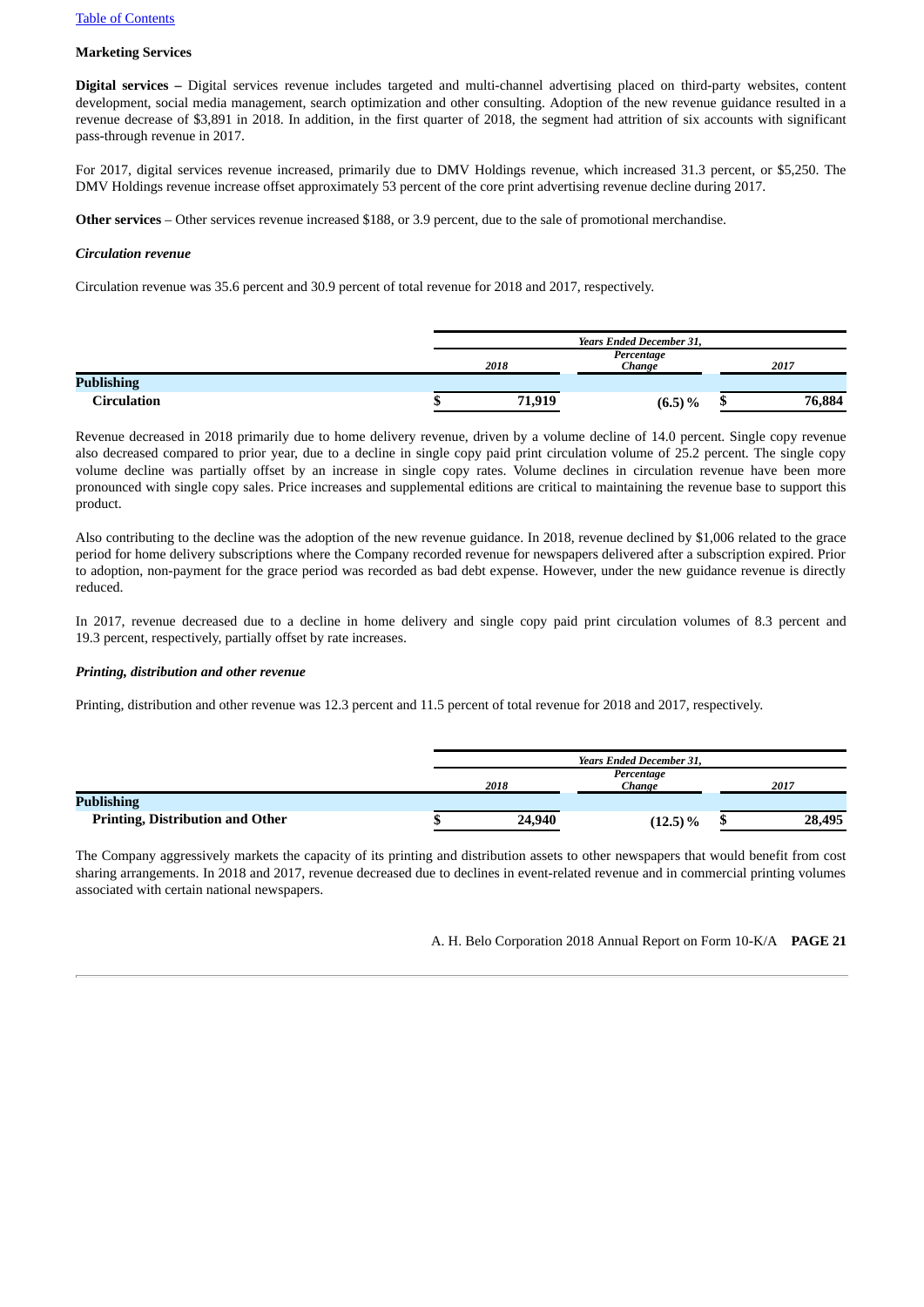#### **Marketing Services**

**Digital services –** Digital services revenue includes targeted and multi-channel advertising placed on third-party websites, content development, social media management, search optimization and other consulting. Adoption of the new revenue guidance resulted in a revenue decrease of \$3,891 in 2018. In addition, in the first quarter of 2018, the segment had attrition of six accounts with significant pass-through revenue in 2017.

For 2017, digital services revenue increased, primarily due to DMV Holdings revenue, which increased 31.3 percent, or \$5,250. The DMV Holdings revenue increase offset approximately 53 percent of the core print advertising revenue decline during 2017.

**Other services** – Other services revenue increased \$188, or 3.9 percent, due to the sale of promotional merchandise.

#### *Circulation revenue*

Circulation revenue was 35.6 percent and 30.9 percent of total revenue for 2018 and 2017, respectively.

|                    |                              | <b>Years Ended December 31,</b> |      |        |  |
|--------------------|------------------------------|---------------------------------|------|--------|--|
|                    | Percentage<br>2018<br>Chanae |                                 | 2017 |        |  |
| <b>Publishing</b>  |                              |                                 |      |        |  |
| <b>Circulation</b> | 71,919                       | (6.5) %                         | - 12 | 76,884 |  |

Revenue decreased in 2018 primarily due to home delivery revenue, driven by a volume decline of 14.0 percent. Single copy revenue also decreased compared to prior year, due to a decline in single copy paid print circulation volume of 25.2 percent. The single copy volume decline was partially offset by an increase in single copy rates. Volume declines in circulation revenue have been more pronounced with single copy sales. Price increases and supplemental editions are critical to maintaining the revenue base to support this product.

Also contributing to the decline was the adoption of the new revenue guidance. In 2018, revenue declined by \$1,006 related to the grace period for home delivery subscriptions where the Company recorded revenue for newspapers delivered after a subscription expired. Prior to adoption, non-payment for the grace period was recorded as bad debt expense. However, under the new guidance revenue is directly reduced.

In 2017, revenue decreased due to a decline in home delivery and single copy paid print circulation volumes of 8.3 percent and 19.3 percent, respectively, partially offset by rate increases.

#### *Printing, distribution and other revenue*

Printing, distribution and other revenue was 12.3 percent and 11.5 percent of total revenue for 2018 and 2017, respectively.

|        | Percentage  |        |
|--------|-------------|--------|
| 2018   | Chanae      |        |
|        |             |        |
| 24,940 | $(12.5) \%$ | 28,495 |
|        |             | 2017   |

The Company aggressively markets the capacity of its printing and distribution assets to other newspapers that would benefit from cost sharing arrangements. In 2018 and 2017, revenue decreased due to declines in event-related revenue and in commercial printing volumes associated with certain national newspapers.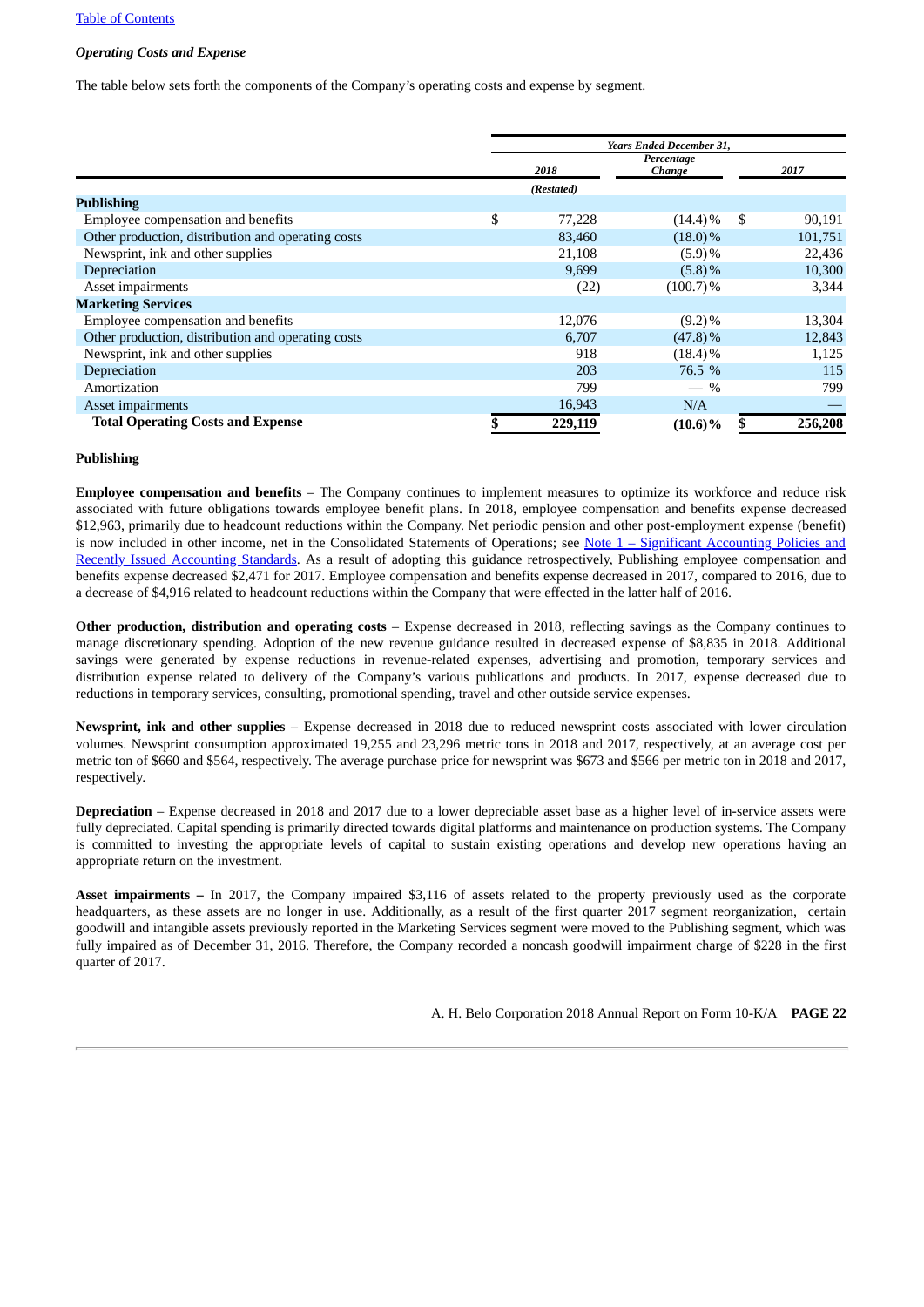# *Operating Costs and Expense*

The table below sets forth the components of the Company's operating costs and expense by segment.

|                                                    | <b>Years Ended December 31,</b> |            |             |      |         |
|----------------------------------------------------|---------------------------------|------------|-------------|------|---------|
|                                                    | Percentage<br>2018<br>Change    |            |             | 2017 |         |
|                                                    |                                 | (Restated) |             |      |         |
| <b>Publishing</b>                                  |                                 |            |             |      |         |
| Employee compensation and benefits                 | \$                              | 77,228     | $(14.4)\%$  | \$   | 90,191  |
| Other production, distribution and operating costs |                                 | 83,460     | $(18.0)\%$  |      | 101,751 |
| Newsprint, ink and other supplies                  |                                 | 21,108     | (5.9)%      |      | 22,436  |
| Depreciation                                       |                                 | 9,699      | $(5.8)\%$   |      | 10,300  |
| Asset impairments                                  |                                 | (22)       | $(100.7)\%$ |      | 3,344   |
| <b>Marketing Services</b>                          |                                 |            |             |      |         |
| Employee compensation and benefits                 |                                 | 12,076     | $(9.2)\%$   |      | 13,304  |
| Other production, distribution and operating costs |                                 | 6.707      | $(47.8)\%$  |      | 12,843  |
| Newsprint, ink and other supplies                  |                                 | 918        | $(18.4)\%$  |      | 1,125   |
| Depreciation                                       |                                 | 203        | 76.5 %      |      | 115     |
| Amortization                                       |                                 | 799        | $-$ %       |      | 799     |
| Asset impairments                                  |                                 | 16,943     | N/A         |      |         |
| <b>Total Operating Costs and Expense</b>           |                                 | 229,119    | $(10.6)\%$  |      | 256,208 |

#### **Publishing**

**Employee compensation and benefits** – The Company continues to implement measures to optimize its workforce and reduce risk associated with future obligations towards employee benefit plans. In 2018, employee compensation and benefits expense decreased \$12,963, primarily due to headcount reductions within the Company. Net periodic pension and other post-employment expense (benefit) is now included in other income, net in the Consolidated Statements of Operations; see Note  $1 -$  Significant Accounting Policies and Recently Issued Accounting Standards. As a result of adopting this guidance [retrospectively,](#page-44-1) Publishing employee compensation and benefits expense decreased \$2,471 for 2017. Employee compensation and benefits expense decreased in 2017, compared to 2016, due to a decrease of \$4,916 related to headcount reductions within the Company that were effected in the latter half of 2016.

**Other production, distribution and operating costs** – Expense decreased in 2018, reflecting savings as the Company continues to manage discretionary spending. Adoption of the new revenue guidance resulted in decreased expense of \$8,835 in 2018. Additional savings were generated by expense reductions in revenue-related expenses, advertising and promotion, temporary services and distribution expense related to delivery of the Company's various publications and products. In 2017, expense decreased due to reductions in temporary services, consulting, promotional spending, travel and other outside service expenses.

**Newsprint, ink and other supplies** – Expense decreased in 2018 due to reduced newsprint costs associated with lower circulation volumes. Newsprint consumption approximated 19,255 and 23,296 metric tons in 2018 and 2017, respectively, at an average cost per metric ton of \$660 and \$564, respectively. The average purchase price for newsprint was \$673 and \$566 per metric ton in 2018 and 2017, respectively.

**Depreciation** – Expense decreased in 2018 and 2017 due to a lower depreciable asset base as a higher level of in-service assets were fully depreciated. Capital spending is primarily directed towards digital platforms and maintenance on production systems. The Company is committed to investing the appropriate levels of capital to sustain existing operations and develop new operations having an appropriate return on the investment.

**Asset impairments –** In 2017, the Company impaired \$3,116 of assets related to the property previously used as the corporate headquarters, as these assets are no longer in use. Additionally, as a result of the first quarter 2017 segment reorganization, certain goodwill and intangible assets previously reported in the Marketing Services segment were moved to the Publishing segment, which was fully impaired as of December 31, 2016. Therefore, the Company recorded a noncash goodwill impairment charge of \$228 in the first quarter of 2017.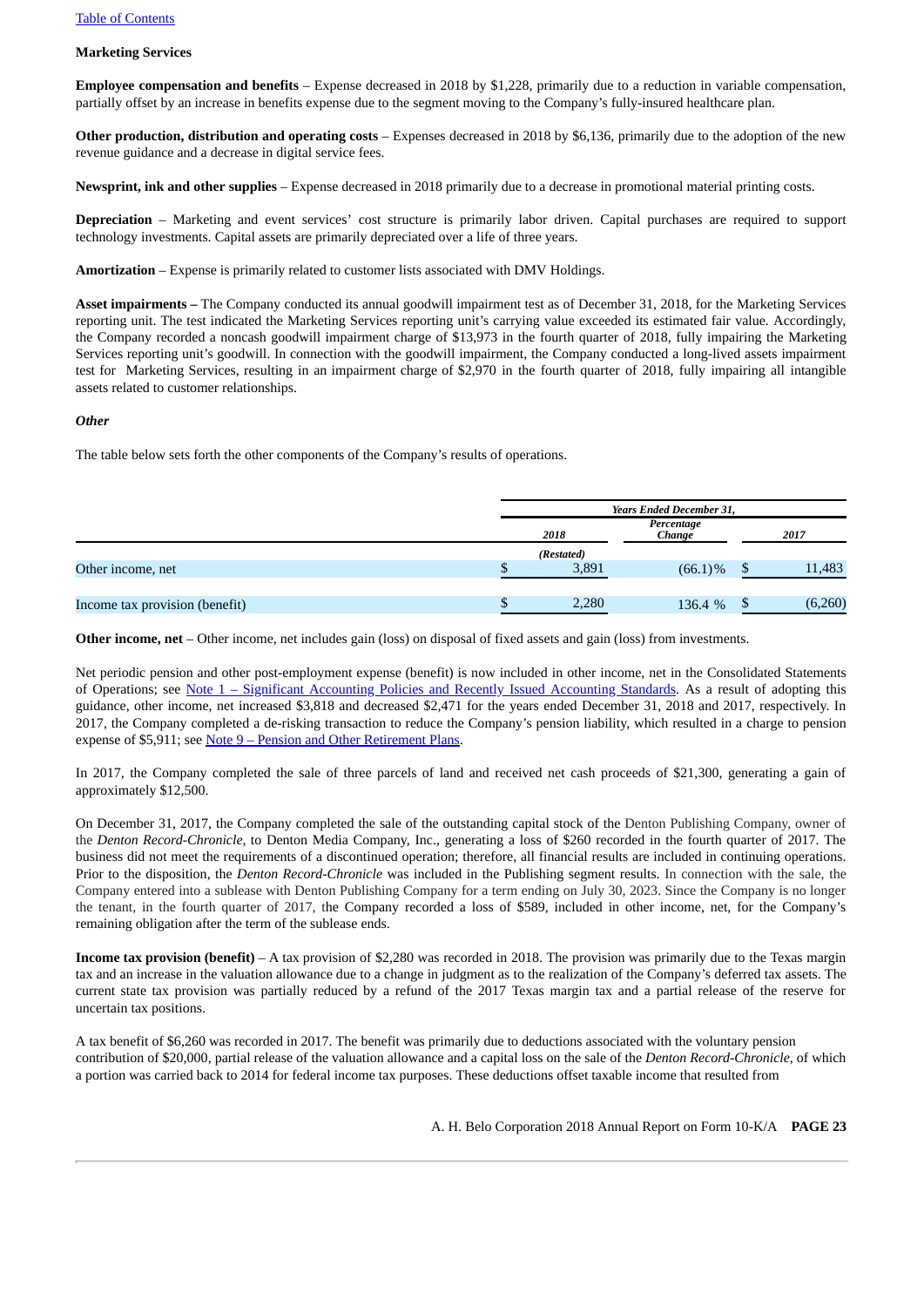# **Marketing Services**

**Employee compensation and benefits** – Expense decreased in 2018 by \$1,228, primarily due to a reduction in variable compensation, partially offset by an increase in benefits expense due to the segment moving to the Company's fully-insured healthcare plan.

**Other production, distribution and operating costs** – Expenses decreased in 2018 by \$6,136, primarily due to the adoption of the new revenue guidance and a decrease in digital service fees.

**Newsprint, ink and other supplies** – Expense decreased in 2018 primarily due to a decrease in promotional material printing costs.

**Depreciation** – Marketing and event services' cost structure is primarily labor driven. Capital purchases are required to support technology investments. Capital assets are primarily depreciated over a life of three years.

**Amortization** – Expense is primarily related to customer lists associated with DMV Holdings.

**Asset impairments –** The Company conducted its annual goodwill impairment test as of December 31, 2018, for the Marketing Services reporting unit. The test indicated the Marketing Services reporting unit's carrying value exceeded its estimated fair value. Accordingly, the Company recorded a noncash goodwill impairment charge of \$13,973 in the fourth quarter of 2018, fully impairing the Marketing Services reporting unit's goodwill. In connection with the goodwill impairment, the Company conducted a long-lived assets impairment test for Marketing Services, resulting in an impairment charge of \$2,970 in the fourth quarter of 2018, fully impairing all intangible assets related to customer relationships.

#### *Other*

The table below sets forth the other components of the Company's results of operations.

|                                |            | <b>Years Ended December 31,</b> |         |
|--------------------------------|------------|---------------------------------|---------|
|                                | 2018       | Percentage<br>Change            | 2017    |
|                                | (Restated) |                                 |         |
| Other income, net              | 3,891      | $(66.1)\%$                      | 11,483  |
|                                |            |                                 |         |
| Income tax provision (benefit) | 2,280      | 136.4 %                         | (6,260) |

**Other income, net** – Other income, net includes gain (loss) on disposal of fixed assets and gain (loss) from investments.

Net periodic pension and other post-employment expense (benefit) is now included in other income, net in the Consolidated Statements of Operations; see <u>Note 1 – Significant [Accounting](#page-44-1) Policies and Recently Issued Accounting Standards</u>. As a result of adopting this guidance, other income, net increased \$3,818 and decreased \$2,471 for the years ended December 31, 2018 and 2017, respectively. In 2017, the Company completed a de-risking transaction to reduce the Company's pension liability, which resulted in a charge to pension expense of \$5,911; see Note 9 – Pension and Other [Retirement](#page-58-0) Plans.

In 2017, the Company completed the sale of three parcels of land and received net cash proceeds of \$21,300, generating a gain of approximately \$12,500.

On December 31, 2017, the Company completed the sale of the outstanding capital stock of the Denton Publishing Company, owner of the *Denton Record-Chronicle*, to Denton Media Company, Inc., generating a loss of \$260 recorded in the fourth quarter of 2017. The business did not meet the requirements of a discontinued operation; therefore, all financial results are included in continuing operations. Prior to the disposition, the *Denton Record-Chronicle* was included in the Publishing segment results. In connection with the sale, the Company entered into a sublease with Denton Publishing Company for a term ending on July 30, 2023. Since the Company is no longer the tenant, in the fourth quarter of 2017, the Company recorded a loss of \$589, included in other income, net, for the Company's remaining obligation after the term of the sublease ends.

**Income tax provision (benefit)** – A tax provision of \$2,280 was recorded in 2018. The provision was primarily due to the Texas margin tax and an increase in the valuation allowance due to a change in judgment as to the realization of the Company's deferred tax assets. The current state tax provision was partially reduced by a refund of the 2017 Texas margin tax and a partial release of the reserve for uncertain tax positions.

A tax benefit of \$6,260 was recorded in 2017. The benefit was primarily due to deductions associated with the voluntary pension contribution of \$20,000, partial release of the valuation allowance and a capital loss on the sale of the *Denton Record-Chronicle*, of which a portion was carried back to 2014 for federal income tax purposes. These deductions offset taxable income that resulted from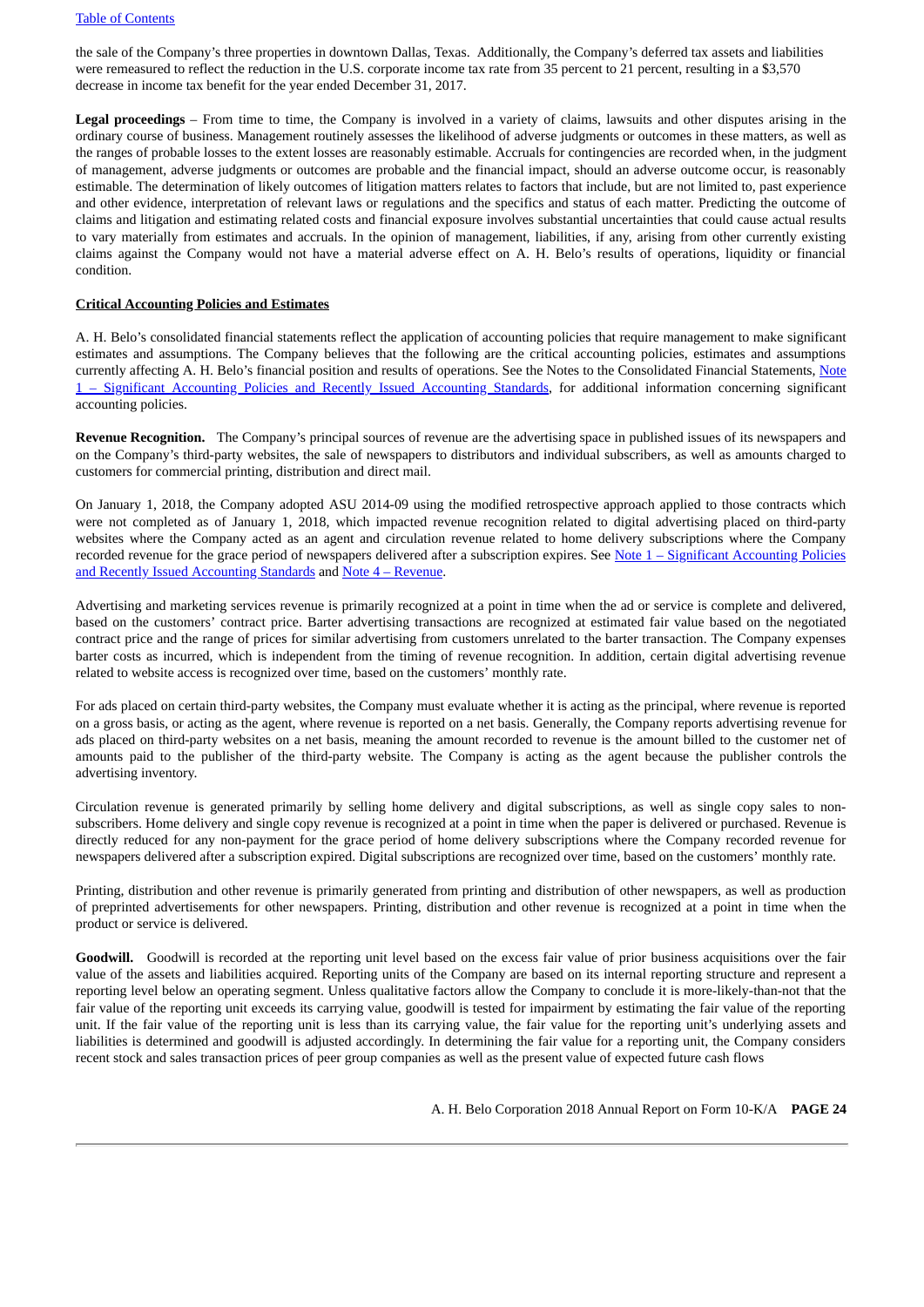the sale of the Company's three properties in downtown Dallas, Texas. Additionally, the Company's deferred tax assets and liabilities were remeasured to reflect the reduction in the U.S. corporate income tax rate from 35 percent to 21 percent, resulting in a \$3,570 decrease in income tax benefit for the year ended December 31, 2017.

**Legal proceedings** – From time to time, the Company is involved in a variety of claims, lawsuits and other disputes arising in the ordinary course of business. Management routinely assesses the likelihood of adverse judgments or outcomes in these matters, as well as the ranges of probable losses to the extent losses are reasonably estimable. Accruals for contingencies are recorded when, in the judgment of management, adverse judgments or outcomes are probable and the financial impact, should an adverse outcome occur, is reasonably estimable. The determination of likely outcomes of litigation matters relates to factors that include, but are not limited to, past experience and other evidence, interpretation of relevant laws or regulations and the specifics and status of each matter. Predicting the outcome of claims and litigation and estimating related costs and financial exposure involves substantial uncertainties that could cause actual results to vary materially from estimates and accruals. In the opinion of management, liabilities, if any, arising from other currently existing claims against the Company would not have a material adverse effect on A. H. Belo's results of operations, liquidity or financial condition.

#### **Critical Accounting Policies and Estimates**

A. H. Belo's consolidated financial statements reflect the application of accounting policies that require management to make significant estimates and assumptions. The Company believes that the following are the critical accounting policies, estimates and assumptions currently affecting A. H. Belo's financial position and results of operations. See the Notes to the [Consolidated](#page-44-1) Financial Statements, Note 1 – Significant Accounting Policies and Recently Issued Accounting Standards, for additional information concerning significant accounting policies.

**Revenue Recognition.** The Company's principal sources of revenue are the advertising space in published issues of its newspapers and on the Company's third-party websites, the sale of newspapers to distributors and individual subscribers, as well as amounts charged to customers for commercial printing, distribution and direct mail.

On January 1, 2018, the Company adopted ASU 2014-09 using the modified retrospective approach applied to those contracts which were not completed as of January 1, 2018, which impacted revenue recognition related to digital advertising placed on third-party websites where the Company acted as an agent and circulation revenue related to home delivery subscriptions where the Company recorded revenue for the grace period of newspapers delivered after a [subscription](#page-44-1) expires. See Note  $1 -$  Significant Accounting Policies and Recently Issued Accounting Standards and Note 4 – [Revenue](#page-51-0).

Advertising and marketing services revenue is primarily recognized at a point in time when the ad or service is complete and delivered, based on the customers' contract price. Barter advertising transactions are recognized at estimated fair value based on the negotiated contract price and the range of prices for similar advertising from customers unrelated to the barter transaction. The Company expenses barter costs as incurred, which is independent from the timing of revenue recognition. In addition, certain digital advertising revenue related to website access is recognized over time, based on the customers' monthly rate.

For ads placed on certain third-party websites, the Company must evaluate whether it is acting as the principal, where revenue is reported on a gross basis, or acting as the agent, where revenue is reported on a net basis. Generally, the Company reports advertising revenue for ads placed on third-party websites on a net basis, meaning the amount recorded to revenue is the amount billed to the customer net of amounts paid to the publisher of the third-party website. The Company is acting as the agent because the publisher controls the advertising inventory.

Circulation revenue is generated primarily by selling home delivery and digital subscriptions, as well as single copy sales to nonsubscribers. Home delivery and single copy revenue is recognized at a point in time when the paper is delivered or purchased. Revenue is directly reduced for any non-payment for the grace period of home delivery subscriptions where the Company recorded revenue for newspapers delivered after a subscription expired. Digital subscriptions are recognized over time, based on the customers' monthly rate.

Printing, distribution and other revenue is primarily generated from printing and distribution of other newspapers, as well as production of preprinted advertisements for other newspapers. Printing, distribution and other revenue is recognized at a point in time when the product or service is delivered.

**Goodwill.** Goodwill is recorded at the reporting unit level based on the excess fair value of prior business acquisitions over the fair value of the assets and liabilities acquired. Reporting units of the Company are based on its internal reporting structure and represent a reporting level below an operating segment. Unless qualitative factors allow the Company to conclude it is more-likely-than-not that the fair value of the reporting unit exceeds its carrying value, goodwill is tested for impairment by estimating the fair value of the reporting unit. If the fair value of the reporting unit is less than its carrying value, the fair value for the reporting unit's underlying assets and liabilities is determined and goodwill is adjusted accordingly. In determining the fair value for a reporting unit, the Company considers recent stock and sales transaction prices of peer group companies as well as the present value of expected future cash flows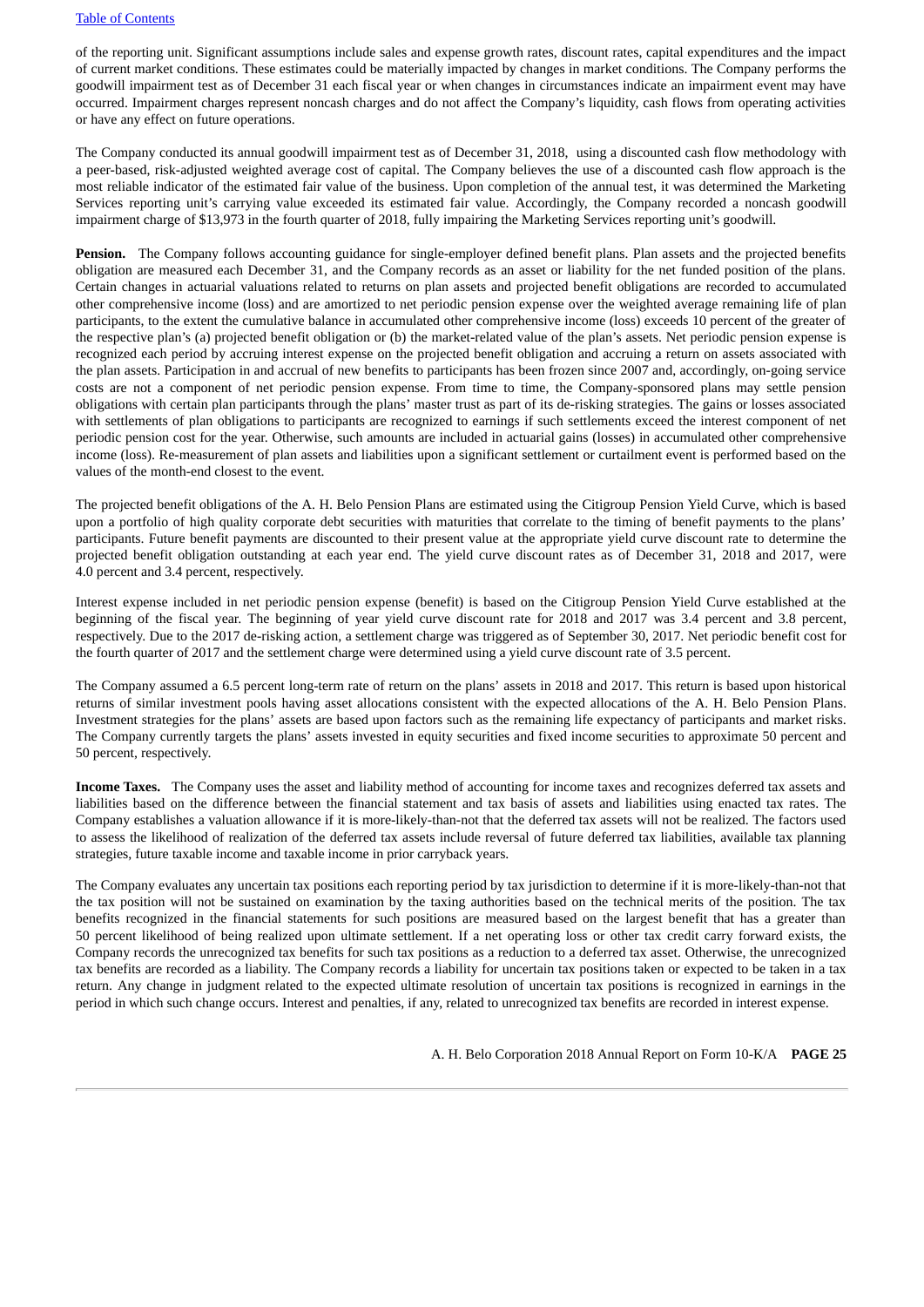of the reporting unit. Significant assumptions include sales and expense growth rates, discount rates, capital expenditures and the impact of current market conditions. These estimates could be materially impacted by changes in market conditions. The Company performs the goodwill impairment test as of December 31 each fiscal year or when changes in circumstances indicate an impairment event may have occurred. Impairment charges represent noncash charges and do not affect the Company's liquidity, cash flows from operating activities or have any effect on future operations.

The Company conducted its annual goodwill impairment test as of December 31, 2018, using a discounted cash flow methodology with a peer-based, risk-adjusted weighted average cost of capital. The Company believes the use of a discounted cash flow approach is the most reliable indicator of the estimated fair value of the business. Upon completion of the annual test, it was determined the Marketing Services reporting unit's carrying value exceeded its estimated fair value. Accordingly, the Company recorded a noncash goodwill impairment charge of \$13,973 in the fourth quarter of 2018, fully impairing the Marketing Services reporting unit's goodwill.

Pension. The Company follows accounting guidance for single-employer defined benefit plans. Plan assets and the projected benefits obligation are measured each December 31, and the Company records as an asset or liability for the net funded position of the plans. Certain changes in actuarial valuations related to returns on plan assets and projected benefit obligations are recorded to accumulated other comprehensive income (loss) and are amortized to net periodic pension expense over the weighted average remaining life of plan participants, to the extent the cumulative balance in accumulated other comprehensive income (loss) exceeds 10 percent of the greater of the respective plan's (a) projected benefit obligation or (b) the market-related value of the plan's assets. Net periodic pension expense is recognized each period by accruing interest expense on the projected benefit obligation and accruing a return on assets associated with the plan assets. Participation in and accrual of new benefits to participants has been frozen since 2007 and, accordingly, on-going service costs are not a component of net periodic pension expense. From time to time, the Company-sponsored plans may settle pension obligations with certain plan participants through the plans' master trust as part of its de-risking strategies. The gains or losses associated with settlements of plan obligations to participants are recognized to earnings if such settlements exceed the interest component of net periodic pension cost for the year. Otherwise, such amounts are included in actuarial gains (losses) in accumulated other comprehensive income (loss). Re-measurement of plan assets and liabilities upon a significant settlement or curtailment event is performed based on the values of the month-end closest to the event.

The projected benefit obligations of the A. H. Belo Pension Plans are estimated using the Citigroup Pension Yield Curve, which is based upon a portfolio of high quality corporate debt securities with maturities that correlate to the timing of benefit payments to the plans' participants. Future benefit payments are discounted to their present value at the appropriate yield curve discount rate to determine the projected benefit obligation outstanding at each year end. The yield curve discount rates as of December 31, 2018 and 2017, were 4.0 percent and 3.4 percent, respectively.

Interest expense included in net periodic pension expense (benefit) is based on the Citigroup Pension Yield Curve established at the beginning of the fiscal year. The beginning of year yield curve discount rate for 2018 and 2017 was 3.4 percent and 3.8 percent, respectively. Due to the 2017 de-risking action, a settlement charge was triggered as of September 30, 2017. Net periodic benefit cost for the fourth quarter of 2017 and the settlement charge were determined using a yield curve discount rate of 3.5 percent.

The Company assumed a 6.5 percent long-term rate of return on the plans' assets in 2018 and 2017. This return is based upon historical returns of similar investment pools having asset allocations consistent with the expected allocations of the A. H. Belo Pension Plans. Investment strategies for the plans' assets are based upon factors such as the remaining life expectancy of participants and market risks. The Company currently targets the plans' assets invested in equity securities and fixed income securities to approximate 50 percent and 50 percent, respectively.

**Income Taxes.** The Company uses the asset and liability method of accounting for income taxes and recognizes deferred tax assets and liabilities based on the difference between the financial statement and tax basis of assets and liabilities using enacted tax rates. The Company establishes a valuation allowance if it is more-likely-than-not that the deferred tax assets will not be realized. The factors used to assess the likelihood of realization of the deferred tax assets include reversal of future deferred tax liabilities, available tax planning strategies, future taxable income and taxable income in prior carryback years.

The Company evaluates any uncertain tax positions each reporting period by tax jurisdiction to determine if it is more-likely-than-not that the tax position will not be sustained on examination by the taxing authorities based on the technical merits of the position. The tax benefits recognized in the financial statements for such positions are measured based on the largest benefit that has a greater than 50 percent likelihood of being realized upon ultimate settlement. If a net operating loss or other tax credit carry forward exists, the Company records the unrecognized tax benefits for such tax positions as a reduction to a deferred tax asset. Otherwise, the unrecognized tax benefits are recorded as a liability. The Company records a liability for uncertain tax positions taken or expected to be taken in a tax return. Any change in judgment related to the expected ultimate resolution of uncertain tax positions is recognized in earnings in the period in which such change occurs. Interest and penalties, if any, related to unrecognized tax benefits are recorded in interest expense.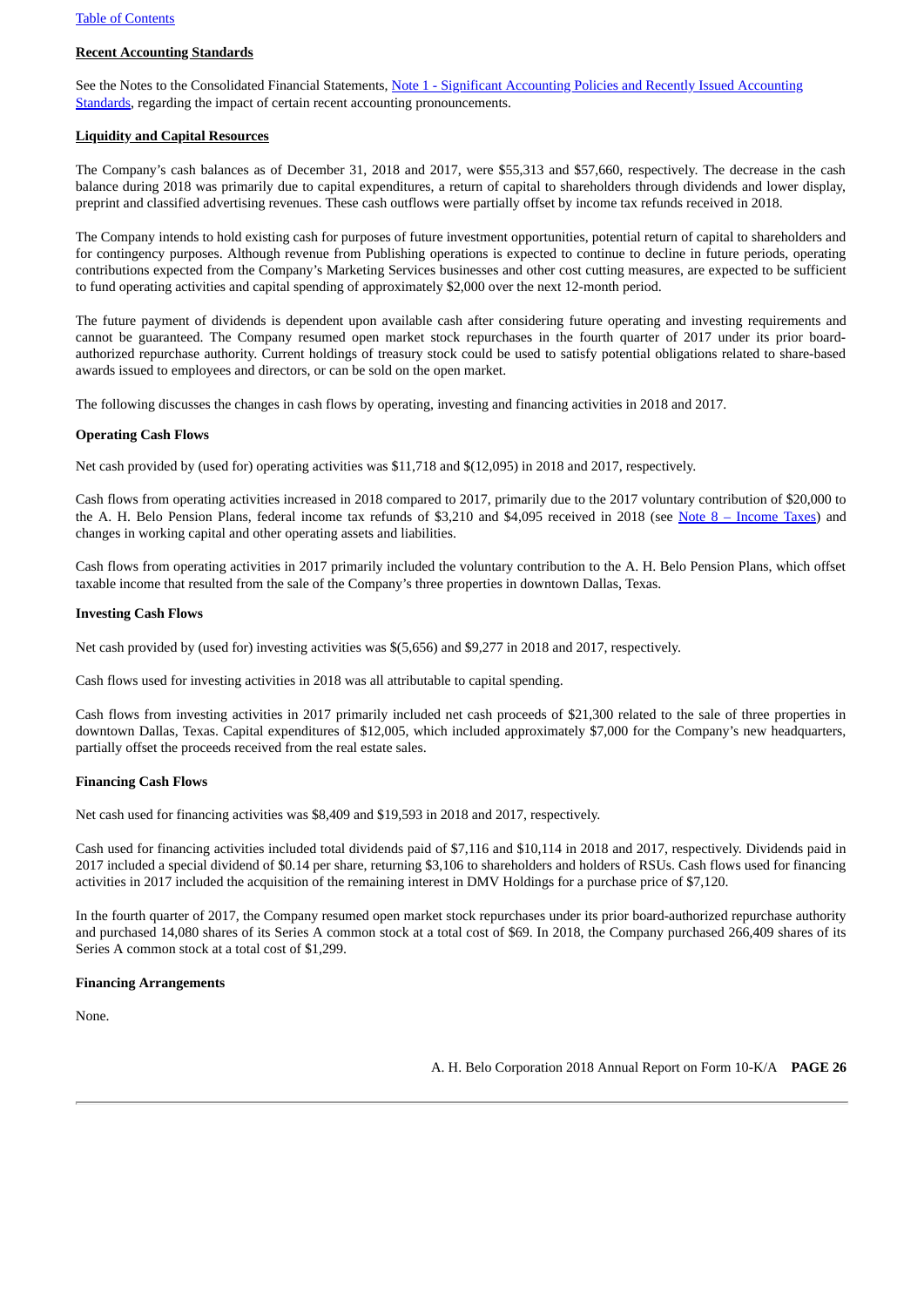# **Recent Accounting Standards**

See the Notes to the Consolidated Financial Statements, Note 1 - Significant Accounting Policies and Recently Issued Accounting Standards, regarding the impact of certain recent accounting [pronouncements.](#page-44-1)

# **Liquidity and Capital Resources**

The Company's cash balances as of December 31, 2018 and 2017, were \$55,313 and \$57,660, respectively. The decrease in the cash balance during 2018 was primarily due to capital expenditures, a return of capital to shareholders through dividends and lower display, preprint and classified advertising revenues. These cash outflows were partially offset by income tax refunds received in 2018.

The Company intends to hold existing cash for purposes of future investment opportunities, potential return of capital to shareholders and for contingency purposes. Although revenue from Publishing operations is expected to continue to decline in future periods, operating contributions expected from the Company's Marketing Services businesses and other cost cutting measures, are expected to be sufficient to fund operating activities and capital spending of approximately \$2,000 over the next 12-month period.

The future payment of dividends is dependent upon available cash after considering future operating and investing requirements and cannot be guaranteed. The Company resumed open market stock repurchases in the fourth quarter of 2017 under its prior boardauthorized repurchase authority. Current holdings of treasury stock could be used to satisfy potential obligations related to share-based awards issued to employees and directors, or can be sold on the open market.

The following discusses the changes in cash flows by operating, investing and financing activities in 2018 and 2017.

#### **Operating Cash Flows**

Net cash provided by (used for) operating activities was \$11,718 and \$(12,095) in 2018 and 2017, respectively.

Cash flows from operating activities increased in 2018 compared to 2017, primarily due to the 2017 voluntary contribution of \$20,000 to the A. H. Belo Pension Plans, federal income tax refunds of \$3,210 and \$4,095 received in 2018 (see Note 8 – [Income](#page-55-0) Taxes) and changes in working capital and other operating assets and liabilities.

Cash flows from operating activities in 2017 primarily included the voluntary contribution to the A. H. Belo Pension Plans, which offset taxable income that resulted from the sale of the Company's three properties in downtown Dallas, Texas.

#### **Investing Cash Flows**

Net cash provided by (used for) investing activities was \$(5,656) and \$9,277 in 2018 and 2017, respectively.

Cash flows used for investing activities in 2018 was all attributable to capital spending.

Cash flows from investing activities in 2017 primarily included net cash proceeds of \$21,300 related to the sale of three properties in downtown Dallas, Texas. Capital expenditures of \$12,005, which included approximately \$7,000 for the Company's new headquarters, partially offset the proceeds received from the real estate sales.

# **Financing Cash Flows**

Net cash used for financing activities was \$8,409 and \$19,593 in 2018 and 2017, respectively.

Cash used for financing activities included total dividends paid of \$7,116 and \$10,114 in 2018 and 2017, respectively. Dividends paid in 2017 included a special dividend of \$0.14 per share, returning \$3,106 to shareholders and holders of RSUs. Cash flows used for financing activities in 2017 included the acquisition of the remaining interest in DMV Holdings for a purchase price of \$7,120.

In the fourth quarter of 2017, the Company resumed open market stock repurchases under its prior board-authorized repurchase authority and purchased 14,080 shares of its Series A common stock at a total cost of \$69. In 2018, the Company purchased 266,409 shares of its Series A common stock at a total cost of \$1,299.

# **Financing Arrangements**

None.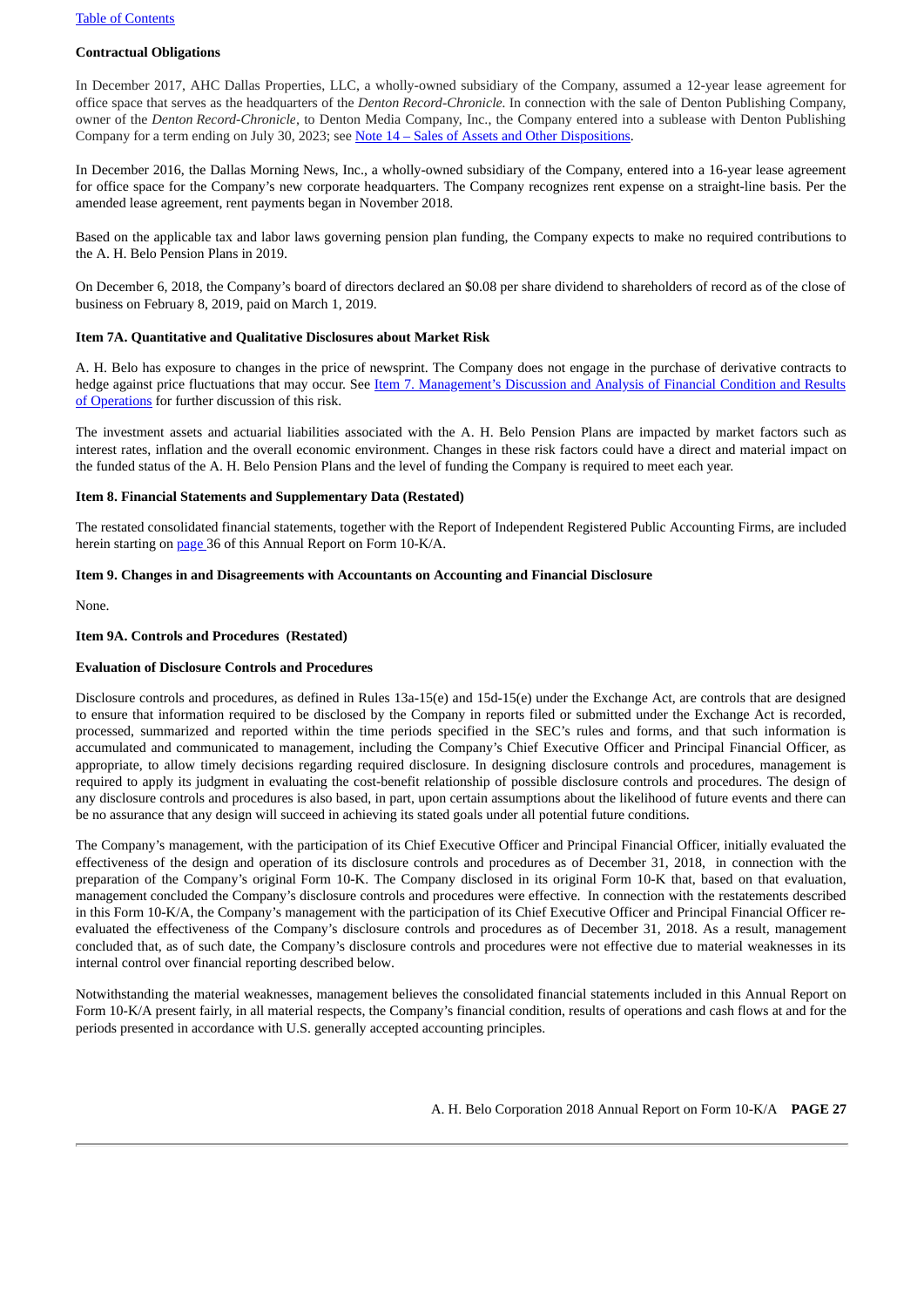# **Contractual Obligations**

In December 2017, AHC Dallas Properties, LLC, a wholly-owned subsidiary of the Company, assumed a 12-year lease agreement for office space that serves as the headquarters of the *Denton Record-Chronicle.* In connection with the sale of Denton Publishing Company, owner of the *Denton Record-Chronicle*, to Denton Media Company, Inc., the Company entered into a sublease with Denton Publishing Company for a term ending on July 30, 2023; see Note 14 – Sales of Assets and Other [Dispositions.](#page-63-0)

In December 2016, the Dallas Morning News, Inc., a wholly-owned subsidiary of the Company, entered into a 16-year lease agreement for office space for the Company's new corporate headquarters. The Company recognizes rent expense on a straight-line basis. Per the amended lease agreement, rent payments began in November 2018.

Based on the applicable tax and labor laws governing pension plan funding, the Company expects to make no required contributions to the A. H. Belo Pension Plans in 2019.

On December 6, 2018, the Company's board of directors declared an \$0.08 per share dividend to shareholders of record as of the close of business on February 8, 2019, paid on March 1, 2019.

#### <span id="page-26-1"></span>**Item 7A. Quantitative and Qualitative Disclosures about Market Risk**

A. H. Belo has exposure to changes in the price of newsprint. The Company does not engage in the purchase of derivative contracts to hedge against price fluctuations that may occur. See <u>Item 7. [Management's](#page-17-1) Discussion and Analysis of Financial Condition and Results</u> of Operations for further discussion of this risk.

The investment assets and actuarial liabilities associated with the A. H. Belo Pension Plans are impacted by market factors such as interest rates, inflation and the overall economic environment. Changes in these risk factors could have a direct and material impact on the funded status of the A. H. Belo Pension Plans and the level of funding the Company is required to meet each year.

#### <span id="page-26-3"></span><span id="page-26-2"></span>**Item 8. Financial Statements and Supplementary Data (Restated)**

The restated consolidated financial statements, together with the Report of Independent Registered Public Accounting Firms, are included herein starting on [page](#page-35-0) 36 of this Annual Report on Form 10-K/A.

#### <span id="page-26-4"></span>**Item 9. Changes in and Disagreements with Accountants on Accounting and Financial Disclosure**

None.

#### <span id="page-26-5"></span><span id="page-26-0"></span>**Item 9A. Controls and Procedures (Restated)**

# **Evaluation of Disclosure Controls and Procedures**

Disclosure controls and procedures, as defined in Rules 13a-15(e) and 15d-15(e) under the Exchange Act, are controls that are designed to ensure that information required to be disclosed by the Company in reports filed or submitted under the Exchange Act is recorded, processed, summarized and reported within the time periods specified in the SEC's rules and forms, and that such information is accumulated and communicated to management, including the Company's Chief Executive Officer and Principal Financial Officer, as appropriate, to allow timely decisions regarding required disclosure. In designing disclosure controls and procedures, management is required to apply its judgment in evaluating the cost-benefit relationship of possible disclosure controls and procedures. The design of any disclosure controls and procedures is also based, in part, upon certain assumptions about the likelihood of future events and there can be no assurance that any design will succeed in achieving its stated goals under all potential future conditions.

The Company's management, with the participation of its Chief Executive Officer and Principal Financial Officer, initially evaluated the effectiveness of the design and operation of its disclosure controls and procedures as of December 31, 2018, in connection with the preparation of the Company's original Form 10-K. The Company disclosed in its original Form 10-K that, based on that evaluation, management concluded the Company's disclosure controls and procedures were effective. In connection with the restatements described in this Form 10-K/A, the Company's management with the participation of its Chief Executive Officer and Principal Financial Officer reevaluated the effectiveness of the Company's disclosure controls and procedures as of December 31, 2018. As a result, management concluded that, as of such date, the Company's disclosure controls and procedures were not effective due to material weaknesses in its internal control over financial reporting described below.

Notwithstanding the material weaknesses, management believes the consolidated financial statements included in this Annual Report on Form 10-K/A present fairly, in all material respects, the Company's financial condition, results of operations and cash flows at and for the periods presented in accordance with U.S. generally accepted accounting principles.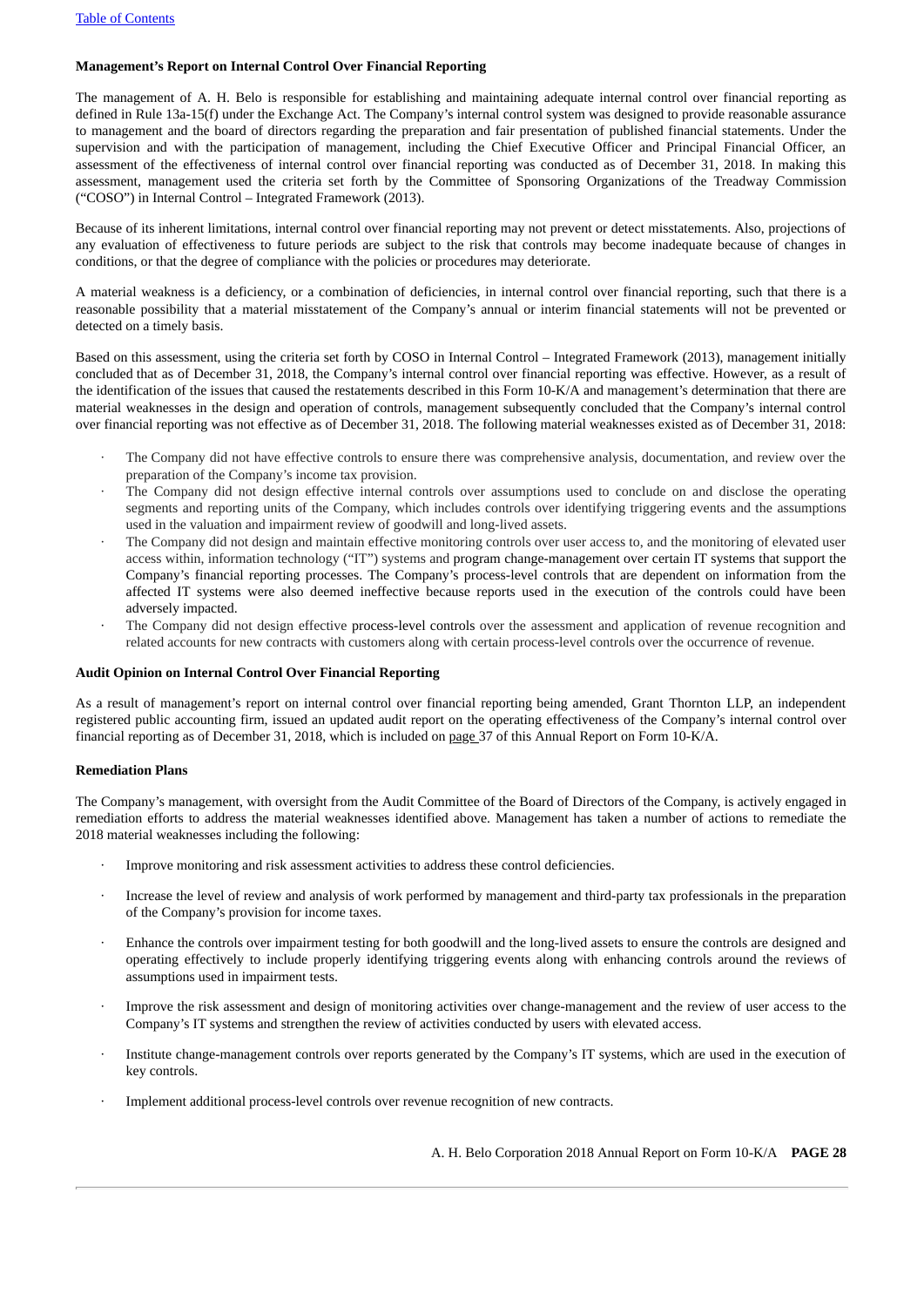# **Management's Report on Internal Control Over Financial Reporting**

The management of A. H. Belo is responsible for establishing and maintaining adequate internal control over financial reporting as defined in Rule 13a-15(f) under the Exchange Act. The Company's internal control system was designed to provide reasonable assurance to management and the board of directors regarding the preparation and fair presentation of published financial statements. Under the supervision and with the participation of management, including the Chief Executive Officer and Principal Financial Officer, an assessment of the effectiveness of internal control over financial reporting was conducted as of December 31, 2018. In making this assessment, management used the criteria set forth by the Committee of Sponsoring Organizations of the Treadway Commission ("COSO") in Internal Control – Integrated Framework (2013).

Because of its inherent limitations, internal control over financial reporting may not prevent or detect misstatements. Also, projections of any evaluation of effectiveness to future periods are subject to the risk that controls may become inadequate because of changes in conditions, or that the degree of compliance with the policies or procedures may deteriorate.

A material weakness is a deficiency, or a combination of deficiencies, in internal control over financial reporting, such that there is a reasonable possibility that a material misstatement of the Company's annual or interim financial statements will not be prevented or detected on a timely basis.

Based on this assessment, using the criteria set forth by COSO in Internal Control – Integrated Framework (2013), management initially concluded that as of December 31, 2018, the Company's internal control over financial reporting was effective. However, as a result of the identification of the issues that caused the restatements described in this Form 10-K/A and management's determination that there are material weaknesses in the design and operation of controls, management subsequently concluded that the Company's internal control over financial reporting was not effective as of December 31, 2018. The following material weaknesses existed as of December 31, 2018:

- The Company did not have effective controls to ensure there was comprehensive analysis, documentation, and review over the preparation of the Company's income tax provision.
- The Company did not design effective internal controls over assumptions used to conclude on and disclose the operating segments and reporting units of the Company, which includes controls over identifying triggering events and the assumptions used in the valuation and impairment review of goodwill and long-lived assets.
- The Company did not design and maintain effective monitoring controls over user access to, and the monitoring of elevated user access within, information technology ("IT") systems and program change-management over certain IT systems that support the Company's financial reporting processes. The Company's process-level controls that are dependent on information from the affected IT systems were also deemed ineffective because reports used in the execution of the controls could have been adversely impacted.
- The Company did not design effective process-level controls over the assessment and application of revenue recognition and related accounts for new contracts with customers along with certain process-level controls over the occurrence of revenue.

#### **Audit Opinion on Internal Control Over Financial Reporting**

As a result of management's report on internal control over financial reporting being amended, Grant Thornton LLP, an independent registered public accounting firm, issued an updated audit report on the operating effectiveness of the Company's internal control over financial reporting as of December 31, 2018, which is included on [page](#page-36-0) 37 of this Annual Report on Form 10-K/A.

# **Remediation Plans**

The Company's management, with oversight from the Audit Committee of the Board of Directors of the Company, is actively engaged in remediation efforts to address the material weaknesses identified above. Management has taken a number of actions to remediate the 2018 material weaknesses including the following:

- · Improve monitoring and risk assessment activities to address these control deficiencies.
- · Increase the level of review and analysis of work performed by management and third-party tax professionals in the preparation of the Company's provision for income taxes.
- Enhance the controls over impairment testing for both goodwill and the long-lived assets to ensure the controls are designed and operating effectively to include properly identifying triggering events along with enhancing controls around the reviews of assumptions used in impairment tests.
- Improve the risk assessment and design of monitoring activities over change-management and the review of user access to the Company's IT systems and strengthen the review of activities conducted by users with elevated access.
- Institute change-management controls over reports generated by the Company's IT systems, which are used in the execution of key controls.
- Implement additional process-level controls over revenue recognition of new contracts.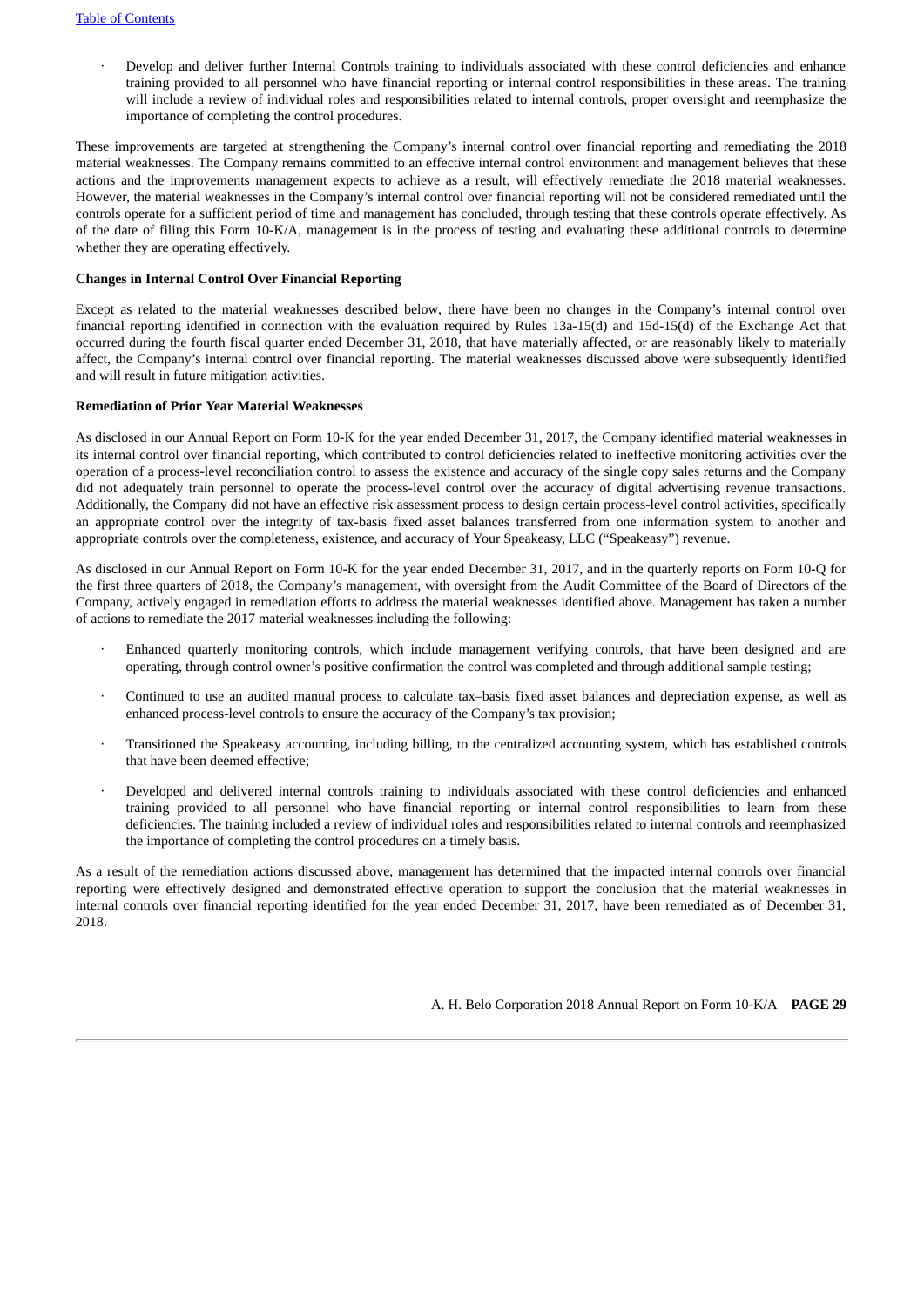Develop and deliver further Internal Controls training to individuals associated with these control deficiencies and enhance training provided to all personnel who have financial reporting or internal control responsibilities in these areas. The training will include a review of individual roles and responsibilities related to internal controls, proper oversight and reemphasize the importance of completing the control procedures.

These improvements are targeted at strengthening the Company's internal control over financial reporting and remediating the 2018 material weaknesses. The Company remains committed to an effective internal control environment and management believes that these actions and the improvements management expects to achieve as a result, will effectively remediate the 2018 material weaknesses. However, the material weaknesses in the Company's internal control over financial reporting will not be considered remediated until the controls operate for a sufficient period of time and management has concluded, through testing that these controls operate effectively. As of the date of filing this Form 10-K/A, management is in the process of testing and evaluating these additional controls to determine whether they are operating effectively.

## **Changes in Internal Control Over Financial Reporting**

Except as related to the material weaknesses described below, there have been no changes in the Company's internal control over financial reporting identified in connection with the evaluation required by Rules 13a-15(d) and 15d-15(d) of the Exchange Act that occurred during the fourth fiscal quarter ended December 31, 2018, that have materially affected, or are reasonably likely to materially affect, the Company's internal control over financial reporting. The material weaknesses discussed above were subsequently identified and will result in future mitigation activities.

#### **Remediation of Prior Year Material Weaknesses**

As disclosed in our Annual Report on Form 10-K for the year ended December 31, 2017, the Company identified material weaknesses in its internal control over financial reporting, which contributed to control deficiencies related to ineffective monitoring activities over the operation of a process-level reconciliation control to assess the existence and accuracy of the single copy sales returns and the Company did not adequately train personnel to operate the process-level control over the accuracy of digital advertising revenue transactions. Additionally, the Company did not have an effective risk assessment process to design certain process-level control activities, specifically an appropriate control over the integrity of tax-basis fixed asset balances transferred from one information system to another and appropriate controls over the completeness, existence, and accuracy of Your Speakeasy, LLC ("Speakeasy") revenue.

As disclosed in our Annual Report on Form 10-K for the year ended December 31, 2017, and in the quarterly reports on Form 10-Q for the first three quarters of 2018, the Company's management, with oversight from the Audit Committee of the Board of Directors of the Company, actively engaged in remediation efforts to address the material weaknesses identified above. Management has taken a number of actions to remediate the 2017 material weaknesses including the following:

- Enhanced quarterly monitoring controls, which include management verifying controls, that have been designed and are operating, through control owner's positive confirmation the control was completed and through additional sample testing;
- Continued to use an audited manual process to calculate tax-basis fixed asset balances and depreciation expense, as well as enhanced process-level controls to ensure the accuracy of the Company's tax provision;
- · Transitioned the Speakeasy accounting, including billing, to the centralized accounting system, which has established controls that have been deemed effective;
- Developed and delivered internal controls training to individuals associated with these control deficiencies and enhanced training provided to all personnel who have financial reporting or internal control responsibilities to learn from these deficiencies. The training included a review of individual roles and responsibilities related to internal controls and reemphasized the importance of completing the control procedures on a timely basis.

As a result of the remediation actions discussed above, management has determined that the impacted internal controls over financial reporting were effectively designed and demonstrated effective operation to support the conclusion that the material weaknesses in internal controls over financial reporting identified for the year ended December 31, 2017, have been remediated as of December 31, 2018.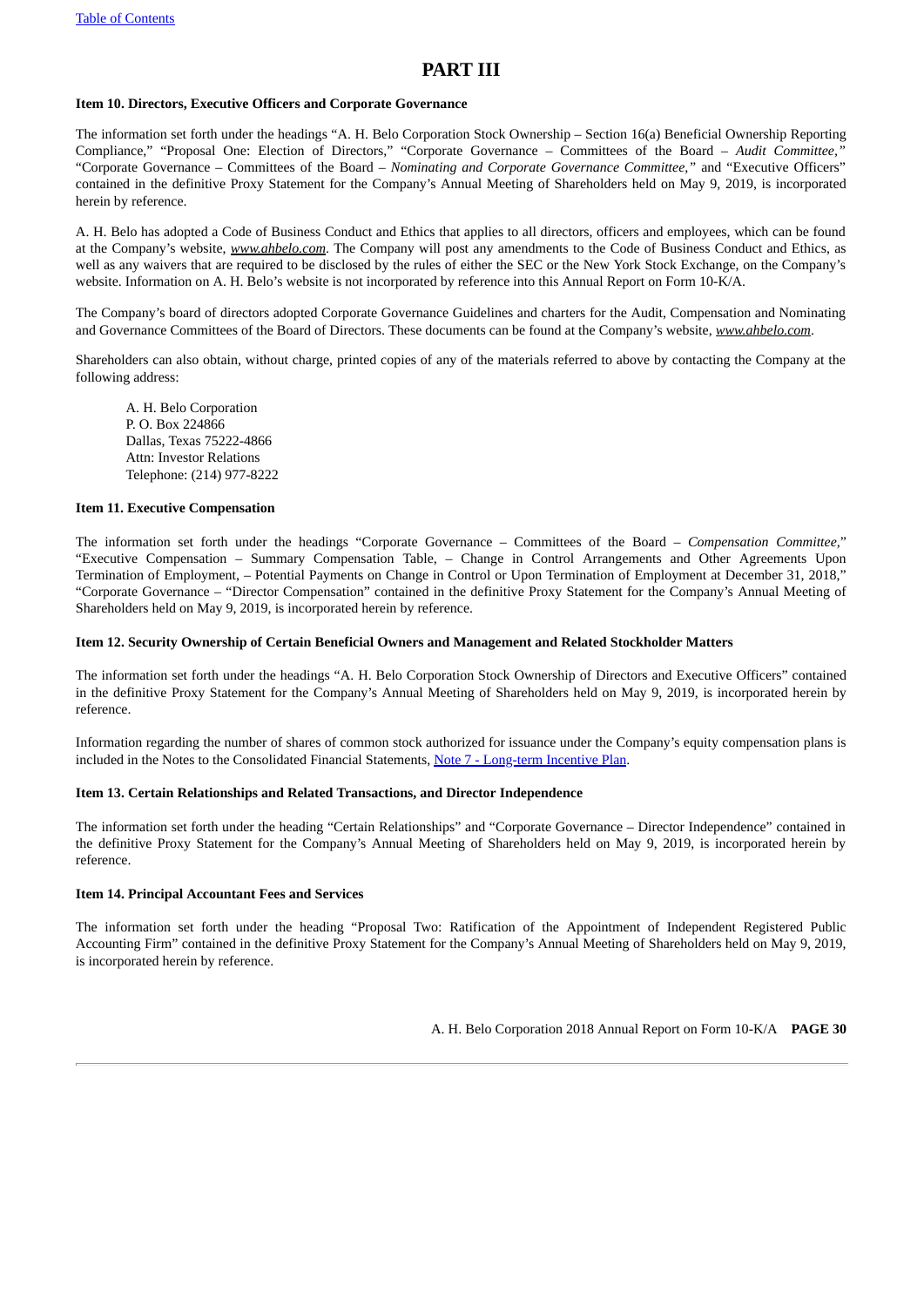# **PART III**

# <span id="page-29-1"></span><span id="page-29-0"></span>**Item 10. Directors, Executive Officers and Corporate Governance**

The information set forth under the headings "A. H. Belo Corporation Stock Ownership – Section 16(a) Beneficial Ownership Reporting Compliance," "Proposal One: Election of Directors," "Corporate Governance – Committees of the Board – *Audit Committee,"* "Corporate Governance – Committees of the Board – *Nominating and Corporate Governance Committee,"* and "Executive Officers" contained in the definitive Proxy Statement for the Company's Annual Meeting of Shareholders held on May 9, 2019, is incorporated herein by reference.

A. H. Belo has adopted a Code of Business Conduct and Ethics that applies to all directors, officers and employees, which can be found at the Company's website, *www.ahbelo.com*. The Company will post any amendments to the Code of Business Conduct and Ethics, as well as any waivers that are required to be disclosed by the rules of either the SEC or the New York Stock Exchange, on the Company's website. Information on A. H. Belo's website is not incorporated by reference into this Annual Report on Form 10-K/A.

The Company's board of directors adopted Corporate Governance Guidelines and charters for the Audit, Compensation and Nominating and Governance Committees of the Board of Directors. These documents can be found at the Company's website, *www.ahbelo.com*.

Shareholders can also obtain, without charge, printed copies of any of the materials referred to above by contacting the Company at the following address:

A. H. Belo Corporation P. O. Box 224866 Dallas, Texas 75222-4866 Attn: Investor Relations Telephone: (214) 977-8222

#### <span id="page-29-2"></span>**Item 11. Executive Compensation**

The information set forth under the headings "Corporate Governance – Committees of the Board – *Compensation Committee,*" "Executive Compensation – Summary Compensation Table, – Change in Control Arrangements and Other Agreements Upon Termination of Employment, – Potential Payments on Change in Control or Upon Termination of Employment at December 31, 2018," "Corporate Governance – "Director Compensation" contained in the definitive Proxy Statement for the Company's Annual Meeting of Shareholders held on May 9, 2019, is incorporated herein by reference.

#### <span id="page-29-3"></span>**Item 12. Security Ownership of Certain Beneficial Owners and Management and Related Stockholder Matters**

The information set forth under the headings "A. H. Belo Corporation Stock Ownership of Directors and Executive Officers" contained in the definitive Proxy Statement for the Company's Annual Meeting of Shareholders held on May 9, 2019, is incorporated herein by reference.

Information regarding the number of shares of common stock authorized for issuance under the Company's equity compensation plans is included in the Notes to the Consolidated Financial Statements, Note 7 - [Long-term](#page-54-0) Incentive Plan.

# <span id="page-29-4"></span>**Item 13. Certain Relationships and Related Transactions, and Director Independence**

The information set forth under the heading "Certain Relationships" and "Corporate Governance – Director Independence" contained in the definitive Proxy Statement for the Company's Annual Meeting of Shareholders held on May 9, 2019, is incorporated herein by reference.

# <span id="page-29-5"></span>**Item 14. Principal Accountant Fees and Services**

The information set forth under the heading "Proposal Two: Ratification of the Appointment of Independent Registered Public Accounting Firm" contained in the definitive Proxy Statement for the Company's Annual Meeting of Shareholders held on May 9, 2019, is incorporated herein by reference.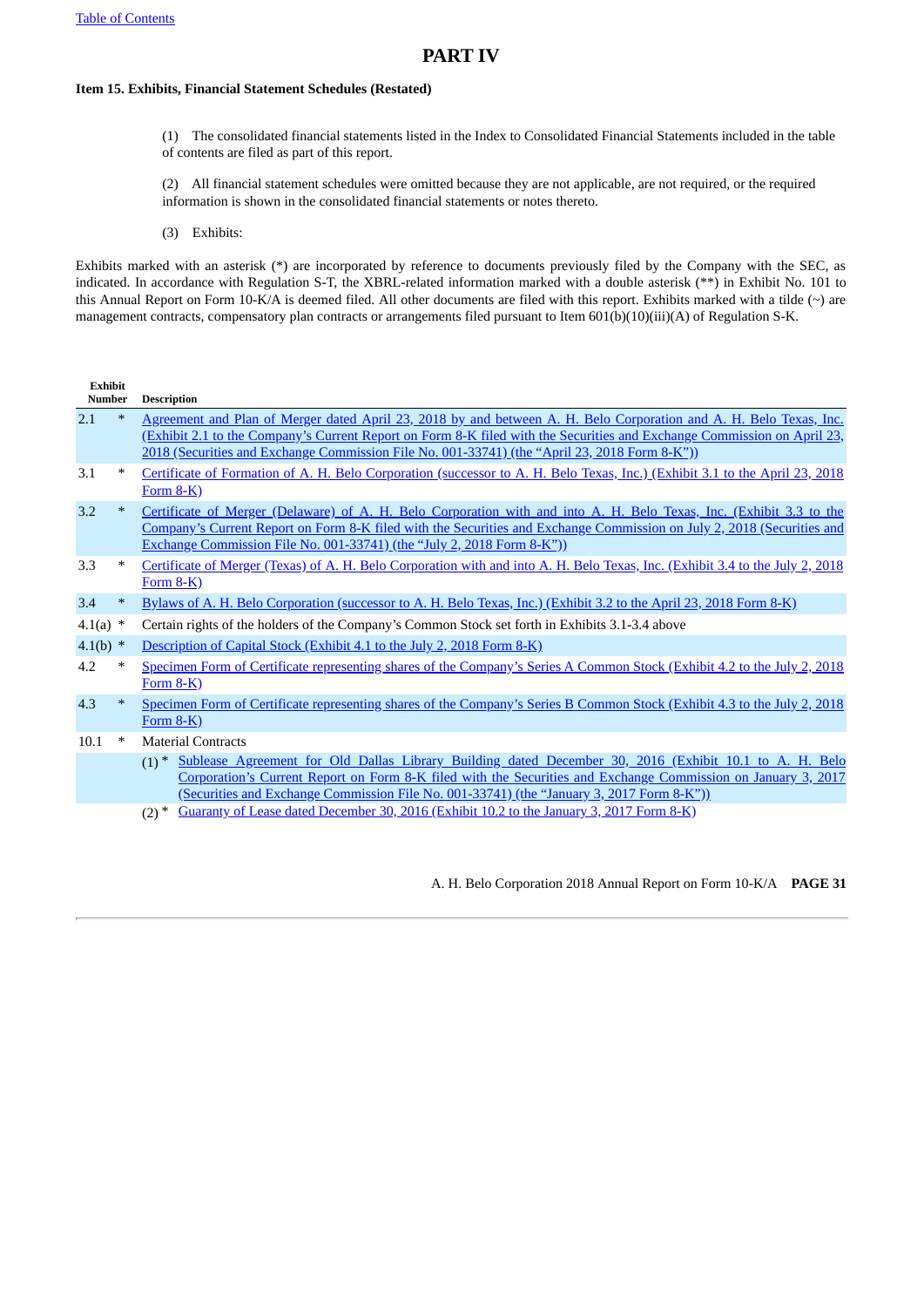# <span id="page-30-2"></span><span id="page-30-1"></span><span id="page-30-0"></span>**Item 15. Exhibits, Financial Statement Schedules (Restated)**

(1) The consolidated financial statements listed in the Index to Consolidated Financial Statements included in the table of contents are filed as part of this report.

(2) All financial statement schedules were omitted because they are not applicable, are not required, or the required information is shown in the consolidated financial statements or notes thereto.

(3) Exhibits:

Exhibits marked with an asterisk (\*) are incorporated by reference to documents previously filed by the Company with the SEC, as indicated. In accordance with Regulation S-T, the XBRL-related information marked with a double asterisk (\*\*) in Exhibit No. 101 to this Annual Report on Form 10-K/A is deemed filed. All other documents are filed with this report. Exhibits marked with a tilde  $(\sim)$  are management contracts, compensatory plan contracts or arrangements filed pursuant to Item 601(b)(10)(iii)(A) of Regulation S-K.

| Exhibit<br><b>Number</b> |        | <b>Description</b>                                                                                                                          |
|--------------------------|--------|---------------------------------------------------------------------------------------------------------------------------------------------|
| 2.1                      | $\ast$ | Agreement and Plan of Merger dated April 23, 2018 by and between A. H. Belo Corporation and A. H. Belo Texas, Inc.                          |
|                          |        | (Exhibit 2.1 to the Company's Current Report on Form 8-K filed with the Securities and Exchange Commission on April 23,                     |
|                          |        | 2018 (Securities and Exchange Commission File No. 001-33741) (the "April 23, 2018 Form 8-K")).                                              |
| 3.1                      | $\ast$ | Certificate of Formation of A. H. Belo Corporation (successor to A. H. Belo Texas, Inc.) (Exhibit 3.1 to the April 23, 2018<br>Form $8-K$ ) |
| 3.2                      | $\ast$ | Certificate of Merger (Delaware) of A. H. Belo Corporation with and into A. H. Belo Texas, Inc. (Exhibit 3.3 to the                         |
|                          |        | Company's Current Report on Form 8-K filed with the Securities and Exchange Commission on July 2, 2018 (Securities and                      |
|                          |        | Exchange Commission File No. 001-33741) (the "July 2, 2018 Form 8-K"))                                                                      |
| 3.3                      | $\ast$ | Certificate of Merger (Texas) of A. H. Belo Corporation with and into A. H. Belo Texas, Inc. (Exhibit 3.4 to the July 2, 2018               |
|                          |        | Form $8-K$ )                                                                                                                                |
| 3.4                      | $\ast$ | Bylaws of A. H. Belo Corporation (successor to A. H. Belo Texas, Inc.) (Exhibit 3.2 to the April 23, 2018 Form 8-K)                         |
| 4.1(a) $*$               |        | Certain rights of the holders of the Company's Common Stock set forth in Exhibits 3.1-3.4 above                                             |
| 4.1(b) $*$               |        | Description of Capital Stock (Exhibit 4.1 to the July 2, 2018 Form 8-K)                                                                     |
| 4.2                      | $\ast$ | Specimen Form of Certificate representing shares of the Company's Series A Common Stock (Exhibit 4.2 to the July 2, 2018                    |
|                          |        | Form $8-K$ )                                                                                                                                |
| 4.3                      | $\ast$ | Specimen Form of Certificate representing shares of the Company's Series B Common Stock (Exhibit 4.3 to the July 2, 2018                    |
|                          |        | Form $8-K$ )                                                                                                                                |
| 10.1                     | $\ast$ | <b>Material Contracts</b>                                                                                                                   |
|                          |        | Sublease Agreement for Old Dallas Library Building dated December 30, 2016 (Exhibit 10.1 to A. H. Belo<br>$(1)$ <sup>*</sup>                |
|                          |        | Corporation's Current Report on Form 8-K filed with the Securities and Exchange Commission on January 3, 2017                               |
|                          |        | (Securities and Exchange Commission File No. 001-33741) (the "January 3, 2017 Form 8-K"))                                                   |
|                          |        | Guaranty of Lease dated December 30, 2016 (Exhibit 10.2 to the January 3, 2017 Form 8-K)<br>$(2)$ <sup>*</sup>                              |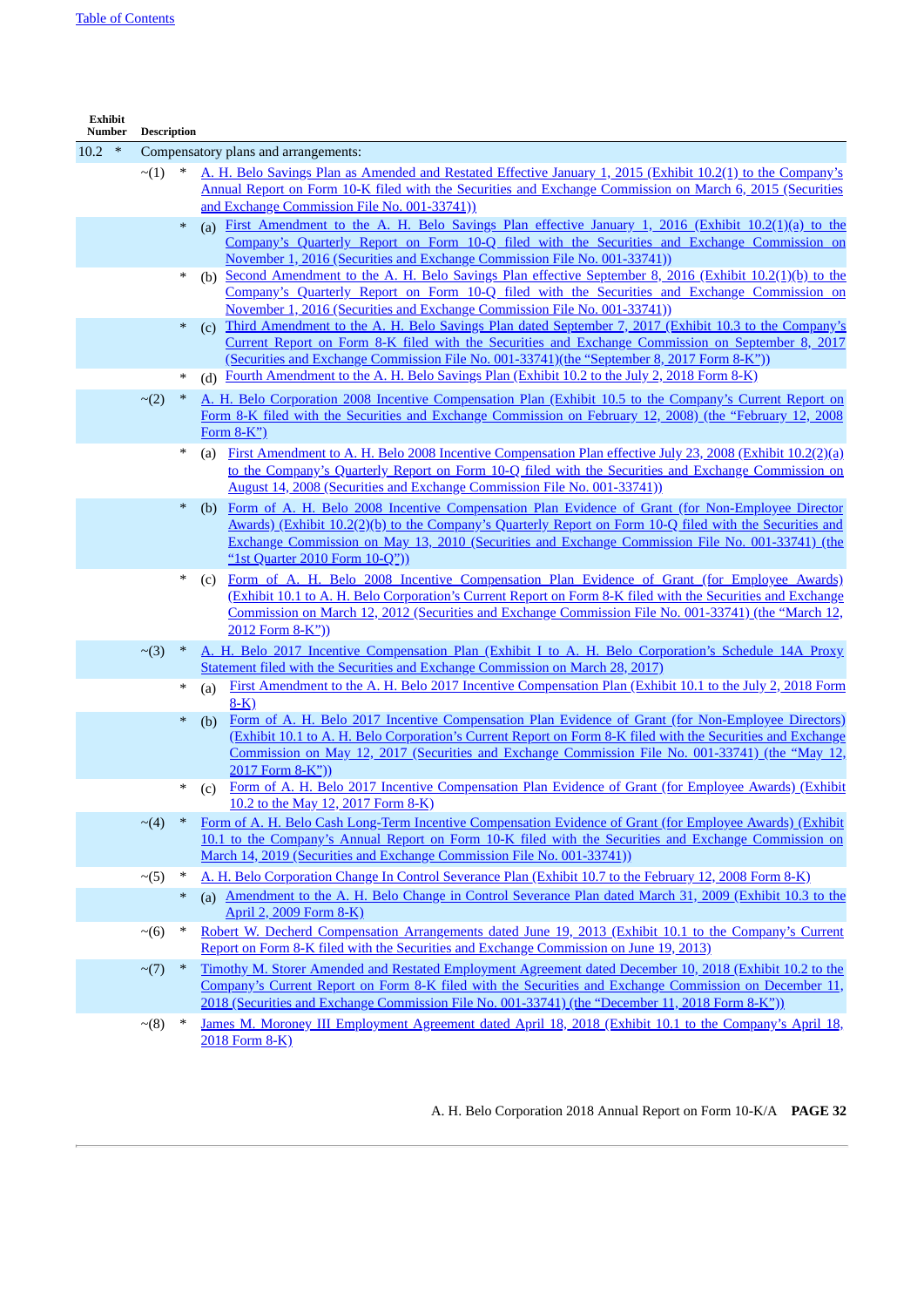| <b>Exhibit</b><br>Number | <b>Description</b> |        |                                                                                                                                                                                                                                                                                                                                                                         |
|--------------------------|--------------------|--------|-------------------------------------------------------------------------------------------------------------------------------------------------------------------------------------------------------------------------------------------------------------------------------------------------------------------------------------------------------------------------|
| $10.2$ *                 |                    |        | Compensatory plans and arrangements:                                                                                                                                                                                                                                                                                                                                    |
|                          | $\sim$ (1)         |        | A. H. Belo Savings Plan as Amended and Restated Effective January 1, 2015 (Exhibit 10.2(1) to the Company's<br>Annual Report on Form 10-K filed with the Securities and Exchange Commission on March 6, 2015 (Securities<br>and Exchange Commission File No. 001-33741)).                                                                                               |
|                          |                    | $\ast$ | (a) First Amendment to the A. H. Belo Savings Plan effective January 1, 2016 (Exhibit 10.2(1)(a) to the<br>Company's Quarterly Report on Form 10-Q filed with the Securities and Exchange Commission on                                                                                                                                                                 |
|                          |                    | $\ast$ | November 1, 2016 (Securities and Exchange Commission File No. 001-33741))<br>Second Amendment to the A. H. Belo Savings Plan effective September 8, 2016 (Exhibit 10.2(1)(b) to the<br>(b)<br>Company's Quarterly Report on Form 10-Q filed with the Securities and Exchange Commission on<br>November 1, 2016 (Securities and Exchange Commission File No. 001-33741)) |
|                          |                    | $\ast$ | (c) Third Amendment to the A. H. Belo Savings Plan dated September 7, 2017 (Exhibit 10.3 to the Company's<br>Current Report on Form 8-K filed with the Securities and Exchange Commission on September 8, 2017<br>(Securities and Exchange Commission File No. 001-33741)(the "September 8, 2017 Form 8-K")).                                                           |
|                          |                    | *      | (d) Fourth Amendment to the A. H. Belo Savings Plan (Exhibit 10.2 to the July 2, 2018 Form 8-K)                                                                                                                                                                                                                                                                         |
|                          | $\sim$ (2)         | $\ast$ | A. H. Belo Corporation 2008 Incentive Compensation Plan (Exhibit 10.5 to the Company's Current Report on<br>Form 8-K filed with the Securities and Exchange Commission on February 12, 2008) (the "February 12, 2008<br>Form $8-K$ ")                                                                                                                                   |
|                          |                    | *      | (a) First Amendment to A. H. Belo 2008 Incentive Compensation Plan effective July 23, 2008 (Exhibit 10.2(2)(a)<br>to the Company's Quarterly Report on Form 10-Q filed with the Securities and Exchange Commission on<br>August 14, 2008 (Securities and Exchange Commission File No. 001-33741))                                                                       |
|                          |                    | $\ast$ | Form of A. H. Belo 2008 Incentive Compensation Plan Evidence of Grant (for Non-Employee Director<br>(b)<br>Awards) (Exhibit 10.2(2)(b) to the Company's Quarterly Report on Form 10-Q filed with the Securities and<br>Exchange Commission on May 13, 2010 (Securities and Exchange Commission File No. 001-33741) (the<br>"1st Quarter 2010 Form 10-Q"))               |
|                          |                    | *      | Form of A. H. Belo 2008 Incentive Compensation Plan Evidence of Grant (for Employee Awards).<br>(C)<br>(Exhibit 10.1 to A. H. Belo Corporation's Current Report on Form 8-K filed with the Securities and Exchange<br>Commission on March 12, 2012 (Securities and Exchange Commission File No. 001-33741) (the "March 12,<br>2012 Form 8-K"))                          |
|                          | $\sim$ (3)         | $\ast$ | A. H. Belo 2017 Incentive Compensation Plan (Exhibit I to A. H. Belo Corporation's Schedule 14A Proxy<br>Statement filed with the Securities and Exchange Commission on March 28, 2017)                                                                                                                                                                                 |
|                          |                    | $\ast$ | First Amendment to the A. H. Belo 2017 Incentive Compensation Plan (Exhibit 10.1 to the July 2, 2018 Form<br>(a)<br>$8-K$                                                                                                                                                                                                                                               |
|                          |                    | ∗      | Form of A. H. Belo 2017 Incentive Compensation Plan Evidence of Grant (for Non-Employee Directors)<br>(b)<br>(Exhibit 10.1 to A. H. Belo Corporation's Current Report on Form 8-K filed with the Securities and Exchange<br>Commission on May 12, 2017 (Securities and Exchange Commission File No. 001-33741) (the "May 12,<br>2017 Form 8-K"))                        |
|                          |                    | *      | Form of A. H. Belo 2017 Incentive Compensation Plan Evidence of Grant (for Employee Awards) (Exhibit<br>(c)<br><u>10.2 to the May 12, 2017 Form 8-K)</u>                                                                                                                                                                                                                |
|                          | $\sim$ (4)         | $\ast$ | Form of A. H. Belo Cash Long-Term Incentive Compensation Evidence of Grant (for Employee Awards) (Exhibit<br><u>10.1 to the Company's Annual Report on Form 10-K filed with the Securities and Exchange Commission on</u><br>March 14, 2019 (Securities and Exchange Commission File No. 001-33741))                                                                    |
|                          | $\sim$ (5)         | $\ast$ | A. H. Belo Corporation Change In Control Severance Plan (Exhibit 10.7 to the February 12, 2008 Form 8-K)                                                                                                                                                                                                                                                                |
|                          |                    | $\ast$ | (a) Amendment to the A. H. Belo Change in Control Severance Plan dated March 31, 2009 (Exhibit 10.3 to the<br>April 2, 2009 Form 8-K)                                                                                                                                                                                                                                   |
|                          | $\sim(6)$          | $\ast$ | Robert W. Decherd Compensation Arrangements dated June 19, 2013 (Exhibit 10.1 to the Company's Current<br>Report on Form 8-K filed with the Securities and Exchange Commission on June 19, 2013)                                                                                                                                                                        |
|                          | $\sim$ (7)         | $\ast$ | Timothy M. Storer Amended and Restated Employment Agreement dated December 10, 2018 (Exhibit 10.2 to the<br><u>Company's Current Report on Form 8-K filed with the Securities and Exchange Commission on December 11,</u><br><u>2018 (Securities and Exchange Commission File No. 001-33741) (the "December 11, 2018 Form 8-K"))</u>                                    |
|                          | $\sim$ (8)         | $\ast$ | <u>James M. Moroney III Employment Agreement dated April 18, 2018 (Exhibit 10.1 to the Company's April 18,</u><br>2018 Form 8-K)                                                                                                                                                                                                                                        |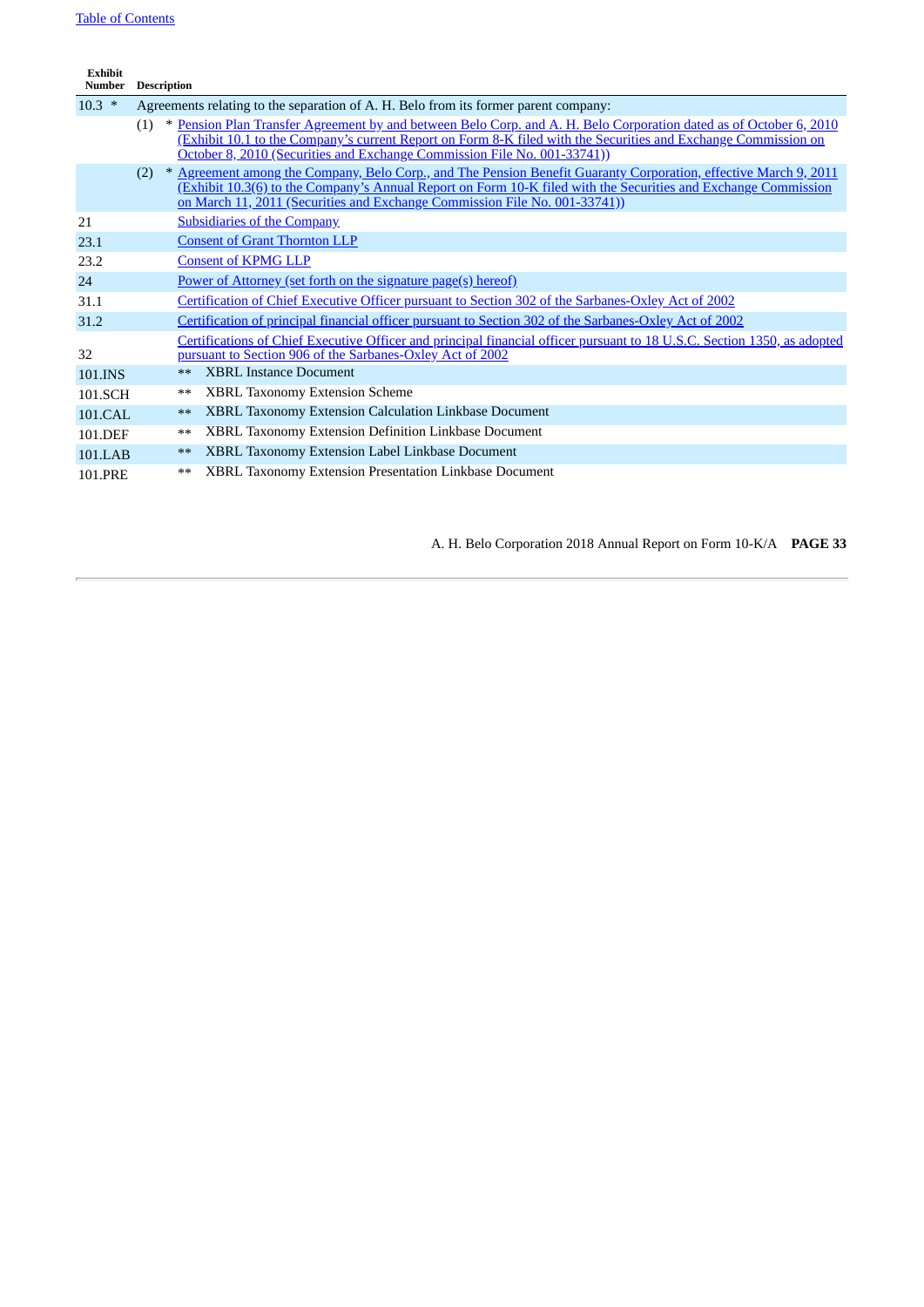| <b>Exhibit</b><br><b>Number</b> | <b>Description</b> |                                                                                                                                                                                                                                                                                                                  |  |  |
|---------------------------------|--------------------|------------------------------------------------------------------------------------------------------------------------------------------------------------------------------------------------------------------------------------------------------------------------------------------------------------------|--|--|
| $10.3 *$                        |                    | Agreements relating to the separation of A. H. Belo from its former parent company:                                                                                                                                                                                                                              |  |  |
|                                 | (1)                | * Pension Plan Transfer Agreement by and between Belo Corp. and A. H. Belo Corporation dated as of October 6, 2010<br>(Exhibit 10.1 to the Company's current Report on Form 8-K filed with the Securities and Exchange Commission on<br>October 8, 2010 (Securities and Exchange Commission File No. 001-33741)) |  |  |
|                                 | (2)                | * Agreement among the Company, Belo Corp., and The Pension Benefit Guaranty Corporation, effective March 9, 2011<br>(Exhibit 10.3(6) to the Company's Annual Report on Form 10-K filed with the Securities and Exchange Commission<br>on March 11, 2011 (Securities and Exchange Commission File No. 001-33741)) |  |  |
| 21                              |                    | <b>Subsidiaries of the Company</b>                                                                                                                                                                                                                                                                               |  |  |
| 23.1                            |                    | <b>Consent of Grant Thornton LLP</b>                                                                                                                                                                                                                                                                             |  |  |
| 23.2                            |                    | <b>Consent of KPMG LLP</b>                                                                                                                                                                                                                                                                                       |  |  |
| 24                              |                    | <b>Power of Attorney (set forth on the signature page(s) hereof)</b>                                                                                                                                                                                                                                             |  |  |
| 31.1                            |                    | <u>Certification of Chief Executive Officer pursuant to Section 302 of the Sarbanes-Oxley Act of 2002</u>                                                                                                                                                                                                        |  |  |
| 31.2                            |                    | Certification of principal financial officer pursuant to Section 302 of the Sarbanes-Oxley Act of 2002                                                                                                                                                                                                           |  |  |
| 32                              |                    | Certifications of Chief Executive Officer and principal financial officer pursuant to 18 U.S.C. Section 1350, as adopted<br>pursuant to Section 906 of the Sarbanes-Oxley Act of 2002                                                                                                                            |  |  |
| 101.INS                         |                    | <b>XBRL Instance Document</b><br>$**$                                                                                                                                                                                                                                                                            |  |  |
| 101.SCH                         |                    | <b>XBRL Taxonomy Extension Scheme</b><br>$**$                                                                                                                                                                                                                                                                    |  |  |
| 101.CAL                         |                    | <b>XBRL Taxonomy Extension Calculation Linkbase Document</b><br>$**$                                                                                                                                                                                                                                             |  |  |
| 101.DEF                         |                    | XBRL Taxonomy Extension Definition Linkbase Document<br>$**$                                                                                                                                                                                                                                                     |  |  |
| 101.LAB                         |                    | XBRL Taxonomy Extension Label Linkbase Document<br>$**$                                                                                                                                                                                                                                                          |  |  |
| 101.PRE                         |                    | XBRL Taxonomy Extension Presentation Linkbase Document<br>$\ast\ast$                                                                                                                                                                                                                                             |  |  |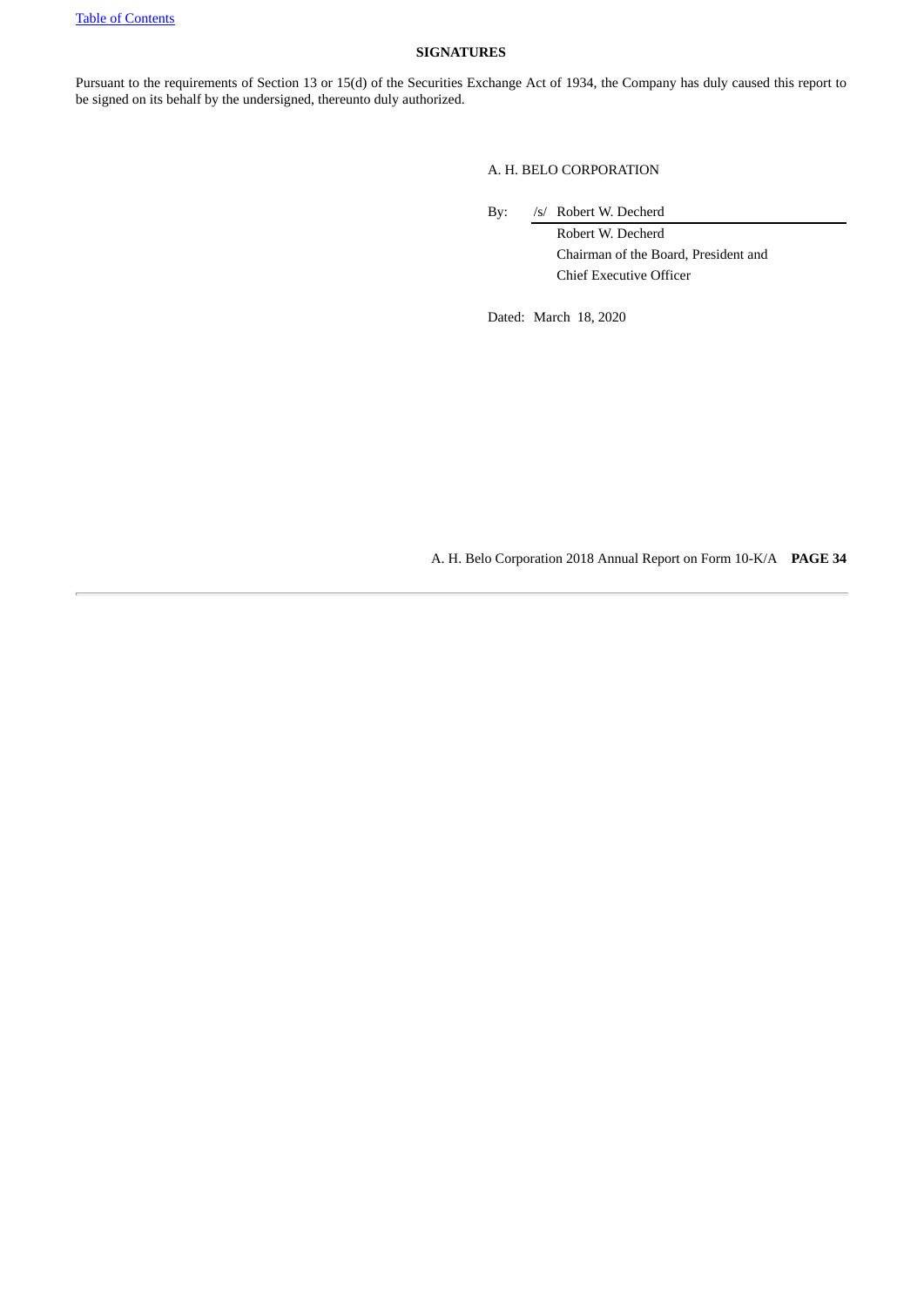# <span id="page-33-0"></span>**SIGNATURES**

Pursuant to the requirements of Section 13 or 15(d) of the Securities Exchange Act of 1934, the Company has duly caused this report to be signed on its behalf by the undersigned, thereunto duly authorized.

A. H. BELO CORPORATION

By: /s/ Robert W. Decherd

Robert W. Decherd Chairman of the Board, President and Chief Executive Officer

Dated: March 18, 2020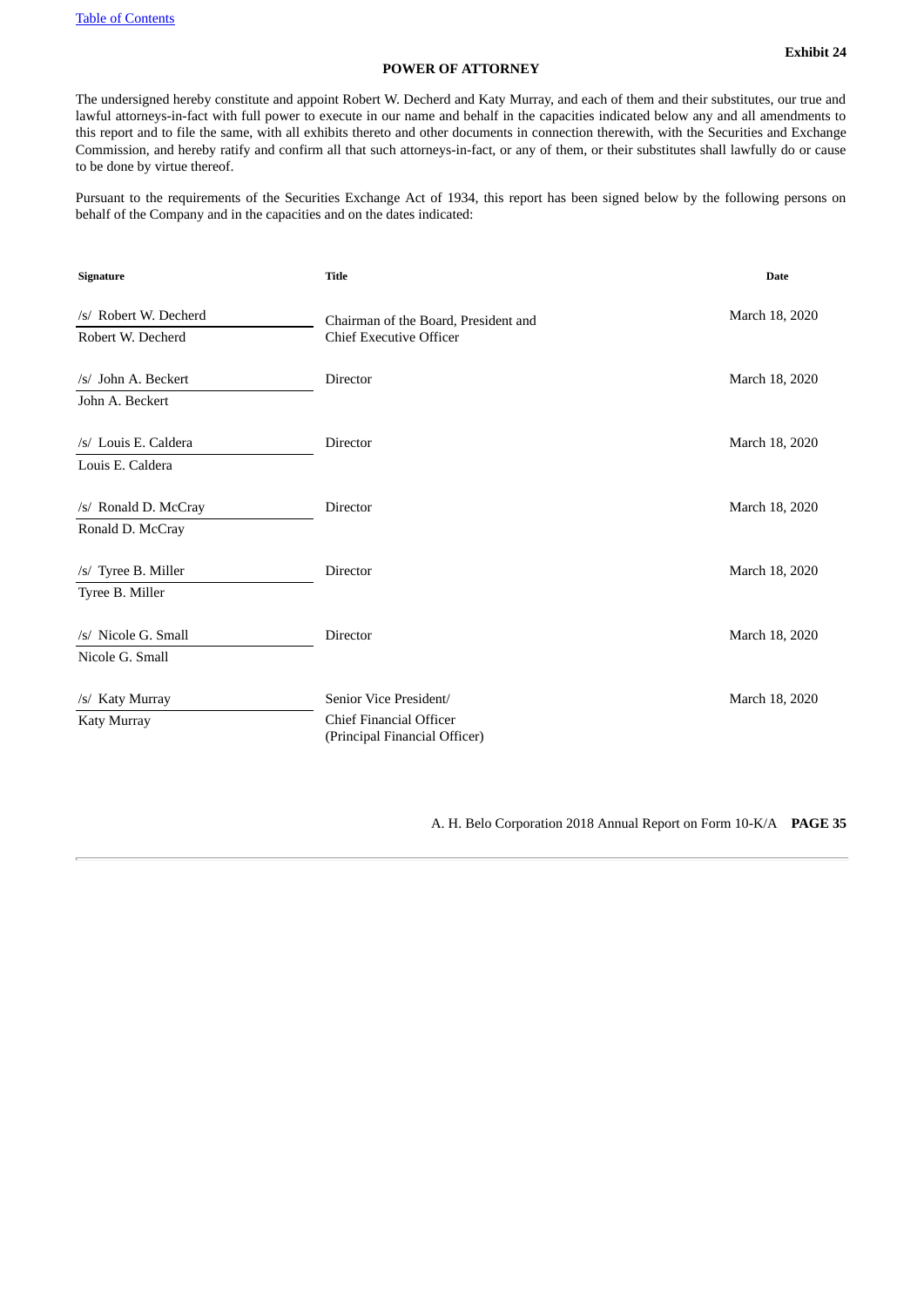#### <span id="page-34-0"></span>**POWER OF ATTORNEY**

The undersigned hereby constitute and appoint Robert W. Decherd and Katy Murray, and each of them and their substitutes, our true and lawful attorneys-in-fact with full power to execute in our name and behalf in the capacities indicated below any and all amendments to this report and to file the same, with all exhibits thereto and other documents in connection therewith, with the Securities and Exchange Commission, and hereby ratify and confirm all that such attorneys-in-fact, or any of them, or their substitutes shall lawfully do or cause to be done by virtue thereof.

Pursuant to the requirements of the Securities Exchange Act of 1934, this report has been signed below by the following persons on behalf of the Company and in the capacities and on the dates indicated:

| <b>Signature</b>      | <b>Title</b>                                             | <b>Date</b>    |
|-----------------------|----------------------------------------------------------|----------------|
| /s/ Robert W. Decherd | Chairman of the Board, President and                     | March 18, 2020 |
| Robert W. Decherd     | <b>Chief Executive Officer</b>                           |                |
| /s/ John A. Beckert   | <b>Director</b>                                          | March 18, 2020 |
| John A. Beckert       |                                                          |                |
| /s/ Louis E. Caldera  | <b>Director</b>                                          | March 18, 2020 |
| Louis E. Caldera      |                                                          |                |
| /s/ Ronald D. McCray  | Director                                                 | March 18, 2020 |
| Ronald D. McCray      |                                                          |                |
| /s/ Tyree B. Miller   | <b>Director</b>                                          | March 18, 2020 |
| Tyree B. Miller       |                                                          |                |
| /s/ Nicole G. Small   | Director                                                 | March 18, 2020 |
| Nicole G. Small       |                                                          |                |
| /s/ Katy Murray       | Senior Vice President/                                   | March 18, 2020 |
| Katy Murray           | Chief Financial Officer<br>(Principal Financial Officer) |                |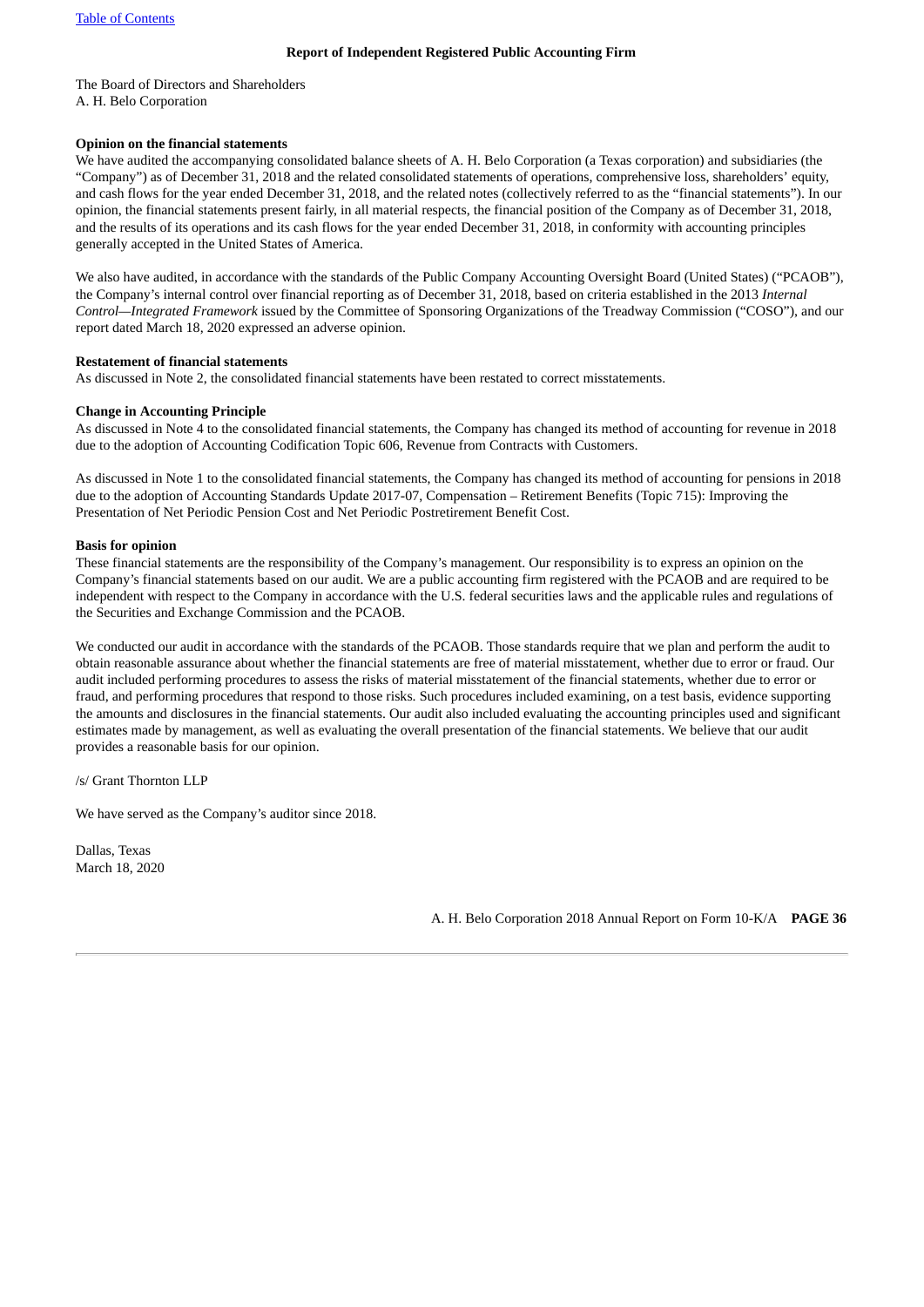# **Report of Independent Registered Public Accounting Firm**

<span id="page-35-0"></span>The Board of Directors and Shareholders A. H. Belo Corporation

# **Opinion on the financial statements**

We have audited the accompanying consolidated balance sheets of A. H. Belo Corporation (a Texas corporation) and subsidiaries (the "Company") as of December 31, 2018 and the related consolidated statements of operations, comprehensive loss, shareholders' equity, and cash flows for the year ended December 31, 2018, and the related notes (collectively referred to as the "financial statements"). In our opinion, the financial statements present fairly, in all material respects, the financial position of the Company as of December 31, 2018, and the results of its operations and its cash flows for the year ended December 31, 2018, in conformity with accounting principles generally accepted in the United States of America.

We also have audited, in accordance with the standards of the Public Company Accounting Oversight Board (United States) ("PCAOB"), the Company's internal control over financial reporting as of December 31, 2018, based on criteria established in the 2013 *Internal Control—Integrated Framework* issued by the Committee of Sponsoring Organizations of the Treadway Commission ("COSO"), and our report dated March 18, 2020 expressed an adverse opinion.

#### **Restatement of financial statements**

As discussed in Note 2, the consolidated financial statements have been restated to correct misstatements.

#### **Change in Accounting Principle**

As discussed in Note 4 to the consolidated financial statements, the Company has changed its method of accounting for revenue in 2018 due to the adoption of Accounting Codification Topic 606, Revenue from Contracts with Customers.

As discussed in Note 1 to the consolidated financial statements, the Company has changed its method of accounting for pensions in 2018 due to the adoption of Accounting Standards Update 2017-07, Compensation – Retirement Benefits (Topic 715): Improving the Presentation of Net Periodic Pension Cost and Net Periodic Postretirement Benefit Cost.

#### **Basis for opinion**

These financial statements are the responsibility of the Company's management. Our responsibility is to express an opinion on the Company's financial statements based on our audit. We are a public accounting firm registered with the PCAOB and are required to be independent with respect to the Company in accordance with the U.S. federal securities laws and the applicable rules and regulations of the Securities and Exchange Commission and the PCAOB.

We conducted our audit in accordance with the standards of the PCAOB. Those standards require that we plan and perform the audit to obtain reasonable assurance about whether the financial statements are free of material misstatement, whether due to error or fraud. Our audit included performing procedures to assess the risks of material misstatement of the financial statements, whether due to error or fraud, and performing procedures that respond to those risks. Such procedures included examining, on a test basis, evidence supporting the amounts and disclosures in the financial statements. Our audit also included evaluating the accounting principles used and significant estimates made by management, as well as evaluating the overall presentation of the financial statements. We believe that our audit provides a reasonable basis for our opinion.

/s/ Grant Thornton LLP

We have served as the Company's auditor since 2018.

Dallas, Texas March 18, 2020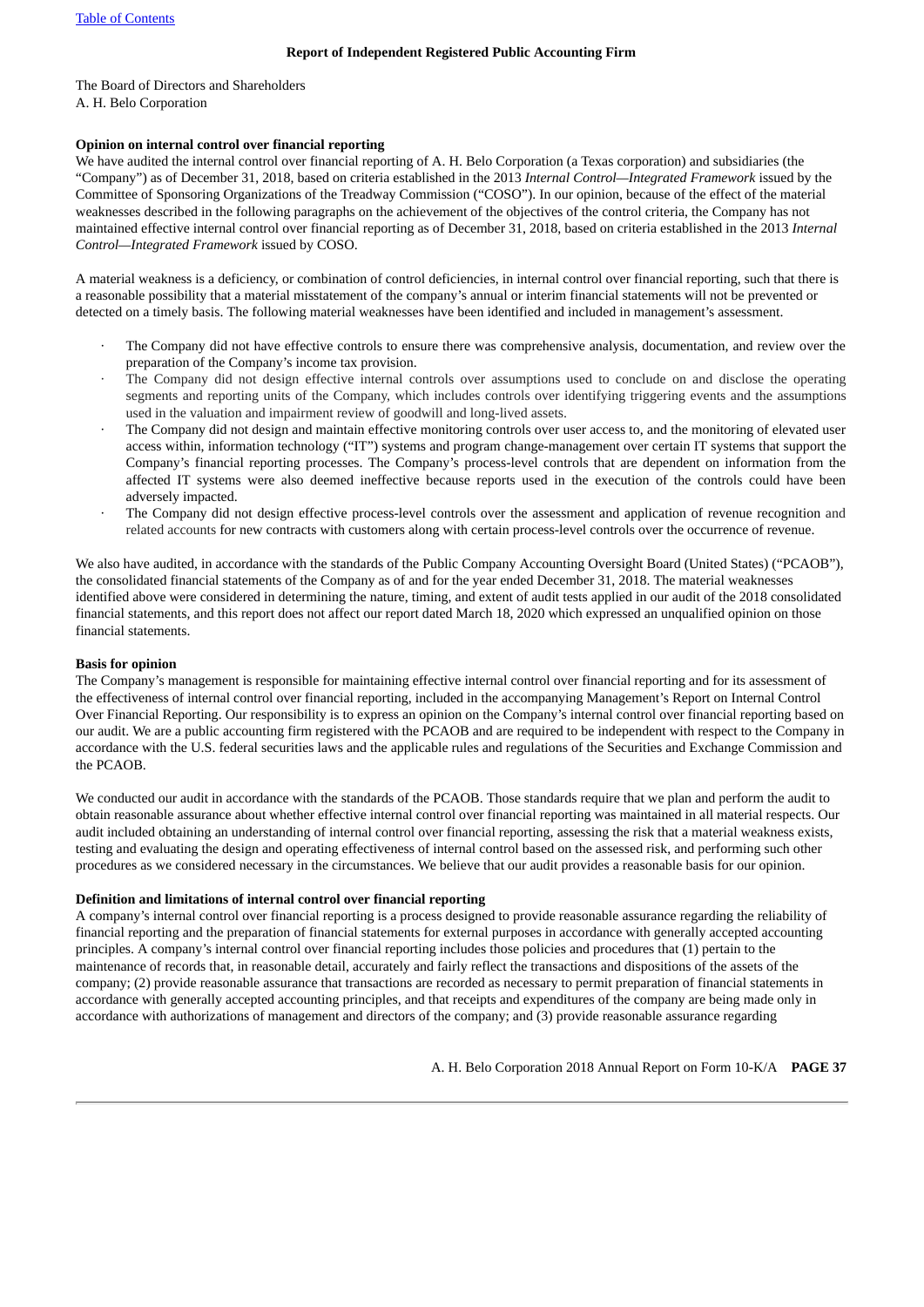The Board of Directors and Shareholders A. H. Belo Corporation

### **Opinion on internal control over financial reporting**

We have audited the internal control over financial reporting of A. H. Belo Corporation (a Texas corporation) and subsidiaries (the "Company") as of December 31, 2018, based on criteria established in the 2013 *Internal Control—Integrated Framework* issued by the Committee of Sponsoring Organizations of the Treadway Commission ("COSO"). In our opinion, because of the effect of the material weaknesses described in the following paragraphs on the achievement of the objectives of the control criteria, the Company has not maintained effective internal control over financial reporting as of December 31, 2018, based on criteria established in the 2013 *Internal Control—Integrated Framework* issued by COSO.

A material weakness is a deficiency, or combination of control deficiencies, in internal control over financial reporting, such that there is a reasonable possibility that a material misstatement of the company's annual or interim financial statements will not be prevented or detected on a timely basis. The following material weaknesses have been identified and included in management's assessment.

- The Company did not have effective controls to ensure there was comprehensive analysis, documentation, and review over the preparation of the Company's income tax provision.
- The Company did not design effective internal controls over assumptions used to conclude on and disclose the operating segments and reporting units of the Company, which includes controls over identifying triggering events and the assumptions used in the valuation and impairment review of goodwill and long-lived assets.
- The Company did not design and maintain effective monitoring controls over user access to, and the monitoring of elevated user access within, information technology ("IT") systems and program change-management over certain IT systems that support the Company's financial reporting processes. The Company's process-level controls that are dependent on information from the affected IT systems were also deemed ineffective because reports used in the execution of the controls could have been adversely impacted.
- The Company did not design effective process-level controls over the assessment and application of revenue recognition and related accounts for new contracts with customers along with certain process-level controls over the occurrence of revenue.

We also have audited, in accordance with the standards of the Public Company Accounting Oversight Board (United States) ("PCAOB"), the consolidated financial statements of the Company as of and for the year ended December 31, 2018. The material weaknesses identified above were considered in determining the nature, timing, and extent of audit tests applied in our audit of the 2018 consolidated financial statements, and this report does not affect our report dated March 18, 2020 which expressed an unqualified opinion on those financial statements.

### **Basis for opinion**

The Company's management is responsible for maintaining effective internal control over financial reporting and for its assessment of the effectiveness of internal control over financial reporting, included in the accompanying Management's Report on Internal Control Over Financial Reporting. Our responsibility is to express an opinion on the Company's internal control over financial reporting based on our audit. We are a public accounting firm registered with the PCAOB and are required to be independent with respect to the Company in accordance with the U.S. federal securities laws and the applicable rules and regulations of the Securities and Exchange Commission and the PCAOB.

We conducted our audit in accordance with the standards of the PCAOB. Those standards require that we plan and perform the audit to obtain reasonable assurance about whether effective internal control over financial reporting was maintained in all material respects. Our audit included obtaining an understanding of internal control over financial reporting, assessing the risk that a material weakness exists, testing and evaluating the design and operating effectiveness of internal control based on the assessed risk, and performing such other procedures as we considered necessary in the circumstances. We believe that our audit provides a reasonable basis for our opinion.

### **Definition and limitations of internal control over financial reporting**

A company's internal control over financial reporting is a process designed to provide reasonable assurance regarding the reliability of financial reporting and the preparation of financial statements for external purposes in accordance with generally accepted accounting principles. A company's internal control over financial reporting includes those policies and procedures that (1) pertain to the maintenance of records that, in reasonable detail, accurately and fairly reflect the transactions and dispositions of the assets of the company; (2) provide reasonable assurance that transactions are recorded as necessary to permit preparation of financial statements in accordance with generally accepted accounting principles, and that receipts and expenditures of the company are being made only in accordance with authorizations of management and directors of the company; and (3) provide reasonable assurance regarding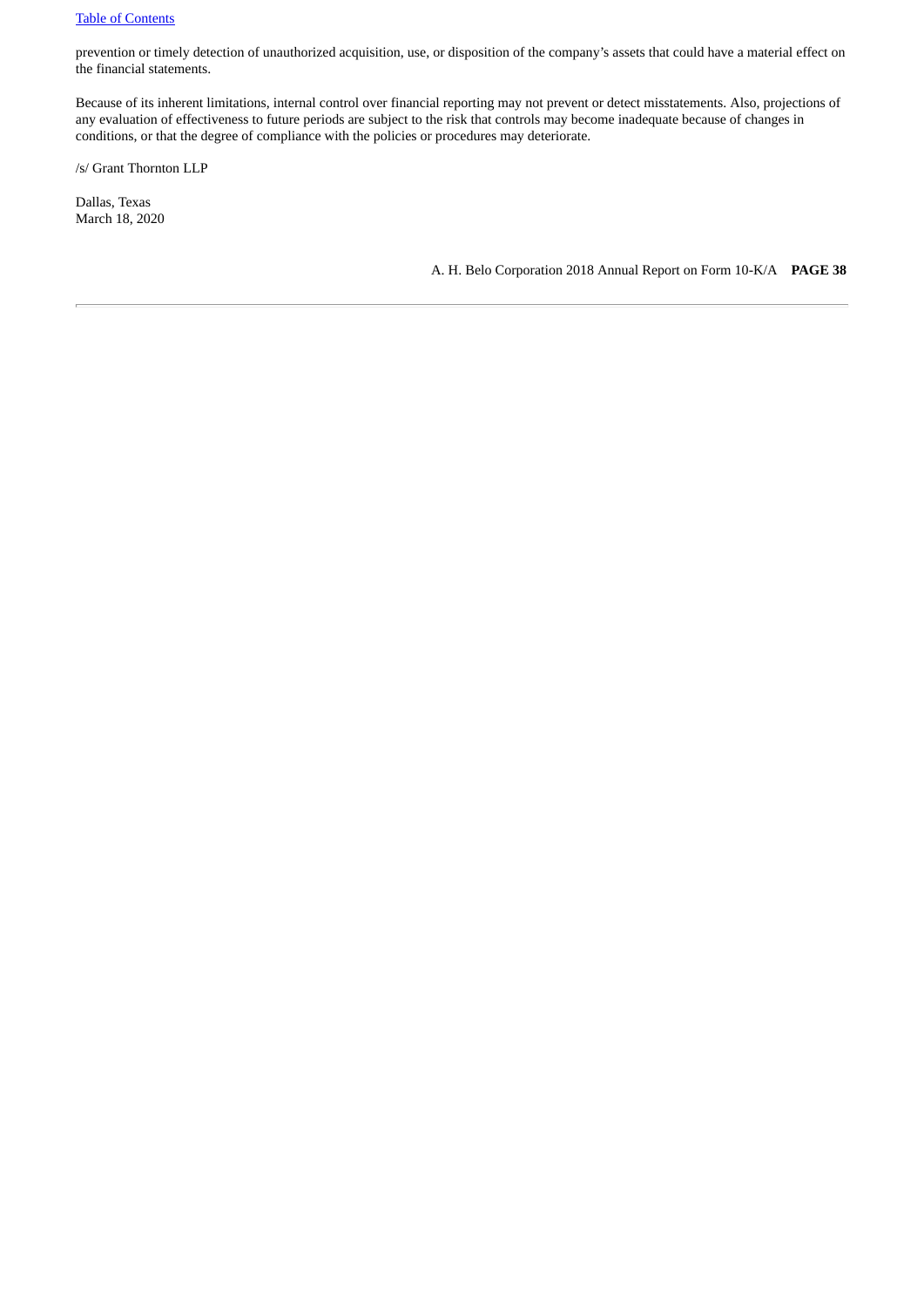prevention or timely detection of unauthorized acquisition, use, or disposition of the company's assets that could have a material effect on the financial statements.

Because of its inherent limitations, internal control over financial reporting may not prevent or detect misstatements. Also, projections of any evaluation of effectiveness to future periods are subject to the risk that controls may become inadequate because of changes in conditions, or that the degree of compliance with the policies or procedures may deteriorate.

/s/ Grant Thornton LLP

Dallas, Texas March 18, 2020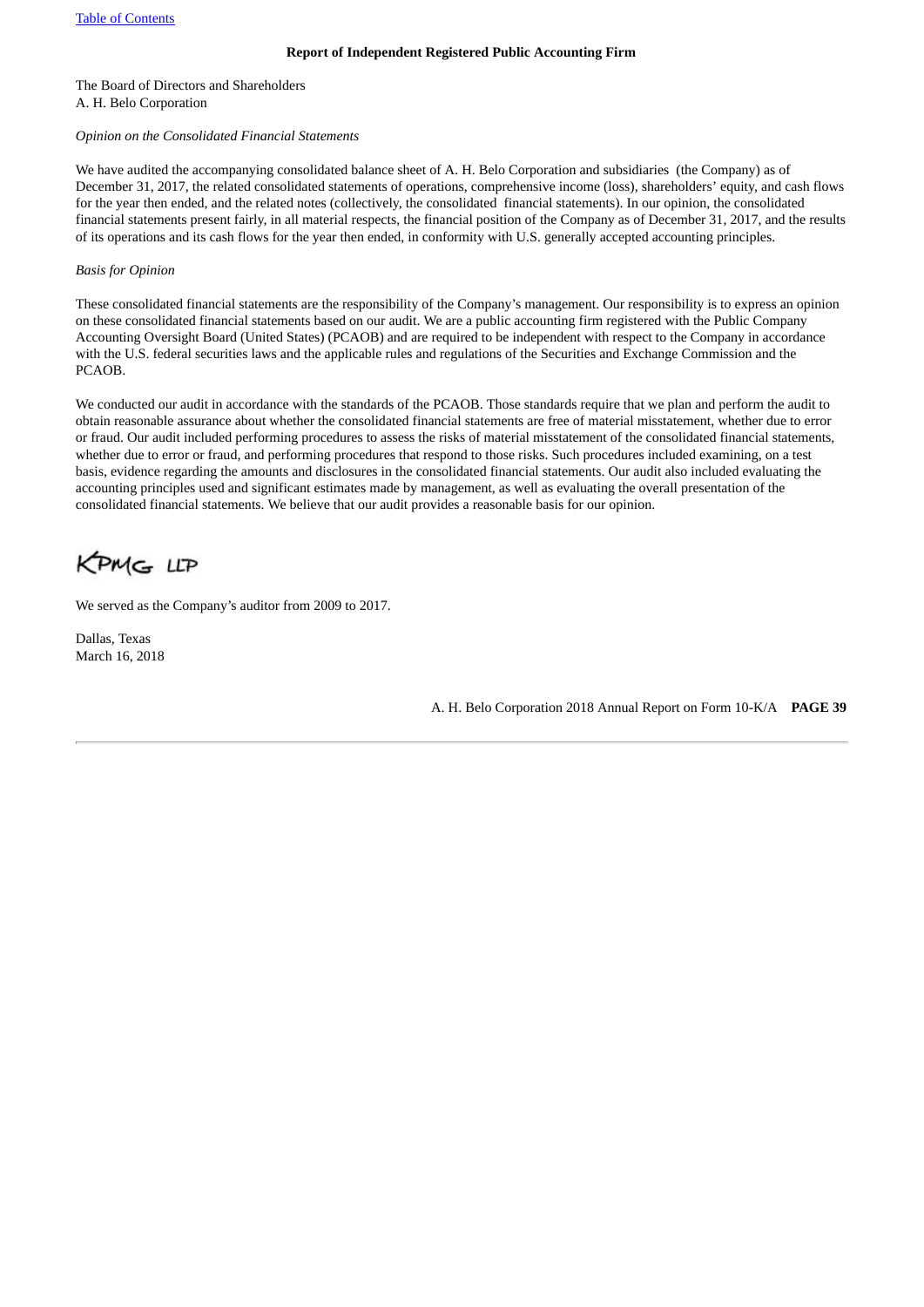### **Report of Independent Registered Public Accounting Firm**

The Board of Directors and Shareholders A. H. Belo Corporation

*Opinion on the Consolidated Financial Statements*

We have audited the accompanying consolidated balance sheet of A. H. Belo Corporation and subsidiaries (the Company) as of December 31, 2017, the related consolidated statements of operations, comprehensive income (loss), shareholders' equity, and cash flows for the year then ended, and the related notes (collectively, the consolidated financial statements). In our opinion, the consolidated financial statements present fairly, in all material respects, the financial position of the Company as of December 31, 2017, and the results of its operations and its cash flows for the year then ended, in conformity with U.S. generally accepted accounting principles.

### *Basis for Opinion*

These consolidated financial statements are the responsibility of the Company's management. Our responsibility is to express an opinion on these consolidated financial statements based on our audit. We are a public accounting firm registered with the Public Company Accounting Oversight Board (United States) (PCAOB) and are required to be independent with respect to the Company in accordance with the U.S. federal securities laws and the applicable rules and regulations of the Securities and Exchange Commission and the PCAOB.

We conducted our audit in accordance with the standards of the PCAOB. Those standards require that we plan and perform the audit to obtain reasonable assurance about whether the consolidated financial statements are free of material misstatement, whether due to error or fraud. Our audit included performing procedures to assess the risks of material misstatement of the consolidated financial statements, whether due to error or fraud, and performing procedures that respond to those risks. Such procedures included examining, on a test basis, evidence regarding the amounts and disclosures in the consolidated financial statements. Our audit also included evaluating the accounting principles used and significant estimates made by management, as well as evaluating the overall presentation of the consolidated financial statements. We believe that our audit provides a reasonable basis for our opinion.

KPMG LLP

We served as the Company's auditor from 2009 to 2017.

Dallas, Texas March 16, 2018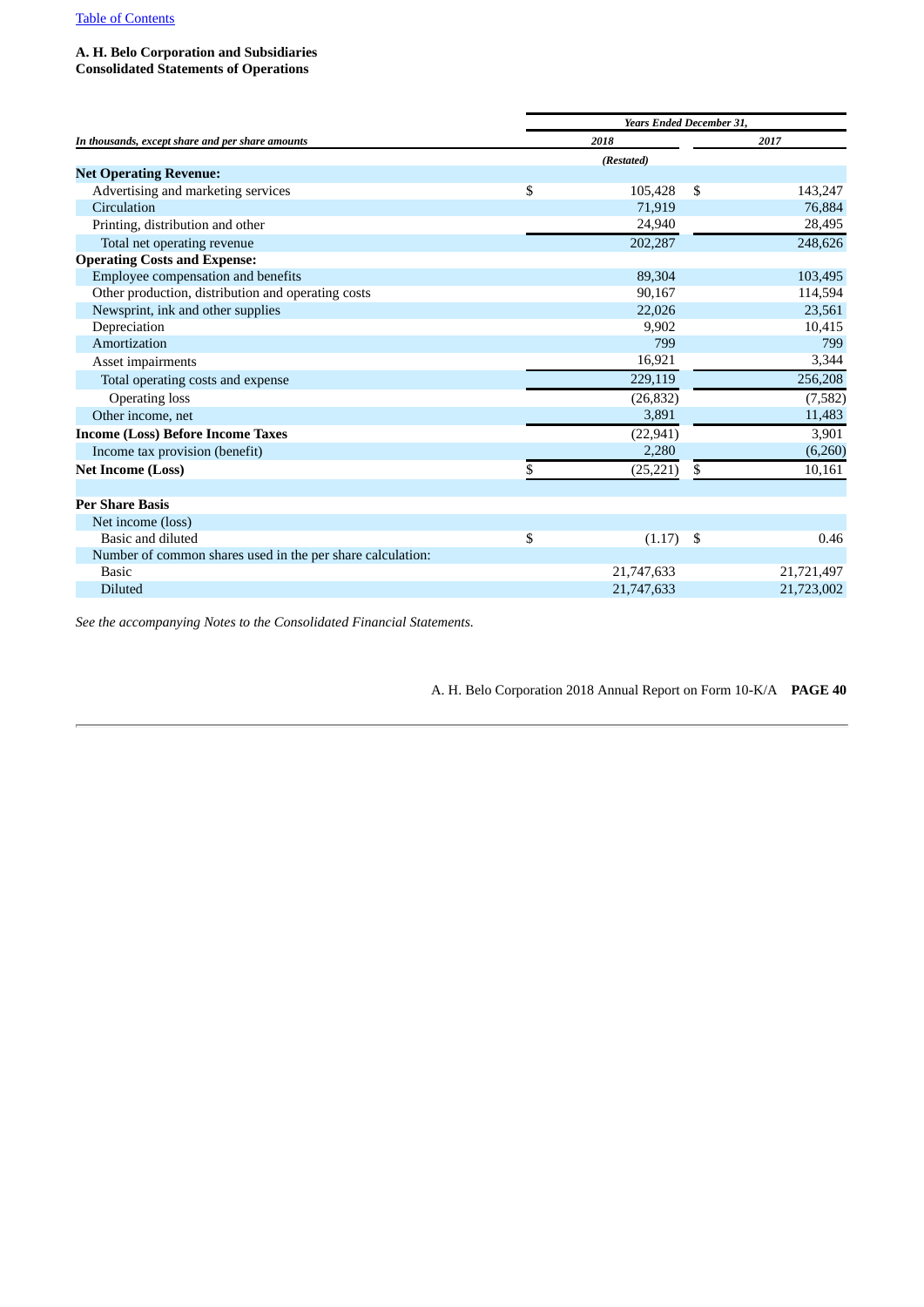### **A. H. Belo Corporation and Subsidiaries**

**Consolidated Statements of Operations**

|                                                            | <b>Years Ended December 31,</b> |               |
|------------------------------------------------------------|---------------------------------|---------------|
| In thousands, except share and per share amounts           | 2018                            | 2017          |
|                                                            | (Restated)                      |               |
| <b>Net Operating Revenue:</b>                              |                                 |               |
| Advertising and marketing services                         | \$<br>105,428                   | \$<br>143,247 |
| Circulation                                                | 71,919                          | 76,884        |
| Printing, distribution and other                           | 24,940                          | 28,495        |
| Total net operating revenue                                | 202,287                         | 248,626       |
| <b>Operating Costs and Expense:</b>                        |                                 |               |
| Employee compensation and benefits                         | 89,304                          | 103,495       |
| Other production, distribution and operating costs         | 90,167                          | 114,594       |
| Newsprint, ink and other supplies                          | 22,026                          | 23,561        |
| Depreciation                                               | 9,902                           | 10,415        |
| Amortization                                               | 799                             | 799           |
| Asset impairments                                          | 16,921                          | 3,344         |
| Total operating costs and expense                          | 229,119                         | 256,208       |
| <b>Operating loss</b>                                      | (26, 832)                       | (7,582)       |
| Other income, net                                          | 3,891                           | 11,483        |
| <b>Income (Loss) Before Income Taxes</b>                   | (22, 941)                       | 3,901         |
| Income tax provision (benefit)                             | 2,280                           | (6,260)       |
| <b>Net Income (Loss)</b>                                   | \$<br>(25, 221)                 | \$<br>10,161  |
|                                                            |                                 |               |
| <b>Per Share Basis</b>                                     |                                 |               |
| Net income (loss)                                          |                                 |               |
| Basic and diluted                                          | \$<br>$(1.17)$ \$               | 0.46          |
| Number of common shares used in the per share calculation: |                                 |               |
| <b>Basic</b>                                               | 21,747,633                      | 21,721,497    |
| <b>Diluted</b>                                             | 21,747,633                      | 21,723,002    |

*See the accompanying Notes to the Consolidated Financial Statements.*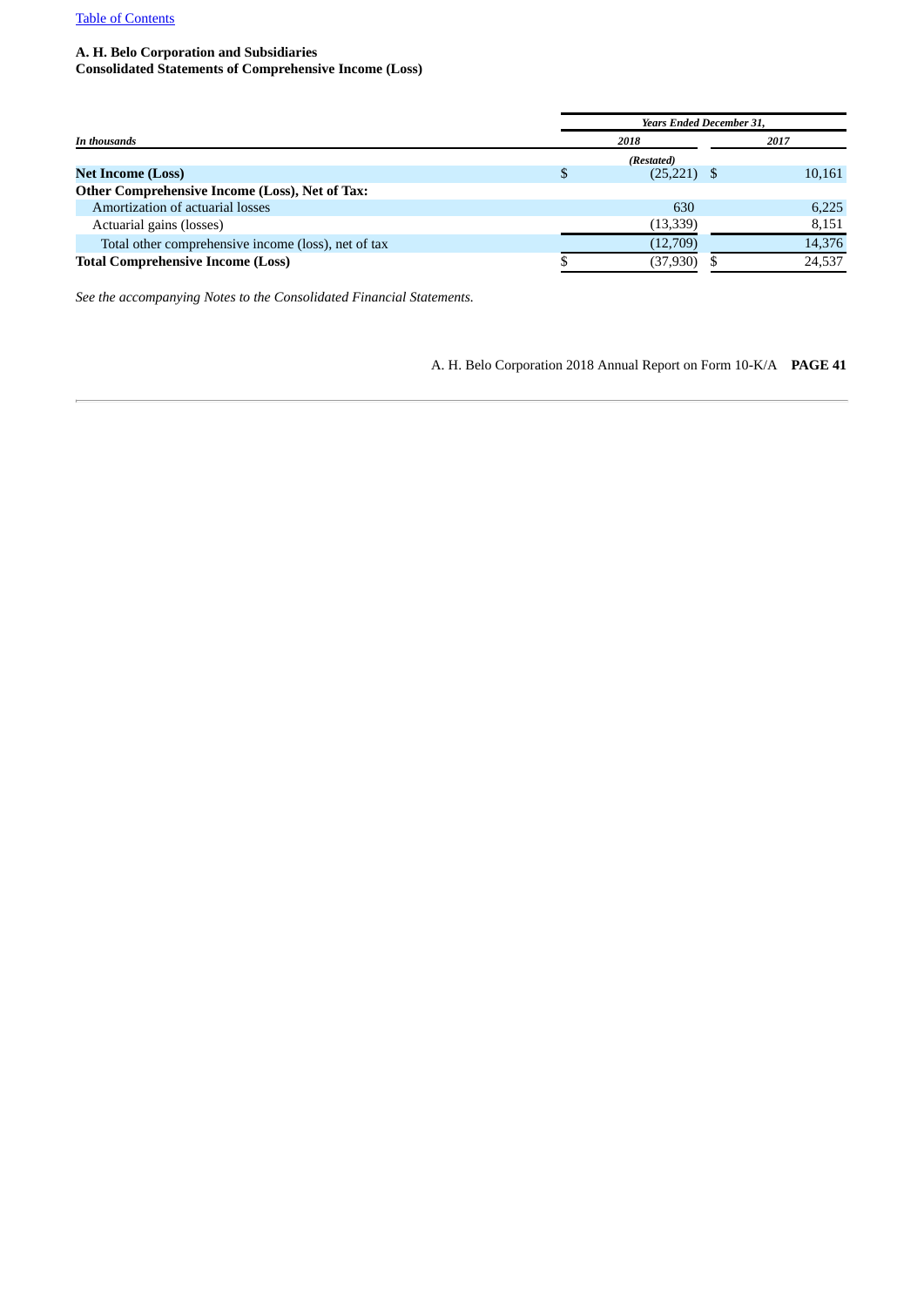### **A. H. Belo Corporation and Subsidiaries**

**Consolidated Statements of Comprehensive Income (Loss)**

|                                                     | <b>Years Ended December 31,</b> |  |        |  |  |  |
|-----------------------------------------------------|---------------------------------|--|--------|--|--|--|
| In thousands                                        | 2018                            |  | 2017   |  |  |  |
|                                                     | (Restated)                      |  |        |  |  |  |
| <b>Net Income (Loss)</b>                            | $(25,221)$ \$                   |  | 10,161 |  |  |  |
| Other Comprehensive Income (Loss), Net of Tax:      |                                 |  |        |  |  |  |
| Amortization of actuarial losses                    | 630                             |  | 6,225  |  |  |  |
| Actuarial gains (losses)                            | (13, 339)                       |  | 8,151  |  |  |  |
| Total other comprehensive income (loss), net of tax | (12,709)                        |  | 14,376 |  |  |  |
| <b>Total Comprehensive Income (Loss)</b>            | (37,930)                        |  | 24,537 |  |  |  |
|                                                     |                                 |  |        |  |  |  |

*See the accompanying Notes to the Consolidated Financial Statements.*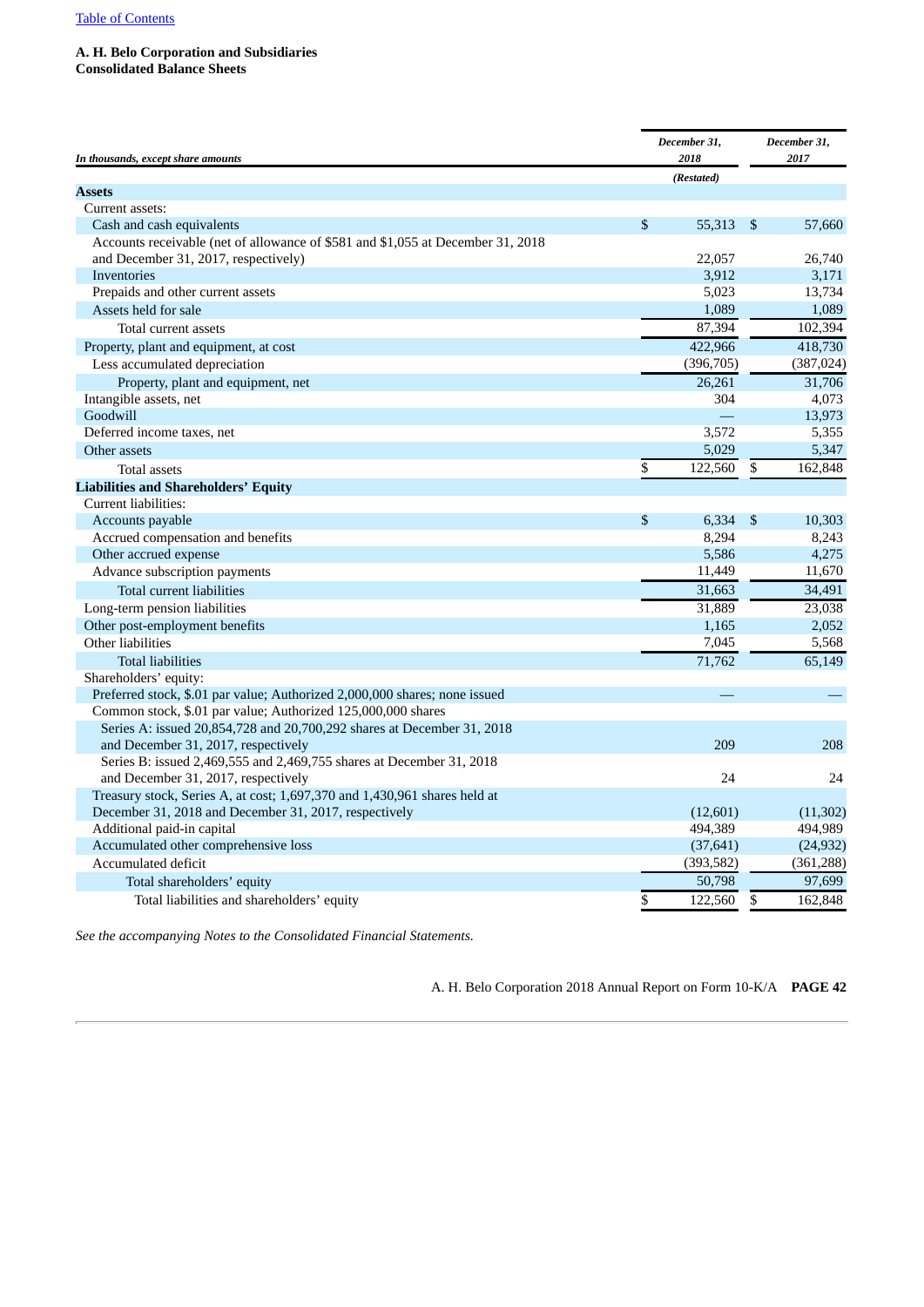### **A. H. Belo Corporation and Subsidiaries Consolidated Balance Sheets**

| In thousands, except share amounts                                              | December 31,<br>2018 |     | December 31,<br>2017 |
|---------------------------------------------------------------------------------|----------------------|-----|----------------------|
|                                                                                 | (Restated)           |     |                      |
| <b>Assets</b>                                                                   |                      |     |                      |
| Current assets:                                                                 |                      |     |                      |
| Cash and cash equivalents                                                       | \$<br>55,313         | -\$ | 57,660               |
| Accounts receivable (net of allowance of \$581 and \$1,055 at December 31, 2018 |                      |     |                      |
| and December 31, 2017, respectively)                                            | 22,057               |     | 26,740               |
| Inventories                                                                     | 3,912                |     | 3,171                |
| Prepaids and other current assets                                               | 5,023                |     | 13,734               |
| Assets held for sale                                                            | 1,089                |     | 1,089                |
| Total current assets                                                            | 87,394               |     | 102,394              |
| Property, plant and equipment, at cost                                          | 422,966              |     | 418,730              |
| Less accumulated depreciation                                                   | (396, 705)           |     | (387, 024)           |
| Property, plant and equipment, net                                              | 26,261               |     | 31,706               |
| Intangible assets, net                                                          | 304                  |     | 4,073                |
| Goodwill                                                                        |                      |     | 13,973               |
| Deferred income taxes, net                                                      | 3,572                |     | 5,355                |
| Other assets                                                                    | 5,029                |     | 5,347                |
| <b>Total assets</b>                                                             | \$<br>122,560        | \$  | 162,848              |
| <b>Liabilities and Shareholders' Equity</b>                                     |                      |     |                      |
| Current liabilities:                                                            |                      |     |                      |
| Accounts payable                                                                | \$<br>6,334          | \$  | 10,303               |
| Accrued compensation and benefits                                               | 8,294                |     | 8,243                |
| Other accrued expense                                                           | 5,586                |     | 4,275                |
| Advance subscription payments                                                   | 11,449               |     | 11,670               |
| Total current liabilities                                                       | 31,663               |     | 34,491               |
| Long-term pension liabilities                                                   | 31,889               |     | 23,038               |
| Other post-employment benefits                                                  | 1,165                |     | 2,052                |
| Other liabilities                                                               | 7,045                |     | 5,568                |
| <b>Total liabilities</b>                                                        | 71,762               |     | 65,149               |
| Shareholders' equity:                                                           |                      |     |                      |
| Preferred stock, \$.01 par value; Authorized 2,000,000 shares; none issued      |                      |     |                      |
| Common stock, \$.01 par value; Authorized 125,000,000 shares                    |                      |     |                      |
| Series A: issued 20,854,728 and 20,700,292 shares at December 31, 2018          |                      |     |                      |
| and December 31, 2017, respectively                                             | 209                  |     | 208                  |
| Series B: issued 2,469,555 and 2,469,755 shares at December 31, 2018            |                      |     |                      |
| and December 31, 2017, respectively                                             | 24                   |     | 24                   |
| Treasury stock, Series A, at cost; 1,697,370 and 1,430,961 shares held at       |                      |     |                      |
| December 31, 2018 and December 31, 2017, respectively                           | (12,601)             |     | (11, 302)            |
| Additional paid-in capital                                                      | 494,389              |     | 494,989              |
| Accumulated other comprehensive loss                                            | (37, 641)            |     | (24, 932)            |
| Accumulated deficit                                                             | (393, 582)           |     | (361, 288)           |
| Total shareholders' equity                                                      | 50,798               |     | 97,699               |
| Total liabilities and shareholders' equity                                      | \$<br>122,560        | \$  | 162,848              |
|                                                                                 |                      |     |                      |

*See the accompanying Notes to the Consolidated Financial Statements.*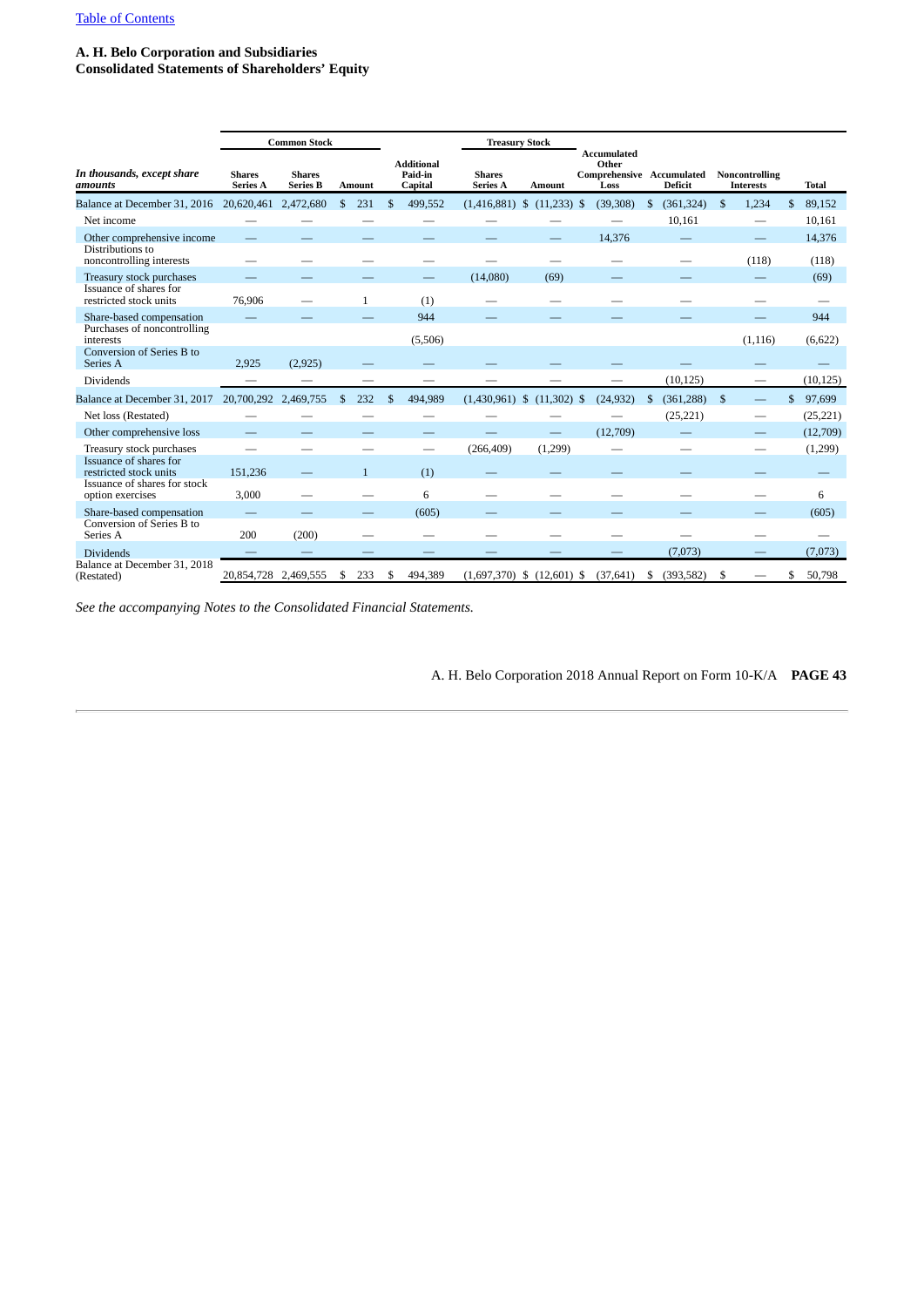## **A. H. Belo Corporation and Subsidiaries**

**Consolidated Statements of Shareholders' Equity**

|                                                  |                                  | <b>Common Stock</b>              |              |                | <b>Treasury Stock</b>                   |                                  |         |                                                                  |                             |              |                                    |              |
|--------------------------------------------------|----------------------------------|----------------------------------|--------------|----------------|-----------------------------------------|----------------------------------|---------|------------------------------------------------------------------|-----------------------------|--------------|------------------------------------|--------------|
| In thousands, except share<br>amounts            | <b>Shares</b><br><b>Series A</b> | <b>Shares</b><br><b>Series B</b> | Amount       |                | <b>Additional</b><br>Paid-in<br>Capital | <b>Shares</b><br><b>Series A</b> | Amount  | <b>Accumulated</b><br>Other<br>Comprehensive Accumulated<br>Loss | <b>Deficit</b>              |              | Noncontrolling<br><b>Interests</b> | <b>Total</b> |
| Balance at December 31, 2016                     | 20,620,461 2,472,680             |                                  | 231<br>\$    | $\mathfrak{F}$ | 499,552                                 | $(1,416,881)$ \$ $(11,233)$ \$   |         | (39, 308)                                                        | <sup>\$</sup><br>(361, 324) | \$           | 1,234                              | \$<br>89,152 |
| Net income                                       |                                  |                                  |              |                |                                         |                                  |         |                                                                  | 10,161                      |              |                                    | 10,161       |
| Other comprehensive income                       |                                  |                                  |              |                |                                         |                                  |         | 14,376                                                           |                             |              |                                    | 14,376       |
| Distributions to<br>noncontrolling interests     |                                  |                                  |              |                |                                         |                                  |         |                                                                  |                             |              | (118)                              | (118)        |
| Treasury stock purchases                         |                                  |                                  |              |                |                                         | (14.080)                         | (69)    |                                                                  |                             |              |                                    | (69)         |
| Issuance of shares for<br>restricted stock units | 76.906                           |                                  | 1            |                | (1)                                     |                                  |         |                                                                  |                             |              |                                    |              |
| Share-based compensation                         |                                  |                                  |              |                | 944                                     |                                  |         |                                                                  |                             |              |                                    | 944          |
| Purchases of noncontrolling<br>interests         |                                  |                                  |              |                | (5,506)                                 |                                  |         |                                                                  |                             |              | (1, 116)                           | (6,622)      |
| <b>Conversion of Series B to</b><br>Series A     | 2,925                            | (2,925)                          |              |                |                                         |                                  |         |                                                                  |                             |              |                                    |              |
| <b>Dividends</b>                                 |                                  |                                  |              |                |                                         |                                  |         |                                                                  | (10, 125)                   |              |                                    | (10, 125)    |
| Balance at December 31, 2017                     | 20,700,292 2,469,755             |                                  | 232<br>\$    | \$             | 494,989                                 | $(1,430,961)$ \$ $(11,302)$ \$   |         | (24, 932)                                                        | $\mathcal{S}$<br>(361, 288) | $\mathbf{s}$ | $\equiv$                           | \$<br>97,699 |
| Net loss (Restated)                              |                                  |                                  |              |                |                                         |                                  |         |                                                                  | (25, 221)                   |              |                                    | (25, 221)    |
| Other comprehensive loss                         |                                  |                                  |              |                |                                         |                                  |         | (12,709)                                                         |                             |              |                                    | (12,709)     |
| Treasury stock purchases                         |                                  |                                  |              |                |                                         | (266.409)                        | (1,299) |                                                                  |                             |              |                                    | (1,299)      |
| Issuance of shares for<br>restricted stock units | 151,236                          |                                  | $\mathbf{1}$ |                | (1)                                     |                                  |         |                                                                  |                             |              |                                    |              |
| Issuance of shares for stock<br>option exercises | 3,000                            |                                  |              |                | 6                                       |                                  |         |                                                                  |                             |              |                                    | 6            |
| Share-based compensation                         | $\qquad \qquad -$                |                                  |              |                | (605)                                   |                                  |         |                                                                  |                             |              |                                    | (605)        |
| Conversion of Series B to<br>Series A            | 200                              | (200)                            |              |                |                                         |                                  |         |                                                                  |                             |              |                                    |              |
| <b>Dividends</b>                                 |                                  |                                  |              |                |                                         |                                  |         |                                                                  | (7,073)                     |              |                                    | (7,073)      |
| Balance at December 31, 2018<br>(Restated)       | 20,854,728                       | 2,469,555                        | 233          | \$.            | 494,389                                 | $(1,697,370)$ \$ $(12,601)$ \$   |         | (37, 641)                                                        | (393,582)<br>S              | \$.          |                                    | \$<br>50,798 |

*See the accompanying Notes to the Consolidated Financial Statements.*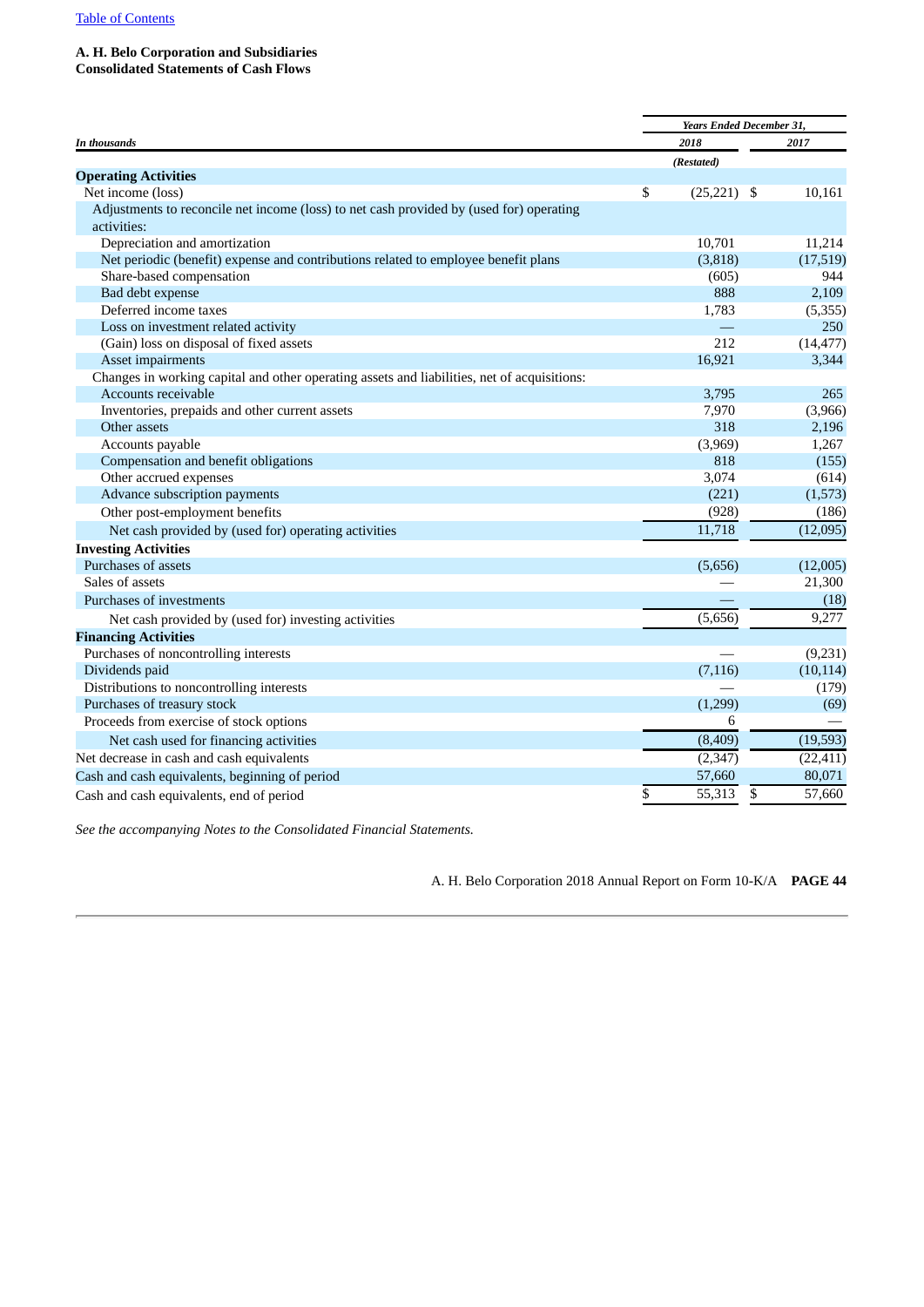### **A. H. Belo Corporation and Subsidiaries**

**Consolidated Statements of Cash Flows**

|                                                                                             | Years Ended December 31, |               |    |           |
|---------------------------------------------------------------------------------------------|--------------------------|---------------|----|-----------|
| In thousands                                                                                |                          | 2018          |    | 2017      |
|                                                                                             |                          | (Restated)    |    |           |
| <b>Operating Activities</b>                                                                 |                          |               |    |           |
| Net income (loss)                                                                           | \$                       | $(25,221)$ \$ |    | 10,161    |
| Adjustments to reconcile net income (loss) to net cash provided by (used for) operating     |                          |               |    |           |
| activities:                                                                                 |                          |               |    |           |
| Depreciation and amortization                                                               |                          | 10,701        |    | 11,214    |
| Net periodic (benefit) expense and contributions related to employee benefit plans          |                          | (3,818)       |    | (17, 519) |
| Share-based compensation                                                                    |                          | (605)         |    | 944       |
| Bad debt expense                                                                            |                          | 888           |    | 2,109     |
| Deferred income taxes                                                                       |                          | 1,783         |    | (5,355)   |
| Loss on investment related activity                                                         |                          |               |    | 250       |
| (Gain) loss on disposal of fixed assets                                                     |                          | 212           |    | (14, 477) |
| Asset impairments                                                                           |                          | 16,921        |    | 3,344     |
| Changes in working capital and other operating assets and liabilities, net of acquisitions: |                          |               |    |           |
| Accounts receivable                                                                         |                          | 3,795         |    | 265       |
| Inventories, prepaids and other current assets                                              |                          | 7,970         |    | (3,966)   |
| Other assets                                                                                |                          | 318           |    | 2,196     |
| Accounts payable                                                                            |                          | (3,969)       |    | 1,267     |
| Compensation and benefit obligations                                                        |                          | 818           |    | (155)     |
| Other accrued expenses                                                                      |                          | 3,074         |    | (614)     |
| Advance subscription payments                                                               |                          | (221)         |    | (1,573)   |
| Other post-employment benefits                                                              |                          | (928)         |    | (186)     |
| Net cash provided by (used for) operating activities                                        |                          | 11,718        |    | (12,095)  |
| <b>Investing Activities</b>                                                                 |                          |               |    |           |
| Purchases of assets                                                                         |                          | (5,656)       |    | (12,005)  |
| Sales of assets                                                                             |                          |               |    | 21,300    |
| Purchases of investments                                                                    |                          |               |    | (18)      |
| Net cash provided by (used for) investing activities                                        |                          | (5,656)       |    | 9,277     |
| <b>Financing Activities</b>                                                                 |                          |               |    |           |
| Purchases of noncontrolling interests                                                       |                          |               |    | (9,231)   |
| Dividends paid                                                                              |                          | (7, 116)      |    | (10, 114) |
| Distributions to noncontrolling interests                                                   |                          |               |    | (179)     |
| Purchases of treasury stock                                                                 |                          | (1,299)       |    | (69)      |
| Proceeds from exercise of stock options                                                     |                          | 6             |    |           |
| Net cash used for financing activities                                                      |                          | (8, 409)      |    | (19, 593) |
| Net decrease in cash and cash equivalents                                                   |                          | (2, 347)      |    | (22, 411) |
| Cash and cash equivalents, beginning of period                                              |                          | 57,660        |    | 80,071    |
| Cash and cash equivalents, end of period                                                    | \$                       | 55,313        | \$ | 57,660    |
|                                                                                             |                          |               |    |           |

*See the accompanying Notes to the Consolidated Financial Statements.*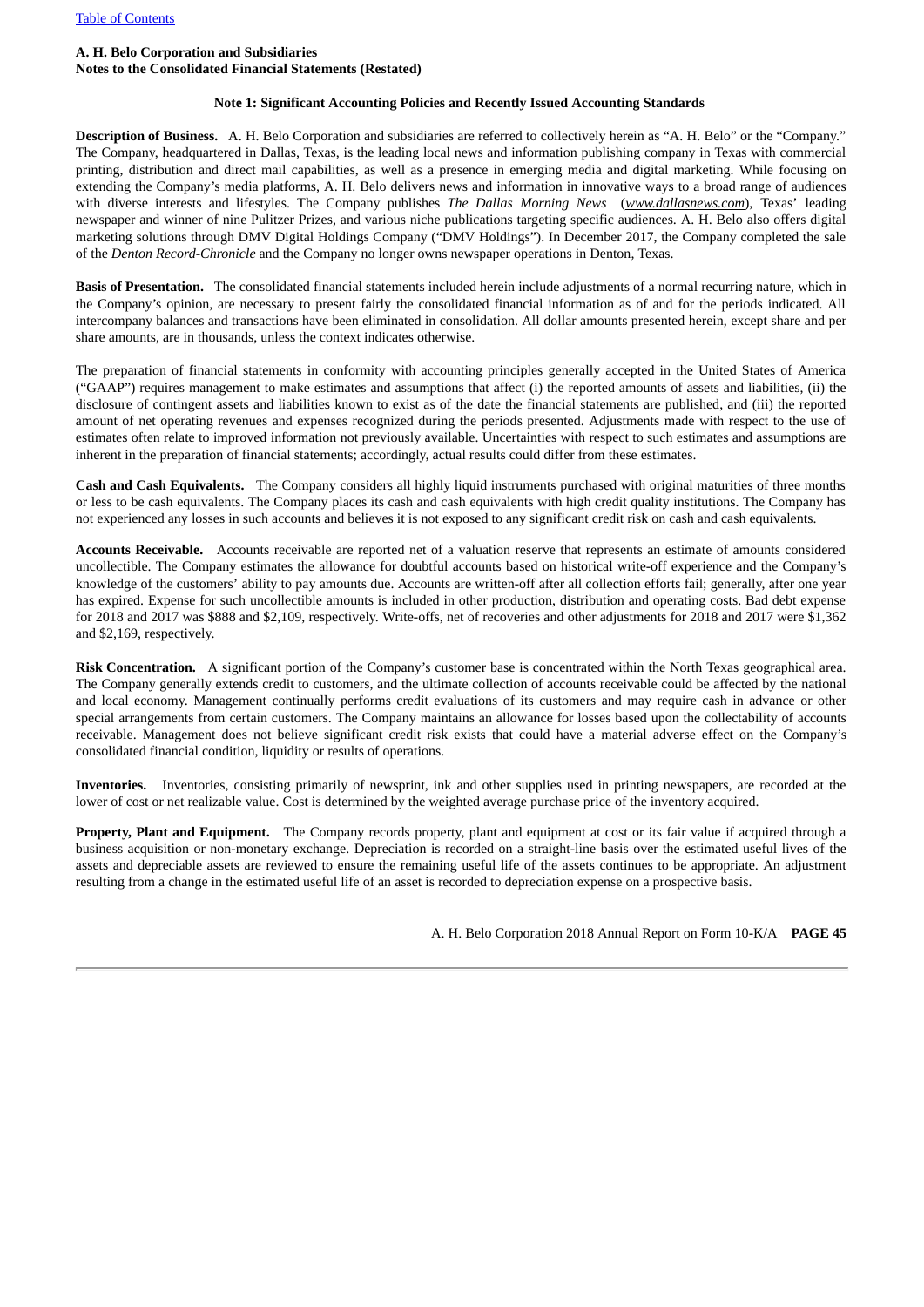### <span id="page-44-0"></span>**A. H. Belo Corporation and Subsidiaries Notes to the Consolidated Financial Statements (Restated)**

### **Note 1: Significant Accounting Policies and Recently Issued Accounting Standards**

**Description of Business.** A. H. Belo Corporation and subsidiaries are referred to collectively herein as "A. H. Belo" or the "Company." The Company, headquartered in Dallas, Texas, is the leading local news and information publishing company in Texas with commercial printing, distribution and direct mail capabilities, as well as a presence in emerging media and digital marketing. While focusing on extending the Company's media platforms, A. H. Belo delivers news and information in innovative ways to a broad range of audiences with diverse interests and lifestyles. The Company publishes *The Dallas Morning News* (*www.dallasnews.com*), Texas' leading newspaper and winner of nine Pulitzer Prizes, and various niche publications targeting specific audiences. A. H. Belo also offers digital marketing solutions through DMV Digital Holdings Company ("DMV Holdings"). In December 2017, the Company completed the sale of the *Denton Record-Chronicle* and the Company no longer owns newspaper operations in Denton, Texas.

**Basis of Presentation.** The consolidated financial statements included herein include adjustments of a normal recurring nature, which in the Company's opinion, are necessary to present fairly the consolidated financial information as of and for the periods indicated. All intercompany balances and transactions have been eliminated in consolidation. All dollar amounts presented herein, except share and per share amounts, are in thousands, unless the context indicates otherwise.

The preparation of financial statements in conformity with accounting principles generally accepted in the United States of America ("GAAP") requires management to make estimates and assumptions that affect (i) the reported amounts of assets and liabilities, (ii) the disclosure of contingent assets and liabilities known to exist as of the date the financial statements are published, and (iii) the reported amount of net operating revenues and expenses recognized during the periods presented. Adjustments made with respect to the use of estimates often relate to improved information not previously available. Uncertainties with respect to such estimates and assumptions are inherent in the preparation of financial statements; accordingly, actual results could differ from these estimates.

**Cash and Cash Equivalents.** The Company considers all highly liquid instruments purchased with original maturities of three months or less to be cash equivalents. The Company places its cash and cash equivalents with high credit quality institutions. The Company has not experienced any losses in such accounts and believes it is not exposed to any significant credit risk on cash and cash equivalents.

**Accounts Receivable.** Accounts receivable are reported net of a valuation reserve that represents an estimate of amounts considered uncollectible. The Company estimates the allowance for doubtful accounts based on historical write-off experience and the Company's knowledge of the customers' ability to pay amounts due. Accounts are written-off after all collection efforts fail; generally, after one year has expired. Expense for such uncollectible amounts is included in other production, distribution and operating costs. Bad debt expense for 2018 and 2017 was \$888 and \$2,109, respectively. Write-offs, net of recoveries and other adjustments for 2018 and 2017 were \$1,362 and \$2,169, respectively.

**Risk Concentration.** A significant portion of the Company's customer base is concentrated within the North Texas geographical area. The Company generally extends credit to customers, and the ultimate collection of accounts receivable could be affected by the national and local economy. Management continually performs credit evaluations of its customers and may require cash in advance or other special arrangements from certain customers. The Company maintains an allowance for losses based upon the collectability of accounts receivable. Management does not believe significant credit risk exists that could have a material adverse effect on the Company's consolidated financial condition, liquidity or results of operations.

**Inventories.** Inventories, consisting primarily of newsprint, ink and other supplies used in printing newspapers, are recorded at the lower of cost or net realizable value. Cost is determined by the weighted average purchase price of the inventory acquired.

**Property, Plant and Equipment.** The Company records property, plant and equipment at cost or its fair value if acquired through a business acquisition or non-monetary exchange. Depreciation is recorded on a straight-line basis over the estimated useful lives of the assets and depreciable assets are reviewed to ensure the remaining useful life of the assets continues to be appropriate. An adjustment resulting from a change in the estimated useful life of an asset is recorded to depreciation expense on a prospective basis.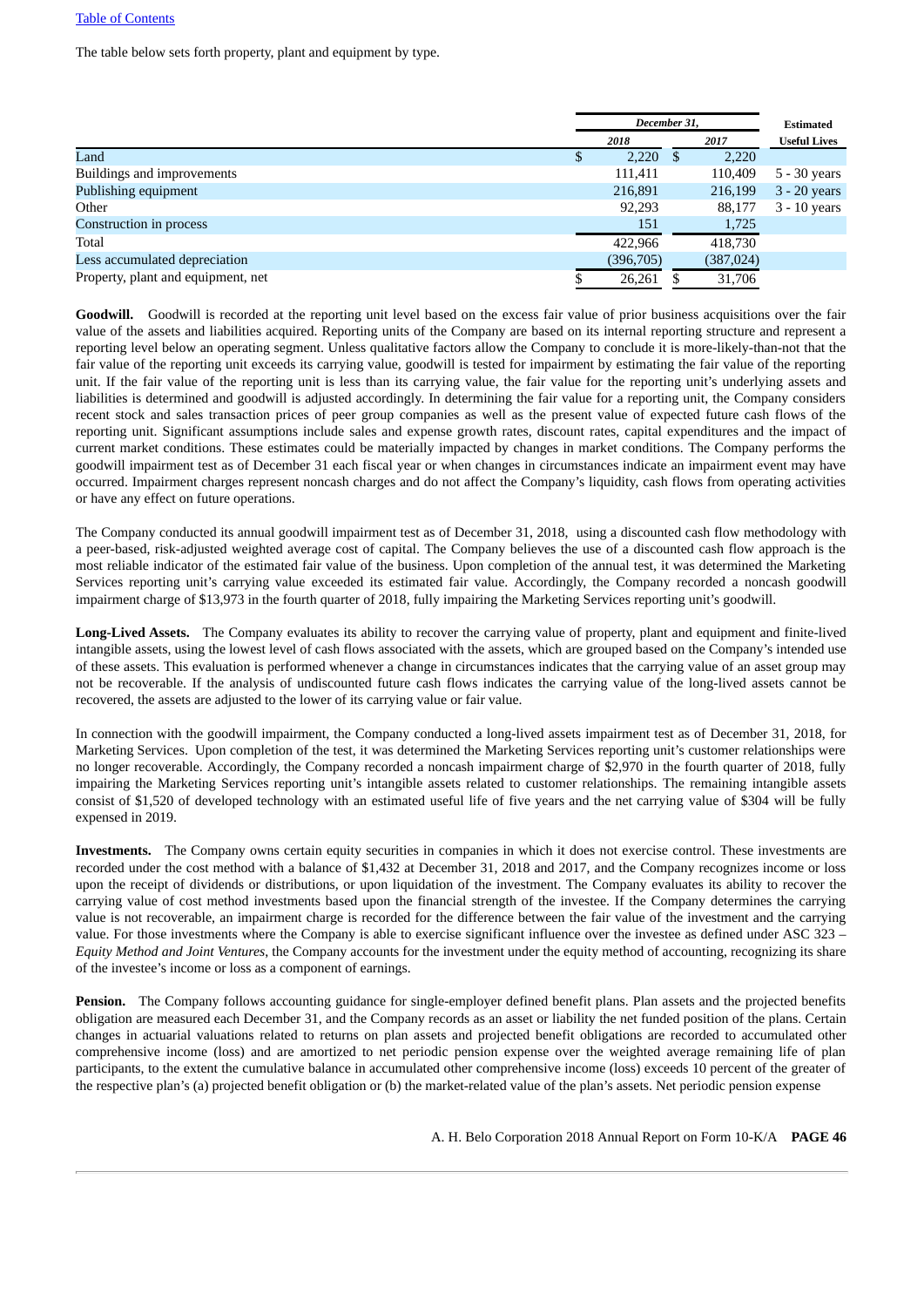The table below sets forth property, plant and equipment by type.

|                                    | December 31, |            |    |            | <b>Estimated</b>    |
|------------------------------------|--------------|------------|----|------------|---------------------|
|                                    | 2018         |            |    | 2017       | <b>Useful Lives</b> |
| Land                               |              | 2,220      | -S | 2,220      |                     |
| Buildings and improvements         |              | 111,411    |    | 110,409    | 5 - 30 years        |
| Publishing equipment               |              | 216,891    |    | 216,199    | 3 - 20 years        |
| Other                              |              | 92,293     |    | 88,177     | $3 - 10$ years      |
| Construction in process            |              | 151        |    | 1,725      |                     |
| Total                              |              | 422,966    |    | 418,730    |                     |
| Less accumulated depreciation      |              | (396, 705) |    | (387, 024) |                     |
| Property, plant and equipment, net |              | 26,261     |    | 31,706     |                     |

**Goodwill.** Goodwill is recorded at the reporting unit level based on the excess fair value of prior business acquisitions over the fair value of the assets and liabilities acquired. Reporting units of the Company are based on its internal reporting structure and represent a reporting level below an operating segment. Unless qualitative factors allow the Company to conclude it is more-likely-than-not that the fair value of the reporting unit exceeds its carrying value, goodwill is tested for impairment by estimating the fair value of the reporting unit. If the fair value of the reporting unit is less than its carrying value, the fair value for the reporting unit's underlying assets and liabilities is determined and goodwill is adjusted accordingly. In determining the fair value for a reporting unit, the Company considers recent stock and sales transaction prices of peer group companies as well as the present value of expected future cash flows of the reporting unit. Significant assumptions include sales and expense growth rates, discount rates, capital expenditures and the impact of current market conditions. These estimates could be materially impacted by changes in market conditions. The Company performs the goodwill impairment test as of December 31 each fiscal year or when changes in circumstances indicate an impairment event may have occurred. Impairment charges represent noncash charges and do not affect the Company's liquidity, cash flows from operating activities or have any effect on future operations.

The Company conducted its annual goodwill impairment test as of December 31, 2018, using a discounted cash flow methodology with a peer-based, risk-adjusted weighted average cost of capital. The Company believes the use of a discounted cash flow approach is the most reliable indicator of the estimated fair value of the business. Upon completion of the annual test, it was determined the Marketing Services reporting unit's carrying value exceeded its estimated fair value. Accordingly, the Company recorded a noncash goodwill impairment charge of \$13,973 in the fourth quarter of 2018, fully impairing the Marketing Services reporting unit's goodwill.

**Long-Lived Assets.** The Company evaluates its ability to recover the carrying value of property, plant and equipment and finite-lived intangible assets, using the lowest level of cash flows associated with the assets, which are grouped based on the Company's intended use of these assets. This evaluation is performed whenever a change in circumstances indicates that the carrying value of an asset group may not be recoverable. If the analysis of undiscounted future cash flows indicates the carrying value of the long-lived assets cannot be recovered, the assets are adjusted to the lower of its carrying value or fair value.

In connection with the goodwill impairment, the Company conducted a long-lived assets impairment test as of December 31, 2018, for Marketing Services. Upon completion of the test, it was determined the Marketing Services reporting unit's customer relationships were no longer recoverable. Accordingly, the Company recorded a noncash impairment charge of \$2,970 in the fourth quarter of 2018, fully impairing the Marketing Services reporting unit's intangible assets related to customer relationships. The remaining intangible assets consist of \$1,520 of developed technology with an estimated useful life of five years and the net carrying value of \$304 will be fully expensed in 2019.

**Investments.** The Company owns certain equity securities in companies in which it does not exercise control. These investments are recorded under the cost method with a balance of \$1,432 at December 31, 2018 and 2017, and the Company recognizes income or loss upon the receipt of dividends or distributions, or upon liquidation of the investment. The Company evaluates its ability to recover the carrying value of cost method investments based upon the financial strength of the investee. If the Company determines the carrying value is not recoverable, an impairment charge is recorded for the difference between the fair value of the investment and the carrying value. For those investments where the Company is able to exercise significant influence over the investee as defined under ASC 323 – *Equity Method and Joint Ventures*, the Company accounts for the investment under the equity method of accounting, recognizing its share of the investee's income or loss as a component of earnings.

**Pension.** The Company follows accounting guidance for single-employer defined benefit plans. Plan assets and the projected benefits obligation are measured each December 31, and the Company records as an asset or liability the net funded position of the plans. Certain changes in actuarial valuations related to returns on plan assets and projected benefit obligations are recorded to accumulated other comprehensive income (loss) and are amortized to net periodic pension expense over the weighted average remaining life of plan participants, to the extent the cumulative balance in accumulated other comprehensive income (loss) exceeds 10 percent of the greater of the respective plan's (a) projected benefit obligation or (b) the market-related value of the plan's assets. Net periodic pension expense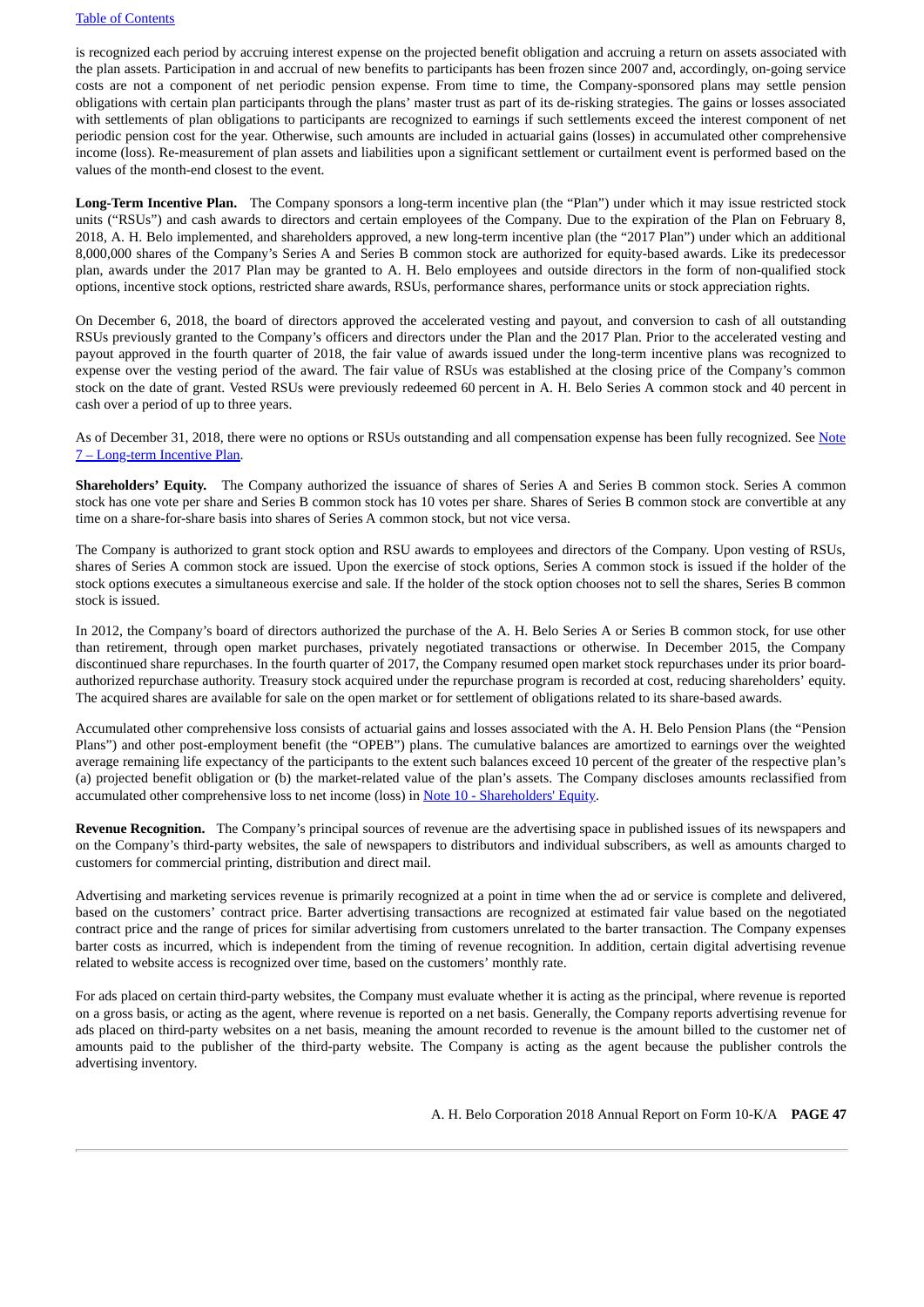is recognized each period by accruing interest expense on the projected benefit obligation and accruing a return on assets associated with the plan assets. Participation in and accrual of new benefits to participants has been frozen since 2007 and, accordingly, on-going service costs are not a component of net periodic pension expense. From time to time, the Company-sponsored plans may settle pension obligations with certain plan participants through the plans' master trust as part of its de-risking strategies. The gains or losses associated with settlements of plan obligations to participants are recognized to earnings if such settlements exceed the interest component of net periodic pension cost for the year. Otherwise, such amounts are included in actuarial gains (losses) in accumulated other comprehensive income (loss). Re-measurement of plan assets and liabilities upon a significant settlement or curtailment event is performed based on the values of the month-end closest to the event.

**Long-Term Incentive Plan.** The Company sponsors a long-term incentive plan (the "Plan") under which it may issue restricted stock units ("RSUs") and cash awards to directors and certain employees of the Company. Due to the expiration of the Plan on February 8, 2018, A. H. Belo implemented, and shareholders approved, a new long-term incentive plan (the "2017 Plan") under which an additional 8,000,000 shares of the Company's Series A and Series B common stock are authorized for equity-based awards. Like its predecessor plan, awards under the 2017 Plan may be granted to A. H. Belo employees and outside directors in the form of non-qualified stock options, incentive stock options, restricted share awards, RSUs, performance shares, performance units or stock appreciation rights.

On December 6, 2018, the board of directors approved the accelerated vesting and payout, and conversion to cash of all outstanding RSUs previously granted to the Company's officers and directors under the Plan and the 2017 Plan. Prior to the accelerated vesting and payout approved in the fourth quarter of 2018, the fair value of awards issued under the long-term incentive plans was recognized to expense over the vesting period of the award. The fair value of RSUs was established at the closing price of the Company's common stock on the date of grant. Vested RSUs were previously redeemed 60 percent in A. H. Belo Series A common stock and 40 percent in cash over a period of up to three years.

As of December 31, 2018, there were no options or RSUs outstanding and all [compensation](#page-54-0) expense has been fully recognized. See Note 7 – Long-term Incentive Plan.

**Shareholders' Equity.** The Company authorized the issuance of shares of Series A and Series B common stock. Series A common stock has one vote per share and Series B common stock has 10 votes per share. Shares of Series B common stock are convertible at any time on a share-for-share basis into shares of Series A common stock, but not vice versa.

The Company is authorized to grant stock option and RSU awards to employees and directors of the Company. Upon vesting of RSUs, shares of Series A common stock are issued. Upon the exercise of stock options, Series A common stock is issued if the holder of the stock options executes a simultaneous exercise and sale. If the holder of the stock option chooses not to sell the shares, Series B common stock is issued.

In 2012, the Company's board of directors authorized the purchase of the A. H. Belo Series A or Series B common stock, for use other than retirement, through open market purchases, privately negotiated transactions or otherwise. In December 2015, the Company discontinued share repurchases. In the fourth quarter of 2017, the Company resumed open market stock repurchases under its prior boardauthorized repurchase authority. Treasury stock acquired under the repurchase program is recorded at cost, reducing shareholders' equity. The acquired shares are available for sale on the open market or for settlement of obligations related to its share-based awards.

Accumulated other comprehensive loss consists of actuarial gains and losses associated with the A. H. Belo Pension Plans (the "Pension Plans") and other post-employment benefit (the "OPEB") plans. The cumulative balances are amortized to earnings over the weighted average remaining life expectancy of the participants to the extent such balances exceed 10 percent of the greater of the respective plan's (a) projected benefit obligation or (b) the market-related value of the plan's assets. The Company discloses amounts reclassified from accumulated other comprehensive loss to net income (loss) in Note 10 - [Shareholders'](#page-61-0) Equity.

**Revenue Recognition.** The Company's principal sources of revenue are the advertising space in published issues of its newspapers and on the Company's third-party websites, the sale of newspapers to distributors and individual subscribers, as well as amounts charged to customers for commercial printing, distribution and direct mail.

Advertising and marketing services revenue is primarily recognized at a point in time when the ad or service is complete and delivered, based on the customers' contract price. Barter advertising transactions are recognized at estimated fair value based on the negotiated contract price and the range of prices for similar advertising from customers unrelated to the barter transaction. The Company expenses barter costs as incurred, which is independent from the timing of revenue recognition. In addition, certain digital advertising revenue related to website access is recognized over time, based on the customers' monthly rate.

For ads placed on certain third-party websites, the Company must evaluate whether it is acting as the principal, where revenue is reported on a gross basis, or acting as the agent, where revenue is reported on a net basis. Generally, the Company reports advertising revenue for ads placed on third-party websites on a net basis, meaning the amount recorded to revenue is the amount billed to the customer net of amounts paid to the publisher of the third-party website. The Company is acting as the agent because the publisher controls the advertising inventory.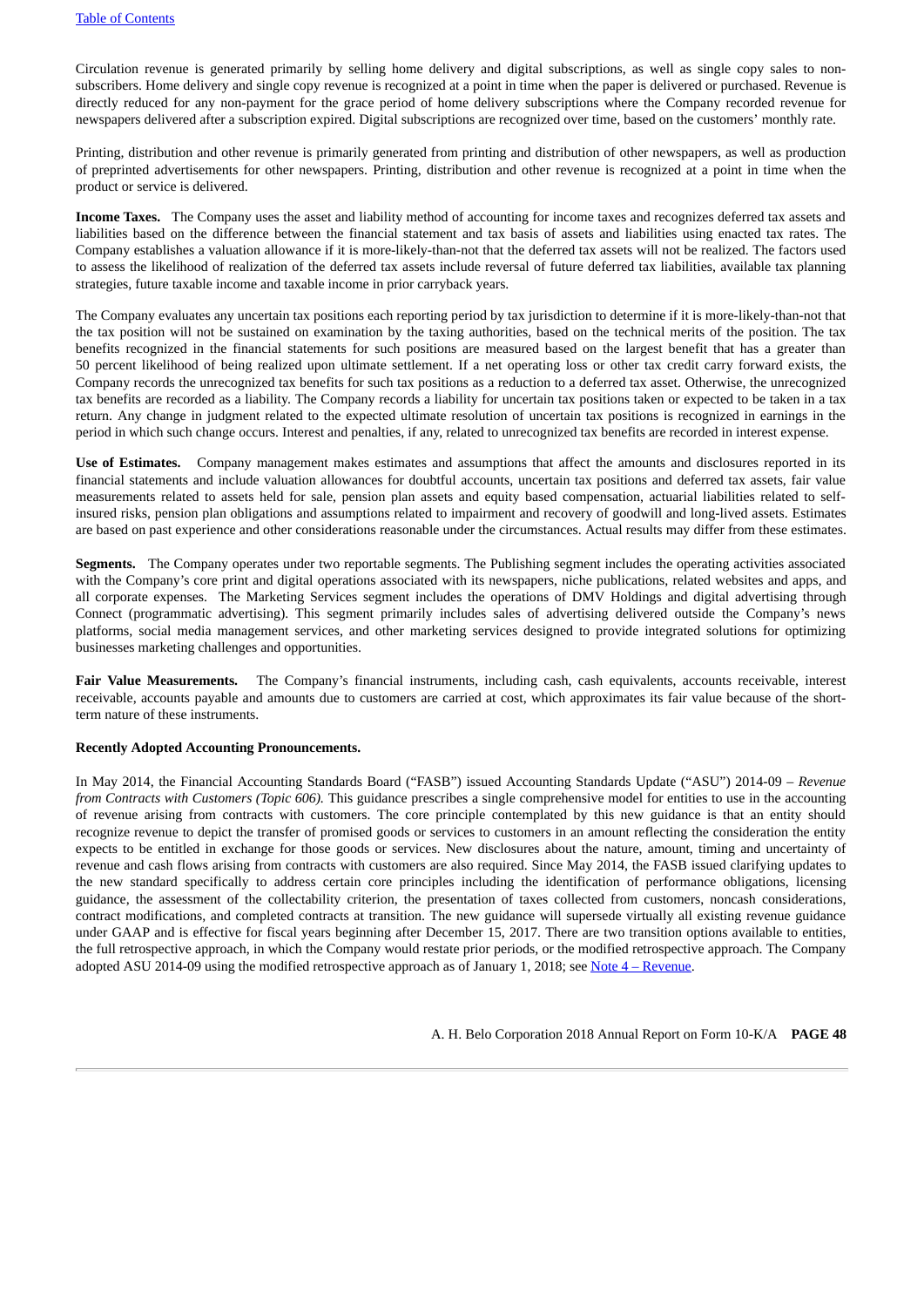Circulation revenue is generated primarily by selling home delivery and digital subscriptions, as well as single copy sales to nonsubscribers. Home delivery and single copy revenue is recognized at a point in time when the paper is delivered or purchased. Revenue is directly reduced for any non-payment for the grace period of home delivery subscriptions where the Company recorded revenue for newspapers delivered after a subscription expired. Digital subscriptions are recognized over time, based on the customers' monthly rate.

Printing, distribution and other revenue is primarily generated from printing and distribution of other newspapers, as well as production of preprinted advertisements for other newspapers. Printing, distribution and other revenue is recognized at a point in time when the product or service is delivered.

**Income Taxes.** The Company uses the asset and liability method of accounting for income taxes and recognizes deferred tax assets and liabilities based on the difference between the financial statement and tax basis of assets and liabilities using enacted tax rates. The Company establishes a valuation allowance if it is more-likely-than-not that the deferred tax assets will not be realized. The factors used to assess the likelihood of realization of the deferred tax assets include reversal of future deferred tax liabilities, available tax planning strategies, future taxable income and taxable income in prior carryback years.

The Company evaluates any uncertain tax positions each reporting period by tax jurisdiction to determine if it is more-likely-than-not that the tax position will not be sustained on examination by the taxing authorities, based on the technical merits of the position. The tax benefits recognized in the financial statements for such positions are measured based on the largest benefit that has a greater than 50 percent likelihood of being realized upon ultimate settlement. If a net operating loss or other tax credit carry forward exists, the Company records the unrecognized tax benefits for such tax positions as a reduction to a deferred tax asset. Otherwise, the unrecognized tax benefits are recorded as a liability. The Company records a liability for uncertain tax positions taken or expected to be taken in a tax return. Any change in judgment related to the expected ultimate resolution of uncertain tax positions is recognized in earnings in the period in which such change occurs. Interest and penalties, if any, related to unrecognized tax benefits are recorded in interest expense.

**Use of Estimates.** Company management makes estimates and assumptions that affect the amounts and disclosures reported in its financial statements and include valuation allowances for doubtful accounts, uncertain tax positions and deferred tax assets, fair value measurements related to assets held for sale, pension plan assets and equity based compensation, actuarial liabilities related to selfinsured risks, pension plan obligations and assumptions related to impairment and recovery of goodwill and long-lived assets. Estimates are based on past experience and other considerations reasonable under the circumstances. Actual results may differ from these estimates.

**Segments.** The Company operates under two reportable segments. The Publishing segment includes the operating activities associated with the Company's core print and digital operations associated with its newspapers, niche publications, related websites and apps, and all corporate expenses. The Marketing Services segment includes the operations of DMV Holdings and digital advertising through Connect (programmatic advertising). This segment primarily includes sales of advertising delivered outside the Company's news platforms, social media management services, and other marketing services designed to provide integrated solutions for optimizing businesses marketing challenges and opportunities.

**Fair Value Measurements.** The Company's financial instruments, including cash, cash equivalents, accounts receivable, interest receivable, accounts payable and amounts due to customers are carried at cost, which approximates its fair value because of the shortterm nature of these instruments.

### **Recently Adopted Accounting Pronouncements.**

In May 2014, the Financial Accounting Standards Board ("FASB") issued Accounting Standards Update ("ASU") 2014-09 – *Revenue from Contracts with Customers (Topic 606).* This guidance prescribes a single comprehensive model for entities to use in the accounting of revenue arising from contracts with customers. The core principle contemplated by this new guidance is that an entity should recognize revenue to depict the transfer of promised goods or services to customers in an amount reflecting the consideration the entity expects to be entitled in exchange for those goods or services. New disclosures about the nature, amount, timing and uncertainty of revenue and cash flows arising from contracts with customers are also required. Since May 2014, the FASB issued clarifying updates to the new standard specifically to address certain core principles including the identification of performance obligations, licensing guidance, the assessment of the collectability criterion, the presentation of taxes collected from customers, noncash considerations, contract modifications, and completed contracts at transition. The new guidance will supersede virtually all existing revenue guidance under GAAP and is effective for fiscal years beginning after December 15, 2017. There are two transition options available to entities, the full retrospective approach, in which the Company would restate prior periods, or the modified retrospective approach. The Company adopted ASU 2014-09 using the modified retrospective approach as of January 1, 2018; see Note 4 – [Revenue.](#page-51-0)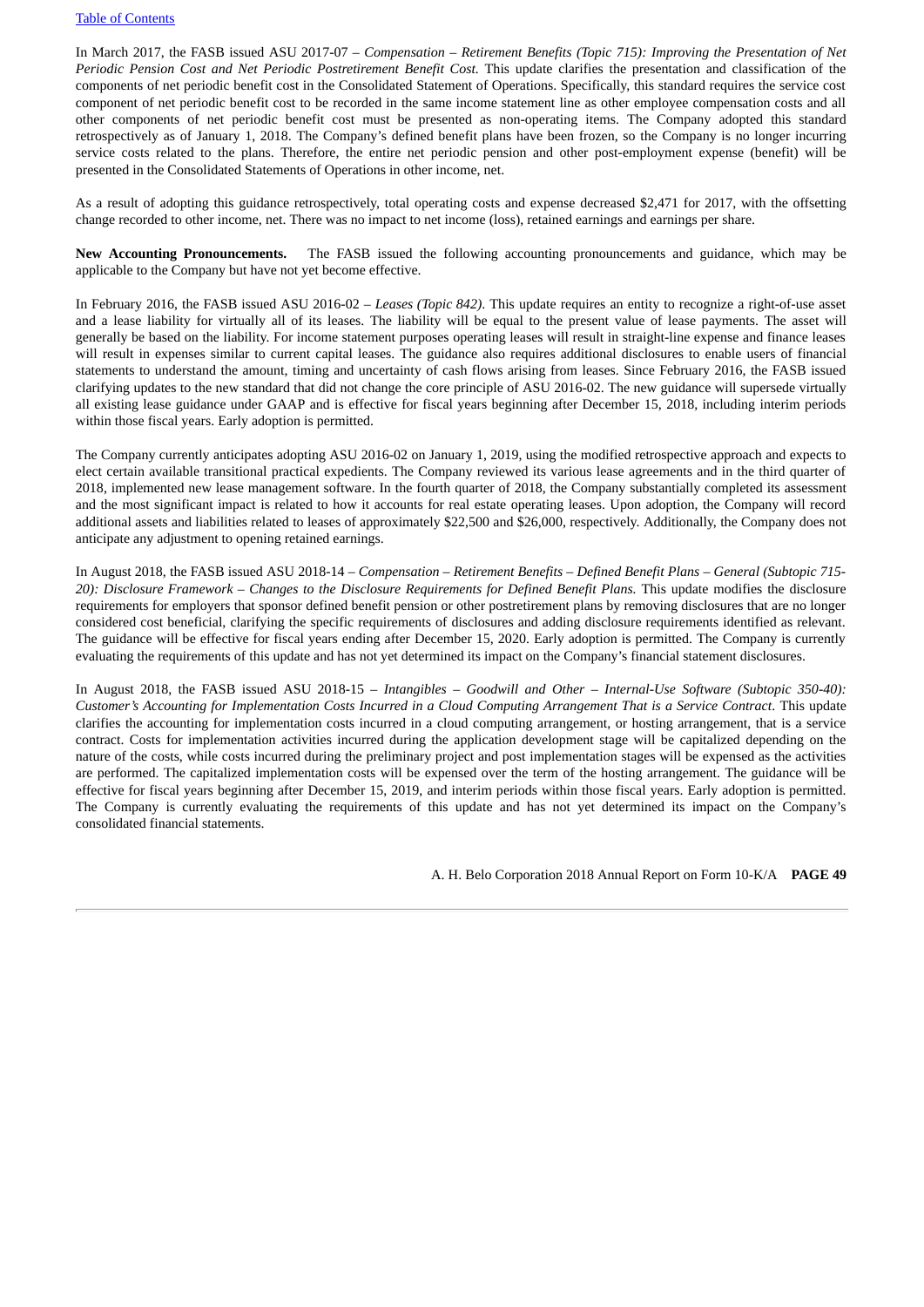In March 2017, the FASB issued ASU 2017-07 – *Compensation – Retirement Benefits (Topic 715): Improving the Presentation of Net Periodic Pension Cost and Net Periodic Postretirement Benefit Cost.* This update clarifies the presentation and classification of the components of net periodic benefit cost in the Consolidated Statement of Operations. Specifically, this standard requires the service cost component of net periodic benefit cost to be recorded in the same income statement line as other employee compensation costs and all other components of net periodic benefit cost must be presented as non-operating items. The Company adopted this standard retrospectively as of January 1, 2018. The Company's defined benefit plans have been frozen, so the Company is no longer incurring service costs related to the plans. Therefore, the entire net periodic pension and other post-employment expense (benefit) will be presented in the Consolidated Statements of Operations in other income, net.

As a result of adopting this guidance retrospectively, total operating costs and expense decreased \$2,471 for 2017, with the offsetting change recorded to other income, net. There was no impact to net income (loss), retained earnings and earnings per share.

**New Accounting Pronouncements.** The FASB issued the following accounting pronouncements and guidance, which may be applicable to the Company but have not yet become effective.

In February 2016, the FASB issued ASU 2016-02 – *Leases (Topic 842)*. This update requires an entity to recognize a right-of-use asset and a lease liability for virtually all of its leases. The liability will be equal to the present value of lease payments. The asset will generally be based on the liability. For income statement purposes operating leases will result in straight-line expense and finance leases will result in expenses similar to current capital leases. The guidance also requires additional disclosures to enable users of financial statements to understand the amount, timing and uncertainty of cash flows arising from leases. Since February 2016, the FASB issued clarifying updates to the new standard that did not change the core principle of ASU 2016-02. The new guidance will supersede virtually all existing lease guidance under GAAP and is effective for fiscal years beginning after December 15, 2018, including interim periods within those fiscal years. Early adoption is permitted.

The Company currently anticipates adopting ASU 2016-02 on January 1, 2019, using the modified retrospective approach and expects to elect certain available transitional practical expedients. The Company reviewed its various lease agreements and in the third quarter of 2018, implemented new lease management software. In the fourth quarter of 2018, the Company substantially completed its assessment and the most significant impact is related to how it accounts for real estate operating leases. Upon adoption, the Company will record additional assets and liabilities related to leases of approximately \$22,500 and \$26,000, respectively. Additionally, the Company does not anticipate any adjustment to opening retained earnings.

In August 2018, the FASB issued ASU 2018-14 – *Compensation – Retirement Benefits – Defined Benefit Plans – General (Subtopic 715- 20): Disclosure Framework* – *Changes to the Disclosure Requirements for Defined Benefit Plans.* This update modifies the disclosure requirements for employers that sponsor defined benefit pension or other postretirement plans by removing disclosures that are no longer considered cost beneficial, clarifying the specific requirements of disclosures and adding disclosure requirements identified as relevant. The guidance will be effective for fiscal years ending after December 15, 2020. Early adoption is permitted. The Company is currently evaluating the requirements of this update and has not yet determined its impact on the Company's financial statement disclosures.

In August 2018, the FASB issued ASU 2018-15 – *Intangibles – Goodwill and Other – Internal-Use Software (Subtopic 350-40):* Customer's Accounting for Implementation Costs Incurred in a Cloud Computing Arrangement That is a Service Contract. This update clarifies the accounting for implementation costs incurred in a cloud computing arrangement, or hosting arrangement, that is a service contract. Costs for implementation activities incurred during the application development stage will be capitalized depending on the nature of the costs, while costs incurred during the preliminary project and post implementation stages will be expensed as the activities are performed. The capitalized implementation costs will be expensed over the term of the hosting arrangement. The guidance will be effective for fiscal years beginning after December 15, 2019, and interim periods within those fiscal years. Early adoption is permitted. The Company is currently evaluating the requirements of this update and has not yet determined its impact on the Company's consolidated financial statements.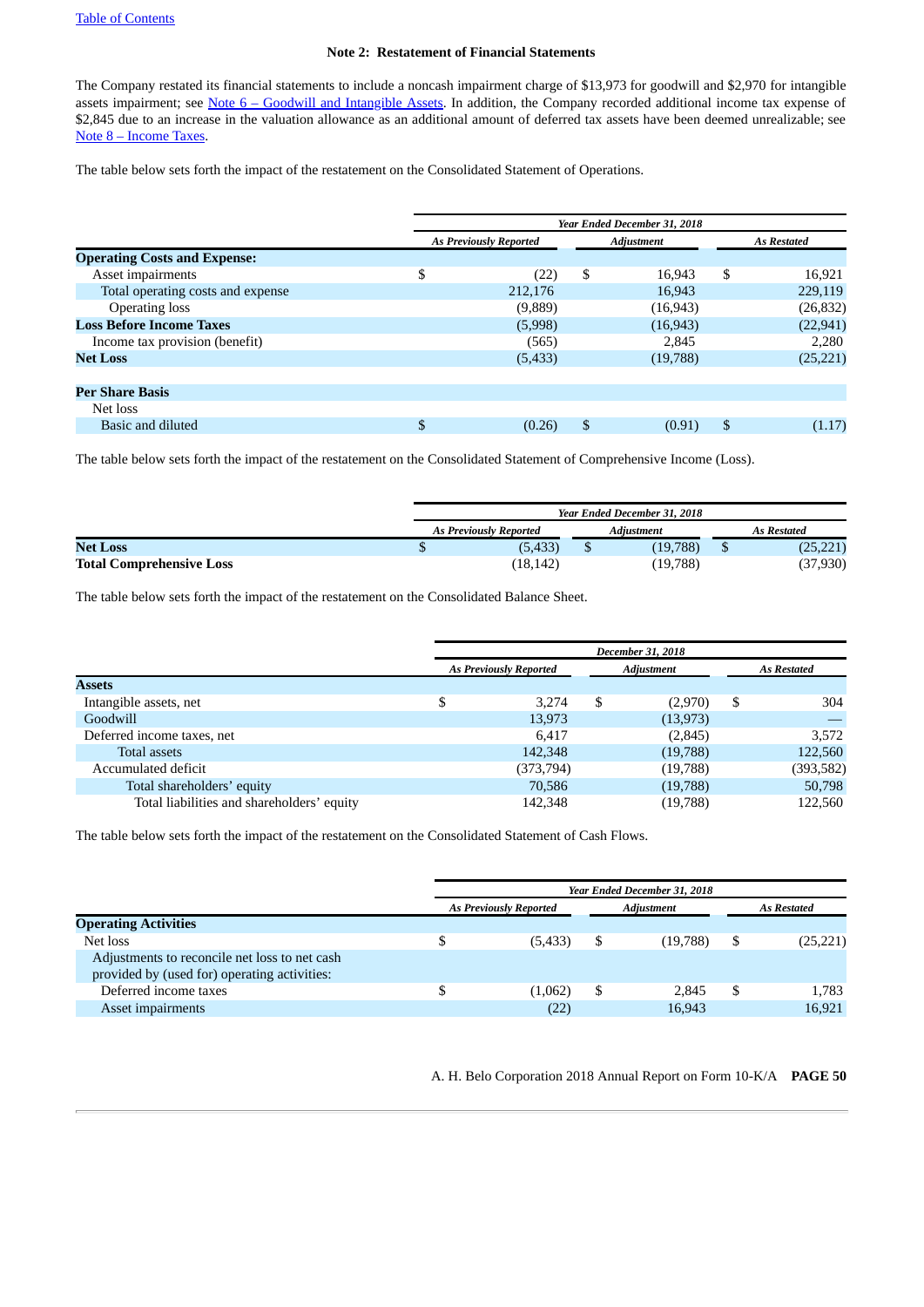#### **Note 2: Restatement of Financial Statements**

The Company restated its financial statements to include a noncash impairment charge of \$13,973 for goodwill and \$2,970 for intangible assets impairment; see <u>Note 6 – Goodwill and [Intangible](#page-53-0) Assets</u>. In addition, the Company recorded additional income tax expense of \$2,845 due to an increase in the valuation allowance as an additional amount of deferred tax assets have been deemed unrealizable; see Note 8 – [Income](#page-55-0) Taxes.

The table below sets forth the impact of the restatement on the Consolidated Statement of Operations.

|                                     | Year Ended December 31, 2018                       |    |           |                    |           |  |  |  |
|-------------------------------------|----------------------------------------------------|----|-----------|--------------------|-----------|--|--|--|
|                                     | <b>As Previously Reported</b><br><b>Adjustment</b> |    |           | <b>As Restated</b> |           |  |  |  |
| <b>Operating Costs and Expense:</b> |                                                    |    |           |                    |           |  |  |  |
| Asset impairments                   | \$<br>(22)                                         | \$ | 16.943    | \$                 | 16,921    |  |  |  |
| Total operating costs and expense   | 212,176                                            |    | 16,943    |                    | 229,119   |  |  |  |
| Operating loss                      | (9,889)                                            |    | (16, 943) |                    | (26, 832) |  |  |  |
| <b>Loss Before Income Taxes</b>     | (5,998)                                            |    | (16, 943) |                    | (22, 941) |  |  |  |
| Income tax provision (benefit)      | (565)                                              |    | 2,845     |                    | 2,280     |  |  |  |
| <b>Net Loss</b>                     | (5, 433)                                           |    | (19,788)  |                    | (25, 221) |  |  |  |
|                                     |                                                    |    |           |                    |           |  |  |  |
| <b>Per Share Basis</b>              |                                                    |    |           |                    |           |  |  |  |
| Net loss                            |                                                    |    |           |                    |           |  |  |  |
| Basic and diluted                   | \$<br>(0.26)                                       | \$ | (0.91)    | \$                 | (1.17)    |  |  |  |

The table below sets forth the impact of the restatement on the Consolidated Statement of Comprehensive Income (Loss).

|                                 | <b>Year Ended December 31, 2018</b> |  |                   |             |           |  |  |
|---------------------------------|-------------------------------------|--|-------------------|-------------|-----------|--|--|
|                                 | <b>As Previously Reported</b>       |  | <b>Adiustment</b> | As Restated |           |  |  |
| <b>Net Loss</b>                 | (5, 433)                            |  | (19, 788)         |             | (25.221)  |  |  |
| <b>Total Comprehensive Loss</b> | (18, 142)                           |  | (19,788)          |             | (37, 930) |  |  |

The table below sets forth the impact of the restatement on the Consolidated Balance Sheet.

|                                            | December 31, 2018 |                               |    |            |    |                    |  |
|--------------------------------------------|-------------------|-------------------------------|----|------------|----|--------------------|--|
|                                            |                   | <b>As Previously Reported</b> |    | Adjustment |    | <b>As Restated</b> |  |
| <b>Assets</b>                              |                   |                               |    |            |    |                    |  |
| Intangible assets, net                     | J                 | 3,274                         | \$ | (2,970)    | \$ | 304                |  |
| Goodwill                                   |                   | 13,973                        |    | (13, 973)  |    |                    |  |
| Deferred income taxes, net                 |                   | 6.417                         |    | (2,845)    |    | 3,572              |  |
| Total assets                               |                   | 142,348                       |    | (19,788)   |    | 122,560            |  |
| Accumulated deficit                        |                   | (373, 794)                    |    | (19,788)   |    | (393, 582)         |  |
| Total shareholders' equity                 |                   | 70,586                        |    | (19,788)   |    | 50,798             |  |
| Total liabilities and shareholders' equity |                   | 142,348                       |    | (19,788)   |    | 122,560            |  |

The table below sets forth the impact of the restatement on the Consolidated Statement of Cash Flows.

|                                               | Year Ended December 31, 2018  |  |                   |    |                    |  |  |  |
|-----------------------------------------------|-------------------------------|--|-------------------|----|--------------------|--|--|--|
|                                               | <b>As Previously Reported</b> |  | <b>Adjustment</b> |    | <b>As Restated</b> |  |  |  |
| <b>Operating Activities</b>                   |                               |  |                   |    |                    |  |  |  |
| Net loss                                      | (5, 433)                      |  | (19,788)          | \$ | (25,221)           |  |  |  |
| Adjustments to reconcile net loss to net cash |                               |  |                   |    |                    |  |  |  |
| provided by (used for) operating activities:  |                               |  |                   |    |                    |  |  |  |
| Deferred income taxes                         | (1,062)                       |  | 2.845             | \$ | 1.783              |  |  |  |
| Asset impairments                             | (22)                          |  | 16,943            |    | 16,921             |  |  |  |
|                                               |                               |  |                   |    |                    |  |  |  |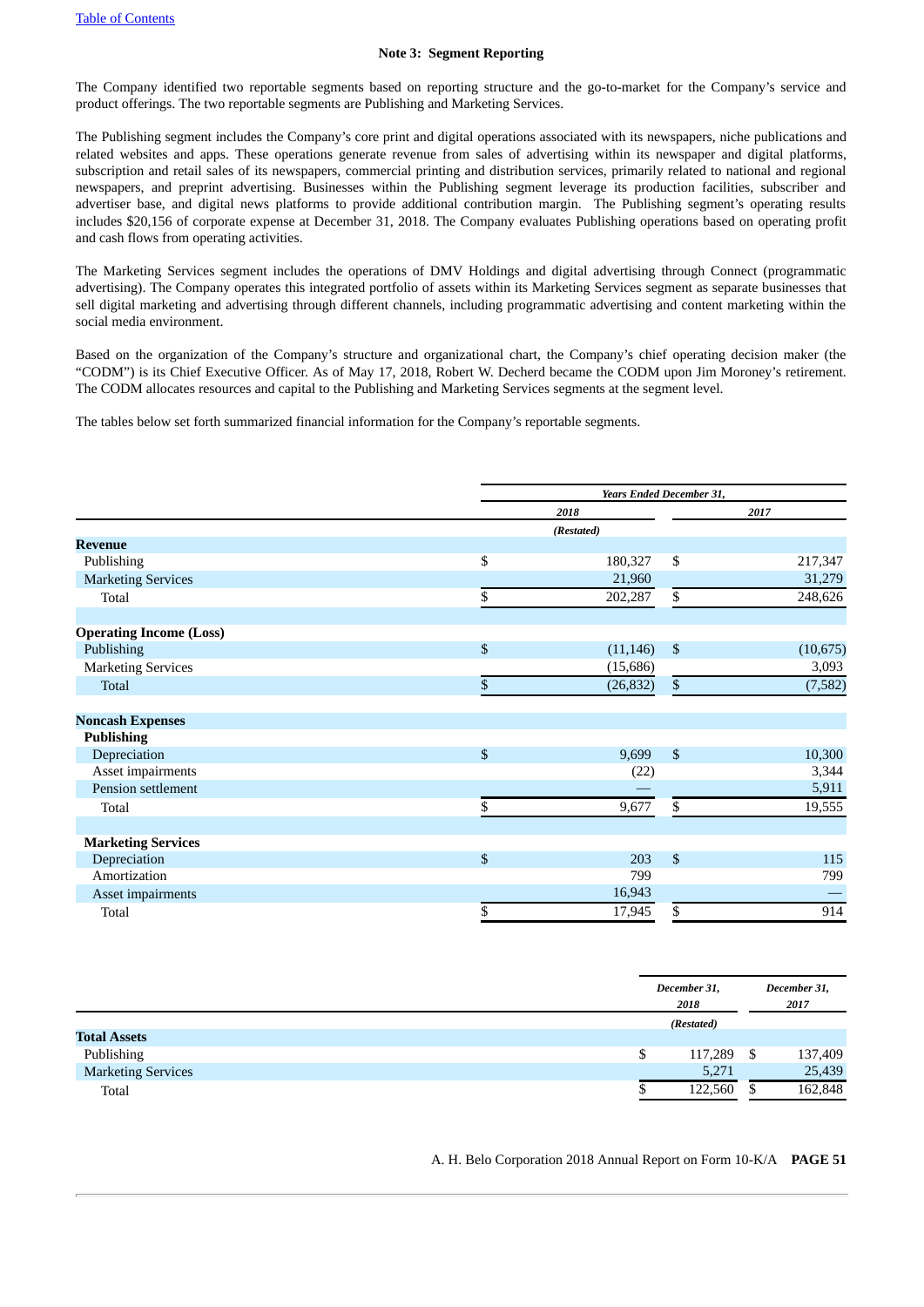#### **Note 3: Segment Reporting**

The Company identified two reportable segments based on reporting structure and the go-to-market for the Company's service and product offerings. The two reportable segments are Publishing and Marketing Services.

The Publishing segment includes the Company's core print and digital operations associated with its newspapers, niche publications and related websites and apps. These operations generate revenue from sales of advertising within its newspaper and digital platforms, subscription and retail sales of its newspapers, commercial printing and distribution services, primarily related to national and regional newspapers, and preprint advertising. Businesses within the Publishing segment leverage its production facilities, subscriber and advertiser base, and digital news platforms to provide additional contribution margin. The Publishing segment's operating results includes \$20,156 of corporate expense at December 31, 2018. The Company evaluates Publishing operations based on operating profit and cash flows from operating activities.

The Marketing Services segment includes the operations of DMV Holdings and digital advertising through Connect (programmatic advertising). The Company operates this integrated portfolio of assets within its Marketing Services segment as separate businesses that sell digital marketing and advertising through different channels, including programmatic advertising and content marketing within the social media environment.

Based on the organization of the Company's structure and organizational chart, the Company's chief operating decision maker (the "CODM") is its Chief Executive Officer. As of May 17, 2018, Robert W. Decherd became the CODM upon Jim Moroney's retirement. The CODM allocates resources and capital to the Publishing and Marketing Services segments at the segment level.

The tables below set forth summarized financial information for the Company's reportable segments.

|                                |              | <b>Years Ended December 31,</b> |                 |
|--------------------------------|--------------|---------------------------------|-----------------|
|                                |              | 2018                            | 2017            |
|                                |              | (Restated)                      |                 |
| <b>Revenue</b>                 |              |                                 |                 |
| Publishing                     | \$           | 180,327                         | \$<br>217,347   |
| <b>Marketing Services</b>      |              | 21,960                          | 31,279          |
| Total                          | \$           | 202,287                         | \$<br>248,626   |
|                                |              |                                 |                 |
| <b>Operating Income (Loss)</b> |              |                                 |                 |
| Publishing                     | $\mathbb{S}$ | (11, 146)                       | \$<br>(10, 675) |
| <b>Marketing Services</b>      |              | (15,686)                        | 3,093           |
| <b>Total</b>                   | \$           | (26, 832)                       | \$<br>(7,582)   |
| <b>Noncash Expenses</b>        |              |                                 |                 |
| <b>Publishing</b>              |              |                                 |                 |
| Depreciation                   | \$           | 9,699                           | \$<br>10,300    |
| Asset impairments              |              | (22)                            | 3,344           |
| Pension settlement             |              |                                 | 5,911           |
| Total                          | \$           | 9,677                           | \$<br>19,555    |
| <b>Marketing Services</b>      |              |                                 |                 |
| Depreciation                   | \$           | 203                             | \$<br>115       |
| Amortization                   |              | 799                             | 799             |
| Asset impairments              |              | 16,943                          |                 |
| Total                          | \$           | 17,945                          | \$<br>914       |

|                           | December 31,<br>2018 |      | December 31,<br>2017 |  |  |
|---------------------------|----------------------|------|----------------------|--|--|
|                           | (Restated)           |      |                      |  |  |
| <b>Total Assets</b>       |                      |      |                      |  |  |
| Publishing                | \$<br>117,289        | - \$ | 137,409              |  |  |
| <b>Marketing Services</b> | 5,271                |      | 25,439               |  |  |
| Total                     | 122,560              |      | 162,848              |  |  |
|                           |                      |      |                      |  |  |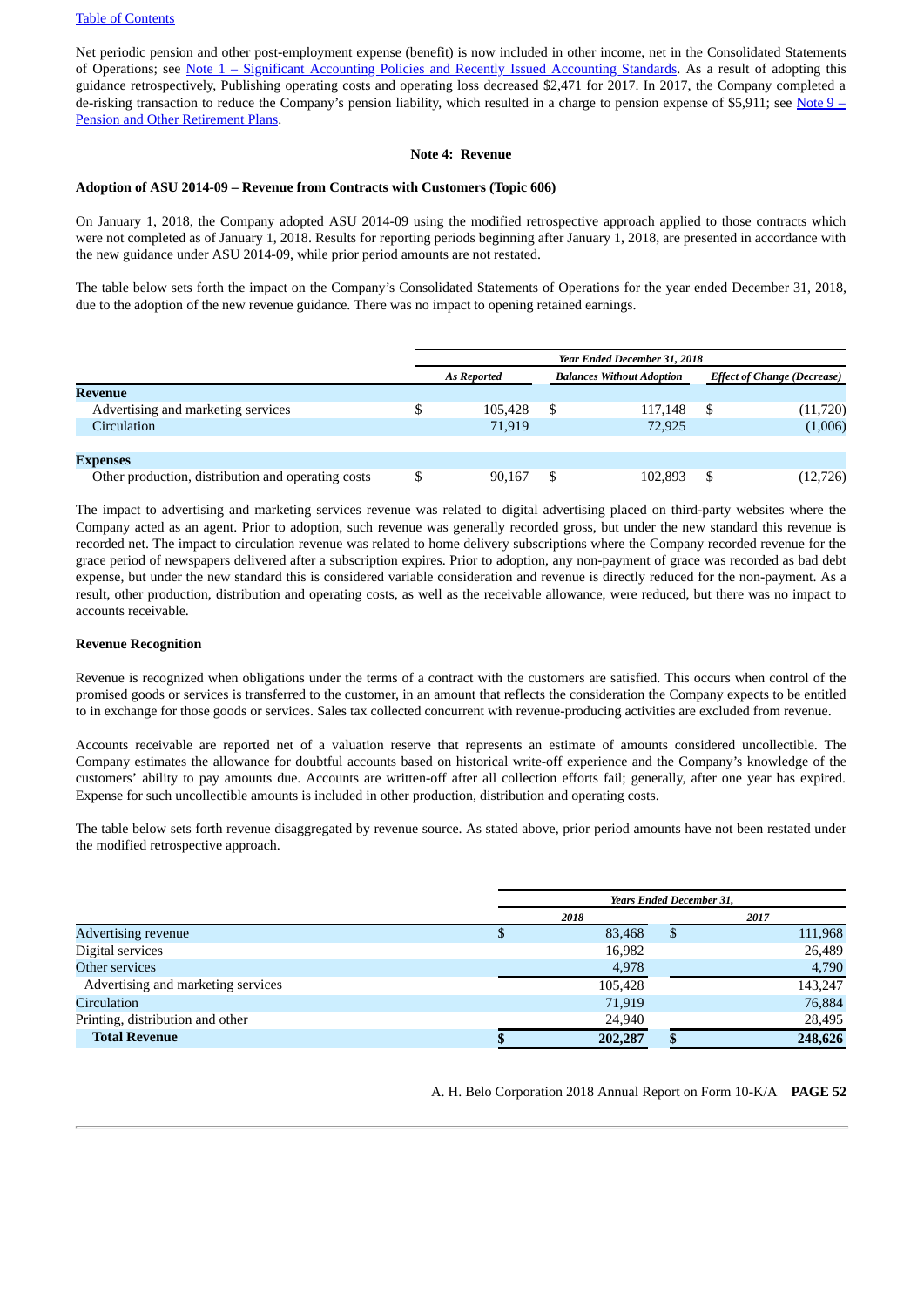Net periodic pension and other post-employment expense (benefit) is now included in other income, net in the Consolidated Statements of Operations; see <u>Note 1 – Significant [Accounting](#page-44-0) Policies and Recently Issued Accounting Standards</u>. As a result of adopting this guidance retrospectively, Publishing operating costs and operating loss decreased \$2,471 for 2017. In 2017, the Company completed a de-risking transaction to reduce the [Company's](#page-58-0) pension liability, which resulted in a charge to pension expense of \$5,911; see Note  $9 -$ Pension and Other Retirement Plans.

### <span id="page-51-0"></span>**Note 4: Revenue**

### **Adoption of ASU 2014-09 – Revenue from Contracts with Customers (Topic 606)**

On January 1, 2018, the Company adopted ASU 2014-09 using the modified retrospective approach applied to those contracts which were not completed as of January 1, 2018. Results for reporting periods beginning after January 1, 2018, are presented in accordance with the new guidance under ASU 2014-09, while prior period amounts are not restated.

The table below sets forth the impact on the Company's Consolidated Statements of Operations for the year ended December 31, 2018, due to the adoption of the new revenue guidance. There was no impact to opening retained earnings.

|                                                    | Year Ended December 31, 2018 |                    |                                  |         |                                    |           |  |  |
|----------------------------------------------------|------------------------------|--------------------|----------------------------------|---------|------------------------------------|-----------|--|--|
|                                                    |                              | <b>As Reported</b> | <b>Balances Without Adoption</b> |         | <b>Effect of Change (Decrease)</b> |           |  |  |
| Revenue                                            |                              |                    |                                  |         |                                    |           |  |  |
| Advertising and marketing services                 |                              | 105.428            | S                                | 117,148 | -S                                 | (11,720)  |  |  |
| Circulation                                        |                              | 71,919             |                                  | 72,925  |                                    | (1,006)   |  |  |
|                                                    |                              |                    |                                  |         |                                    |           |  |  |
| <b>Expenses</b>                                    |                              |                    |                                  |         |                                    |           |  |  |
| Other production, distribution and operating costs |                              | 90,167             | S                                | 102.893 |                                    | (12, 726) |  |  |

The impact to advertising and marketing services revenue was related to digital advertising placed on third-party websites where the Company acted as an agent. Prior to adoption, such revenue was generally recorded gross, but under the new standard this revenue is recorded net. The impact to circulation revenue was related to home delivery subscriptions where the Company recorded revenue for the grace period of newspapers delivered after a subscription expires. Prior to adoption, any non-payment of grace was recorded as bad debt expense, but under the new standard this is considered variable consideration and revenue is directly reduced for the non-payment. As a result, other production, distribution and operating costs, as well as the receivable allowance, were reduced, but there was no impact to accounts receivable.

#### **Revenue Recognition**

Revenue is recognized when obligations under the terms of a contract with the customers are satisfied. This occurs when control of the promised goods or services is transferred to the customer, in an amount that reflects the consideration the Company expects to be entitled to in exchange for those goods or services. Sales tax collected concurrent with revenue-producing activities are excluded from revenue.

Accounts receivable are reported net of a valuation reserve that represents an estimate of amounts considered uncollectible. The Company estimates the allowance for doubtful accounts based on historical write-off experience and the Company's knowledge of the customers' ability to pay amounts due. Accounts are written-off after all collection efforts fail; generally, after one year has expired. Expense for such uncollectible amounts is included in other production, distribution and operating costs.

The table below sets forth revenue disaggregated by revenue source. As stated above, prior period amounts have not been restated under the modified retrospective approach.

|                                    | <b>Years Ended December 31,</b> |    |         |  |  |
|------------------------------------|---------------------------------|----|---------|--|--|
|                                    | 2018                            |    | 2017    |  |  |
| <b>Advertising revenue</b>         | 83,468                          | \$ | 111,968 |  |  |
| Digital services                   | 16,982                          |    | 26,489  |  |  |
| Other services                     | 4,978                           |    | 4,790   |  |  |
| Advertising and marketing services | 105,428                         |    | 143,247 |  |  |
| Circulation                        | 71,919                          |    | 76,884  |  |  |
| Printing, distribution and other   | 24,940                          |    | 28,495  |  |  |
| <b>Total Revenue</b>               | 202,287                         |    | 248,626 |  |  |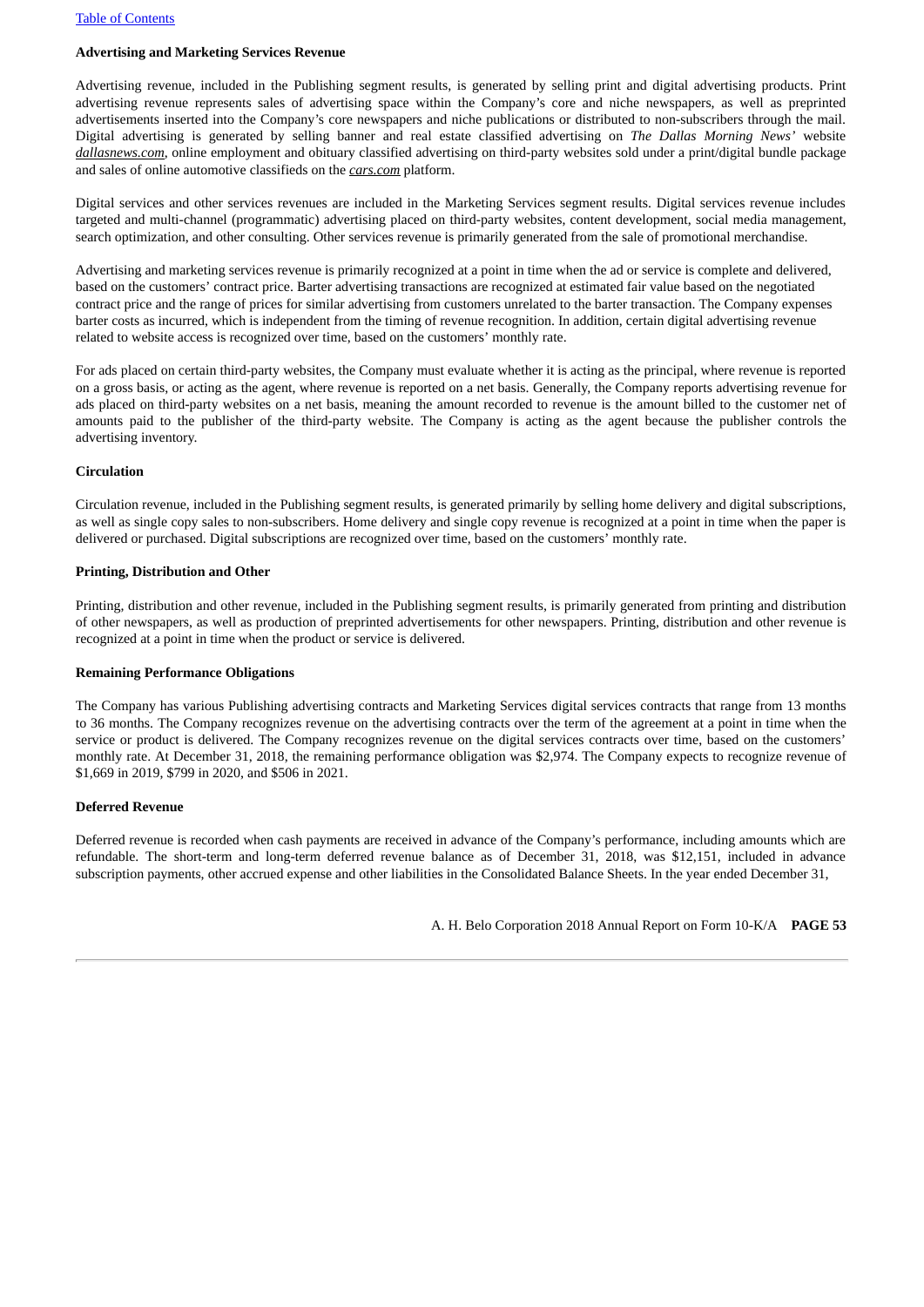### **Advertising and Marketing Services Revenue**

Advertising revenue, included in the Publishing segment results, is generated by selling print and digital advertising products. Print advertising revenue represents sales of advertising space within the Company's core and niche newspapers, as well as preprinted advertisements inserted into the Company's core newspapers and niche publications or distributed to non-subscribers through the mail. Digital advertising is generated by selling banner and real estate classified advertising on *The Dallas Morning News'* website *dallasnews.com*, online employment and obituary classified advertising on third-party websites sold under a print/digital bundle package and sales of online automotive classifieds on the *cars.com* platform.

Digital services and other services revenues are included in the Marketing Services segment results. Digital services revenue includes targeted and multi-channel (programmatic) advertising placed on third-party websites, content development, social media management, search optimization, and other consulting. Other services revenue is primarily generated from the sale of promotional merchandise.

Advertising and marketing services revenue is primarily recognized at a point in time when the ad or service is complete and delivered, based on the customers' contract price. Barter advertising transactions are recognized at estimated fair value based on the negotiated contract price and the range of prices for similar advertising from customers unrelated to the barter transaction. The Company expenses barter costs as incurred, which is independent from the timing of revenue recognition. In addition, certain digital advertising revenue related to website access is recognized over time, based on the customers' monthly rate.

For ads placed on certain third-party websites, the Company must evaluate whether it is acting as the principal, where revenue is reported on a gross basis, or acting as the agent, where revenue is reported on a net basis. Generally, the Company reports advertising revenue for ads placed on third-party websites on a net basis, meaning the amount recorded to revenue is the amount billed to the customer net of amounts paid to the publisher of the third-party website. The Company is acting as the agent because the publisher controls the advertising inventory.

### **Circulation**

Circulation revenue, included in the Publishing segment results, is generated primarily by selling home delivery and digital subscriptions, as well as single copy sales to non-subscribers. Home delivery and single copy revenue is recognized at a point in time when the paper is delivered or purchased. Digital subscriptions are recognized over time, based on the customers' monthly rate.

#### **Printing, Distribution and Other**

Printing, distribution and other revenue, included in the Publishing segment results, is primarily generated from printing and distribution of other newspapers, as well as production of preprinted advertisements for other newspapers. Printing, distribution and other revenue is recognized at a point in time when the product or service is delivered.

#### **Remaining Performance Obligations**

The Company has various Publishing advertising contracts and Marketing Services digital services contracts that range from 13 months to 36 months. The Company recognizes revenue on the advertising contracts over the term of the agreement at a point in time when the service or product is delivered. The Company recognizes revenue on the digital services contracts over time, based on the customers' monthly rate. At December 31, 2018, the remaining performance obligation was \$2,974. The Company expects to recognize revenue of \$1,669 in 2019, \$799 in 2020, and \$506 in 2021.

### **Deferred Revenue**

Deferred revenue is recorded when cash payments are received in advance of the Company's performance, including amounts which are refundable. The short-term and long-term deferred revenue balance as of December 31, 2018, was \$12,151, included in advance subscription payments, other accrued expense and other liabilities in the Consolidated Balance Sheets. In the year ended December 31,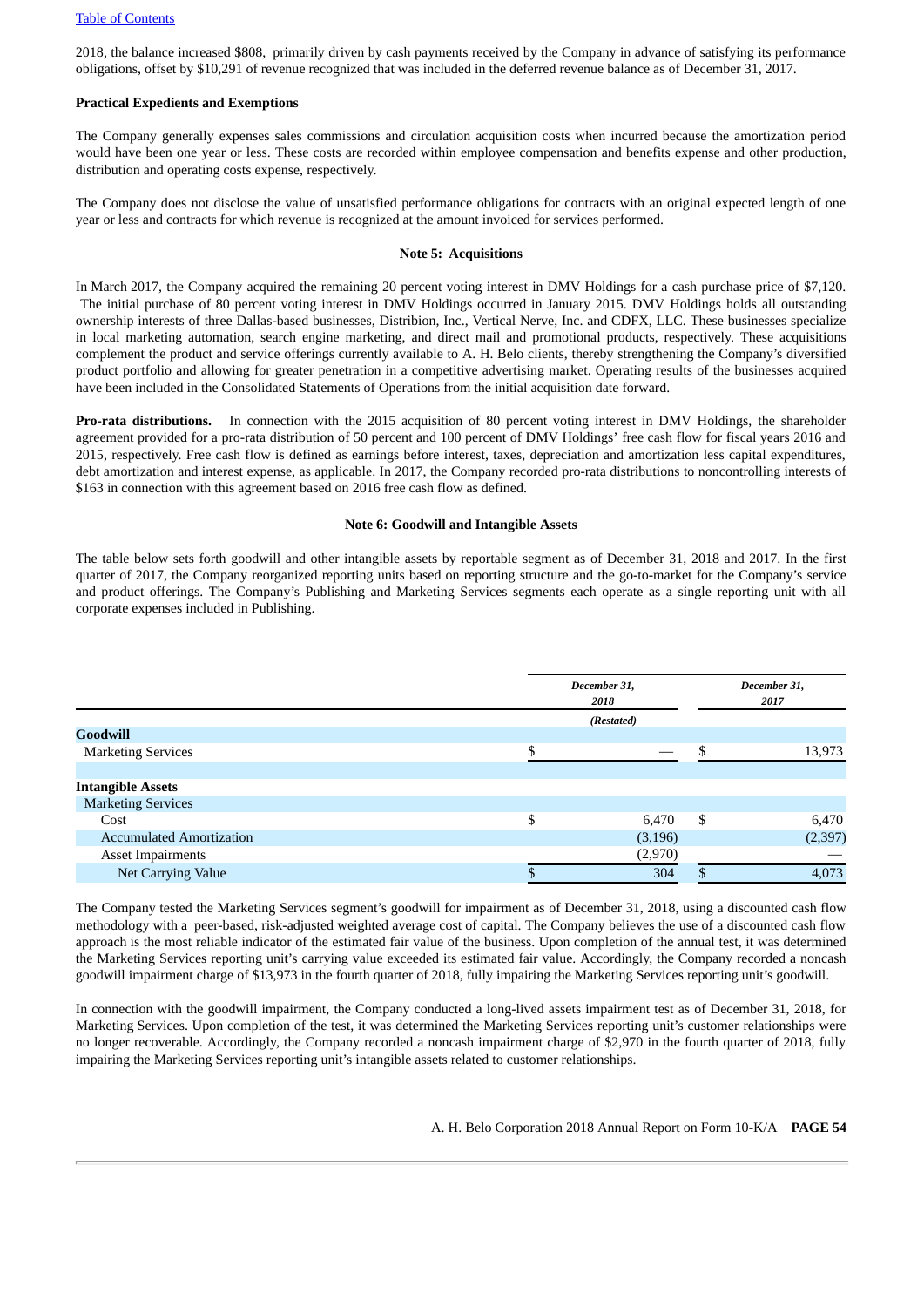2018, the balance increased \$808, primarily driven by cash payments received by the Company in advance of satisfying its performance obligations, offset by \$10,291 of revenue recognized that was included in the deferred revenue balance as of December 31, 2017.

#### **Practical Expedients and Exemptions**

The Company generally expenses sales commissions and circulation acquisition costs when incurred because the amortization period would have been one year or less. These costs are recorded within employee compensation and benefits expense and other production, distribution and operating costs expense, respectively.

The Company does not disclose the value of unsatisfied performance obligations for contracts with an original expected length of one year or less and contracts for which revenue is recognized at the amount invoiced for services performed.

#### **Note 5: Acquisitions**

In March 2017, the Company acquired the remaining 20 percent voting interest in DMV Holdings for a cash purchase price of \$7,120. The initial purchase of 80 percent voting interest in DMV Holdings occurred in January 2015. DMV Holdings holds all outstanding ownership interests of three Dallas-based businesses, Distribion, Inc., Vertical Nerve, Inc. and CDFX, LLC. These businesses specialize in local marketing automation, search engine marketing, and direct mail and promotional products, respectively. These acquisitions complement the product and service offerings currently available to A. H. Belo clients, thereby strengthening the Company's diversified product portfolio and allowing for greater penetration in a competitive advertising market. Operating results of the businesses acquired have been included in the Consolidated Statements of Operations from the initial acquisition date forward.

**Pro-rata distributions.** In connection with the 2015 acquisition of 80 percent voting interest in DMV Holdings, the shareholder agreement provided for a pro-rata distribution of 50 percent and 100 percent of DMV Holdings' free cash flow for fiscal years 2016 and 2015, respectively. Free cash flow is defined as earnings before interest, taxes, depreciation and amortization less capital expenditures, debt amortization and interest expense, as applicable. In 2017, the Company recorded pro-rata distributions to noncontrolling interests of \$163 in connection with this agreement based on 2016 free cash flow as defined.

#### **Note 6: Goodwill and Intangible Assets**

<span id="page-53-0"></span>The table below sets forth goodwill and other intangible assets by reportable segment as of December 31, 2018 and 2017. In the first quarter of 2017, the Company reorganized reporting units based on reporting structure and the go-to-market for the Company's service and product offerings. The Company's Publishing and Marketing Services segments each operate as a single reporting unit with all corporate expenses included in Publishing.

| December 31,<br>2018 |            |    | December 31,<br>2017 |  |  |
|----------------------|------------|----|----------------------|--|--|
|                      | (Restated) |    |                      |  |  |
|                      |            |    |                      |  |  |
|                      |            |    | 13,973               |  |  |
|                      |            |    |                      |  |  |
|                      |            |    |                      |  |  |
|                      |            |    |                      |  |  |
| \$                   | 6,470      | \$ | 6,470                |  |  |
|                      | (3, 196)   |    | (2, 397)             |  |  |
|                      | (2,970)    |    |                      |  |  |
|                      | 304        |    | 4,073                |  |  |
|                      |            |    |                      |  |  |

The Company tested the Marketing Services segment's goodwill for impairment as of December 31, 2018, using a discounted cash flow methodology with a peer-based, risk-adjusted weighted average cost of capital. The Company believes the use of a discounted cash flow approach is the most reliable indicator of the estimated fair value of the business. Upon completion of the annual test, it was determined the Marketing Services reporting unit's carrying value exceeded its estimated fair value. Accordingly, the Company recorded a noncash goodwill impairment charge of \$13,973 in the fourth quarter of 2018, fully impairing the Marketing Services reporting unit's goodwill.

In connection with the goodwill impairment, the Company conducted a long-lived assets impairment test as of December 31, 2018, for Marketing Services. Upon completion of the test, it was determined the Marketing Services reporting unit's customer relationships were no longer recoverable. Accordingly, the Company recorded a noncash impairment charge of \$2,970 in the fourth quarter of 2018, fully impairing the Marketing Services reporting unit's intangible assets related to customer relationships.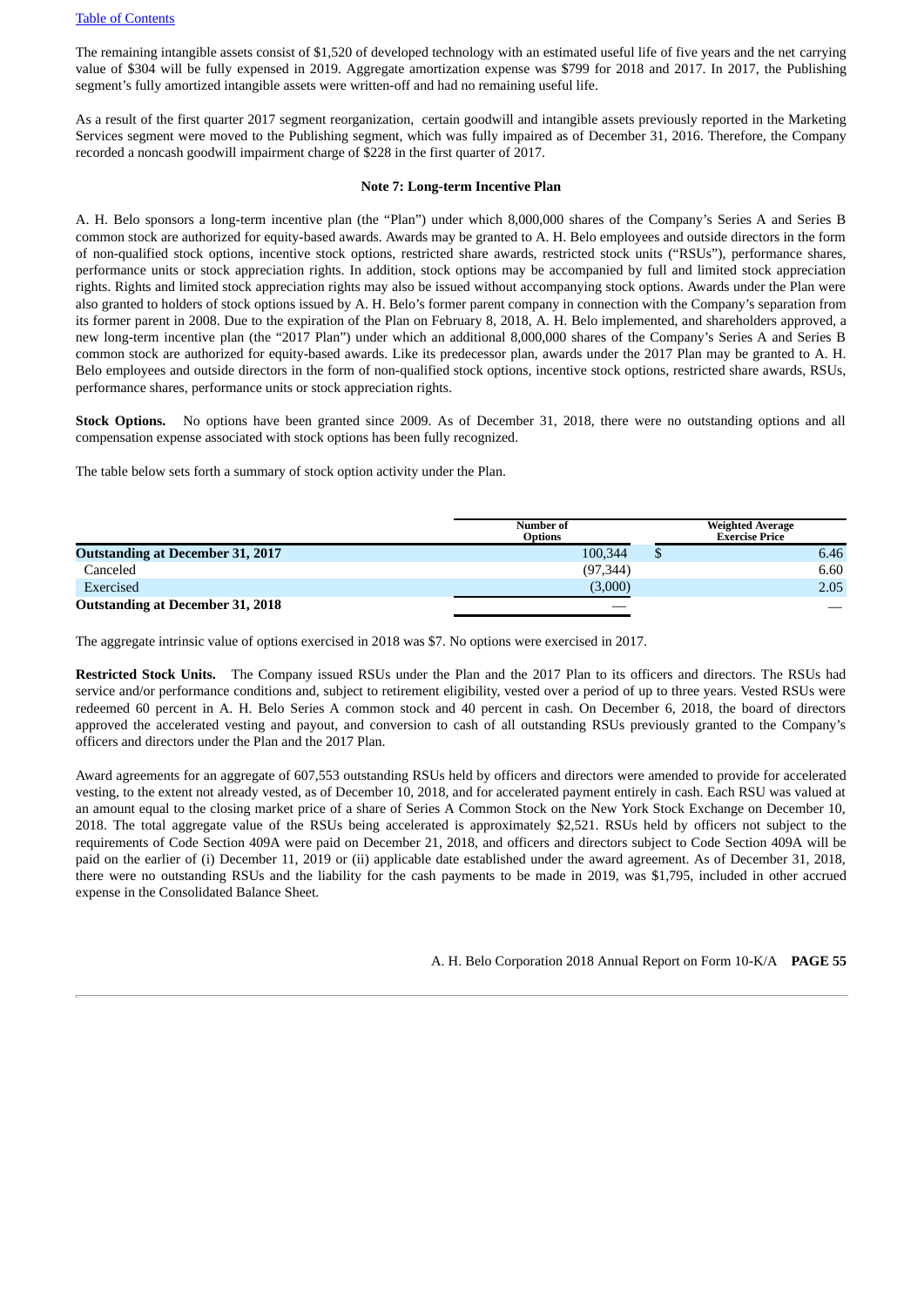The remaining intangible assets consist of \$1,520 of developed technology with an estimated useful life of five years and the net carrying value of \$304 will be fully expensed in 2019. Aggregate amortization expense was \$799 for 2018 and 2017. In 2017, the Publishing segment's fully amortized intangible assets were written-off and had no remaining useful life.

As a result of the first quarter 2017 segment reorganization, certain goodwill and intangible assets previously reported in the Marketing Services segment were moved to the Publishing segment, which was fully impaired as of December 31, 2016. Therefore, the Company recorded a noncash goodwill impairment charge of \$228 in the first quarter of 2017.

#### **Note 7: Long-term Incentive Plan**

<span id="page-54-0"></span>A. H. Belo sponsors a long-term incentive plan (the "Plan") under which 8,000,000 shares of the Company's Series A and Series B common stock are authorized for equity-based awards. Awards may be granted to A. H. Belo employees and outside directors in the form of non-qualified stock options, incentive stock options, restricted share awards, restricted stock units ("RSUs"), performance shares, performance units or stock appreciation rights. In addition, stock options may be accompanied by full and limited stock appreciation rights. Rights and limited stock appreciation rights may also be issued without accompanying stock options. Awards under the Plan were also granted to holders of stock options issued by A. H. Belo's former parent company in connection with the Company's separation from its former parent in 2008. Due to the expiration of the Plan on February 8, 2018, A. H. Belo implemented, and shareholders approved, a new long-term incentive plan (the "2017 Plan") under which an additional 8,000,000 shares of the Company's Series A and Series B common stock are authorized for equity-based awards. Like its predecessor plan, awards under the 2017 Plan may be granted to A. H. Belo employees and outside directors in the form of non-qualified stock options, incentive stock options, restricted share awards, RSUs, performance shares, performance units or stock appreciation rights.

**Stock Options.** No options have been granted since 2009. As of December 31, 2018, there were no outstanding options and all compensation expense associated with stock options has been fully recognized.

The table below sets forth a summary of stock option activity under the Plan.

|                                         | Number of<br><b>Options</b> | <b>Weighted Average</b><br><b>Exercise Price</b> |      |  |  |  |
|-----------------------------------------|-----------------------------|--------------------------------------------------|------|--|--|--|
| <b>Outstanding at December 31, 2017</b> | 100.344                     | D                                                | 6.46 |  |  |  |
| Canceled                                | (97, 344)                   |                                                  | 6.60 |  |  |  |
| Exercised                               | (3,000)                     |                                                  | 2.05 |  |  |  |
| <b>Outstanding at December 31, 2018</b> |                             |                                                  |      |  |  |  |

The aggregate intrinsic value of options exercised in 2018 was \$7. No options were exercised in 2017.

**Restricted Stock Units.** The Company issued RSUs under the Plan and the 2017 Plan to its officers and directors. The RSUs had service and/or performance conditions and, subject to retirement eligibility, vested over a period of up to three years. Vested RSUs were redeemed 60 percent in A. H. Belo Series A common stock and 40 percent in cash. On December 6, 2018, the board of directors approved the accelerated vesting and payout, and conversion to cash of all outstanding RSUs previously granted to the Company's officers and directors under the Plan and the 2017 Plan.

Award agreements for an aggregate of 607,553 outstanding RSUs held by officers and directors were amended to provide for accelerated vesting, to the extent not already vested, as of December 10, 2018, and for accelerated payment entirely in cash. Each RSU was valued at an amount equal to the closing market price of a share of Series A Common Stock on the New York Stock Exchange on December 10, 2018. The total aggregate value of the RSUs being accelerated is approximately \$2,521. RSUs held by officers not subject to the requirements of Code Section 409A were paid on December 21, 2018, and officers and directors subject to Code Section 409A will be paid on the earlier of (i) December 11, 2019 or (ii) applicable date established under the award agreement. As of December 31, 2018, there were no outstanding RSUs and the liability for the cash payments to be made in 2019, was \$1,795, included in other accrued expense in the Consolidated Balance Sheet.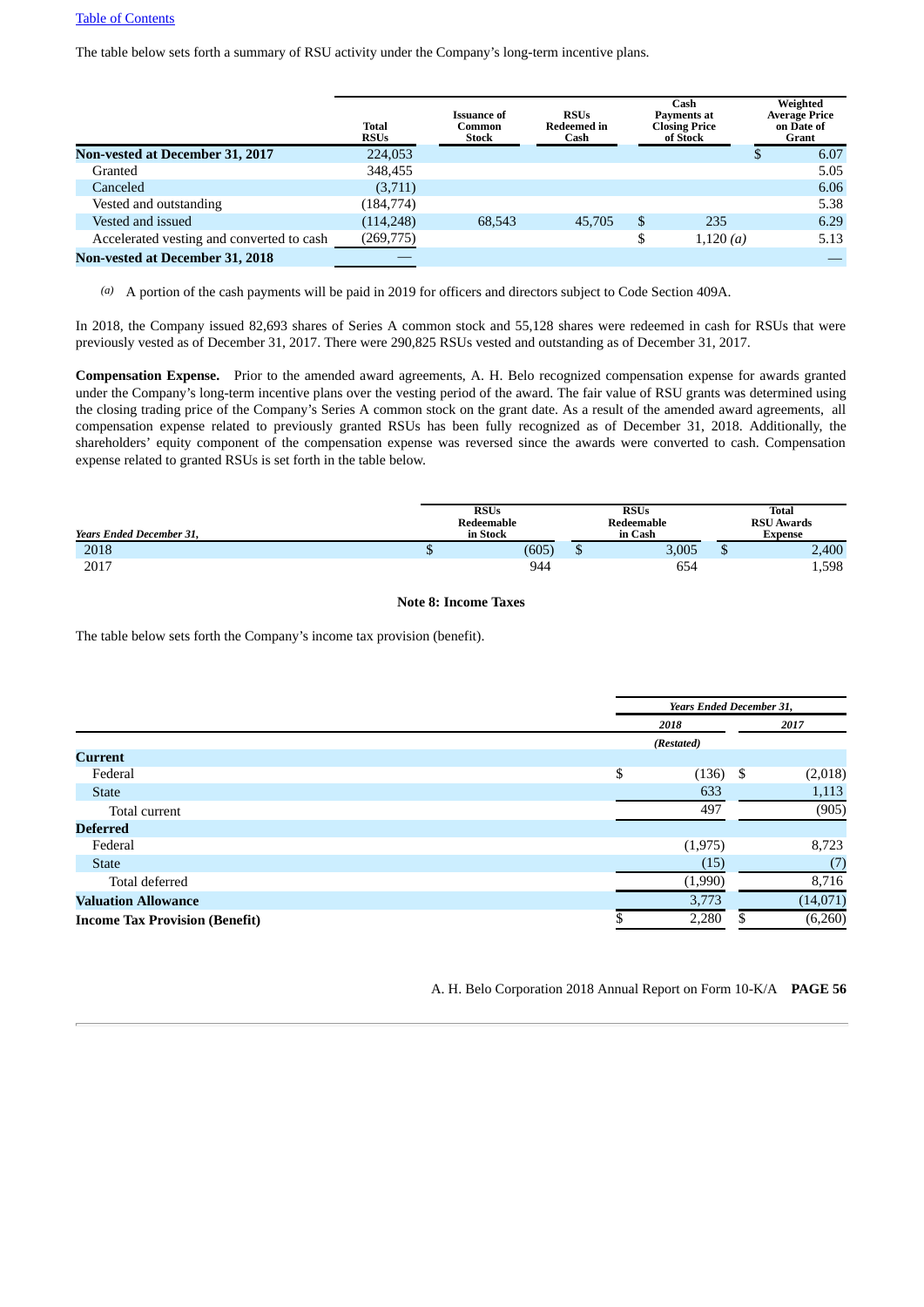The table below sets forth a summary of RSU activity under the Company's long-term incentive plans.

|                                           | <b>Total</b><br><b>RSUs</b> | <b>Issuance of</b><br>Common<br><b>Stock</b> | <b>RSUs</b><br><b>Redeemed in</b><br>Cash |    | Cash<br>Payments at<br><b>Closing Price</b><br>of Stock |   | Weighted<br><b>Average Price</b><br>on Date of<br>Grant |
|-------------------------------------------|-----------------------------|----------------------------------------------|-------------------------------------------|----|---------------------------------------------------------|---|---------------------------------------------------------|
| Non-vested at December 31, 2017           | 224,053                     |                                              |                                           |    |                                                         | ა | 6.07                                                    |
| Granted                                   | 348,455                     |                                              |                                           |    |                                                         |   | 5.05                                                    |
| Canceled                                  | (3,711)                     |                                              |                                           |    |                                                         |   | 6.06                                                    |
| Vested and outstanding                    | (184, 774)                  |                                              |                                           |    |                                                         |   | 5.38                                                    |
| Vested and issued                         | (114, 248)                  | 68.543                                       | 45,705                                    | \$ | 235                                                     |   | 6.29                                                    |
| Accelerated vesting and converted to cash | (269, 775)                  |                                              |                                           | S  | 1,120(a)                                                |   | 5.13                                                    |
| Non-vested at December 31, 2018           |                             |                                              |                                           |    |                                                         |   |                                                         |

*(a)* A portion of the cash payments will be paid in 2019 for officers and directors subject to Code Section 409A.

In 2018, the Company issued 82,693 shares of Series A common stock and 55,128 shares were redeemed in cash for RSUs that were previously vested as of December 31, 2017. There were 290,825 RSUs vested and outstanding as of December 31, 2017.

**Compensation Expense.** Prior to the amended award agreements, A. H. Belo recognized compensation expense for awards granted under the Company's long-term incentive plans over the vesting period of the award. The fair value of RSU grants was determined using the closing trading price of the Company's Series A common stock on the grant date. As a result of the amended award agreements, all compensation expense related to previously granted RSUs has been fully recognized as of December 31, 2018. Additionally, the shareholders' equity component of the compensation expense was reversed since the awards were converted to cash. Compensation expense related to granted RSUs is set forth in the table below.

| <b>Years Ended December 31.</b> |   | <b>RSUs</b><br>Redeemable<br>in Stock | <b>RSUs</b><br>Redeemable<br>in Cash | Total<br><b>RSU Awards</b><br>Expense |       |  |
|---------------------------------|---|---------------------------------------|--------------------------------------|---------------------------------------|-------|--|
| 2018                            | Φ | (605)                                 | 3,005                                | ۰υ                                    | 2,400 |  |
| 2017                            |   | 944                                   | 654                                  |                                       | 1,598 |  |

### <span id="page-55-1"></span>**Note 8: Income Taxes**

<span id="page-55-0"></span>The table below sets forth the Company's income tax provision (benefit).

|                                       | <b>Years Ended December 31,</b> |      |           |  |
|---------------------------------------|---------------------------------|------|-----------|--|
|                                       | 2018                            |      | 2017      |  |
|                                       | (Restated)                      |      |           |  |
| <b>Current</b>                        |                                 |      |           |  |
| Federal                               | \$<br>(136)                     | - \$ | (2,018)   |  |
| <b>State</b>                          | 633                             |      | 1,113     |  |
| Total current                         | 497                             |      | (905)     |  |
| <b>Deferred</b>                       |                                 |      |           |  |
| Federal                               | (1, 975)                        |      | 8,723     |  |
| <b>State</b>                          | (15)                            |      | (7)       |  |
| Total deferred                        | (1,990)                         |      | 8,716     |  |
| <b>Valuation Allowance</b>            | 3,773                           |      | (14, 071) |  |
| <b>Income Tax Provision (Benefit)</b> | 2,280                           |      | (6,260)   |  |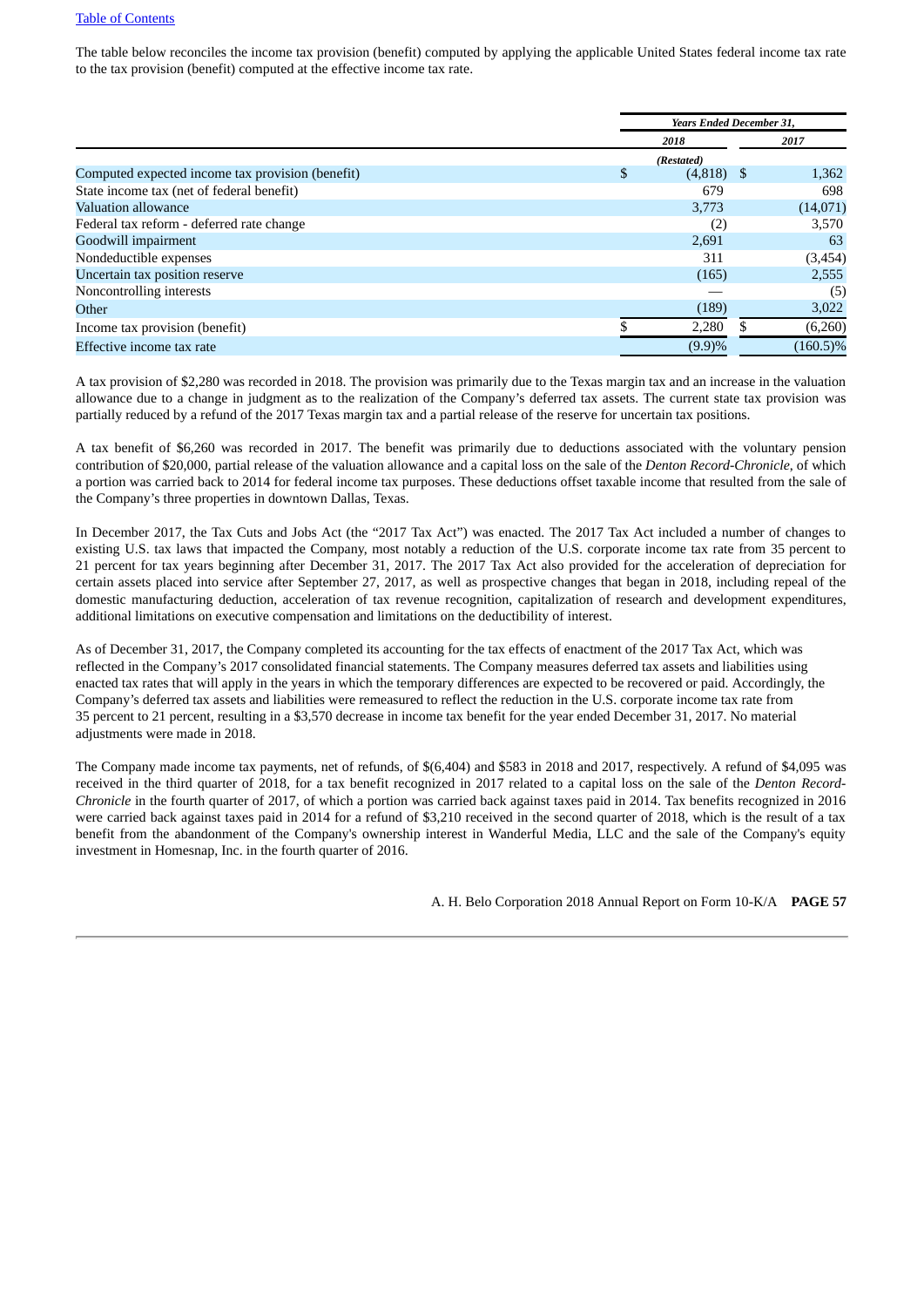The table below reconciles the income tax provision (benefit) computed by applying the applicable United States federal income tax rate to the tax provision (benefit) computed at the effective income tax rate.

|                                                  | <b>Years Ended December 31.</b> |      |             |  |
|--------------------------------------------------|---------------------------------|------|-------------|--|
|                                                  | 2018                            |      | 2017        |  |
|                                                  | (Restated)                      |      |             |  |
| Computed expected income tax provision (benefit) | (4,818)                         | - \$ | 1,362       |  |
| State income tax (net of federal benefit)        | 679                             |      | 698         |  |
| Valuation allowance                              | 3,773                           |      | (14,071)    |  |
| Federal tax reform - deferred rate change        | (2)                             |      | 3,570       |  |
| Goodwill impairment                              | 2,691                           |      | 63          |  |
| Nondeductible expenses                           | 311                             |      | (3, 454)    |  |
| Uncertain tax position reserve                   | (165)                           |      | 2,555       |  |
| Noncontrolling interests                         |                                 |      | (5)         |  |
| Other                                            | (189)                           |      | 3,022       |  |
| Income tax provision (benefit)                   | 2,280                           |      | (6,260)     |  |
| Effective income tax rate                        | (9.9)%                          |      | $(160.5)\%$ |  |

A tax provision of \$2,280 was recorded in 2018. The provision was primarily due to the Texas margin tax and an increase in the valuation allowance due to a change in judgment as to the realization of the Company's deferred tax assets. The current state tax provision was partially reduced by a refund of the 2017 Texas margin tax and a partial release of the reserve for uncertain tax positions.

A tax benefit of \$6,260 was recorded in 2017. The benefit was primarily due to deductions associated with the voluntary pension contribution of \$20,000, partial release of the valuation allowance and a capital loss on the sale of the *Denton Record-Chronicle*, of which a portion was carried back to 2014 for federal income tax purposes. These deductions offset taxable income that resulted from the sale of the Company's three properties in downtown Dallas, Texas.

In December 2017, the Tax Cuts and Jobs Act (the "2017 Tax Act") was enacted. The 2017 Tax Act included a number of changes to existing U.S. tax laws that impacted the Company, most notably a reduction of the U.S. corporate income tax rate from 35 percent to 21 percent for tax years beginning after December 31, 2017. The 2017 Tax Act also provided for the acceleration of depreciation for certain assets placed into service after September 27, 2017, as well as prospective changes that began in 2018, including repeal of the domestic manufacturing deduction, acceleration of tax revenue recognition, capitalization of research and development expenditures, additional limitations on executive compensation and limitations on the deductibility of interest.

As of December 31, 2017, the Company completed its accounting for the tax effects of enactment of the 2017 Tax Act, which was reflected in the Company's 2017 consolidated financial statements. The Company measures deferred tax assets and liabilities using enacted tax rates that will apply in the years in which the temporary differences are expected to be recovered or paid. Accordingly, the Company's deferred tax assets and liabilities were remeasured to reflect the reduction in the U.S. corporate income tax rate from 35 percent to 21 percent, resulting in a \$3,570 decrease in income tax benefit for the year ended December 31, 2017. No material adjustments were made in 2018.

The Company made income tax payments, net of refunds, of \$(6,404) and \$583 in 2018 and 2017, respectively. A refund of \$4,095 was received in the third quarter of 2018, for a tax benefit recognized in 2017 related to a capital loss on the sale of the *Denton Record-Chronicle* in the fourth quarter of 2017, of which a portion was carried back against taxes paid in 2014. Tax benefits recognized in 2016 were carried back against taxes paid in 2014 for a refund of \$3,210 received in the second quarter of 2018, which is the result of a tax benefit from the abandonment of the Company's ownership interest in Wanderful Media, LLC and the sale of the Company's equity investment in Homesnap, Inc. in the fourth quarter of 2016.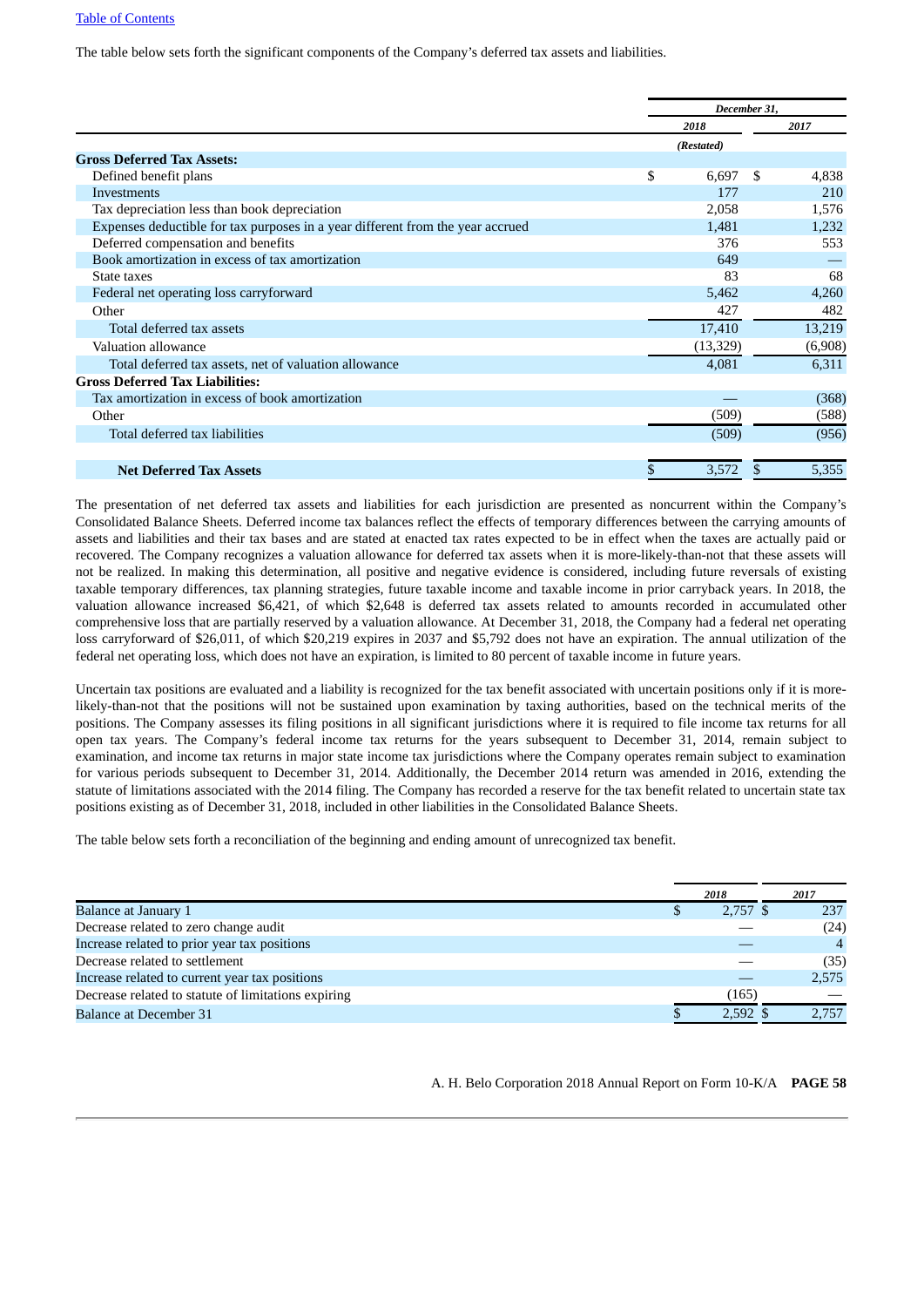The table below sets forth the significant components of the Company's deferred tax assets and liabilities.

|                                                                                |    | December 31, |    |         |
|--------------------------------------------------------------------------------|----|--------------|----|---------|
|                                                                                |    | 2018         |    | 2017    |
|                                                                                |    | (Restated)   |    |         |
| <b>Gross Deferred Tax Assets:</b>                                              |    |              |    |         |
| Defined benefit plans                                                          | \$ | 6,697        | -S | 4,838   |
| <b>Investments</b>                                                             |    | 177          |    | 210     |
| Tax depreciation less than book depreciation                                   |    | 2,058        |    | 1,576   |
| Expenses deductible for tax purposes in a year different from the year accrued |    | 1,481        |    | 1,232   |
| Deferred compensation and benefits                                             |    | 376          |    | 553     |
| Book amortization in excess of tax amortization                                |    | 649          |    |         |
| State taxes                                                                    |    | 83           |    | 68      |
| Federal net operating loss carryforward                                        |    | 5,462        |    | 4,260   |
| Other                                                                          |    | 427          |    | 482     |
| Total deferred tax assets                                                      |    | 17,410       |    | 13,219  |
| Valuation allowance                                                            |    | (13, 329)    |    | (6,908) |
| Total deferred tax assets, net of valuation allowance                          |    | 4,081        |    | 6,311   |
| <b>Gross Deferred Tax Liabilities:</b>                                         |    |              |    |         |
| Tax amortization in excess of book amortization                                |    |              |    | (368)   |
| Other                                                                          |    | (509)        |    | (588)   |
| Total deferred tax liabilities                                                 |    | (509)        |    | (956)   |
| <b>Net Deferred Tax Assets</b>                                                 | S  | 3,572        | S  | 5,355   |
|                                                                                |    |              |    |         |

The presentation of net deferred tax assets and liabilities for each jurisdiction are presented as noncurrent within the Company's Consolidated Balance Sheets. Deferred income tax balances reflect the effects of temporary differences between the carrying amounts of assets and liabilities and their tax bases and are stated at enacted tax rates expected to be in effect when the taxes are actually paid or recovered. The Company recognizes a valuation allowance for deferred tax assets when it is more-likely-than-not that these assets will not be realized. In making this determination, all positive and negative evidence is considered, including future reversals of existing taxable temporary differences, tax planning strategies, future taxable income and taxable income in prior carryback years. In 2018, the valuation allowance increased \$6,421, of which \$2,648 is deferred tax assets related to amounts recorded in accumulated other comprehensive loss that are partially reserved by a valuation allowance. At December 31, 2018, the Company had a federal net operating loss carryforward of \$26,011, of which \$20,219 expires in 2037 and \$5,792 does not have an expiration. The annual utilization of the federal net operating loss, which does not have an expiration, is limited to 80 percent of taxable income in future years.

Uncertain tax positions are evaluated and a liability is recognized for the tax benefit associated with uncertain positions only if it is morelikely-than-not that the positions will not be sustained upon examination by taxing authorities, based on the technical merits of the positions. The Company assesses its filing positions in all significant jurisdictions where it is required to file income tax returns for all open tax years. The Company's federal income tax returns for the years subsequent to December 31, 2014, remain subject to examination, and income tax returns in major state income tax jurisdictions where the Company operates remain subject to examination for various periods subsequent to December 31, 2014. Additionally, the December 2014 return was amended in 2016, extending the statute of limitations associated with the 2014 filing. The Company has recorded a reserve for the tax benefit related to uncertain state tax positions existing as of December 31, 2018, included in other liabilities in the Consolidated Balance Sheets.

The table below sets forth a reconciliation of the beginning and ending amount of unrecognized tax benefit.

|                                                     | 2018          | 2017           |
|-----------------------------------------------------|---------------|----------------|
| <b>Balance at January 1</b>                         | 2,757 \$<br>Φ | 237            |
| Decrease related to zero change audit               |               | (24)           |
| Increase related to prior year tax positions        |               | $\overline{4}$ |
| Decrease related to settlement                      |               | (35)           |
| Increase related to current year tax positions      |               | 2,575          |
| Decrease related to statute of limitations expiring | (165)         |                |
| <b>Balance at December 31</b>                       | $2,592$ \$    | 2,757          |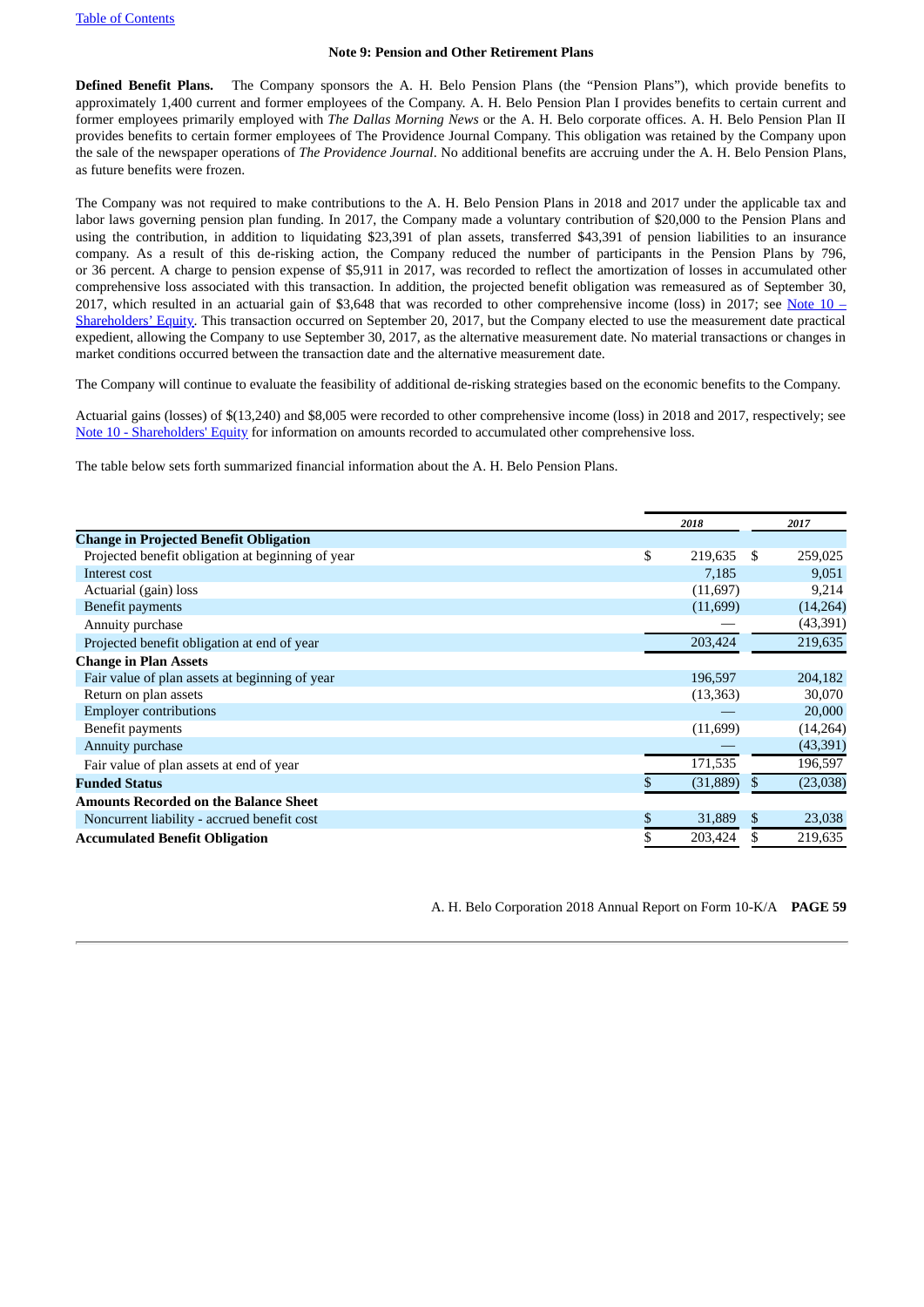### **Note 9: Pension and Other Retirement Plans**

<span id="page-58-0"></span>**Defined Benefit Plans.** The Company sponsors the A. H. Belo Pension Plans (the "Pension Plans"), which provide benefits to approximately 1,400 current and former employees of the Company. A. H. Belo Pension Plan I provides benefits to certain current and former employees primarily employed with *The Dallas Morning News* or the A. H. Belo corporate offices. A. H. Belo Pension Plan II provides benefits to certain former employees of The Providence Journal Company. This obligation was retained by the Company upon the sale of the newspaper operations of *The Providence Journal*. No additional benefits are accruing under the A. H. Belo Pension Plans, as future benefits were frozen.

The Company was not required to make contributions to the A. H. Belo Pension Plans in 2018 and 2017 under the applicable tax and labor laws governing pension plan funding. In 2017, the Company made a voluntary contribution of \$20,000 to the Pension Plans and using the contribution, in addition to liquidating \$23,391 of plan assets, transferred \$43,391 of pension liabilities to an insurance company. As a result of this de-risking action, the Company reduced the number of participants in the Pension Plans by 796, or 36 percent. A charge to pension expense of \$5,911 in 2017, was recorded to reflect the amortization of losses in accumulated other comprehensive loss associated with this transaction. In addition, the projected benefit obligation was remeasured as of September 30, 2017, which resulted in an actuarial gain of \$3,648 that was recorded to other [comprehensive](#page-61-0) income (loss) in 2017; see Note 10 – Shareholders' Equity. This transaction occurred on September 20, 2017, but the Company elected to use the measurement date practical expedient, allowing the Company to use September 30, 2017, as the alternative measurement date. No material transactions or changes in market conditions occurred between the transaction date and the alternative measurement date.

The Company will continue to evaluate the feasibility of additional de-risking strategies based on the economic benefits to the Company.

Actuarial gains (losses) of \$(13,240) and \$8,005 were recorded to other comprehensive income (loss) in 2018 and 2017, respectively; see Note 10 - [Shareholders'](#page-61-0) Equity for information on amounts recorded to accumulated other comprehensive loss.

The table below sets forth summarized financial information about the A. H. Belo Pension Plans.

|                                                   | 2018          |    | 2017      |
|---------------------------------------------------|---------------|----|-----------|
| <b>Change in Projected Benefit Obligation</b>     |               |    |           |
| Projected benefit obligation at beginning of year | \$<br>219,635 | -S | 259,025   |
| Interest cost                                     | 7,185         |    | 9,051     |
| Actuarial (gain) loss                             | (11,697)      |    | 9,214     |
| Benefit payments                                  | (11,699)      |    | (14,264)  |
| Annuity purchase                                  |               |    | (43, 391) |
| Projected benefit obligation at end of year       | 203,424       |    | 219,635   |
| <b>Change in Plan Assets</b>                      |               |    |           |
| Fair value of plan assets at beginning of year    | 196,597       |    | 204,182   |
| Return on plan assets                             | (13, 363)     |    | 30,070    |
| <b>Employer contributions</b>                     |               |    | 20,000    |
| Benefit payments                                  | (11,699)      |    | (14,264)  |
| Annuity purchase                                  |               |    | (43, 391) |
| Fair value of plan assets at end of year          | 171,535       |    | 196,597   |
| <b>Funded Status</b>                              | (31, 889)     | -S | (23, 038) |
| <b>Amounts Recorded on the Balance Sheet</b>      |               |    |           |
| Noncurrent liability - accrued benefit cost       | 31,889        | -S | 23,038    |
| <b>Accumulated Benefit Obligation</b>             | 203,424       |    | 219,635   |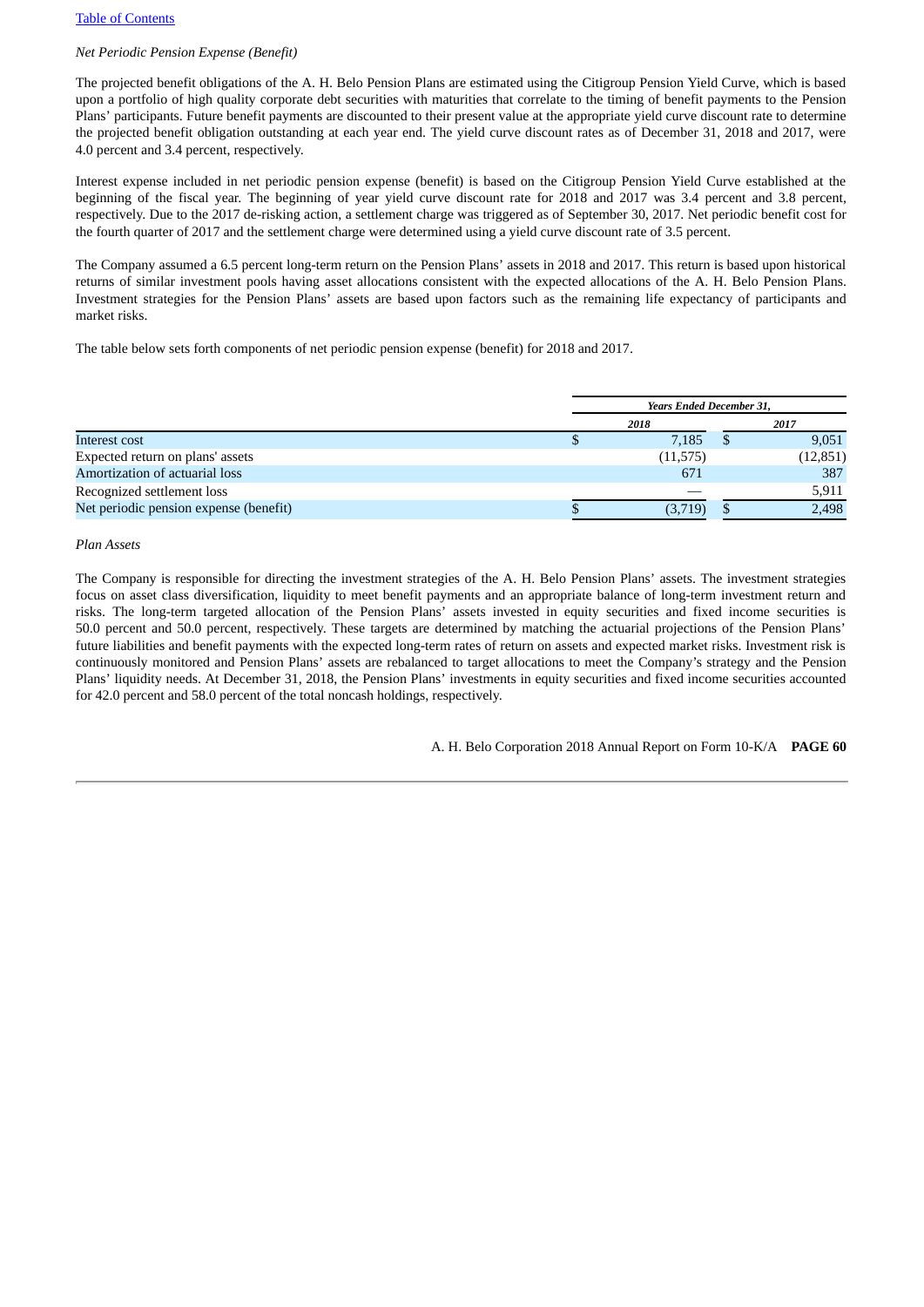### *Net Periodic Pension Expense (Benefit)*

The projected benefit obligations of the A. H. Belo Pension Plans are estimated using the Citigroup Pension Yield Curve, which is based upon a portfolio of high quality corporate debt securities with maturities that correlate to the timing of benefit payments to the Pension Plans' participants. Future benefit payments are discounted to their present value at the appropriate yield curve discount rate to determine the projected benefit obligation outstanding at each year end. The yield curve discount rates as of December 31, 2018 and 2017, were 4.0 percent and 3.4 percent, respectively.

Interest expense included in net periodic pension expense (benefit) is based on the Citigroup Pension Yield Curve established at the beginning of the fiscal year. The beginning of year yield curve discount rate for 2018 and 2017 was 3.4 percent and 3.8 percent, respectively. Due to the 2017 de-risking action, a settlement charge was triggered as of September 30, 2017. Net periodic benefit cost for the fourth quarter of 2017 and the settlement charge were determined using a yield curve discount rate of 3.5 percent.

The Company assumed a 6.5 percent long-term return on the Pension Plans' assets in 2018 and 2017. This return is based upon historical returns of similar investment pools having asset allocations consistent with the expected allocations of the A. H. Belo Pension Plans. Investment strategies for the Pension Plans' assets are based upon factors such as the remaining life expectancy of participants and market risks.

The table below sets forth components of net periodic pension expense (benefit) for 2018 and 2017.

|                                        | <b>Years Ended December 31,</b> |           |
|----------------------------------------|---------------------------------|-----------|
|                                        | 2018                            | 2017      |
| Interest cost                          | 7,185                           | 9,051     |
| Expected return on plans' assets       | (11,575)                        | (12, 851) |
| Amortization of actuarial loss         | 671                             | 387       |
| Recognized settlement loss             |                                 | 5,911     |
| Net periodic pension expense (benefit) | (3,719)                         | 2,498     |

#### *Plan Assets*

The Company is responsible for directing the investment strategies of the A. H. Belo Pension Plans' assets. The investment strategies focus on asset class diversification, liquidity to meet benefit payments and an appropriate balance of long-term investment return and risks. The long-term targeted allocation of the Pension Plans' assets invested in equity securities and fixed income securities is 50.0 percent and 50.0 percent, respectively. These targets are determined by matching the actuarial projections of the Pension Plans' future liabilities and benefit payments with the expected long-term rates of return on assets and expected market risks. Investment risk is continuously monitored and Pension Plans' assets are rebalanced to target allocations to meet the Company's strategy and the Pension Plans' liquidity needs. At December 31, 2018, the Pension Plans' investments in equity securities and fixed income securities accounted for 42.0 percent and 58.0 percent of the total noncash holdings, respectively.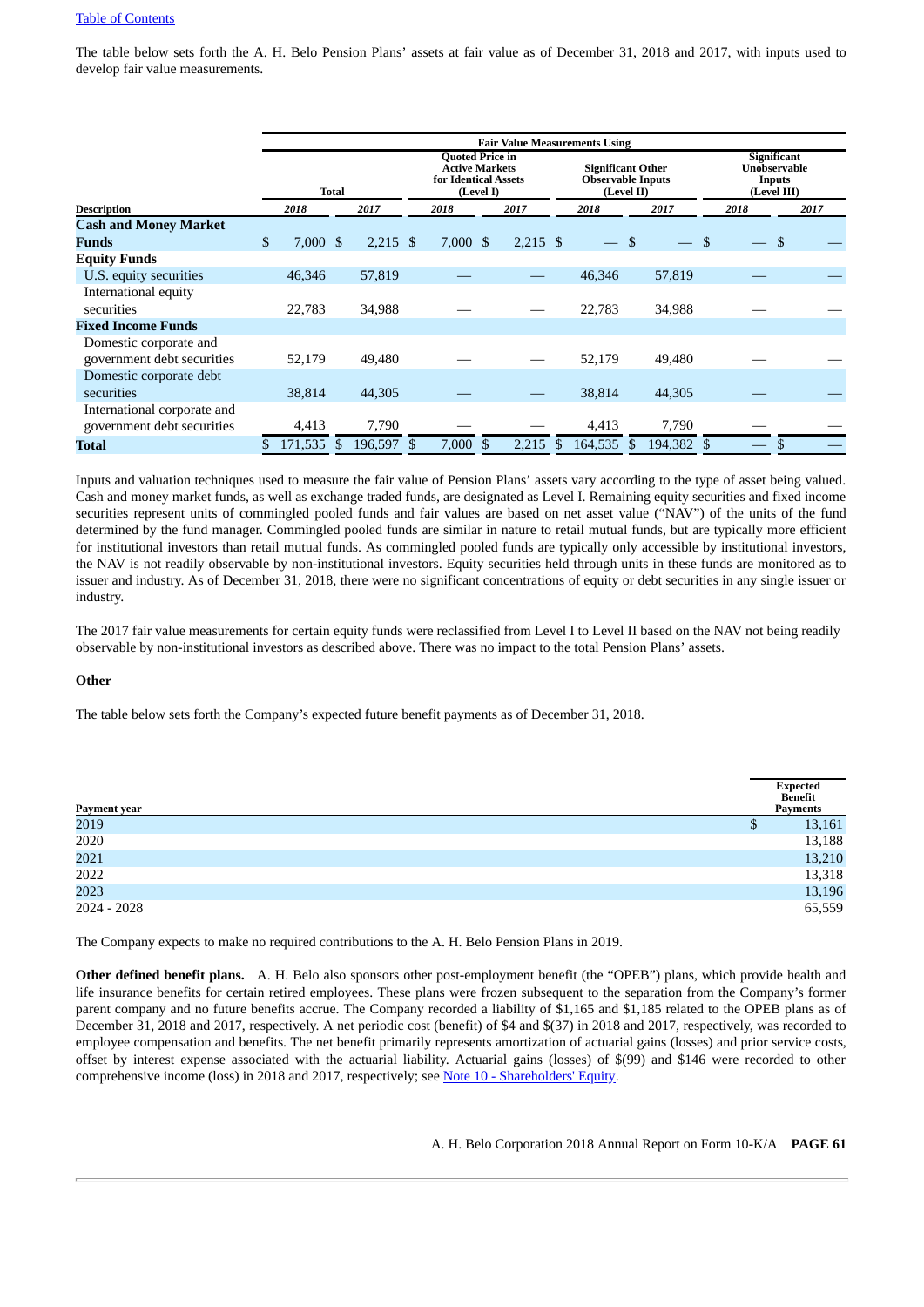The table below sets forth the A. H. Belo Pension Plans' assets at fair value as of December 31, 2018 and 2017, with inputs used to develop fair value measurements.

|                              | <b>Fair Value Measurements Using</b> |                     |     |                                                                                      |  |                     |      |            |                                                                    |         |  |         |                                                             |      |    |      |
|------------------------------|--------------------------------------|---------------------|-----|--------------------------------------------------------------------------------------|--|---------------------|------|------------|--------------------------------------------------------------------|---------|--|---------|-------------------------------------------------------------|------|----|------|
| <b>Total</b>                 |                                      |                     |     | <b>Quoted Price in</b><br><b>Active Markets</b><br>for Identical Assets<br>(Level I) |  |                     |      |            | <b>Significant Other</b><br><b>Observable Inputs</b><br>(Level II) |         |  |         | <b>Significant</b><br>Unobservable<br>Inputs<br>(Level III) |      |    |      |
| <b>Description</b>           |                                      | 2018                |     | 2017                                                                                 |  | 2018                |      | 2017       |                                                                    | 2018    |  | 2017    |                                                             | 2018 |    | 2017 |
| <b>Cash and Money Market</b> |                                      |                     |     |                                                                                      |  |                     |      |            |                                                                    |         |  |         |                                                             |      |    |      |
| <b>Funds</b>                 | \$                                   | $7,000 \text{ }$ \$ |     | $2,215$ \$                                                                           |  | $7,000 \text{ }$ \$ |      | $2,215$ \$ |                                                                    | $-$ \$  |  |         | \$                                                          |      | \$ |      |
| <b>Equity Funds</b>          |                                      |                     |     |                                                                                      |  |                     |      |            |                                                                    |         |  |         |                                                             |      |    |      |
| U.S. equity securities       |                                      | 46,346              |     | 57,819                                                                               |  |                     |      |            |                                                                    | 46,346  |  | 57,819  |                                                             |      |    |      |
| International equity         |                                      |                     |     |                                                                                      |  |                     |      |            |                                                                    |         |  |         |                                                             |      |    |      |
| securities                   |                                      | 22,783              |     | 34,988                                                                               |  |                     |      |            |                                                                    | 22,783  |  | 34,988  |                                                             |      |    |      |
| <b>Fixed Income Funds</b>    |                                      |                     |     |                                                                                      |  |                     |      |            |                                                                    |         |  |         |                                                             |      |    |      |
| Domestic corporate and       |                                      |                     |     |                                                                                      |  |                     |      |            |                                                                    |         |  |         |                                                             |      |    |      |
| government debt securities   |                                      | 52,179              |     | 49,480                                                                               |  |                     |      |            |                                                                    | 52,179  |  | 49,480  |                                                             |      |    |      |
| Domestic corporate debt      |                                      |                     |     |                                                                                      |  |                     |      |            |                                                                    |         |  |         |                                                             |      |    |      |
| securities                   |                                      | 38,814              |     | 44,305                                                                               |  |                     |      |            |                                                                    | 38,814  |  | 44,305  |                                                             |      |    |      |
| International corporate and  |                                      |                     |     |                                                                                      |  |                     |      |            |                                                                    |         |  |         |                                                             |      |    |      |
| government debt securities   |                                      | 4,413               |     | 7,790                                                                                |  |                     |      |            |                                                                    | 4,413   |  | 7,790   |                                                             |      |    |      |
| Total                        |                                      | 171,535             | \$. | 196,597 \$                                                                           |  | 7,000               | - \$ | 2,215      | <sup>\$</sup>                                                      | 164,535 |  | 194,382 |                                                             |      |    |      |

Inputs and valuation techniques used to measure the fair value of Pension Plans' assets vary according to the type of asset being valued. Cash and money market funds, as well as exchange traded funds, are designated as Level I. Remaining equity securities and fixed income securities represent units of commingled pooled funds and fair values are based on net asset value ("NAV") of the units of the fund determined by the fund manager. Commingled pooled funds are similar in nature to retail mutual funds, but are typically more efficient for institutional investors than retail mutual funds. As commingled pooled funds are typically only accessible by institutional investors, the NAV is not readily observable by non-institutional investors. Equity securities held through units in these funds are monitored as to issuer and industry. As of December 31, 2018, there were no significant concentrations of equity or debt securities in any single issuer or industry.

The 2017 fair value measurements for certain equity funds were reclassified from Level I to Level II based on the NAV not being readily observable by non-institutional investors as described above. There was no impact to the total Pension Plans' assets.

### **Other**

The table below sets forth the Company's expected future benefit payments as of December 31, 2018.

| Payment year  |   | Expected<br>Benefit<br><b>Payments</b> |
|---------------|---|----------------------------------------|
| 2019          | Ф | 13,161                                 |
| 2020          |   | 13,188                                 |
| 2021          |   | 13,210                                 |
| 2022          |   | 13,318                                 |
| 2023          |   | 13,196                                 |
| $2024 - 2028$ |   | 65,559                                 |

The Company expects to make no required contributions to the A. H. Belo Pension Plans in 2019.

**Other defined benefit plans.** A. H. Belo also sponsors other post-employment benefit (the "OPEB") plans, which provide health and life insurance benefits for certain retired employees. These plans were frozen subsequent to the separation from the Company's former parent company and no future benefits accrue. The Company recorded a liability of \$1,165 and \$1,185 related to the OPEB plans as of December 31, 2018 and 2017, respectively. A net periodic cost (benefit) of \$4 and \$(37) in 2018 and 2017, respectively, was recorded to employee compensation and benefits. The net benefit primarily represents amortization of actuarial gains (losses) and prior service costs, offset by interest expense associated with the actuarial liability. Actuarial gains (losses) of \$(99) and \$146 were recorded to other comprehensive income (loss) in 2018 and 2017, respectively; see Note 10 - [Shareholders'](#page-61-0) Equity.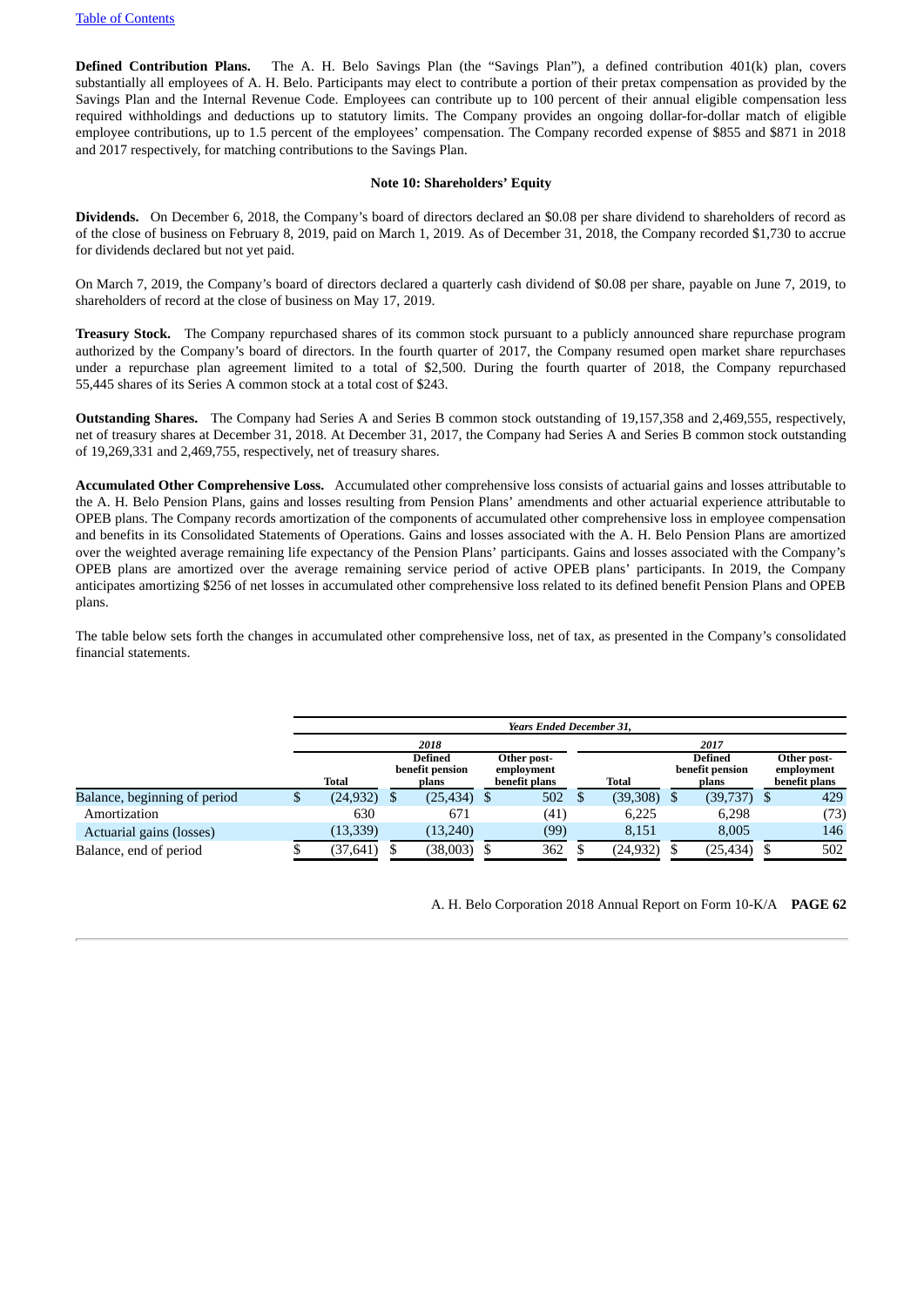**Defined Contribution Plans.** The A. H. Belo Savings Plan (the "Savings Plan"), a defined contribution 401(k) plan, covers substantially all employees of A. H. Belo. Participants may elect to contribute a portion of their pretax compensation as provided by the Savings Plan and the Internal Revenue Code. Employees can contribute up to 100 percent of their annual eligible compensation less required withholdings and deductions up to statutory limits. The Company provides an ongoing dollar-for-dollar match of eligible employee contributions, up to 1.5 percent of the employees' compensation. The Company recorded expense of \$855 and \$871 in 2018 and 2017 respectively, for matching contributions to the Savings Plan.

#### **Note 10: Shareholders' Equity**

<span id="page-61-0"></span>**Dividends.** On December 6, 2018, the Company's board of directors declared an \$0.08 per share dividend to shareholders of record as of the close of business on February 8, 2019, paid on March 1, 2019. As of December 31, 2018, the Company recorded \$1,730 to accrue for dividends declared but not yet paid.

On March 7, 2019, the Company's board of directors declared a quarterly cash dividend of \$0.08 per share, payable on June 7, 2019, to shareholders of record at the close of business on May 17, 2019.

**Treasury Stock.** The Company repurchased shares of its common stock pursuant to a publicly announced share repurchase program authorized by the Company's board of directors. In the fourth quarter of 2017, the Company resumed open market share repurchases under a repurchase plan agreement limited to a total of \$2,500. During the fourth quarter of 2018, the Company repurchased 55,445 shares of its Series A common stock at a total cost of \$243.

**Outstanding Shares.** The Company had Series A and Series B common stock outstanding of 19,157,358 and 2,469,555, respectively, net of treasury shares at December 31, 2018. At December 31, 2017, the Company had Series A and Series B common stock outstanding of 19,269,331 and 2,469,755, respectively, net of treasury shares.

**Accumulated Other Comprehensive Loss.** Accumulated other comprehensive loss consists of actuarial gains and losses attributable to the A. H. Belo Pension Plans, gains and losses resulting from Pension Plans' amendments and other actuarial experience attributable to OPEB plans. The Company records amortization of the components of accumulated other comprehensive loss in employee compensation and benefits in its Consolidated Statements of Operations. Gains and losses associated with the A. H. Belo Pension Plans are amortized over the weighted average remaining life expectancy of the Pension Plans' participants. Gains and losses associated with the Company's OPEB plans are amortized over the average remaining service period of active OPEB plans' participants. In 2019, the Company anticipates amortizing \$256 of net losses in accumulated other comprehensive loss related to its defined benefit Pension Plans and OPEB plans.

The table below sets forth the changes in accumulated other comprehensive loss, net of tax, as presented in the Company's consolidated financial statements.

|                              | <b>Years Ended December 31.</b> |                                     |                |  |                                            |      |              |  |                                            |  |                                            |  |  |  |
|------------------------------|---------------------------------|-------------------------------------|----------------|--|--------------------------------------------|------|--------------|--|--------------------------------------------|--|--------------------------------------------|--|--|--|
|                              |                                 |                                     | 2018           |  |                                            | 2017 |              |  |                                            |  |                                            |  |  |  |
|                              | <b>Total</b>                    | Defined<br>benefit pension<br>plans |                |  | Other post-<br>employment<br>benefit plans |      | <b>Total</b> |  | <b>Defined</b><br>benefit pension<br>plans |  | Other post-<br>employment<br>benefit plans |  |  |  |
| Balance, beginning of period | (24, 932)                       |                                     | $(25, 434)$ \$ |  | 502                                        |      | (39,308)     |  | $(39,737)$ \$                              |  | 429                                        |  |  |  |
| Amortization                 | 630                             |                                     | 671            |  | (41)                                       |      | 6,225        |  | 6,298                                      |  | (73)                                       |  |  |  |
| Actuarial gains (losses)     | (13, 339)                       |                                     | (13, 240)      |  | (99)                                       |      | 8,151        |  | 8,005                                      |  | 146                                        |  |  |  |
| Balance, end of period       | (37, 641)                       |                                     | (38,003)       |  | 362                                        |      | (24, 932)    |  | (25, 434)                                  |  | 502                                        |  |  |  |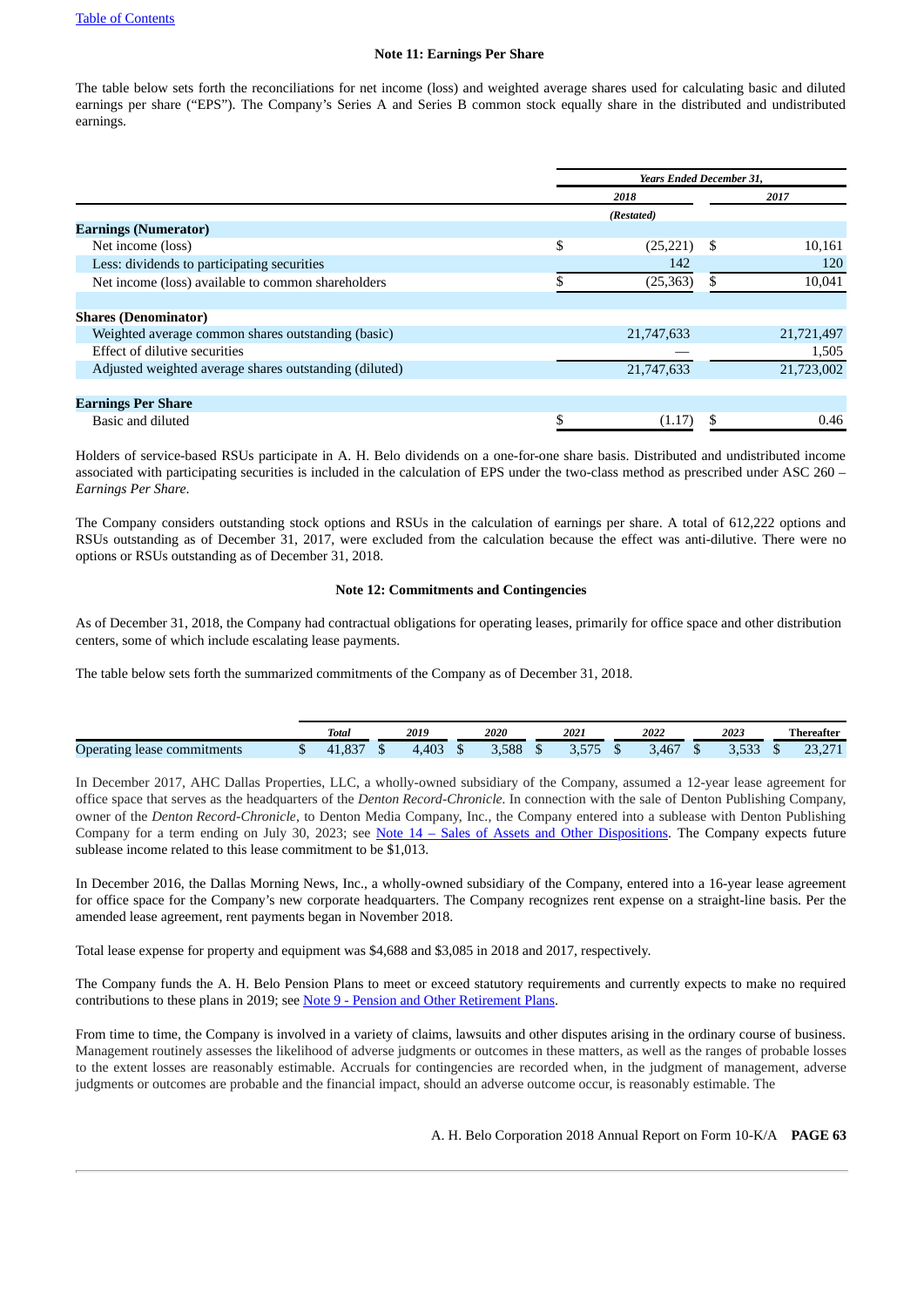### **Note 11: Earnings Per Share**

The table below sets forth the reconciliations for net income (loss) and weighted average shares used for calculating basic and diluted earnings per share ("EPS"). The Company's Series A and Series B common stock equally share in the distributed and undistributed earnings.

|                                                        |   | <b>Years Ended December 31,</b> |   |            |  |  |  |
|--------------------------------------------------------|---|---------------------------------|---|------------|--|--|--|
|                                                        |   | 2018                            |   | 2017       |  |  |  |
|                                                        |   | (Restated)                      |   |            |  |  |  |
| <b>Earnings (Numerator)</b>                            |   |                                 |   |            |  |  |  |
| Net income (loss)                                      | S | (25, 221)                       | S | 10,161     |  |  |  |
| Less: dividends to participating securities            |   | 142                             |   | 120        |  |  |  |
| Net income (loss) available to common shareholders     |   | (25, 363)                       |   | 10,041     |  |  |  |
|                                                        |   |                                 |   |            |  |  |  |
| <b>Shares (Denominator)</b>                            |   |                                 |   |            |  |  |  |
| Weighted average common shares outstanding (basic)     |   | 21,747,633                      |   | 21,721,497 |  |  |  |
| Effect of dilutive securities                          |   |                                 |   | 1,505      |  |  |  |
| Adjusted weighted average shares outstanding (diluted) |   | 21,747,633                      |   | 21,723,002 |  |  |  |
|                                                        |   |                                 |   |            |  |  |  |
| <b>Earnings Per Share</b>                              |   |                                 |   |            |  |  |  |
| Basic and diluted                                      |   | (1.17)                          |   | 0.46       |  |  |  |

Holders of service-based RSUs participate in A. H. Belo dividends on a one-for-one share basis. Distributed and undistributed income associated with participating securities is included in the calculation of EPS under the two-class method as prescribed under ASC 260 – *Earnings Per Share*.

The Company considers outstanding stock options and RSUs in the calculation of earnings per share. A total of 612,222 options and RSUs outstanding as of December 31, 2017, were excluded from the calculation because the effect was anti-dilutive. There were no options or RSUs outstanding as of December 31, 2018.

#### **Note 12: Commitments and Contingencies**

As of December 31, 2018, the Company had contractual obligations for operating leases, primarily for office space and other distribution centers, some of which include escalating lease payments.

The table below sets forth the summarized commitments of the Company as of December 31, 2018.

|                                                                | <b>Total</b> | 2019 |     | 2020  |    | 2021                          |     | 2022                                                     |   | 2023                  |     | Thereafter        |
|----------------------------------------------------------------|--------------|------|-----|-------|----|-------------------------------|-----|----------------------------------------------------------|---|-----------------------|-----|-------------------|
| $\overline{\phantom{0}}$<br>Operating '<br>! lease commitments | 0.25         | .403 | . . | 3.588 | ٠D | <b>FRE</b><br>$\sim$<br>3,575 | داء | $\sim$ $\Lambda$ $\epsilon$ <sup>-</sup><br>$+0/$<br>--- | w | $F^{\wedge}$<br>J.JJJ | . . | 17ת כר<br>20,27 I |

In December 2017, AHC Dallas Properties, LLC, a wholly-owned subsidiary of the Company, assumed a 12-year lease agreement for office space that serves as the headquarters of the *Denton Record-Chronicle.* In connection with the sale of Denton Publishing Company, owner of the *Denton Record-Chronicle*, to Denton Media Company, Inc., the Company entered into a sublease with Denton Publishing Company for a term ending on July 30, 2023; see Note 14 – Sales of Assets and Other [Dispositions.](#page-63-0) The Company expects future sublease income related to this lease commitment to be \$1,013.

In December 2016, the Dallas Morning News, Inc., a wholly-owned subsidiary of the Company, entered into a 16-year lease agreement for office space for the Company's new corporate headquarters. The Company recognizes rent expense on a straight-line basis. Per the amended lease agreement, rent payments began in November 2018.

Total lease expense for property and equipment was \$4,688 and \$3,085 in 2018 and 2017, respectively.

The Company funds the A. H. Belo Pension Plans to meet or exceed statutory requirements and currently expects to make no required contributions to these plans in 2019; see Note 9 - Pension and Other [Retirement](#page-58-0) Plans.

From time to time, the Company is involved in a variety of claims, lawsuits and other disputes arising in the ordinary course of business. Management routinely assesses the likelihood of adverse judgments or outcomes in these matters, as well as the ranges of probable losses to the extent losses are reasonably estimable. Accruals for contingencies are recorded when, in the judgment of management, adverse judgments or outcomes are probable and the financial impact, should an adverse outcome occur, is reasonably estimable. The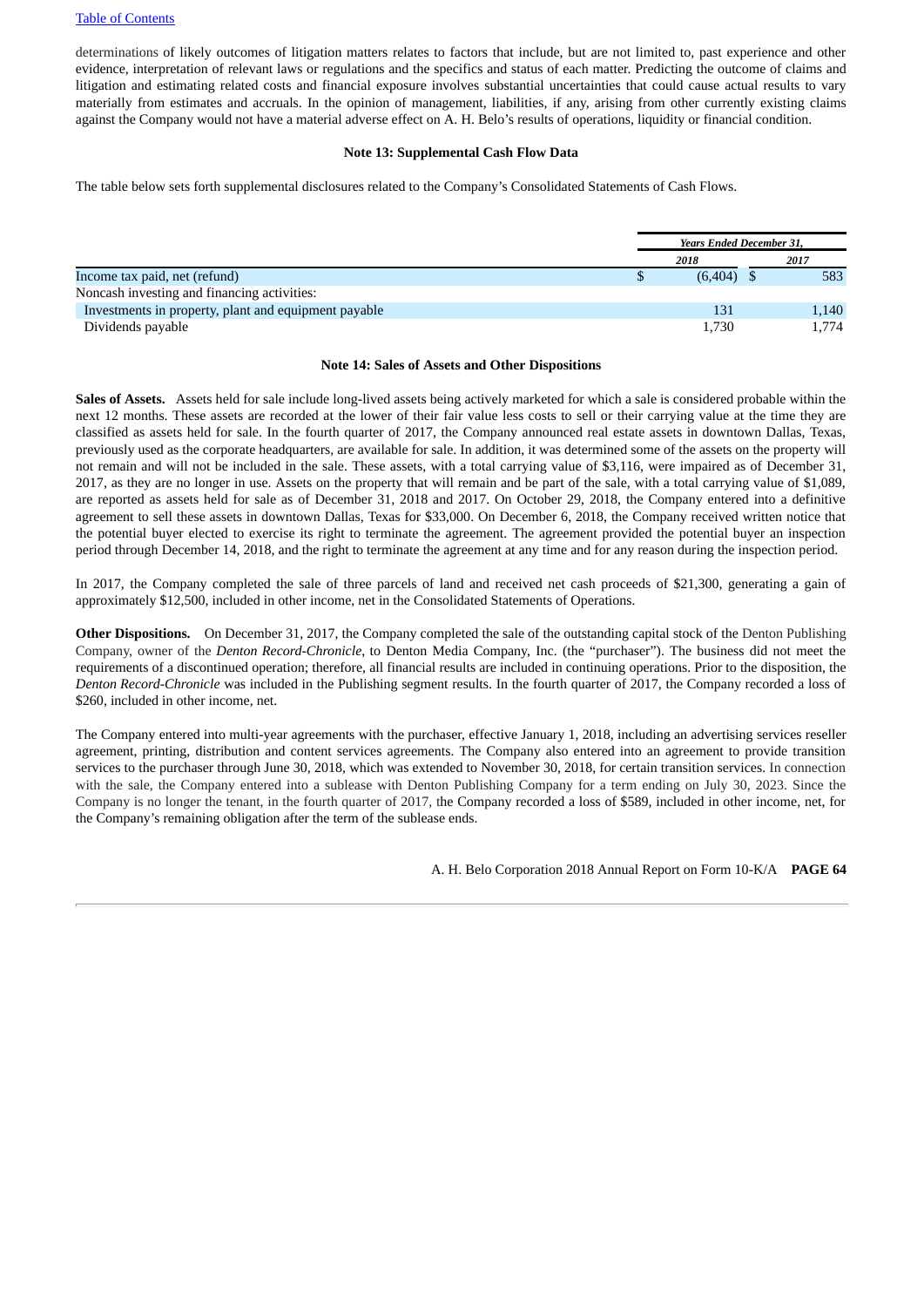determinations of likely outcomes of litigation matters relates to factors that include, but are not limited to, past experience and other evidence, interpretation of relevant laws or regulations and the specifics and status of each matter. Predicting the outcome of claims and litigation and estimating related costs and financial exposure involves substantial uncertainties that could cause actual results to vary materially from estimates and accruals. In the opinion of management, liabilities, if any, arising from other currently existing claims against the Company would not have a material adverse effect on A. H. Belo's results of operations, liquidity or financial condition.

### **Note 13: Supplemental Cash Flow Data**

The table below sets forth supplemental disclosures related to the Company's Consolidated Statements of Cash Flows.

|                                                      | <b>Years Ended December 31,</b> |  |       |  |  |
|------------------------------------------------------|---------------------------------|--|-------|--|--|
|                                                      | 2018                            |  | 2017  |  |  |
| Income tax paid, net (refund)                        | $(6,404)$ \$                    |  | 583   |  |  |
| Noncash investing and financing activities:          |                                 |  |       |  |  |
| Investments in property, plant and equipment payable | 131                             |  | 1,140 |  |  |
| Dividends payable                                    | 1,730                           |  | 1,774 |  |  |

#### **Note 14: Sales of Assets and Other Dispositions**

<span id="page-63-0"></span>**Sales of Assets.** Assets held for sale include long-lived assets being actively marketed for which a sale is considered probable within the next 12 months. These assets are recorded at the lower of their fair value less costs to sell or their carrying value at the time they are classified as assets held for sale. In the fourth quarter of 2017, the Company announced real estate assets in downtown Dallas, Texas, previously used as the corporate headquarters, are available for sale. In addition, it was determined some of the assets on the property will not remain and will not be included in the sale. These assets, with a total carrying value of \$3,116, were impaired as of December 31, 2017, as they are no longer in use. Assets on the property that will remain and be part of the sale, with a total carrying value of \$1,089, are reported as assets held for sale as of December 31, 2018 and 2017. On October 29, 2018, the Company entered into a definitive agreement to sell these assets in downtown Dallas, Texas for \$33,000. On December 6, 2018, the Company received written notice that the potential buyer elected to exercise its right to terminate the agreement. The agreement provided the potential buyer an inspection period through December 14, 2018, and the right to terminate the agreement at any time and for any reason during the inspection period.

In 2017, the Company completed the sale of three parcels of land and received net cash proceeds of \$21,300, generating a gain of approximately \$12,500, included in other income, net in the Consolidated Statements of Operations.

**Other Dispositions.** On December 31, 2017, the Company completed the sale of the outstanding capital stock of the Denton Publishing Company, owner of the *Denton Record-Chronicle*, to Denton Media Company, Inc. (the "purchaser"). The business did not meet the requirements of a discontinued operation; therefore, all financial results are included in continuing operations. Prior to the disposition, the *Denton Record-Chronicle* was included in the Publishing segment results. In the fourth quarter of 2017, the Company recorded a loss of \$260, included in other income, net.

The Company entered into multi-year agreements with the purchaser, effective January 1, 2018, including an advertising services reseller agreement, printing, distribution and content services agreements. The Company also entered into an agreement to provide transition services to the purchaser through June 30, 2018, which was extended to November 30, 2018, for certain transition services. In connection with the sale, the Company entered into a sublease with Denton Publishing Company for a term ending on July 30, 2023. Since the Company is no longer the tenant, in the fourth quarter of 2017, the Company recorded a loss of \$589, included in other income, net, for the Company's remaining obligation after the term of the sublease ends.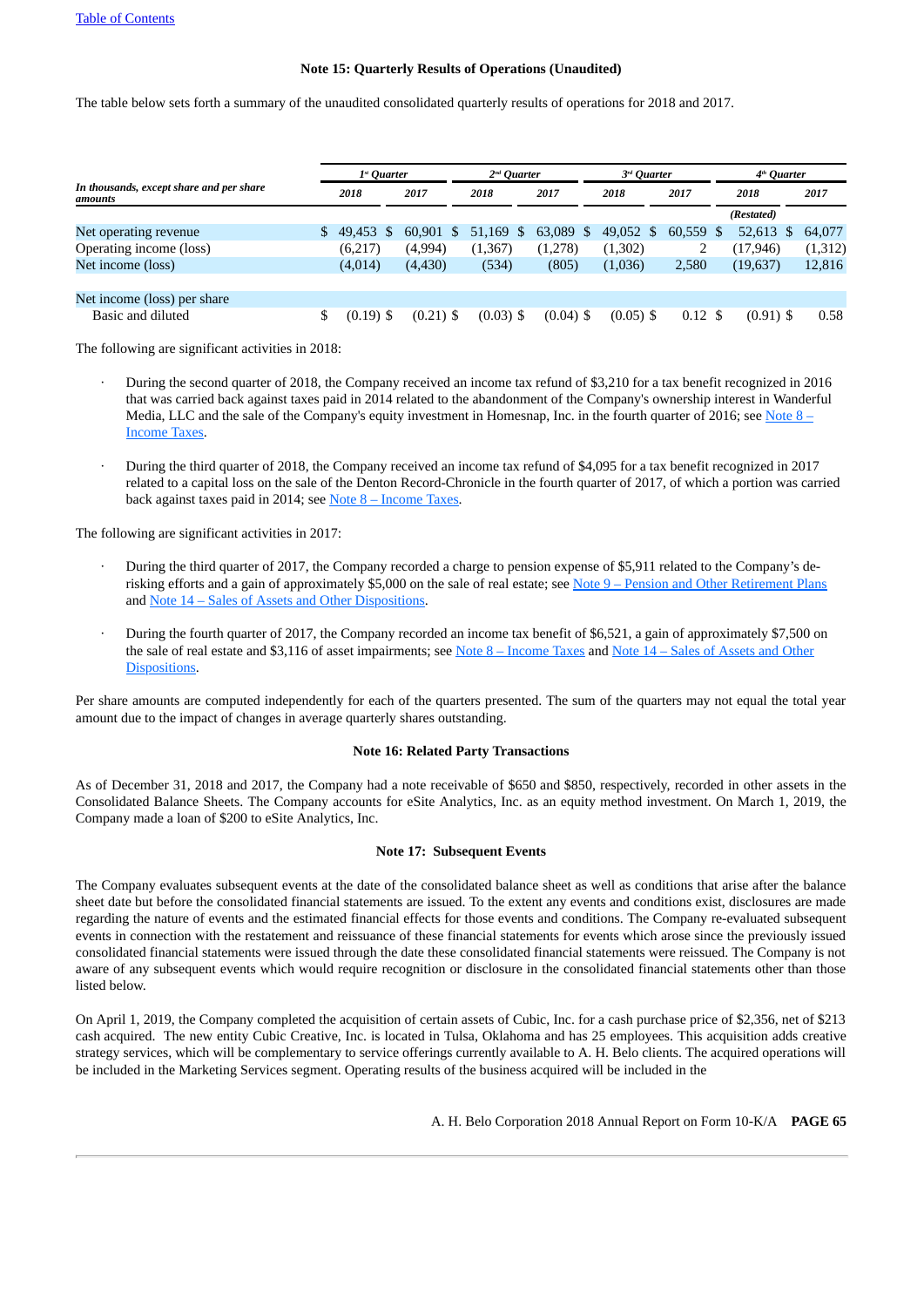### **Note 15: Quarterly Results of Operations (Unaudited)**

The table below sets forth a summary of the unaudited consolidated quarterly results of operations for 2018 and 2017.

|                                                     | $1st$ Quarter |             |              | $2nd$ Quarter  |                | $3rd$ Quarter |                    | $4th$ Quarter |    |         |
|-----------------------------------------------------|---------------|-------------|--------------|----------------|----------------|---------------|--------------------|---------------|----|---------|
| In thousands, except share and per share<br>amounts |               | 2018        | 2017         | 2018           | 2017           | 2018          | 2017               | 2018          |    | 2017    |
|                                                     |               |             |              |                |                |               |                    | (Restated)    |    |         |
| Net operating revenue                               | S.            | 49,453      | 60,901<br>S. | 51,169<br>- \$ | 63,089<br>- \$ | 49,052        | 60,559             | 52,613<br>-S  | S. | 64,077  |
| Operating income (loss)                             |               | (6,217)     | (4,994)      | (1, 367)       | (1,278)        | (1,302)       |                    | (17, 946)     |    | (1,312) |
| Net income (loss)                                   |               | (4,014)     | (4, 430)     | (534)          | (805)          | (1,036)       | 2.580              | (19, 637)     |    | 12,816  |
|                                                     |               |             |              |                |                |               |                    |               |    |         |
| Net income (loss) per share                         |               |             |              |                |                |               |                    |               |    |         |
| Basic and diluted                                   | \$            | $(0.19)$ \$ | $(0.21)$ \$  | $(0.03)$ \$    | $(0.04)$ \$    | $(0.05)$ \$   | $0.12 \text{ }$ \$ | $(0.91)$ \$   |    | 0.58    |

The following are significant activities in 2018:

- · During the second quarter of 2018, the Company received an income tax refund of \$3,210 for a tax benefit recognized in 2016 that was carried back against taxes paid in 2014 related to the abandonment of the Company's ownership interest in Wanderful Media, LLC and the sale of the Company's equity investment in [Homesnap,](#page-55-1) Inc. in the fourth quarter of 2016; see Note 8 – Income Taxes.
- · During the third quarter of 2018, the Company received an income tax refund of \$4,095 for a tax benefit recognized in 2017 related to a capital loss on the sale of the Denton Record-Chronicle in the fourth quarter of 2017, of which a portion was carried back against taxes paid in 2014; see  $Note 8 – Income Taxes.$  $Note 8 – Income Taxes.$  $Note 8 – Income Taxes.$ </u>

The following are significant activities in 2017:

- · During the third quarter of 2017, the Company recorded a charge to pension expense of \$5,911 related to the Company's derisking efforts and a gain of approximately \$5,000 on the sale of real estate; see Note 9 – Pension and Other [Retirement](#page-58-0) Plans and Note 14 – Sales of Assets and Other [Dispositions.](#page-63-0)
- During the fourth quarter of 2017, the Company recorded an income tax benefit of \$6,521, a gain of approximately \$7,500 on the sale of real estate and \$3,116 of asset [impairments;](#page-63-0) see Note 8 – [Income](#page-55-1) Taxes and Note 14 – Sales of Assets and Other Dispositions.

Per share amounts are computed independently for each of the quarters presented. The sum of the quarters may not equal the total year amount due to the impact of changes in average quarterly shares outstanding.

### **Note 16: Related Party Transactions**

As of December 31, 2018 and 2017, the Company had a note receivable of \$650 and \$850, respectively, recorded in other assets in the Consolidated Balance Sheets. The Company accounts for eSite Analytics, Inc. as an equity method investment. On March 1, 2019, the Company made a loan of \$200 to eSite Analytics, Inc.

### **Note 17: Subsequent Events**

The Company evaluates subsequent events at the date of the consolidated balance sheet as well as conditions that arise after the balance sheet date but before the consolidated financial statements are issued. To the extent any events and conditions exist, disclosures are made regarding the nature of events and the estimated financial effects for those events and conditions. The Company re-evaluated subsequent events in connection with the restatement and reissuance of these financial statements for events which arose since the previously issued consolidated financial statements were issued through the date these consolidated financial statements were reissued. The Company is not aware of any subsequent events which would require recognition or disclosure in the consolidated financial statements other than those listed below.

On April 1, 2019, the Company completed the acquisition of certain assets of Cubic, Inc. for a cash purchase price of \$2,356, net of \$213 cash acquired. The new entity Cubic Creative, Inc. is located in Tulsa, Oklahoma and has 25 employees. This acquisition adds creative strategy services, which will be complementary to service offerings currently available to A. H. Belo clients. The acquired operations will be included in the Marketing Services segment. Operating results of the business acquired will be included in the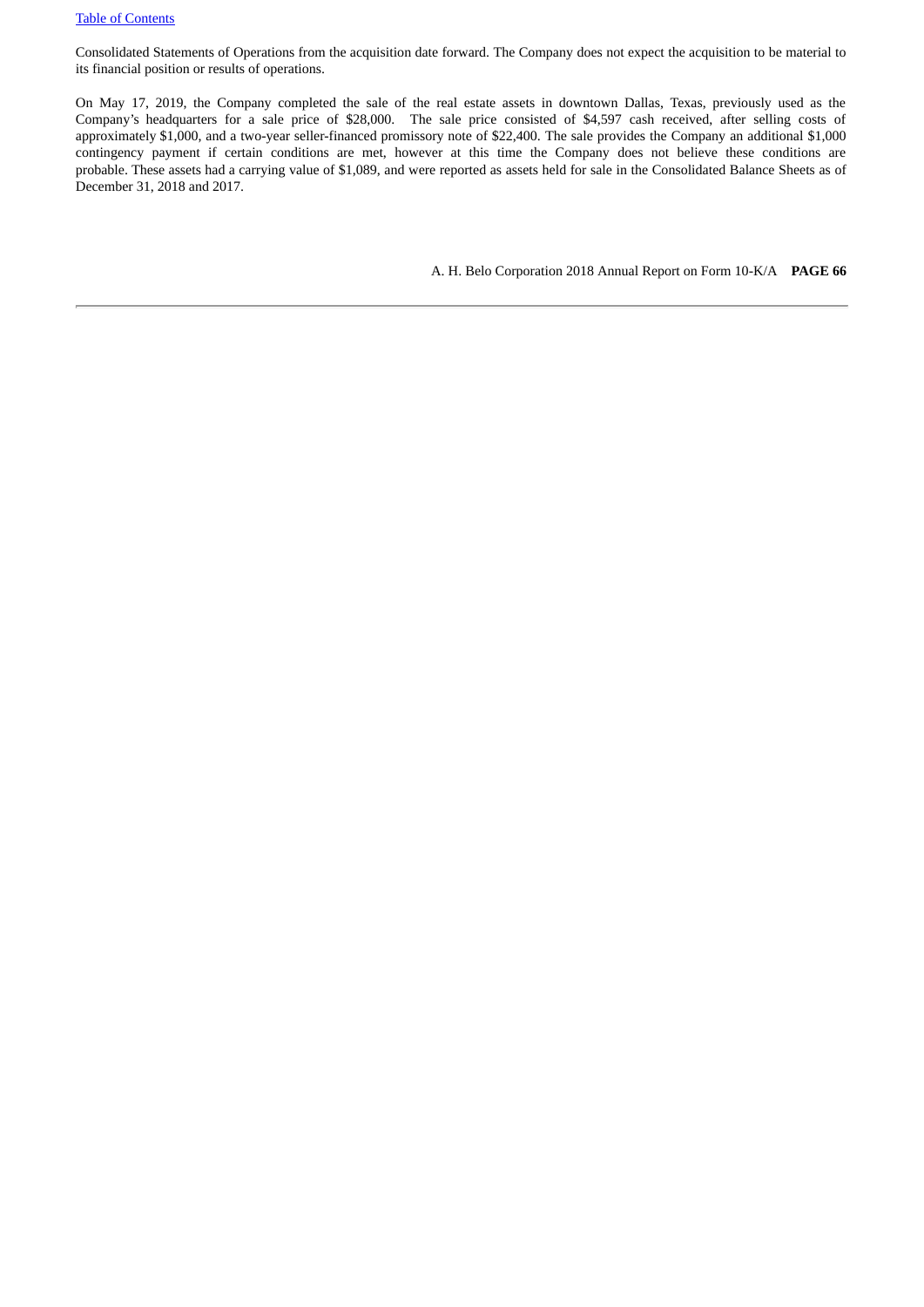Consolidated Statements of Operations from the acquisition date forward. The Company does not expect the acquisition to be material to its financial position or results of operations.

On May 17, 2019, the Company completed the sale of the real estate assets in downtown Dallas, Texas, previously used as the Company's headquarters for a sale price of \$28,000. The sale price consisted of \$4,597 cash received, after selling costs of approximately \$1,000, and a two-year seller-financed promissory note of \$22,400. The sale provides the Company an additional \$1,000 contingency payment if certain conditions are met, however at this time the Company does not believe these conditions are probable. These assets had a carrying value of \$1,089, and were reported as assets held for sale in the Consolidated Balance Sheets as of December 31, 2018 and 2017.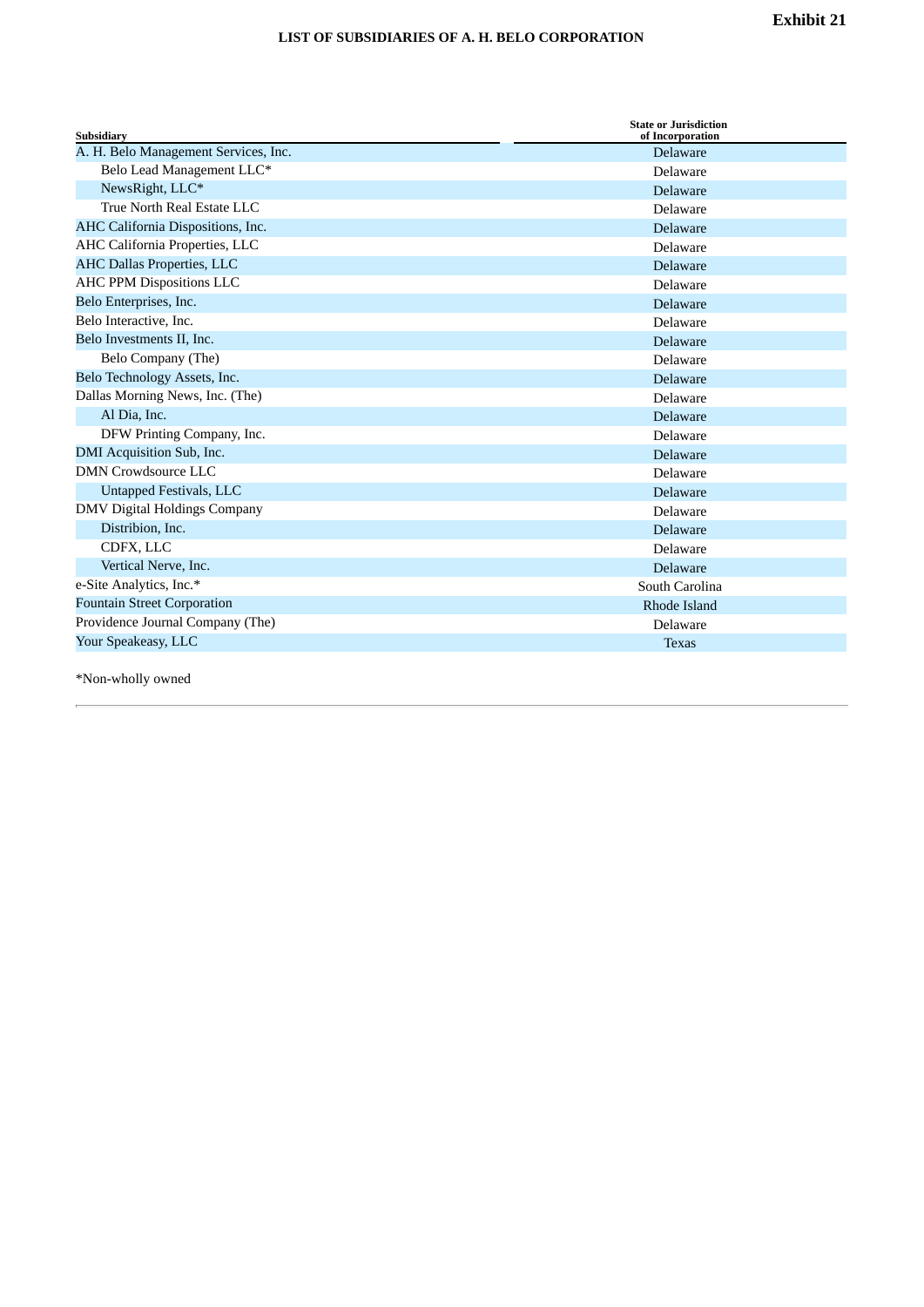# **LIST OF SUBSIDIARIES OF A. H. BELO CORPORATION**

| Subsidiary                           | <b>State or Jurisdiction</b><br>of Incorporation |
|--------------------------------------|--------------------------------------------------|
| A. H. Belo Management Services, Inc. | Delaware                                         |
| Belo Lead Management LLC*            | Delaware                                         |
| NewsRight, LLC*                      | Delaware                                         |
| True North Real Estate LLC           | Delaware                                         |
| AHC California Dispositions, Inc.    | Delaware                                         |
| AHC California Properties, LLC       | Delaware                                         |
| <b>AHC Dallas Properties, LLC</b>    | <b>Delaware</b>                                  |
| AHC PPM Dispositions LLC             | Delaware                                         |
| Belo Enterprises, Inc.               | Delaware                                         |
| Belo Interactive, Inc.               | Delaware                                         |
| Belo Investments II, Inc.            | <b>Delaware</b>                                  |
| Belo Company (The)                   | Delaware                                         |
| Belo Technology Assets, Inc.         | <b>Delaware</b>                                  |
| Dallas Morning News, Inc. (The)      | Delaware                                         |
| Al Dia, Inc.                         | Delaware                                         |
| DFW Printing Company, Inc.           | Delaware                                         |
| DMI Acquisition Sub, Inc.            | <b>Delaware</b>                                  |
| <b>DMN Crowdsource LLC</b>           | Delaware                                         |
| Untapped Festivals, LLC              | Delaware                                         |
| <b>DMV Digital Holdings Company</b>  | Delaware                                         |
| Distribion, Inc.                     | <b>Delaware</b>                                  |
| CDFX, LLC                            | Delaware                                         |
| Vertical Nerve, Inc.                 | Delaware                                         |
| e-Site Analytics, Inc.*              | South Carolina                                   |
| <b>Fountain Street Corporation</b>   | Rhode Island                                     |
| Providence Journal Company (The)     | Delaware                                         |
| Your Speakeasy, LLC                  | <b>Texas</b>                                     |
| *Non-wholly owned                    |                                                  |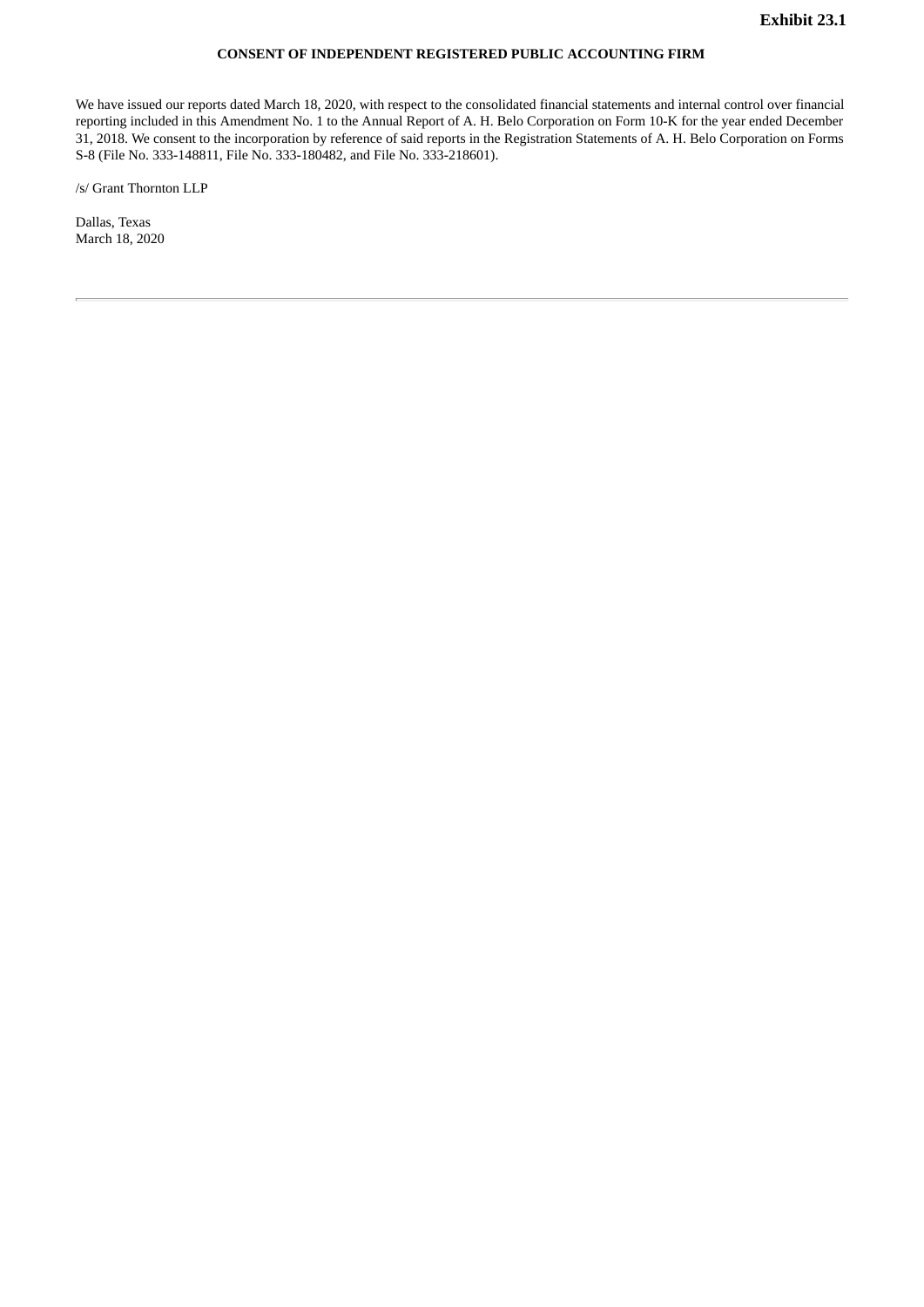# **CONSENT OF INDEPENDENT REGISTERED PUBLIC ACCOUNTING FIRM**

We have issued our reports dated March 18, 2020, with respect to the consolidated financial statements and internal control over financial reporting included in this Amendment No. 1 to the Annual Report of A. H. Belo Corporation on Form 10-K for the year ended December 31, 2018. We consent to the incorporation by reference of said reports in the Registration Statements of A. H. Belo Corporation on Forms S-8 (File No. 333-148811, File No. 333-180482, and File No. 333-218601).

/s/ Grant Thornton LLP

Dallas, Texas March 18, 2020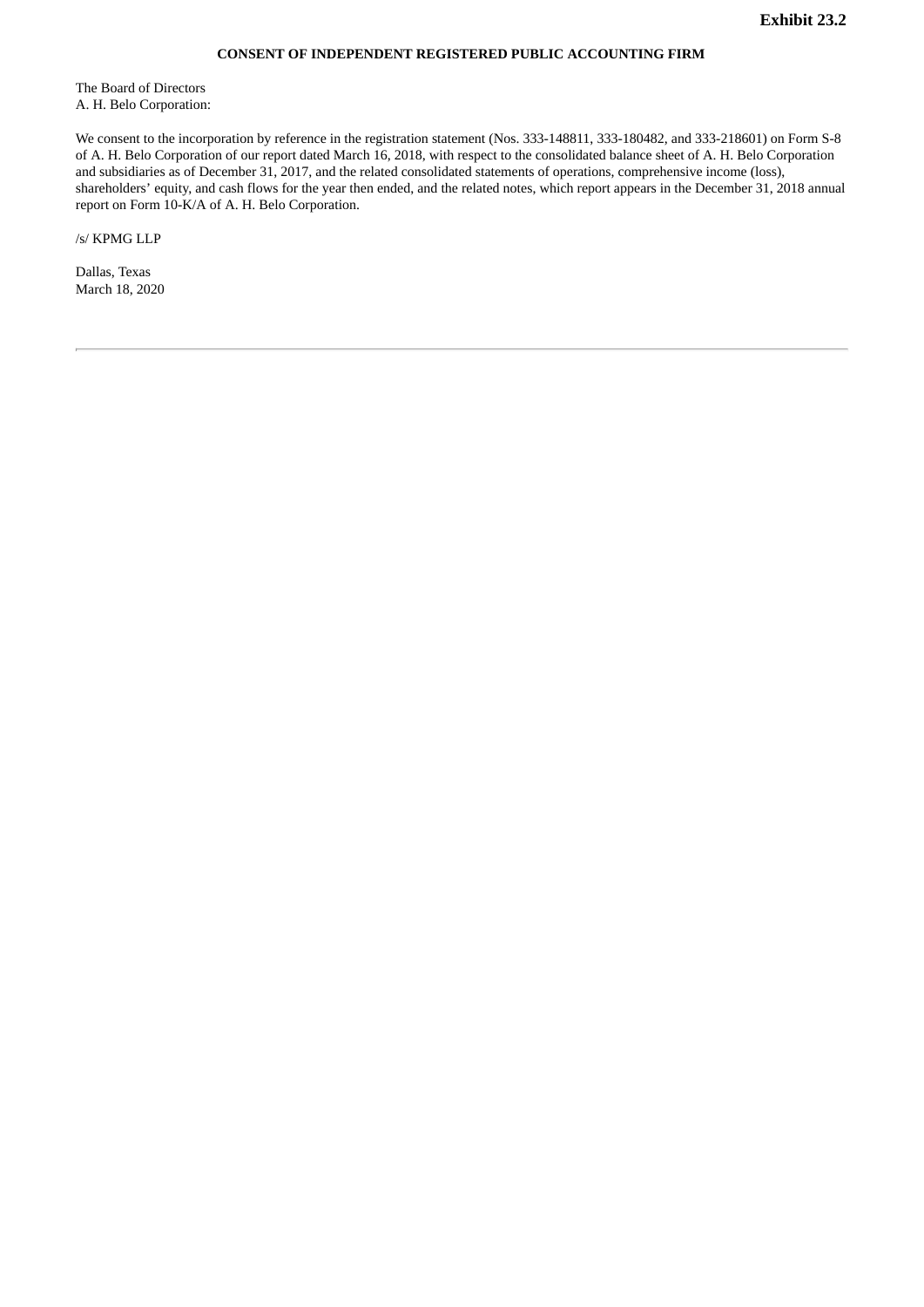### **CONSENT OF INDEPENDENT REGISTERED PUBLIC ACCOUNTING FIRM**

The Board of Directors A. H. Belo Corporation:

We consent to the incorporation by reference in the registration statement (Nos. 333-148811, 333-180482, and 333-218601) on Form S-8 of A. H. Belo Corporation of our report dated March 16, 2018, with respect to the consolidated balance sheet of A. H. Belo Corporation and subsidiaries as of December 31, 2017, and the related consolidated statements of operations, comprehensive income (loss), shareholders' equity, and cash flows for the year then ended, and the related notes, which report appears in the December 31, 2018 annual report on Form 10-K/A of A. H. Belo Corporation.

/s/ KPMG LLP

Dallas, Texas March 18, 2020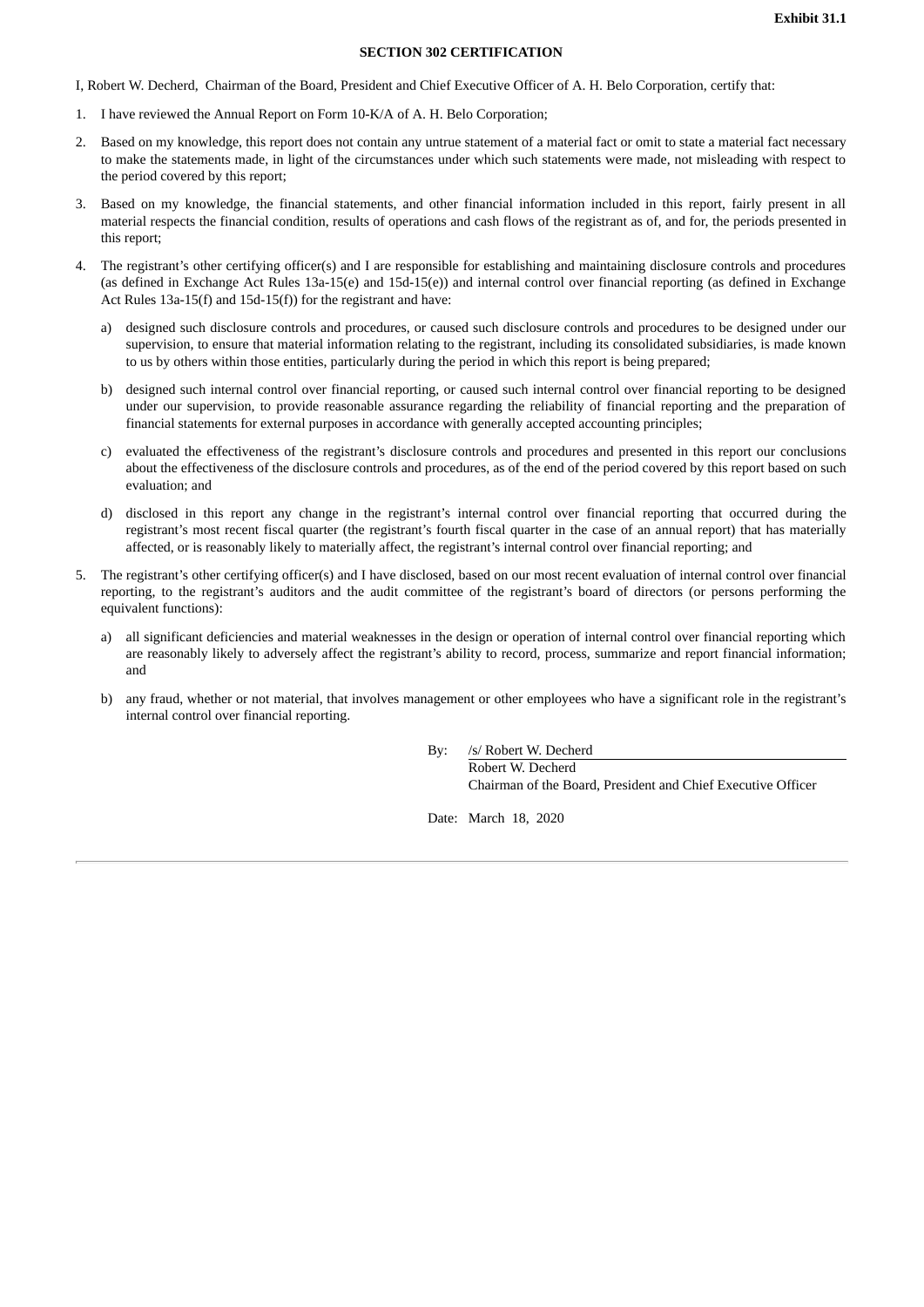### **SECTION 302 CERTIFICATION**

I, Robert W. Decherd, Chairman of the Board, President and Chief Executive Officer of A. H. Belo Corporation, certify that:

- 1. I have reviewed the Annual Report on Form 10-K/A of A. H. Belo Corporation;
- 2. Based on my knowledge, this report does not contain any untrue statement of a material fact or omit to state a material fact necessary to make the statements made, in light of the circumstances under which such statements were made, not misleading with respect to the period covered by this report;
- 3. Based on my knowledge, the financial statements, and other financial information included in this report, fairly present in all material respects the financial condition, results of operations and cash flows of the registrant as of, and for, the periods presented in this report;
- 4. The registrant's other certifying officer(s) and I are responsible for establishing and maintaining disclosure controls and procedures (as defined in Exchange Act Rules 13a-15(e) and 15d-15(e)) and internal control over financial reporting (as defined in Exchange Act Rules 13a-15(f) and 15d-15(f)) for the registrant and have:
	- a) designed such disclosure controls and procedures, or caused such disclosure controls and procedures to be designed under our supervision, to ensure that material information relating to the registrant, including its consolidated subsidiaries, is made known to us by others within those entities, particularly during the period in which this report is being prepared;
	- b) designed such internal control over financial reporting, or caused such internal control over financial reporting to be designed under our supervision, to provide reasonable assurance regarding the reliability of financial reporting and the preparation of financial statements for external purposes in accordance with generally accepted accounting principles;
	- c) evaluated the effectiveness of the registrant's disclosure controls and procedures and presented in this report our conclusions about the effectiveness of the disclosure controls and procedures, as of the end of the period covered by this report based on such evaluation; and
	- d) disclosed in this report any change in the registrant's internal control over financial reporting that occurred during the registrant's most recent fiscal quarter (the registrant's fourth fiscal quarter in the case of an annual report) that has materially affected, or is reasonably likely to materially affect, the registrant's internal control over financial reporting; and
- 5. The registrant's other certifying officer(s) and I have disclosed, based on our most recent evaluation of internal control over financial reporting, to the registrant's auditors and the audit committee of the registrant's board of directors (or persons performing the equivalent functions):
	- a) all significant deficiencies and material weaknesses in the design or operation of internal control over financial reporting which are reasonably likely to adversely affect the registrant's ability to record, process, summarize and report financial information; and
	- b) any fraud, whether or not material, that involves management or other employees who have a significant role in the registrant's internal control over financial reporting.

By: /s/ Robert W. Decherd Robert W. Decherd Chairman of the Board, President and Chief Executive Officer

Date: March 18, 2020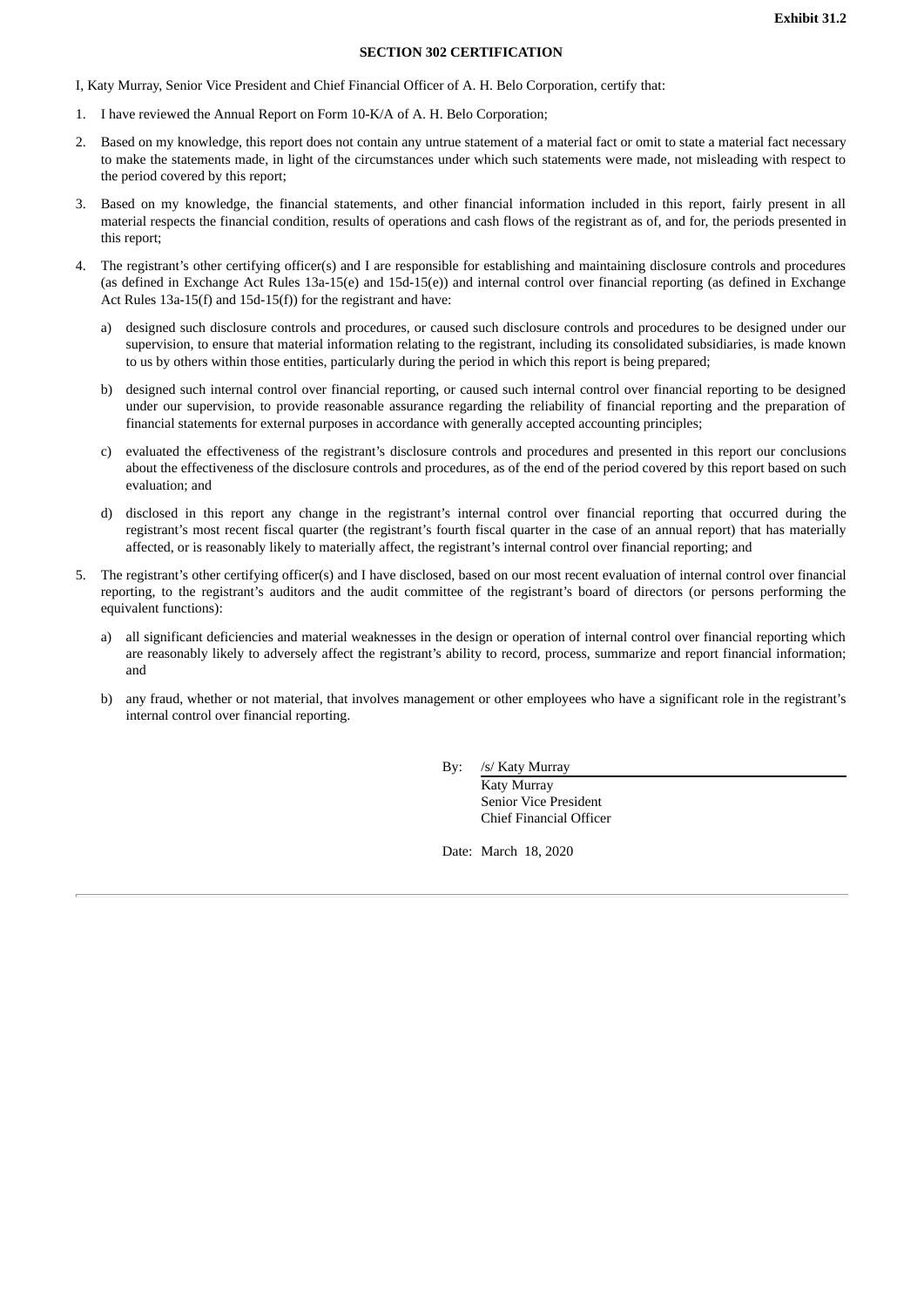### **SECTION 302 CERTIFICATION**

I, Katy Murray, Senior Vice President and Chief Financial Officer of A. H. Belo Corporation, certify that:

- 1. I have reviewed the Annual Report on Form 10-K/A of A. H. Belo Corporation;
- 2. Based on my knowledge, this report does not contain any untrue statement of a material fact or omit to state a material fact necessary to make the statements made, in light of the circumstances under which such statements were made, not misleading with respect to the period covered by this report;
- 3. Based on my knowledge, the financial statements, and other financial information included in this report, fairly present in all material respects the financial condition, results of operations and cash flows of the registrant as of, and for, the periods presented in this report;
- 4. The registrant's other certifying officer(s) and I are responsible for establishing and maintaining disclosure controls and procedures (as defined in Exchange Act Rules 13a-15(e) and 15d-15(e)) and internal control over financial reporting (as defined in Exchange Act Rules 13a-15(f) and 15d-15(f)) for the registrant and have:
	- a) designed such disclosure controls and procedures, or caused such disclosure controls and procedures to be designed under our supervision, to ensure that material information relating to the registrant, including its consolidated subsidiaries, is made known to us by others within those entities, particularly during the period in which this report is being prepared;
	- b) designed such internal control over financial reporting, or caused such internal control over financial reporting to be designed under our supervision, to provide reasonable assurance regarding the reliability of financial reporting and the preparation of financial statements for external purposes in accordance with generally accepted accounting principles;
	- c) evaluated the effectiveness of the registrant's disclosure controls and procedures and presented in this report our conclusions about the effectiveness of the disclosure controls and procedures, as of the end of the period covered by this report based on such evaluation; and
	- d) disclosed in this report any change in the registrant's internal control over financial reporting that occurred during the registrant's most recent fiscal quarter (the registrant's fourth fiscal quarter in the case of an annual report) that has materially affected, or is reasonably likely to materially affect, the registrant's internal control over financial reporting; and
- 5. The registrant's other certifying officer(s) and I have disclosed, based on our most recent evaluation of internal control over financial reporting, to the registrant's auditors and the audit committee of the registrant's board of directors (or persons performing the equivalent functions):
	- a) all significant deficiencies and material weaknesses in the design or operation of internal control over financial reporting which are reasonably likely to adversely affect the registrant's ability to record, process, summarize and report financial information; and
	- b) any fraud, whether or not material, that involves management or other employees who have a significant role in the registrant's internal control over financial reporting.

By: /s/ Katy Murray

Katy Murray Senior Vice President Chief Financial Officer

Date: March 18, 2020